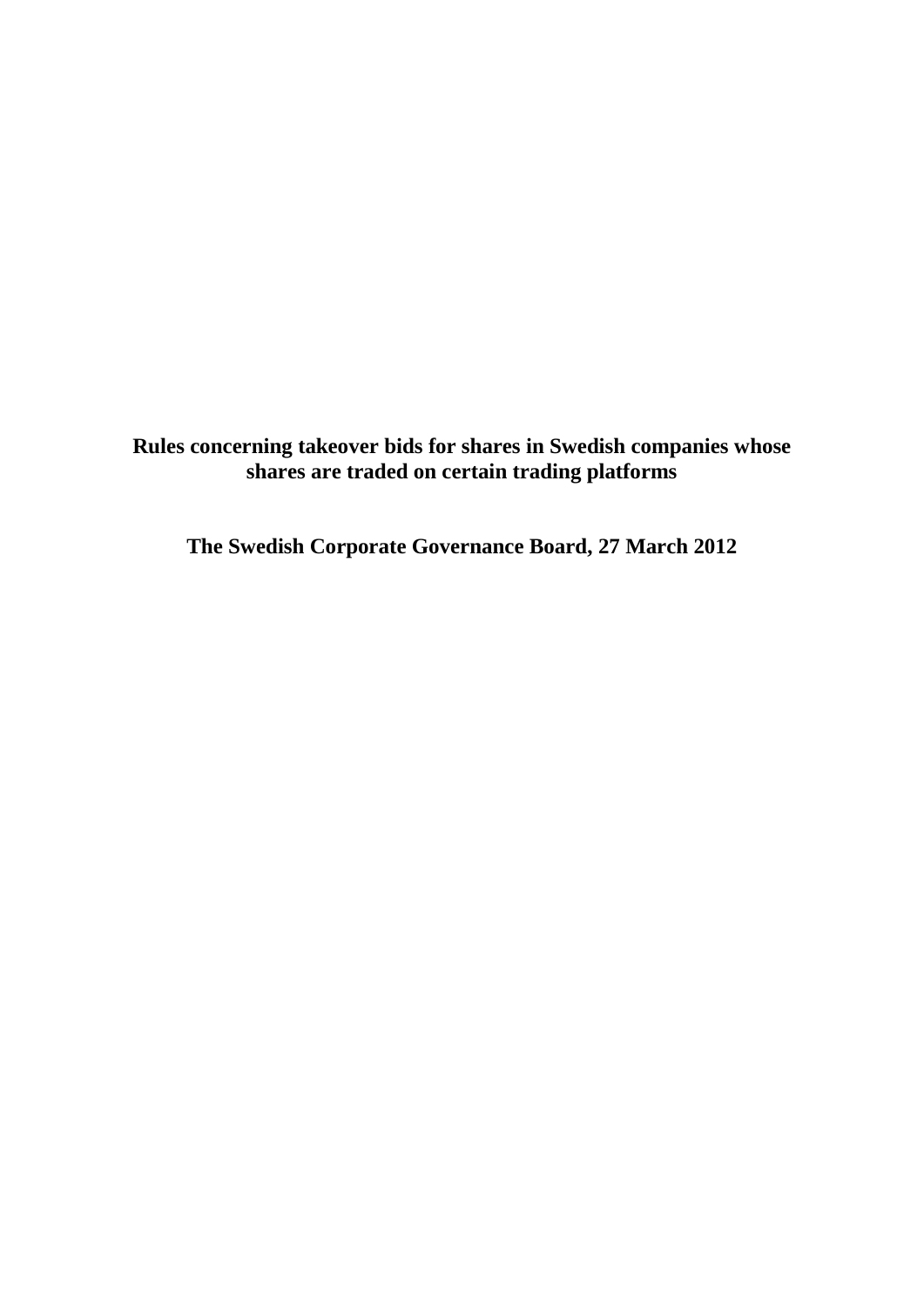**Rules concerning takeover bids for shares in Swedish companies whose shares are traded on certain trading platforms**

**The Swedish Corporate Governance Board, 27 March 2012**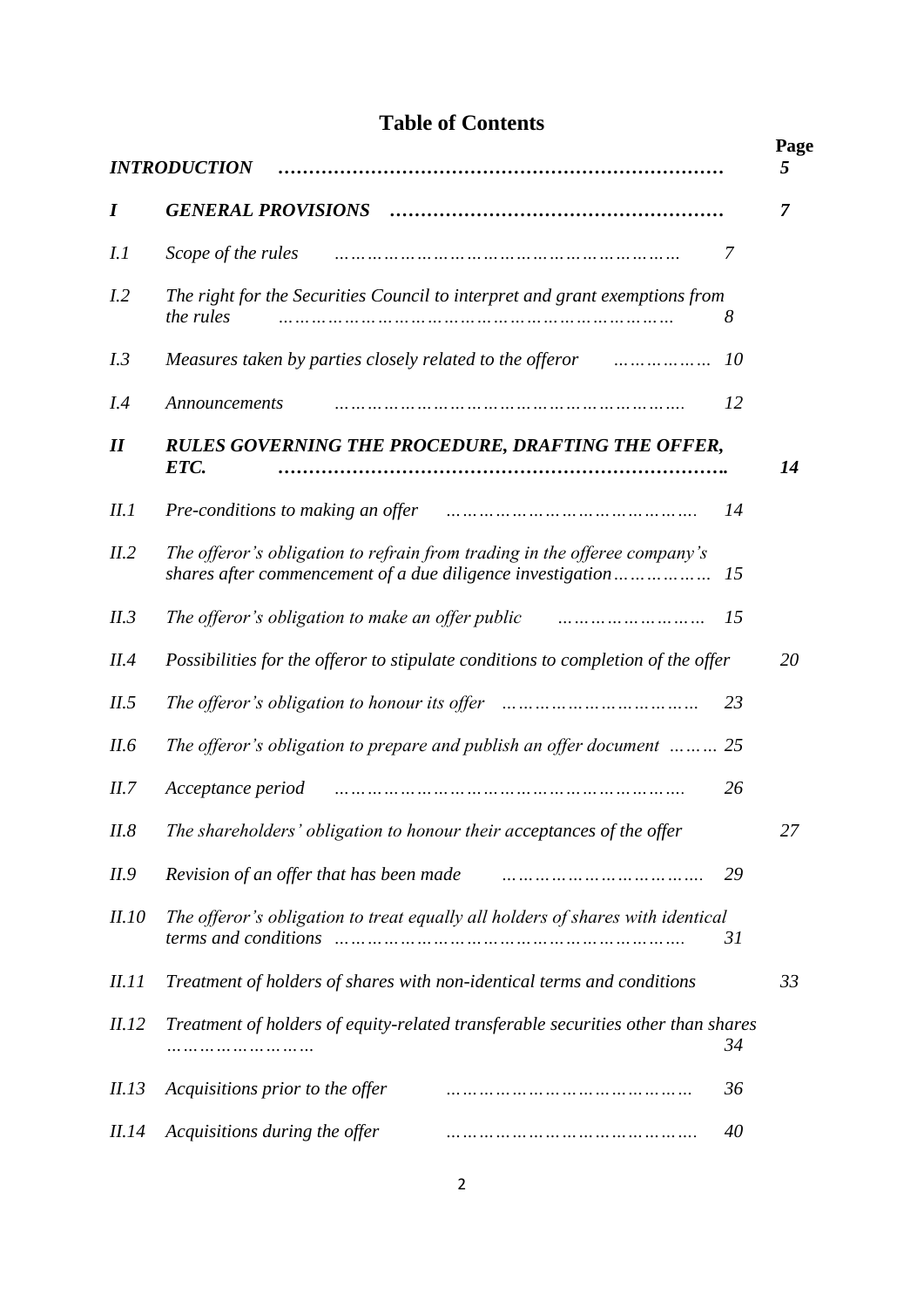# **Table of Contents**

| <b>INTRODUCTION</b>        |                                                                                                                                         |    |    |
|----------------------------|-----------------------------------------------------------------------------------------------------------------------------------------|----|----|
| I                          |                                                                                                                                         |    | 7  |
|                            |                                                                                                                                         | 7  |    |
| I.I                        | Scope of the rules<br>                                                                                                                  |    |    |
| I.2                        | The right for the Securities Council to interpret and grant exemptions from<br>the rules                                                | 8  |    |
| I.3                        | Measures taken by parties closely related to the offeror manumum                                                                        | 10 |    |
| I.4                        | Announcements                                                                                                                           | 12 |    |
| $\boldsymbol{\mathit{II}}$ | RULES GOVERNING THE PROCEDURE, DRAFTING THE OFFER,<br>ETC.                                                                              |    | 14 |
| II.1                       | Pre-conditions to making an offer manufactured in the conditions to making an offer manufactured in the condition                       | 14 |    |
| II.2                       | The offeror's obligation to refrain from trading in the offeree company's<br>shares after commencement of a due diligence investigation | 15 |    |
| II.3                       | The offeror's obligation to make an offer public manuman-                                                                               | 15 |    |
| II.4                       | Possibilities for the offeror to stipulate conditions to completion of the offer                                                        |    | 20 |
| II.5                       |                                                                                                                                         | 23 |    |
| II.6                       | The offeror's obligation to prepare and publish an offer document $\ldots \ldots \ldots$ 25                                             |    |    |
| II.7                       | Acceptance period                                                                                                                       | 26 |    |
| II.8                       | The shareholders' obligation to honour their acceptances of the offer                                                                   |    | 27 |
| II.9                       | Revision of an offer that has been made                                                                                                 | 29 |    |
| <i>II.10</i>               | The offeror's obligation to treat equally all holders of shares with identical                                                          | 31 |    |
| <i>II.11</i>               | Treatment of holders of shares with non-identical terms and conditions                                                                  |    | 33 |
| <i>II.12</i>               | Treatment of holders of equity-related transferable securities other than shares                                                        | 34 |    |
| II.13                      | Acquisitions prior to the offer<br>                                                                                                     | 36 |    |
| <i>II.14</i>               | Acquisitions during the offer<br>                                                                                                       | 40 |    |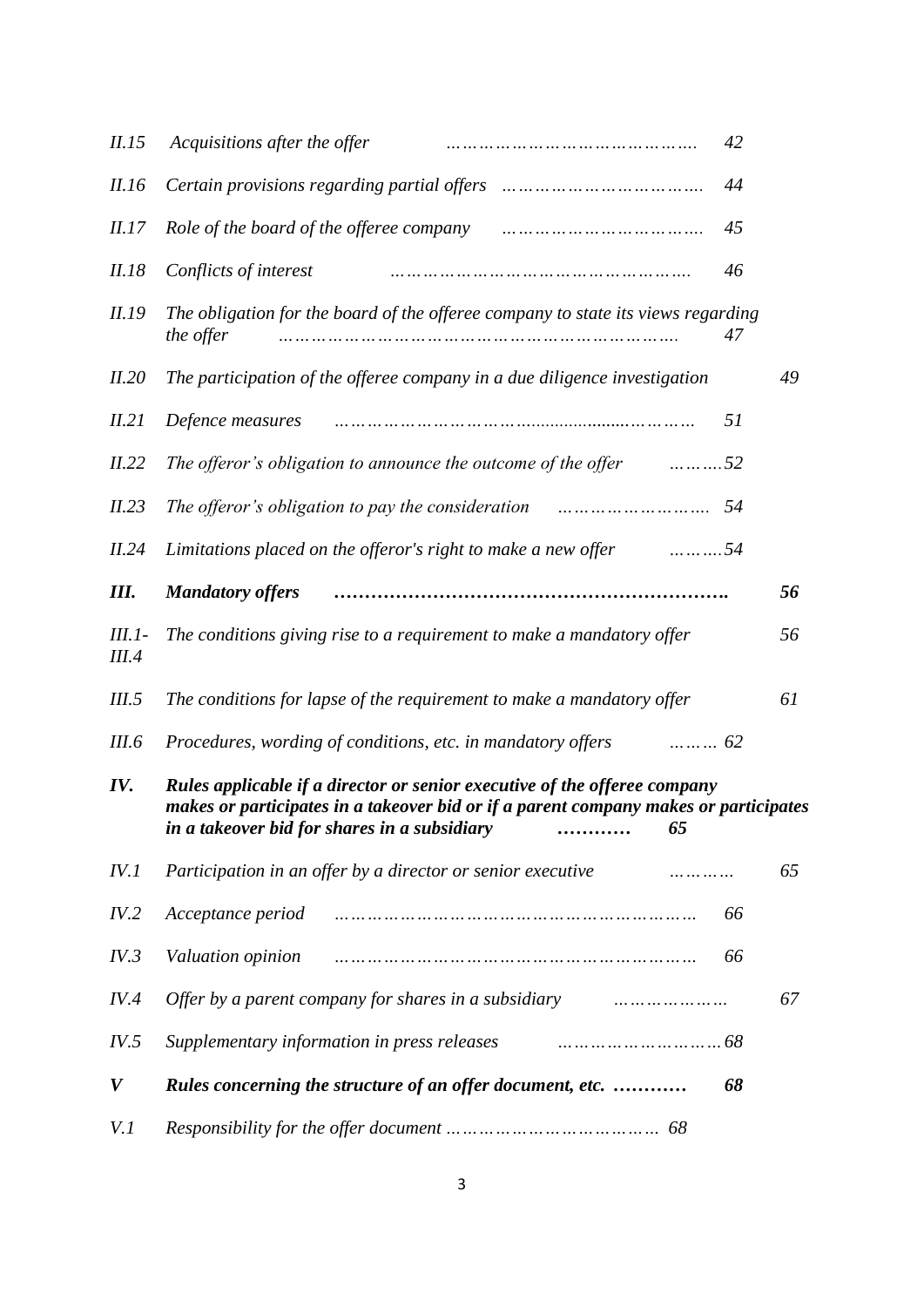| II.15                    | Acquisitions after the offer                                                                                                                                      | 42 |    |
|--------------------------|-------------------------------------------------------------------------------------------------------------------------------------------------------------------|----|----|
| II.16                    |                                                                                                                                                                   | 44 |    |
| <i>II.17</i>             |                                                                                                                                                                   | 45 |    |
| II.18                    | Conflicts of interest<br>.                                                                                                                                        | 46 |    |
| <i>II.19</i>             | The obligation for the board of the offeree company to state its views regarding<br>the offer<br>                                                                 | 47 |    |
| II.20                    | The participation of the offeree company in a due diligence investigation                                                                                         |    | 49 |
| II.21                    | Defence measures                                                                                                                                                  | 51 |    |
| II.22                    | The offeror's obligation to announce the outcome of the offer<br>$\dots \dots \dots 52$                                                                           |    |    |
| II.23                    |                                                                                                                                                                   | 54 |    |
| II.24                    | Limitations placed on the offeror's right to make a new offer<br>. 54                                                                                             |    |    |
| Ш.                       | <b>Mandatory offers</b>                                                                                                                                           |    | 56 |
| $III.1-$<br><i>III.4</i> | The conditions giving rise to a requirement to make a mandatory offer                                                                                             |    | 56 |
| III.5                    | The conditions for lapse of the requirement to make a mandatory offer                                                                                             |    | 61 |
| III.6                    | Procedures, wording of conditions, etc. in mandatory offers<br>$\ldots \ldots \ldots 62$                                                                          |    |    |
| IV.                      | Rules applicable if a director or senior executive of the offeree company<br>makes or participates in a takeover bid or if a parent company makes or participates |    |    |
| IV.1                     | Participation in an offer by a director or senior executive<br>.                                                                                                  |    | 65 |
| IV.2                     | Acceptance period<br>                                                                                                                                             | 66 |    |
| IV.3                     | Valuation opinion<br>                                                                                                                                             | 66 |    |
| IV.4                     | Offer by a parent company for shares in a subsidiary                                                                                                              |    | 67 |
| IV.5                     | Supplementary information in press releases                                                                                                                       |    |    |
| V                        | Rules concerning the structure of an offer document, etc.                                                                                                         | 68 |    |
| V.I                      |                                                                                                                                                                   |    |    |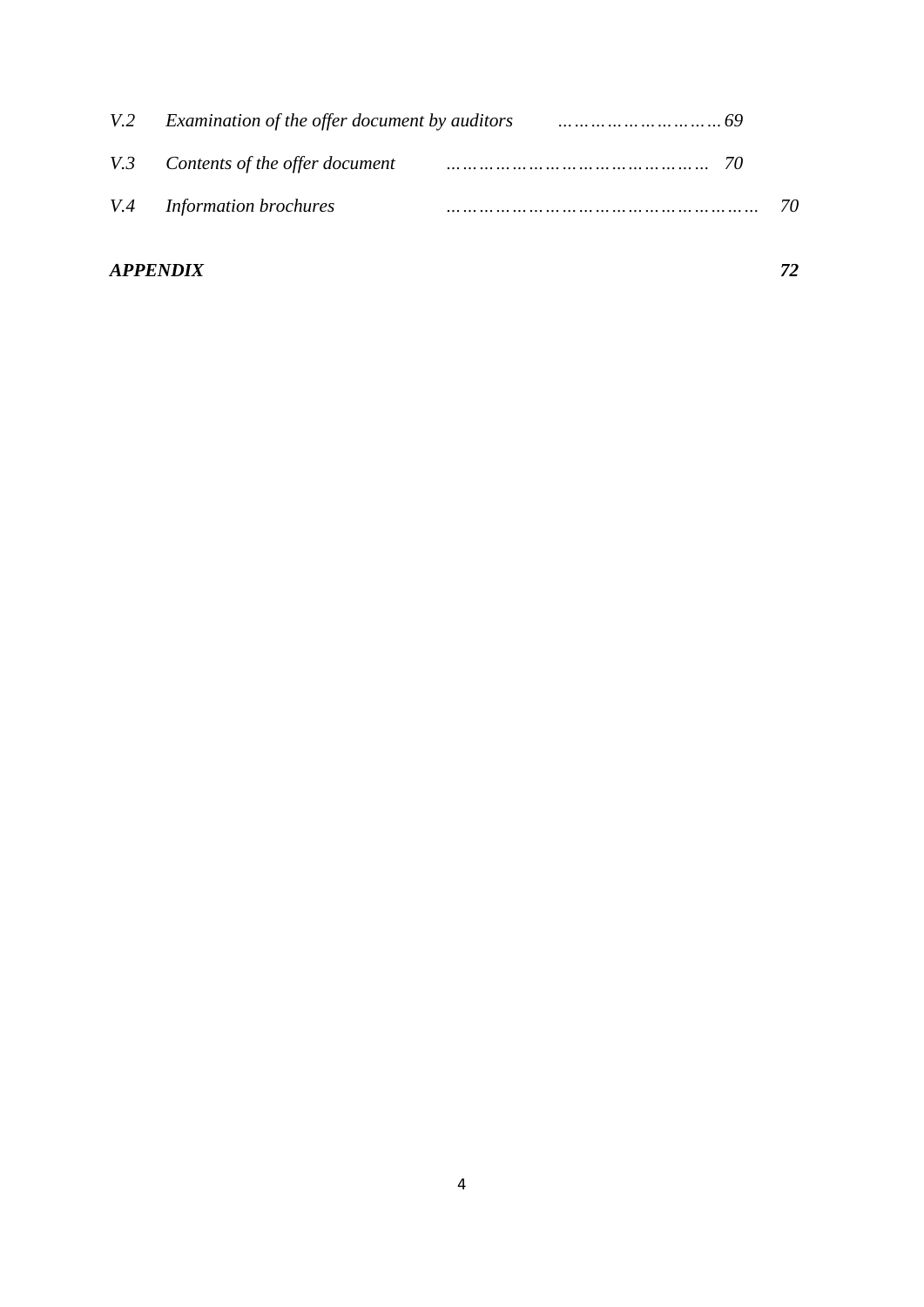|                                    | V.2 Examination of the offer document by auditors contain the summan contained by $69$ |  |
|------------------------------------|----------------------------------------------------------------------------------------|--|
| V.3 Contents of the offer document |                                                                                        |  |
| V.4 Information brochures          |                                                                                        |  |

# *APPENDIX 72*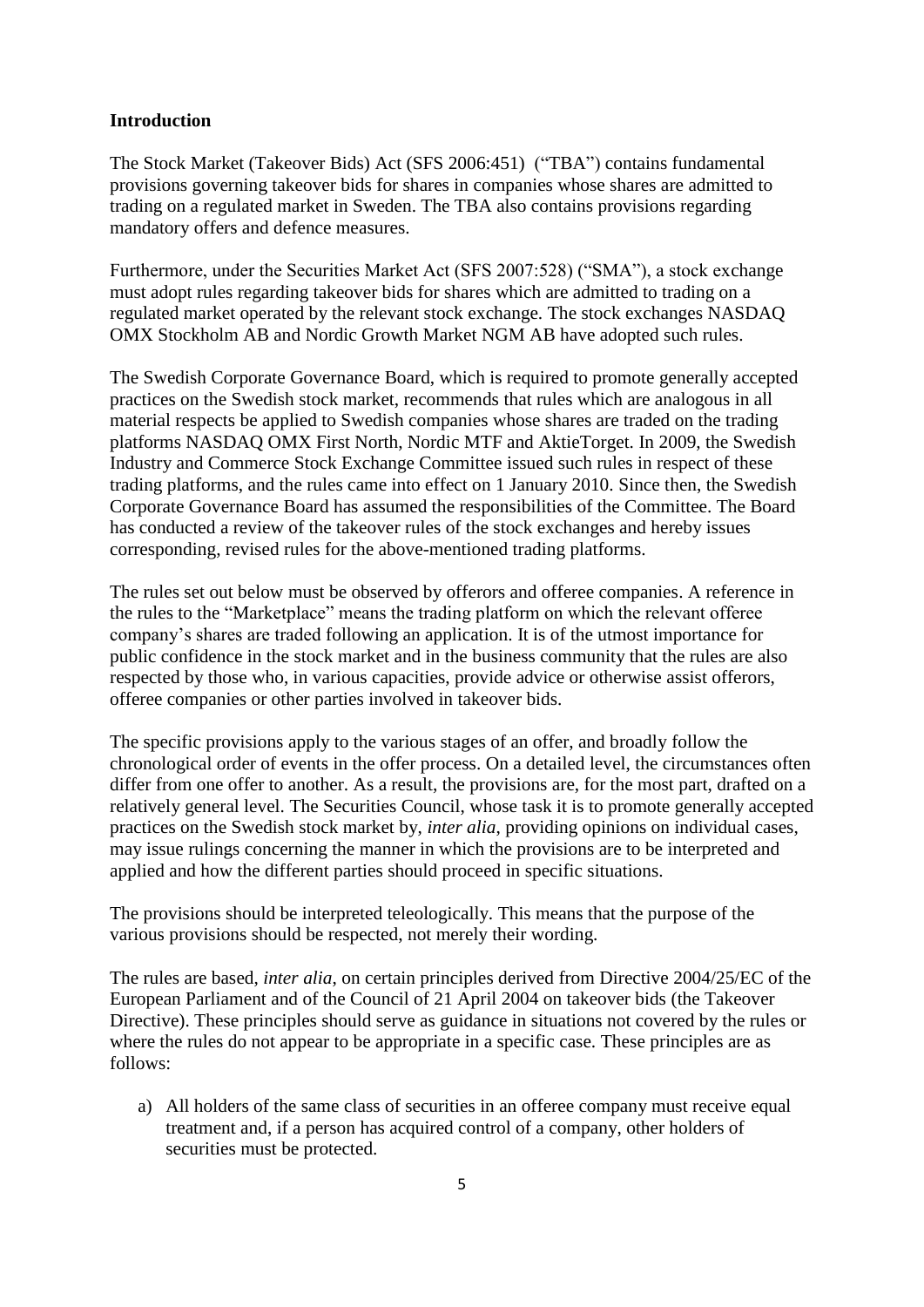#### **Introduction**

The Stock Market (Takeover Bids) Act (SFS 2006:451) ("TBA") contains fundamental provisions governing takeover bids for shares in companies whose shares are admitted to trading on a regulated market in Sweden. The TBA also contains provisions regarding mandatory offers and defence measures.

Furthermore, under the Securities Market Act (SFS 2007:528) ("SMA"), a stock exchange must adopt rules regarding takeover bids for shares which are admitted to trading on a regulated market operated by the relevant stock exchange. The stock exchanges NASDAQ OMX Stockholm AB and Nordic Growth Market NGM AB have adopted such rules.

The Swedish Corporate Governance Board, which is required to promote generally accepted practices on the Swedish stock market, recommends that rules which are analogous in all material respects be applied to Swedish companies whose shares are traded on the trading platforms NASDAQ OMX First North, Nordic MTF and AktieTorget. In 2009, the Swedish Industry and Commerce Stock Exchange Committee issued such rules in respect of these trading platforms, and the rules came into effect on 1 January 2010. Since then, the Swedish Corporate Governance Board has assumed the responsibilities of the Committee. The Board has conducted a review of the takeover rules of the stock exchanges and hereby issues corresponding, revised rules for the above-mentioned trading platforms.

The rules set out below must be observed by offerors and offeree companies. A reference in the rules to the "Marketplace" means the trading platform on which the relevant offeree company's shares are traded following an application. It is of the utmost importance for public confidence in the stock market and in the business community that the rules are also respected by those who, in various capacities, provide advice or otherwise assist offerors, offeree companies or other parties involved in takeover bids.

The specific provisions apply to the various stages of an offer, and broadly follow the chronological order of events in the offer process. On a detailed level, the circumstances often differ from one offer to another. As a result, the provisions are, for the most part, drafted on a relatively general level. The Securities Council, whose task it is to promote generally accepted practices on the Swedish stock market by, *inter alia*, providing opinions on individual cases, may issue rulings concerning the manner in which the provisions are to be interpreted and applied and how the different parties should proceed in specific situations.

The provisions should be interpreted teleologically. This means that the purpose of the various provisions should be respected, not merely their wording.

The rules are based, *inter alia*, on certain principles derived from Directive 2004/25/EC of the European Parliament and of the Council of 21 April 2004 on takeover bids (the Takeover Directive). These principles should serve as guidance in situations not covered by the rules or where the rules do not appear to be appropriate in a specific case. These principles are as follows:

a) All holders of the same class of securities in an offeree company must receive equal treatment and, if a person has acquired control of a company, other holders of securities must be protected.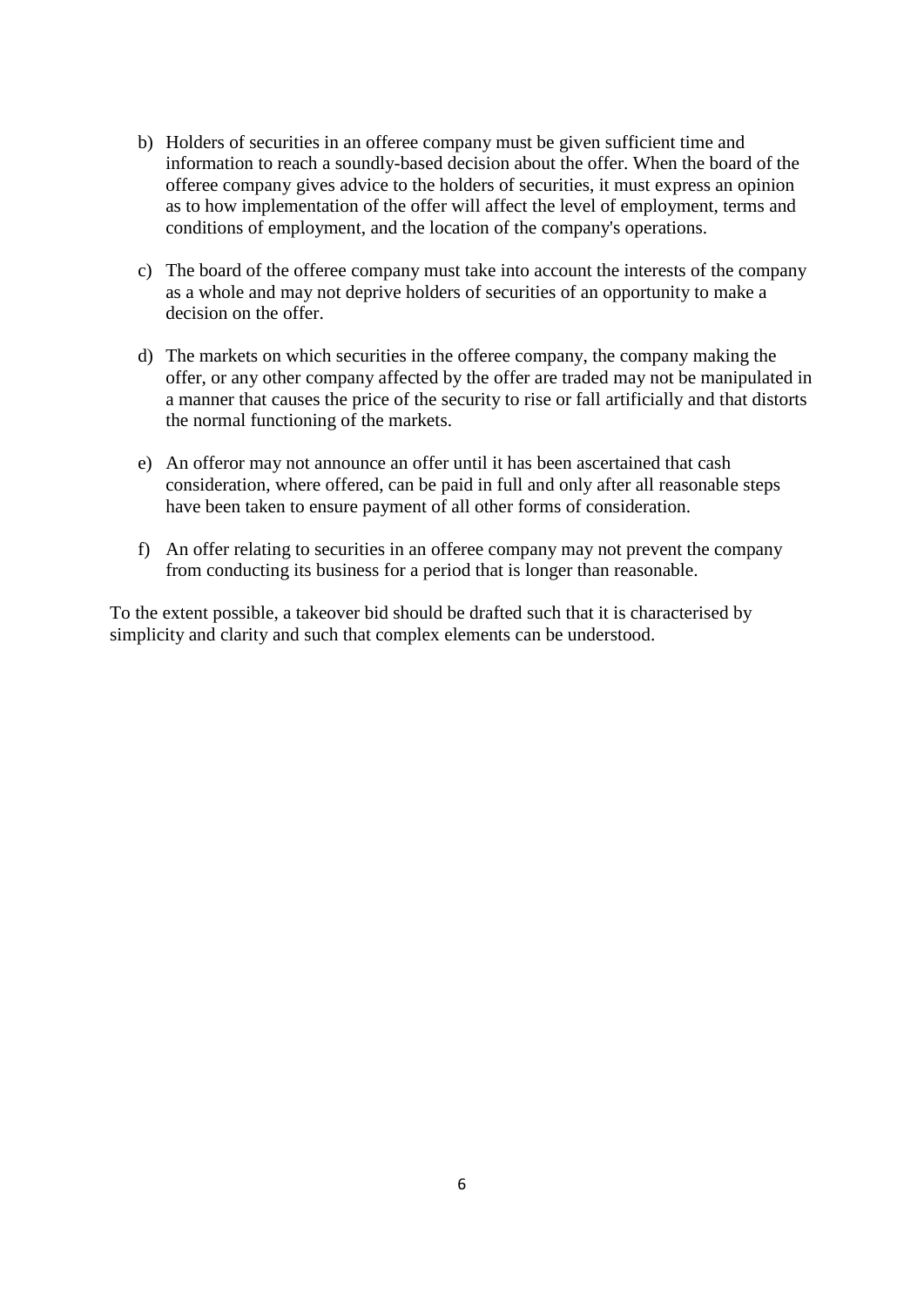- b) Holders of securities in an offeree company must be given sufficient time and information to reach a soundly-based decision about the offer. When the board of the offeree company gives advice to the holders of securities, it must express an opinion as to how implementation of the offer will affect the level of employment, terms and conditions of employment, and the location of the company's operations.
- c) The board of the offeree company must take into account the interests of the company as a whole and may not deprive holders of securities of an opportunity to make a decision on the offer.
- d) The markets on which securities in the offeree company, the company making the offer, or any other company affected by the offer are traded may not be manipulated in a manner that causes the price of the security to rise or fall artificially and that distorts the normal functioning of the markets.
- e) An offeror may not announce an offer until it has been ascertained that cash consideration, where offered, can be paid in full and only after all reasonable steps have been taken to ensure payment of all other forms of consideration.
- f) An offer relating to securities in an offeree company may not prevent the company from conducting its business for a period that is longer than reasonable.

To the extent possible, a takeover bid should be drafted such that it is characterised by simplicity and clarity and such that complex elements can be understood.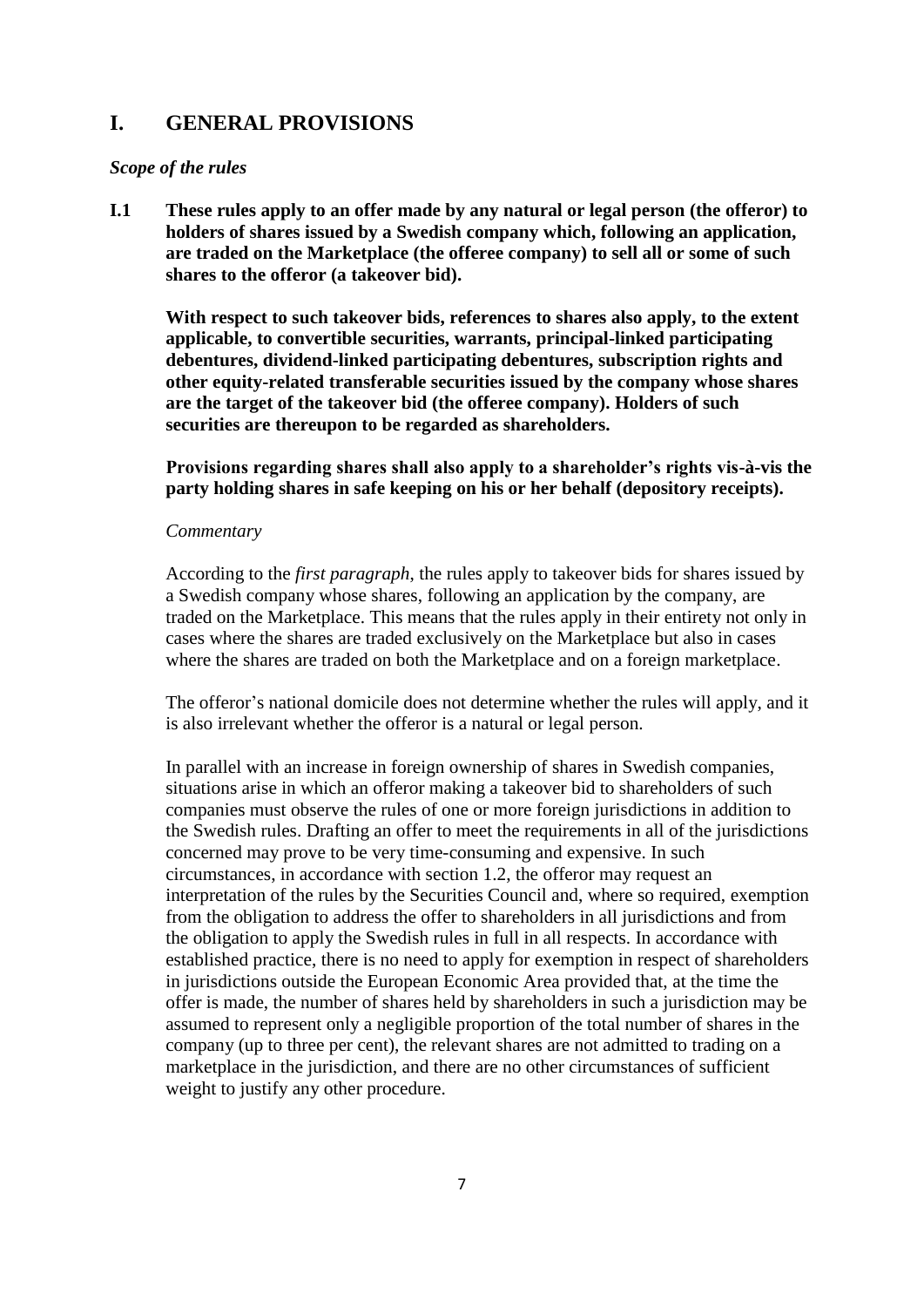# **I. GENERAL PROVISIONS**

#### *Scope of the rules*

**I.1 These rules apply to an offer made by any natural or legal person (the offeror) to holders of shares issued by a Swedish company which, following an application, are traded on the Marketplace (the offeree company) to sell all or some of such shares to the offeror (a takeover bid).**

**With respect to such takeover bids, references to shares also apply, to the extent applicable, to convertible securities, warrants, principal-linked participating debentures, dividend-linked participating debentures, subscription rights and other equity-related transferable securities issued by the company whose shares are the target of the takeover bid (the offeree company). Holders of such securities are thereupon to be regarded as shareholders.**

**Provisions regarding shares shall also apply to a shareholder's rights vis-à-vis the party holding shares in safe keeping on his or her behalf (depository receipts).** 

#### *Commentary*

According to the *first paragraph*, the rules apply to takeover bids for shares issued by a Swedish company whose shares, following an application by the company, are traded on the Marketplace. This means that the rules apply in their entirety not only in cases where the shares are traded exclusively on the Marketplace but also in cases where the shares are traded on both the Marketplace and on a foreign marketplace.

The offeror's national domicile does not determine whether the rules will apply, and it is also irrelevant whether the offeror is a natural or legal person.

In parallel with an increase in foreign ownership of shares in Swedish companies, situations arise in which an offeror making a takeover bid to shareholders of such companies must observe the rules of one or more foreign jurisdictions in addition to the Swedish rules. Drafting an offer to meet the requirements in all of the jurisdictions concerned may prove to be very time-consuming and expensive. In such circumstances, in accordance with section 1.2, the offeror may request an interpretation of the rules by the Securities Council and, where so required, exemption from the obligation to address the offer to shareholders in all jurisdictions and from the obligation to apply the Swedish rules in full in all respects. In accordance with established practice, there is no need to apply for exemption in respect of shareholders in jurisdictions outside the European Economic Area provided that, at the time the offer is made, the number of shares held by shareholders in such a jurisdiction may be assumed to represent only a negligible proportion of the total number of shares in the company (up to three per cent), the relevant shares are not admitted to trading on a marketplace in the jurisdiction, and there are no other circumstances of sufficient weight to justify any other procedure.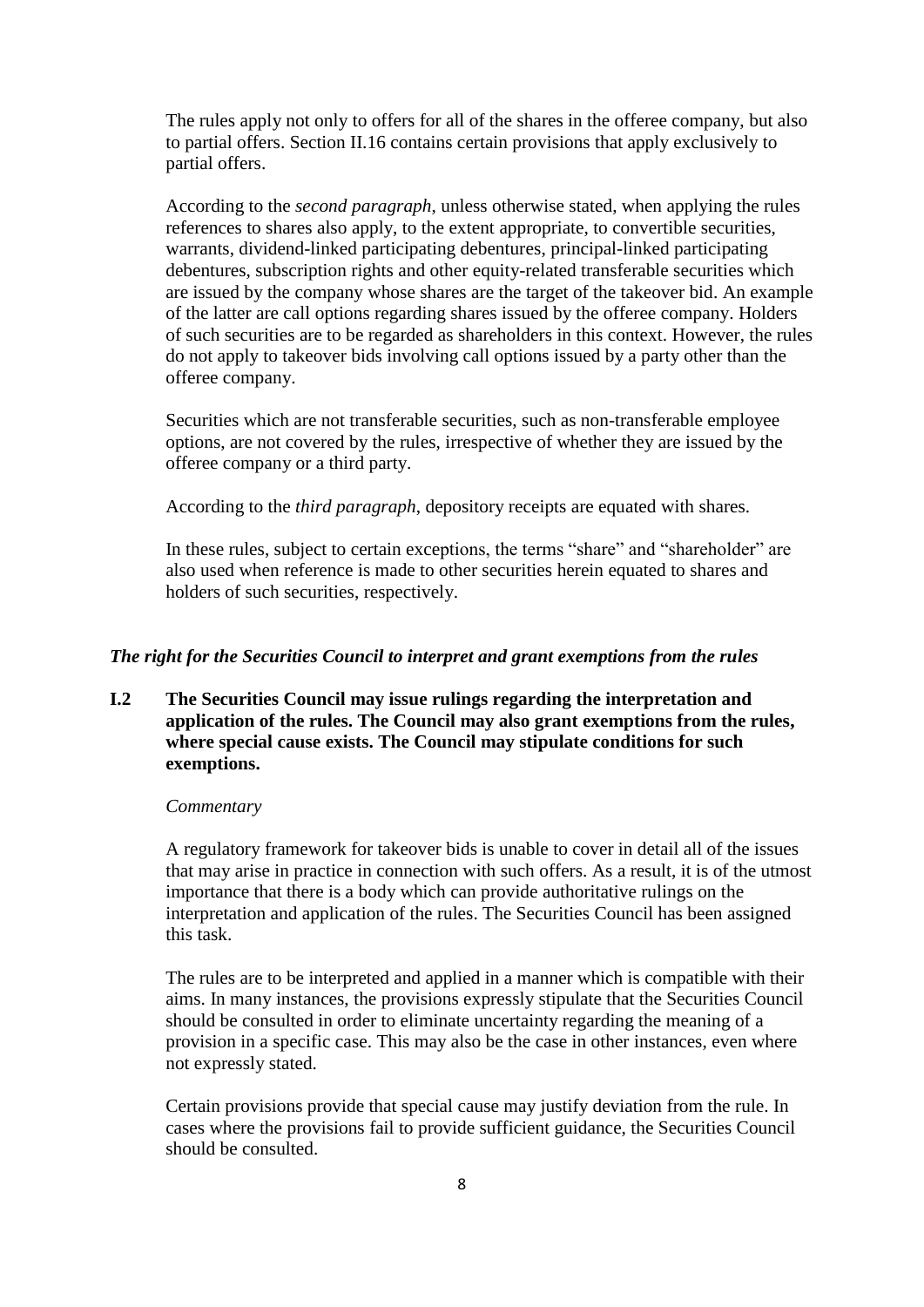The rules apply not only to offers for all of the shares in the offeree company, but also to partial offers. Section II.16 contains certain provisions that apply exclusively to partial offers.

According to the *second paragraph*, unless otherwise stated, when applying the rules references to shares also apply, to the extent appropriate, to convertible securities, warrants, dividend-linked participating debentures, principal-linked participating debentures, subscription rights and other equity-related transferable securities which are issued by the company whose shares are the target of the takeover bid. An example of the latter are call options regarding shares issued by the offeree company. Holders of such securities are to be regarded as shareholders in this context. However, the rules do not apply to takeover bids involving call options issued by a party other than the offeree company.

Securities which are not transferable securities, such as non-transferable employee options, are not covered by the rules, irrespective of whether they are issued by the offeree company or a third party.

According to the *third paragraph*, depository receipts are equated with shares.

In these rules, subject to certain exceptions, the terms "share" and "shareholder" are also used when reference is made to other securities herein equated to shares and holders of such securities, respectively.

# *The right for the Securities Council to interpret and grant exemptions from the rules*

## **I.2 The Securities Council may issue rulings regarding the interpretation and application of the rules. The Council may also grant exemptions from the rules, where special cause exists. The Council may stipulate conditions for such exemptions.**

#### *Commentary*

A regulatory framework for takeover bids is unable to cover in detail all of the issues that may arise in practice in connection with such offers. As a result, it is of the utmost importance that there is a body which can provide authoritative rulings on the interpretation and application of the rules. The Securities Council has been assigned this task.

The rules are to be interpreted and applied in a manner which is compatible with their aims. In many instances, the provisions expressly stipulate that the Securities Council should be consulted in order to eliminate uncertainty regarding the meaning of a provision in a specific case. This may also be the case in other instances, even where not expressly stated.

Certain provisions provide that special cause may justify deviation from the rule. In cases where the provisions fail to provide sufficient guidance, the Securities Council should be consulted.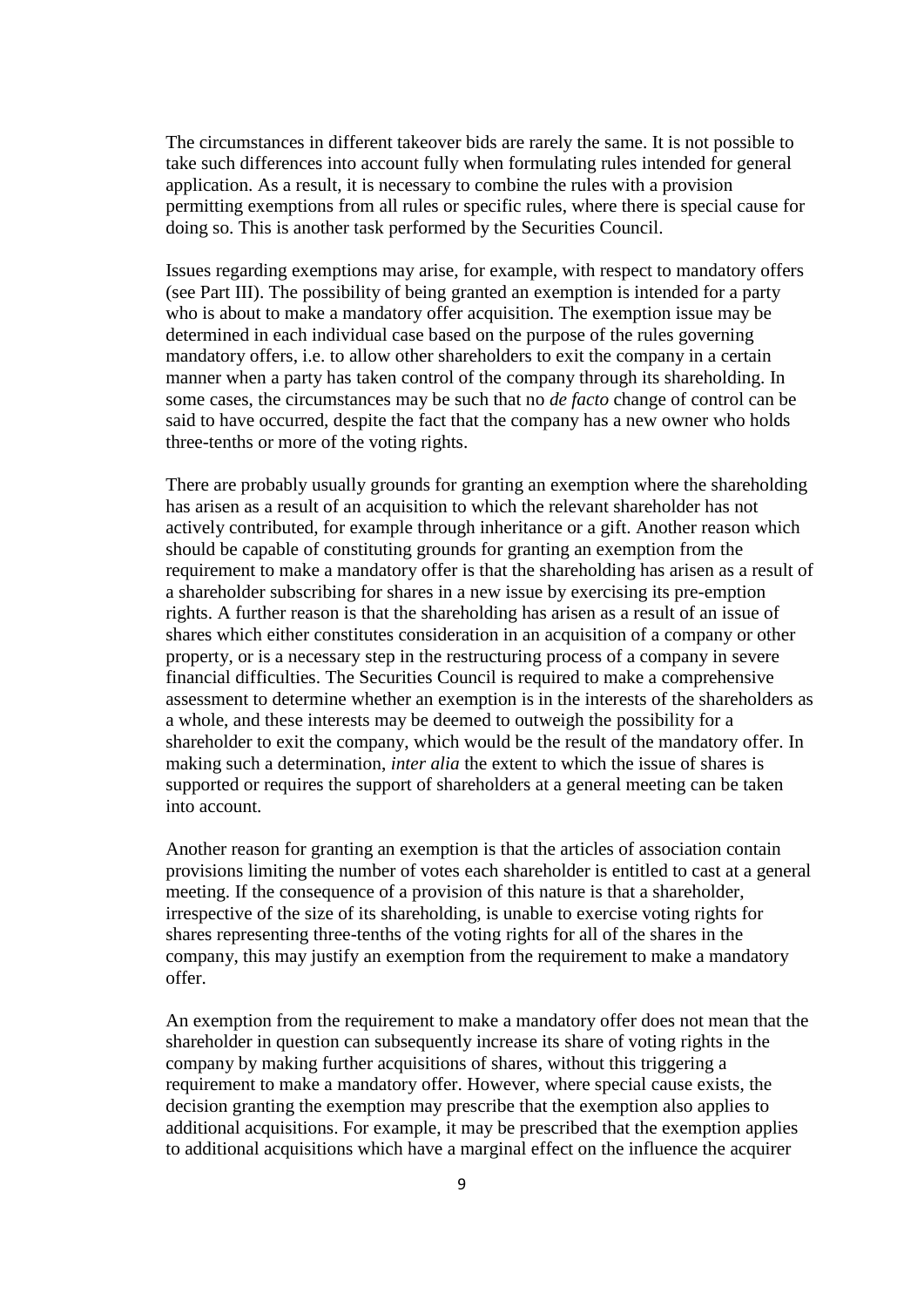The circumstances in different takeover bids are rarely the same. It is not possible to take such differences into account fully when formulating rules intended for general application. As a result, it is necessary to combine the rules with a provision permitting exemptions from all rules or specific rules, where there is special cause for doing so. This is another task performed by the Securities Council.

Issues regarding exemptions may arise, for example, with respect to mandatory offers (see Part III). The possibility of being granted an exemption is intended for a party who is about to make a mandatory offer acquisition. The exemption issue may be determined in each individual case based on the purpose of the rules governing mandatory offers, i.e. to allow other shareholders to exit the company in a certain manner when a party has taken control of the company through its shareholding. In some cases, the circumstances may be such that no *de facto* change of control can be said to have occurred, despite the fact that the company has a new owner who holds three-tenths or more of the voting rights.

There are probably usually grounds for granting an exemption where the shareholding has arisen as a result of an acquisition to which the relevant shareholder has not actively contributed, for example through inheritance or a gift. Another reason which should be capable of constituting grounds for granting an exemption from the requirement to make a mandatory offer is that the shareholding has arisen as a result of a shareholder subscribing for shares in a new issue by exercising its pre-emption rights. A further reason is that the shareholding has arisen as a result of an issue of shares which either constitutes consideration in an acquisition of a company or other property, or is a necessary step in the restructuring process of a company in severe financial difficulties. The Securities Council is required to make a comprehensive assessment to determine whether an exemption is in the interests of the shareholders as a whole, and these interests may be deemed to outweigh the possibility for a shareholder to exit the company, which would be the result of the mandatory offer. In making such a determination, *inter alia* the extent to which the issue of shares is supported or requires the support of shareholders at a general meeting can be taken into account.

Another reason for granting an exemption is that the articles of association contain provisions limiting the number of votes each shareholder is entitled to cast at a general meeting. If the consequence of a provision of this nature is that a shareholder, irrespective of the size of its shareholding, is unable to exercise voting rights for shares representing three-tenths of the voting rights for all of the shares in the company, this may justify an exemption from the requirement to make a mandatory offer.

An exemption from the requirement to make a mandatory offer does not mean that the shareholder in question can subsequently increase its share of voting rights in the company by making further acquisitions of shares, without this triggering a requirement to make a mandatory offer. However, where special cause exists, the decision granting the exemption may prescribe that the exemption also applies to additional acquisitions. For example, it may be prescribed that the exemption applies to additional acquisitions which have a marginal effect on the influence the acquirer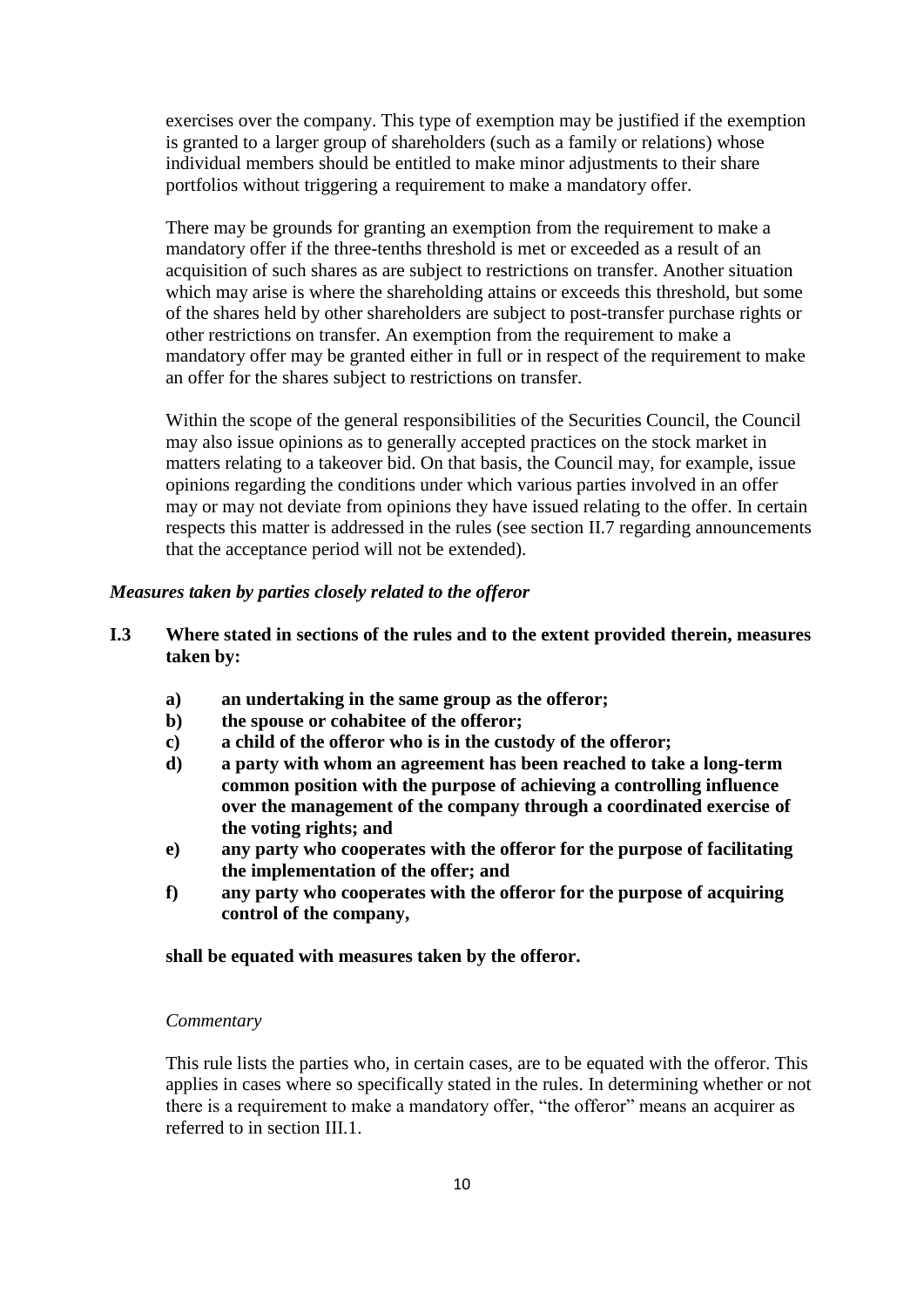exercises over the company. This type of exemption may be justified if the exemption is granted to a larger group of shareholders (such as a family or relations) whose individual members should be entitled to make minor adjustments to their share portfolios without triggering a requirement to make a mandatory offer.

There may be grounds for granting an exemption from the requirement to make a mandatory offer if the three-tenths threshold is met or exceeded as a result of an acquisition of such shares as are subject to restrictions on transfer. Another situation which may arise is where the shareholding attains or exceeds this threshold, but some of the shares held by other shareholders are subject to post-transfer purchase rights or other restrictions on transfer. An exemption from the requirement to make a mandatory offer may be granted either in full or in respect of the requirement to make an offer for the shares subject to restrictions on transfer.

Within the scope of the general responsibilities of the Securities Council, the Council may also issue opinions as to generally accepted practices on the stock market in matters relating to a takeover bid. On that basis, the Council may, for example, issue opinions regarding the conditions under which various parties involved in an offer may or may not deviate from opinions they have issued relating to the offer. In certain respects this matter is addressed in the rules (see section II.7 regarding announcements that the acceptance period will not be extended).

#### *Measures taken by parties closely related to the offeror*

## **I.3 Where stated in sections of the rules and to the extent provided therein, measures taken by:**

- **a) an undertaking in the same group as the offeror;**
- **b) the spouse or cohabitee of the offeror;**
- **c) a child of the offeror who is in the custody of the offeror;**
- **d) a party with whom an agreement has been reached to take a long-term common position with the purpose of achieving a controlling influence over the management of the company through a coordinated exercise of the voting rights; and**
- **e) any party who cooperates with the offeror for the purpose of facilitating the implementation of the offer; and**
- **f) any party who cooperates with the offeror for the purpose of acquiring control of the company,**

**shall be equated with measures taken by the offeror.**

#### *Commentary*

This rule lists the parties who, in certain cases, are to be equated with the offeror. This applies in cases where so specifically stated in the rules. In determining whether or not there is a requirement to make a mandatory offer, "the offeror" means an acquirer as referred to in section III.1.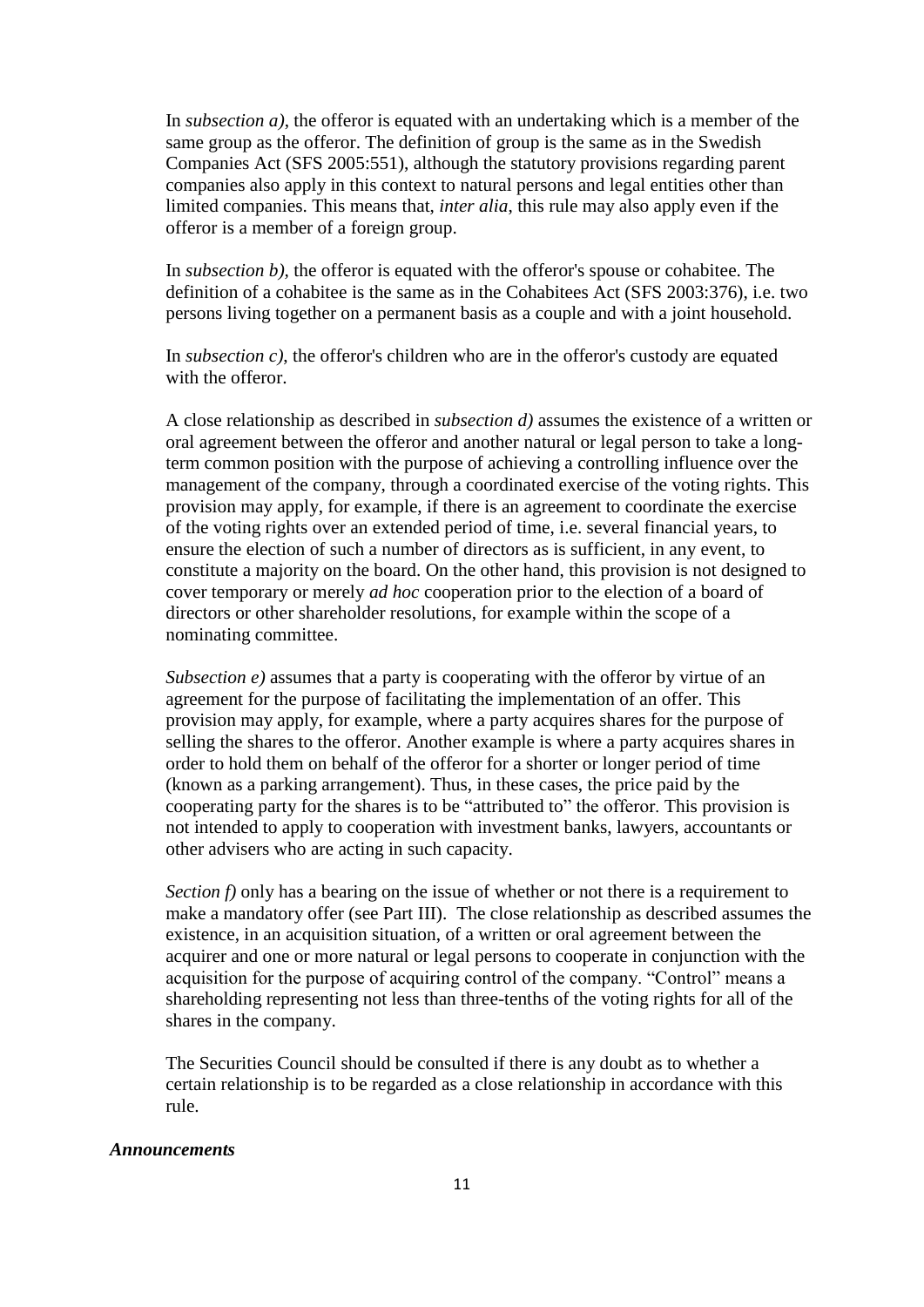In *subsection a)*, the offeror is equated with an undertaking which is a member of the same group as the offeror. The definition of group is the same as in the Swedish Companies Act (SFS 2005:551), although the statutory provisions regarding parent companies also apply in this context to natural persons and legal entities other than limited companies. This means that, *inter alia*, this rule may also apply even if the offeror is a member of a foreign group.

In *subsection b),* the offeror is equated with the offeror's spouse or cohabitee. The definition of a cohabitee is the same as in the Cohabitees Act (SFS 2003:376), i.e. two persons living together on a permanent basis as a couple and with a joint household.

In *subsection c)*, the offeror's children who are in the offeror's custody are equated with the offeror.

A close relationship as described in *subsection d)* assumes the existence of a written or oral agreement between the offeror and another natural or legal person to take a longterm common position with the purpose of achieving a controlling influence over the management of the company, through a coordinated exercise of the voting rights. This provision may apply, for example, if there is an agreement to coordinate the exercise of the voting rights over an extended period of time, i.e. several financial years, to ensure the election of such a number of directors as is sufficient, in any event, to constitute a majority on the board. On the other hand, this provision is not designed to cover temporary or merely *ad hoc* cooperation prior to the election of a board of directors or other shareholder resolutions, for example within the scope of a nominating committee.

*Subsection e)* assumes that a party is cooperating with the offeror by virtue of an agreement for the purpose of facilitating the implementation of an offer. This provision may apply, for example, where a party acquires shares for the purpose of selling the shares to the offeror. Another example is where a party acquires shares in order to hold them on behalf of the offeror for a shorter or longer period of time (known as a parking arrangement). Thus, in these cases, the price paid by the cooperating party for the shares is to be "attributed to" the offeror. This provision is not intended to apply to cooperation with investment banks, lawyers, accountants or other advisers who are acting in such capacity.

*Section f)* only has a bearing on the issue of whether or not there is a requirement to make a mandatory offer (see Part III). The close relationship as described assumes the existence, in an acquisition situation, of a written or oral agreement between the acquirer and one or more natural or legal persons to cooperate in conjunction with the acquisition for the purpose of acquiring control of the company. "Control" means a shareholding representing not less than three-tenths of the voting rights for all of the shares in the company.

The Securities Council should be consulted if there is any doubt as to whether a certain relationship is to be regarded as a close relationship in accordance with this rule.

#### *Announcements*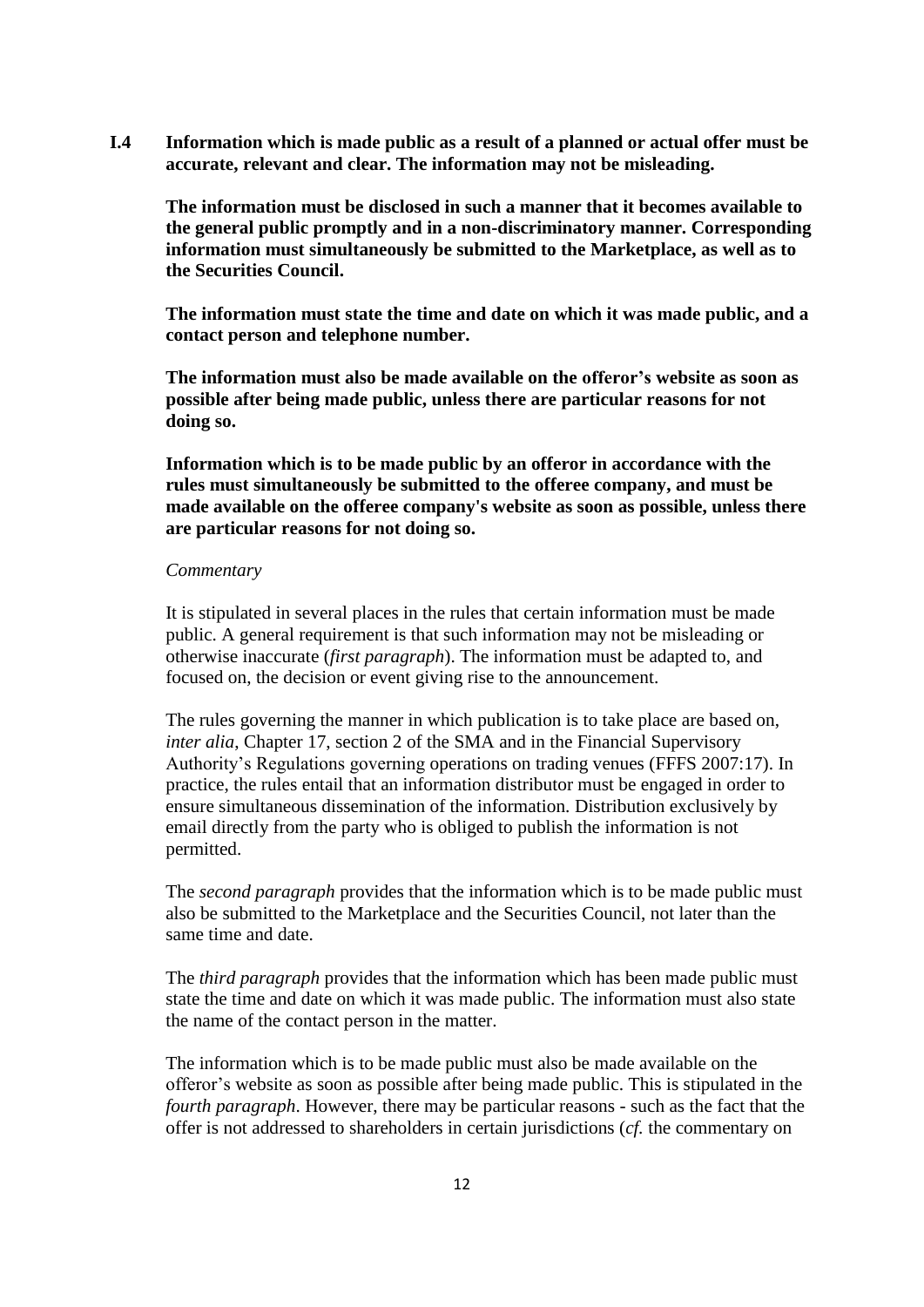**I.4 Information which is made public as a result of a planned or actual offer must be accurate, relevant and clear. The information may not be misleading.**

**The information must be disclosed in such a manner that it becomes available to the general public promptly and in a non-discriminatory manner. Corresponding information must simultaneously be submitted to the Marketplace, as well as to the Securities Council.**

**The information must state the time and date on which it was made public, and a contact person and telephone number.**

**The information must also be made available on the offeror's website as soon as possible after being made public, unless there are particular reasons for not doing so.**

**Information which is to be made public by an offeror in accordance with the rules must simultaneously be submitted to the offeree company, and must be made available on the offeree company's website as soon as possible, unless there are particular reasons for not doing so.**

#### *Commentary*

It is stipulated in several places in the rules that certain information must be made public. A general requirement is that such information may not be misleading or otherwise inaccurate (*first paragraph*). The information must be adapted to, and focused on, the decision or event giving rise to the announcement.

The rules governing the manner in which publication is to take place are based on, *inter alia*, Chapter 17, section 2 of the SMA and in the Financial Supervisory Authority's Regulations governing operations on trading venues (FFFS 2007:17). In practice, the rules entail that an information distributor must be engaged in order to ensure simultaneous dissemination of the information. Distribution exclusively by email directly from the party who is obliged to publish the information is not permitted.

The *second paragraph* provides that the information which is to be made public must also be submitted to the Marketplace and the Securities Council, not later than the same time and date.

The *third paragraph* provides that the information which has been made public must state the time and date on which it was made public. The information must also state the name of the contact person in the matter.

The information which is to be made public must also be made available on the offeror's website as soon as possible after being made public. This is stipulated in the *fourth paragraph*. However, there may be particular reasons - such as the fact that the offer is not addressed to shareholders in certain jurisdictions (*cf.* the commentary on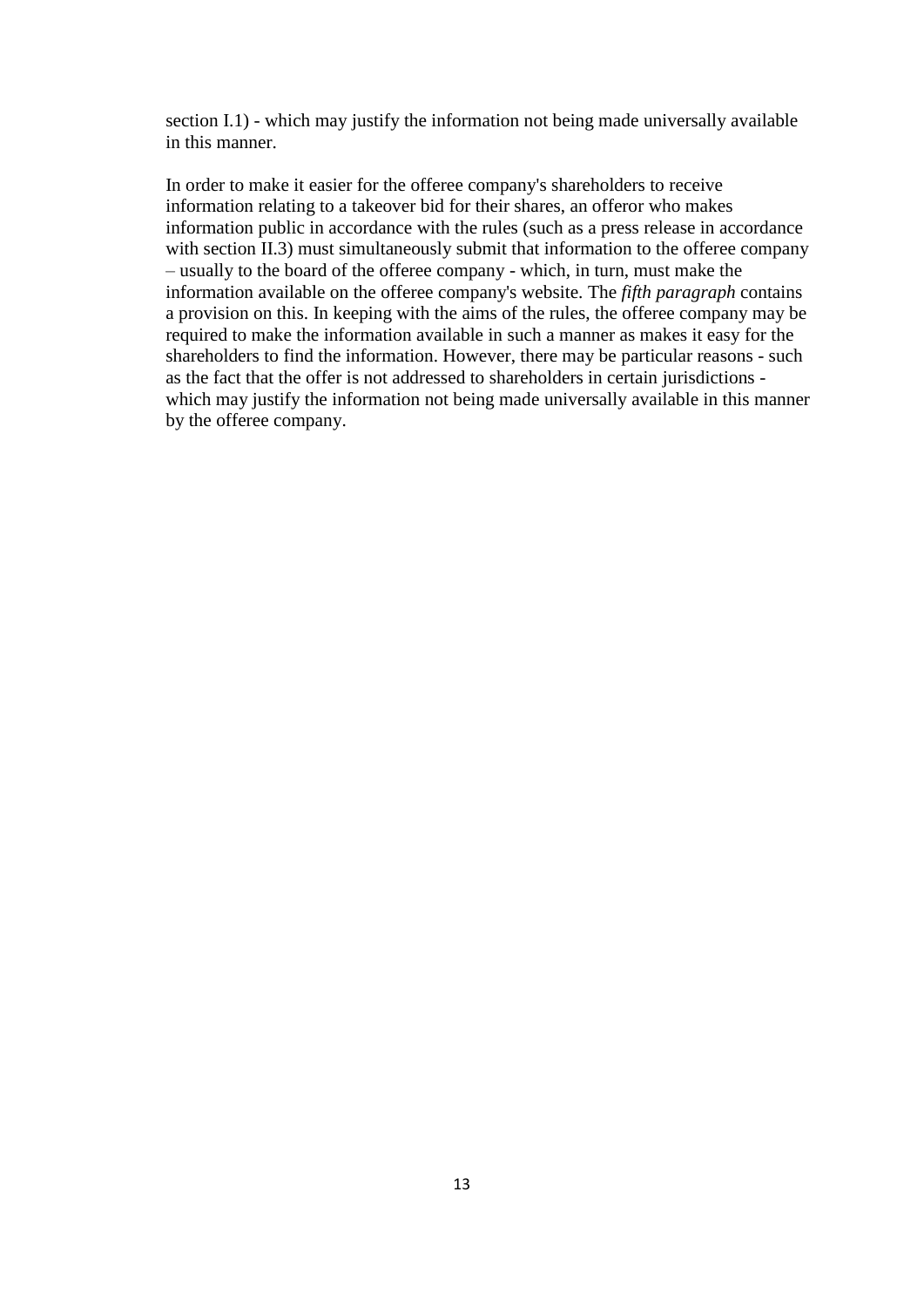section I.1) - which may justify the information not being made universally available in this manner.

In order to make it easier for the offeree company's shareholders to receive information relating to a takeover bid for their shares, an offeror who makes information public in accordance with the rules (such as a press release in accordance with section II.3) must simultaneously submit that information to the offeree company – usually to the board of the offeree company - which, in turn, must make the information available on the offeree company's website. The *fifth paragraph* contains a provision on this. In keeping with the aims of the rules, the offeree company may be required to make the information available in such a manner as makes it easy for the shareholders to find the information. However, there may be particular reasons - such as the fact that the offer is not addressed to shareholders in certain jurisdictions which may justify the information not being made universally available in this manner by the offeree company.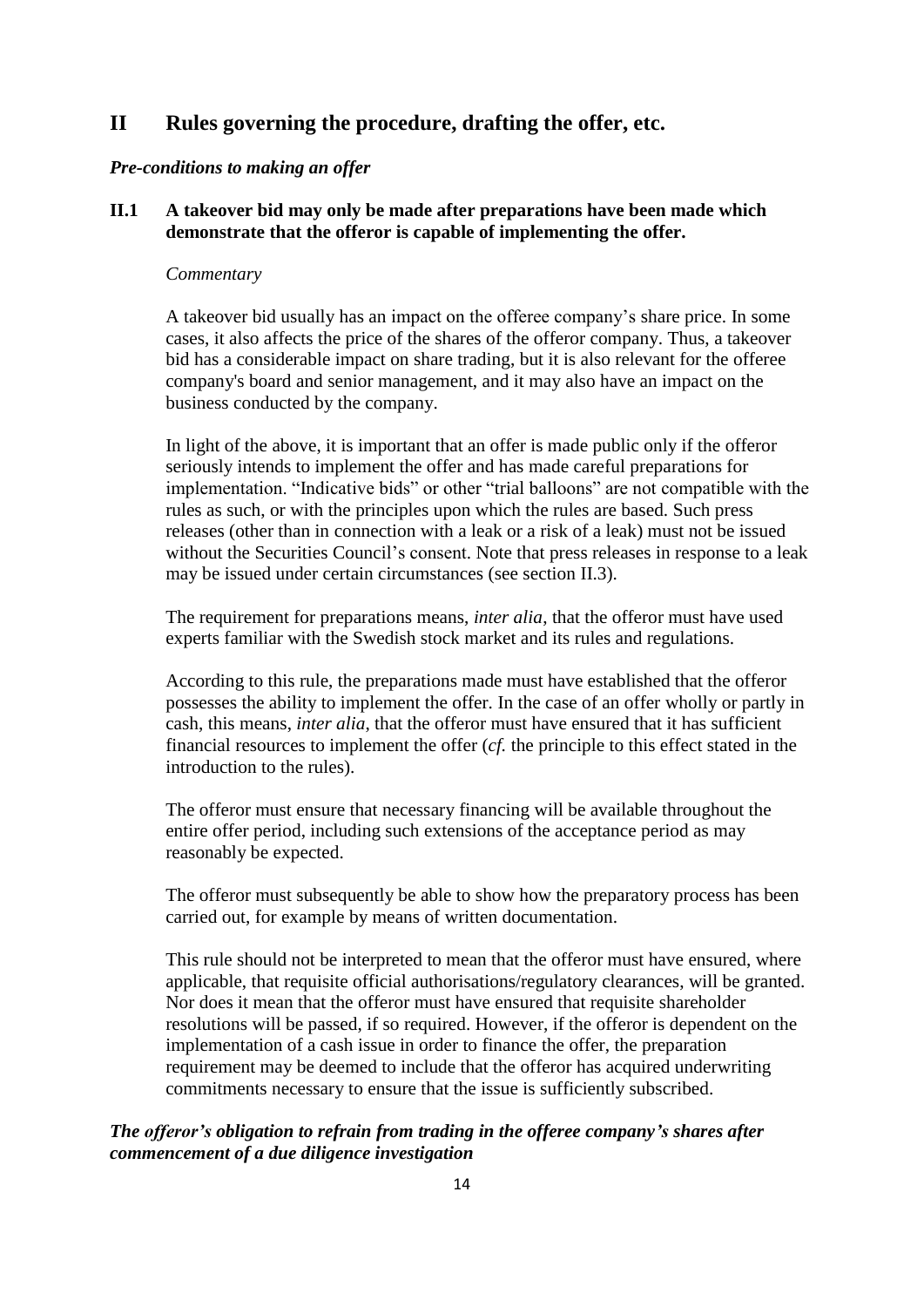# **II Rules governing the procedure, drafting the offer, etc.**

## *Pre-conditions to making an offer*

## **II.1 A takeover bid may only be made after preparations have been made which demonstrate that the offeror is capable of implementing the offer.**

#### *Commentary*

A takeover bid usually has an impact on the offeree company's share price. In some cases, it also affects the price of the shares of the offeror company. Thus, a takeover bid has a considerable impact on share trading, but it is also relevant for the offeree company's board and senior management, and it may also have an impact on the business conducted by the company.

In light of the above, it is important that an offer is made public only if the offeror seriously intends to implement the offer and has made careful preparations for implementation. "Indicative bids" or other "trial balloons" are not compatible with the rules as such, or with the principles upon which the rules are based. Such press releases (other than in connection with a leak or a risk of a leak) must not be issued without the Securities Council's consent. Note that press releases in response to a leak may be issued under certain circumstances (see section II.3).

The requirement for preparations means, *inter alia*, that the offeror must have used experts familiar with the Swedish stock market and its rules and regulations.

According to this rule, the preparations made must have established that the offeror possesses the ability to implement the offer. In the case of an offer wholly or partly in cash, this means, *inter alia*, that the offeror must have ensured that it has sufficient financial resources to implement the offer (*cf.* the principle to this effect stated in the introduction to the rules).

The offeror must ensure that necessary financing will be available throughout the entire offer period, including such extensions of the acceptance period as may reasonably be expected.

The offeror must subsequently be able to show how the preparatory process has been carried out, for example by means of written documentation.

This rule should not be interpreted to mean that the offeror must have ensured, where applicable, that requisite official authorisations/regulatory clearances, will be granted. Nor does it mean that the offeror must have ensured that requisite shareholder resolutions will be passed, if so required. However, if the offeror is dependent on the implementation of a cash issue in order to finance the offer, the preparation requirement may be deemed to include that the offeror has acquired underwriting commitments necessary to ensure that the issue is sufficiently subscribed.

# *The offeror's obligation to refrain from trading in the offeree company's shares after commencement of a due diligence investigation*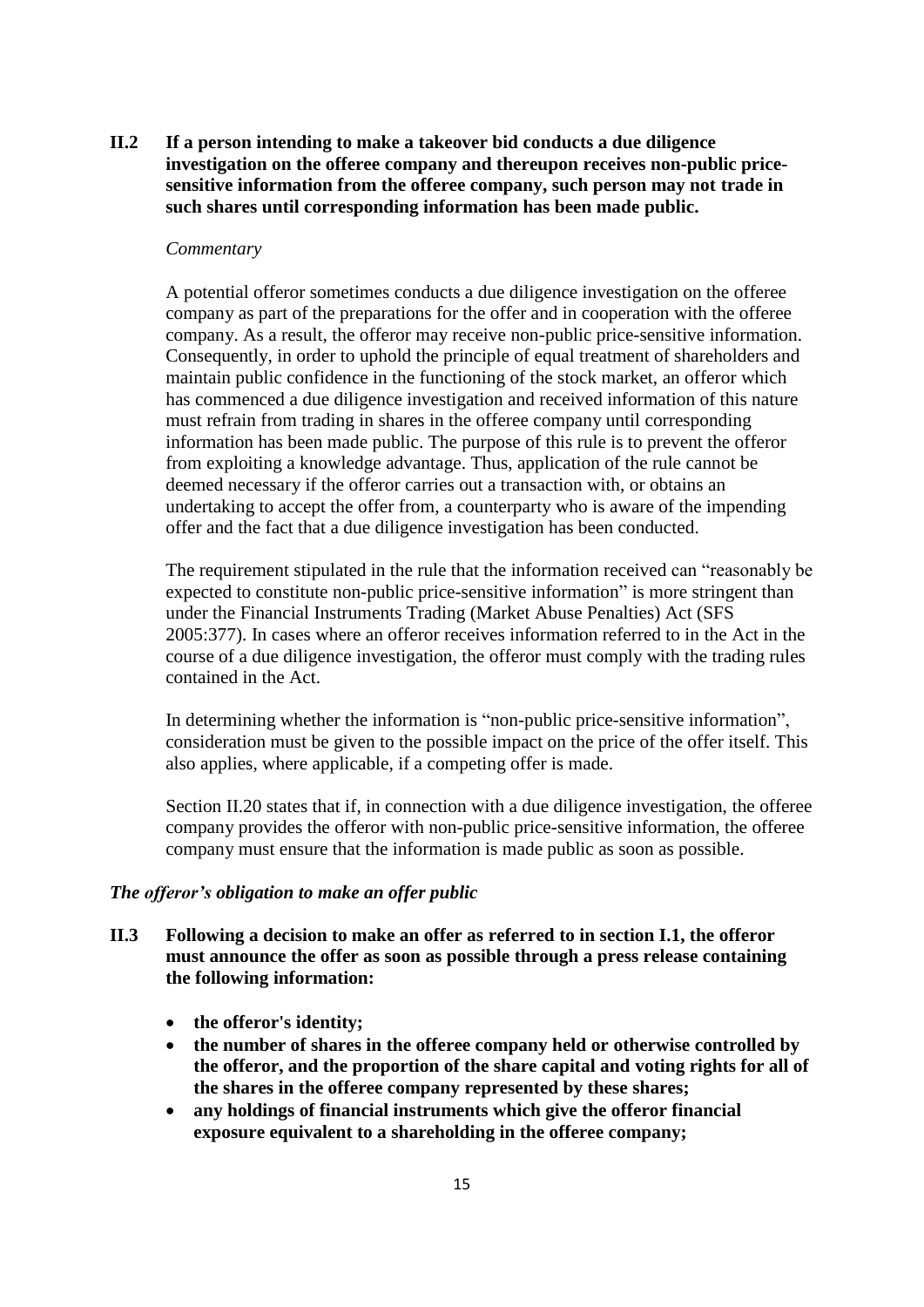**II.2 If a person intending to make a takeover bid conducts a due diligence investigation on the offeree company and thereupon receives non-public pricesensitive information from the offeree company, such person may not trade in such shares until corresponding information has been made public.**

#### *Commentary*

A potential offeror sometimes conducts a due diligence investigation on the offeree company as part of the preparations for the offer and in cooperation with the offeree company. As a result, the offeror may receive non-public price-sensitive information. Consequently, in order to uphold the principle of equal treatment of shareholders and maintain public confidence in the functioning of the stock market, an offeror which has commenced a due diligence investigation and received information of this nature must refrain from trading in shares in the offeree company until corresponding information has been made public. The purpose of this rule is to prevent the offeror from exploiting a knowledge advantage. Thus, application of the rule cannot be deemed necessary if the offeror carries out a transaction with, or obtains an undertaking to accept the offer from, a counterparty who is aware of the impending offer and the fact that a due diligence investigation has been conducted.

The requirement stipulated in the rule that the information received can "reasonably be expected to constitute non-public price-sensitive information" is more stringent than under the Financial Instruments Trading (Market Abuse Penalties) Act (SFS 2005:377). In cases where an offeror receives information referred to in the Act in the course of a due diligence investigation, the offeror must comply with the trading rules contained in the Act.

In determining whether the information is "non-public price-sensitive information", consideration must be given to the possible impact on the price of the offer itself. This also applies, where applicable, if a competing offer is made.

Section II.20 states that if, in connection with a due diligence investigation, the offeree company provides the offeror with non-public price-sensitive information, the offeree company must ensure that the information is made public as soon as possible.

### *The offeror's obligation to make an offer public*

- **II.3 Following a decision to make an offer as referred to in section I.1, the offeror must announce the offer as soon as possible through a press release containing the following information:**
	- **the offeror's identity;**
	- **the number of shares in the offeree company held or otherwise controlled by the offeror, and the proportion of the share capital and voting rights for all of the shares in the offeree company represented by these shares;**
	- **any holdings of financial instruments which give the offeror financial exposure equivalent to a shareholding in the offeree company;**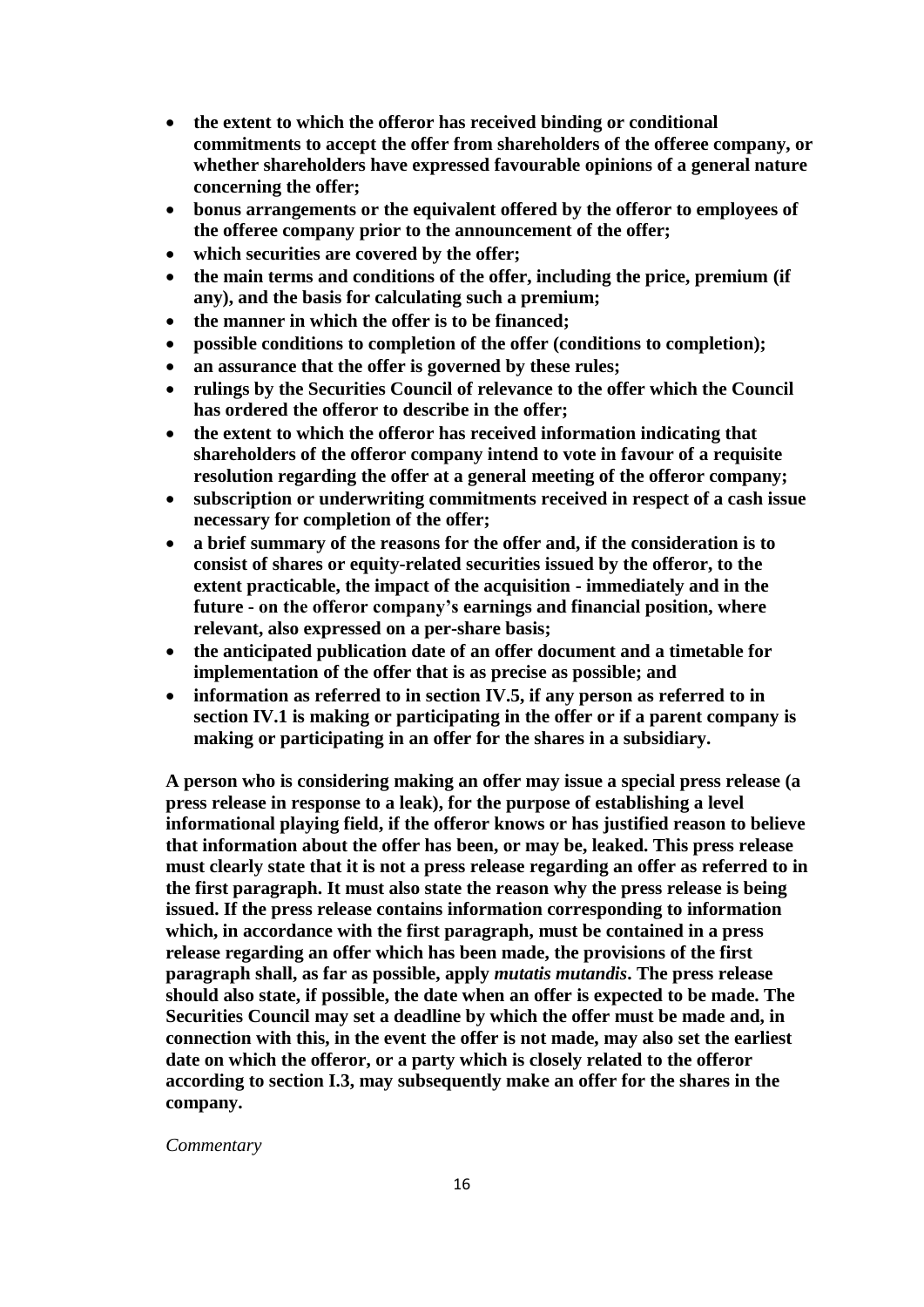- **the extent to which the offeror has received binding or conditional commitments to accept the offer from shareholders of the offeree company, or whether shareholders have expressed favourable opinions of a general nature concerning the offer;**
- **bonus arrangements or the equivalent offered by the offeror to employees of the offeree company prior to the announcement of the offer;**
- **which securities are covered by the offer;**
- **the main terms and conditions of the offer, including the price, premium (if any), and the basis for calculating such a premium;**
- **the manner in which the offer is to be financed;**
- **possible conditions to completion of the offer (conditions to completion);**
- **an assurance that the offer is governed by these rules;**
- **rulings by the Securities Council of relevance to the offer which the Council has ordered the offeror to describe in the offer;**
- **the extent to which the offeror has received information indicating that shareholders of the offeror company intend to vote in favour of a requisite resolution regarding the offer at a general meeting of the offeror company;**
- **subscription or underwriting commitments received in respect of a cash issue necessary for completion of the offer;**
- **a brief summary of the reasons for the offer and, if the consideration is to consist of shares or equity-related securities issued by the offeror, to the extent practicable, the impact of the acquisition - immediately and in the future - on the offeror company's earnings and financial position, where relevant, also expressed on a per-share basis;**
- **the anticipated publication date of an offer document and a timetable for implementation of the offer that is as precise as possible; and**
- **information as referred to in section IV.5, if any person as referred to in section IV.1 is making or participating in the offer or if a parent company is making or participating in an offer for the shares in a subsidiary.**

**A person who is considering making an offer may issue a special press release (a press release in response to a leak), for the purpose of establishing a level informational playing field, if the offeror knows or has justified reason to believe that information about the offer has been, or may be, leaked. This press release must clearly state that it is not a press release regarding an offer as referred to in the first paragraph. It must also state the reason why the press release is being issued. If the press release contains information corresponding to information which, in accordance with the first paragraph, must be contained in a press release regarding an offer which has been made, the provisions of the first paragraph shall, as far as possible, apply** *mutatis mutandis***. The press release should also state, if possible, the date when an offer is expected to be made. The Securities Council may set a deadline by which the offer must be made and, in connection with this, in the event the offer is not made, may also set the earliest date on which the offeror, or a party which is closely related to the offeror according to section I.3, may subsequently make an offer for the shares in the company.**

#### *Commentary*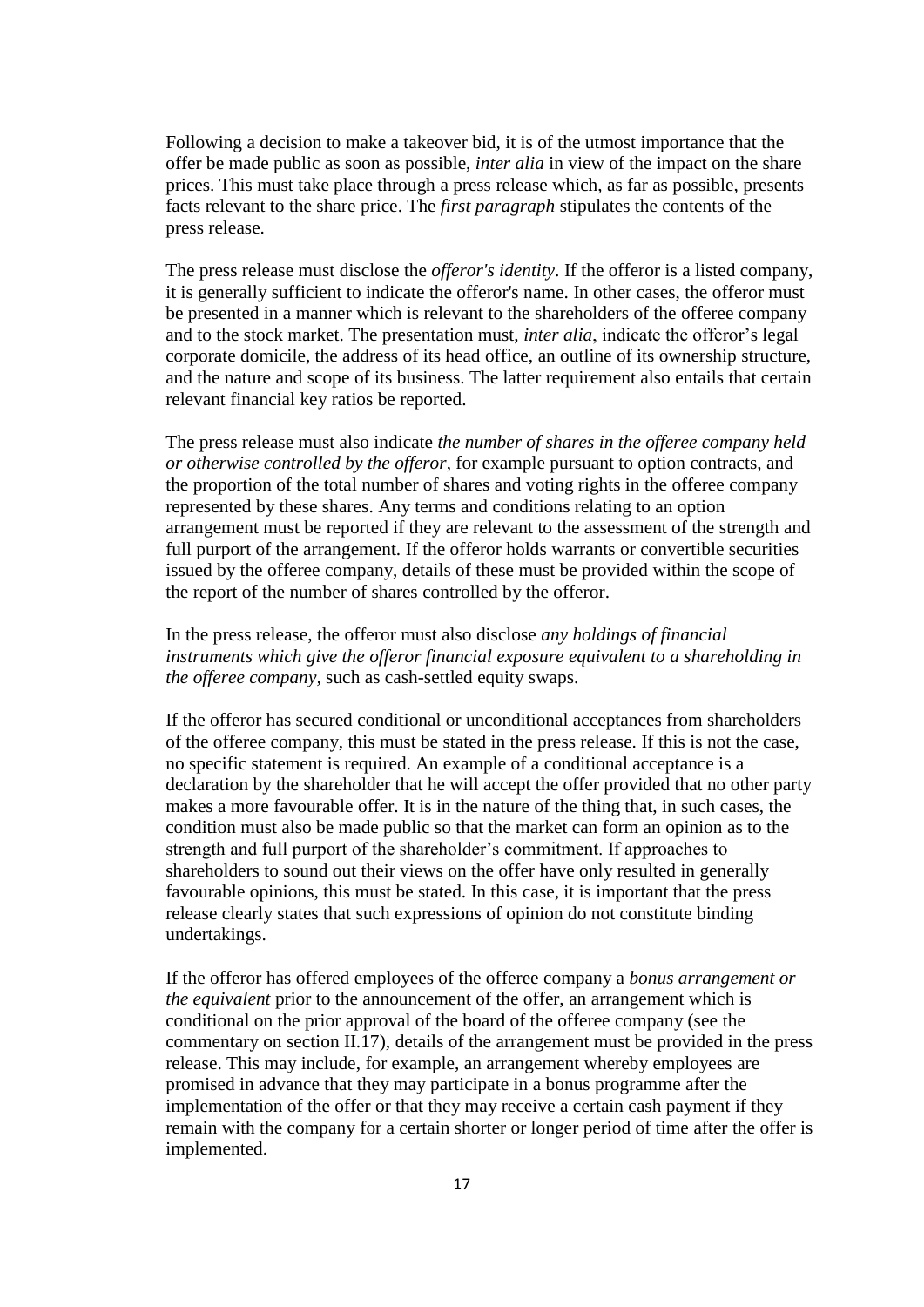Following a decision to make a takeover bid, it is of the utmost importance that the offer be made public as soon as possible, *inter alia* in view of the impact on the share prices. This must take place through a press release which, as far as possible, presents facts relevant to the share price. The *first paragraph* stipulates the contents of the press release.

The press release must disclose the *offeror's identity*. If the offeror is a listed company, it is generally sufficient to indicate the offeror's name. In other cases, the offeror must be presented in a manner which is relevant to the shareholders of the offeree company and to the stock market. The presentation must, *inter alia*, indicate the offeror's legal corporate domicile, the address of its head office, an outline of its ownership structure, and the nature and scope of its business. The latter requirement also entails that certain relevant financial key ratios be reported.

The press release must also indicate *the number of shares in the offeree company held or otherwise controlled by the offeror*, for example pursuant to option contracts, and the proportion of the total number of shares and voting rights in the offeree company represented by these shares. Any terms and conditions relating to an option arrangement must be reported if they are relevant to the assessment of the strength and full purport of the arrangement. If the offeror holds warrants or convertible securities issued by the offeree company, details of these must be provided within the scope of the report of the number of shares controlled by the offeror.

In the press release, the offeror must also disclose *any holdings of financial instruments which give the offeror financial exposure equivalent to a shareholding in the offeree company,* such as cash-settled equity swaps.

If the offeror has secured conditional or unconditional acceptances from shareholders of the offeree company, this must be stated in the press release. If this is not the case, no specific statement is required. An example of a conditional acceptance is a declaration by the shareholder that he will accept the offer provided that no other party makes a more favourable offer. It is in the nature of the thing that, in such cases, the condition must also be made public so that the market can form an opinion as to the strength and full purport of the shareholder's commitment. If approaches to shareholders to sound out their views on the offer have only resulted in generally favourable opinions, this must be stated. In this case, it is important that the press release clearly states that such expressions of opinion do not constitute binding undertakings.

If the offeror has offered employees of the offeree company a *bonus arrangement or the equivalent* prior to the announcement of the offer, an arrangement which is conditional on the prior approval of the board of the offeree company (see the commentary on section II.17), details of the arrangement must be provided in the press release. This may include, for example, an arrangement whereby employees are promised in advance that they may participate in a bonus programme after the implementation of the offer or that they may receive a certain cash payment if they remain with the company for a certain shorter or longer period of time after the offer is implemented.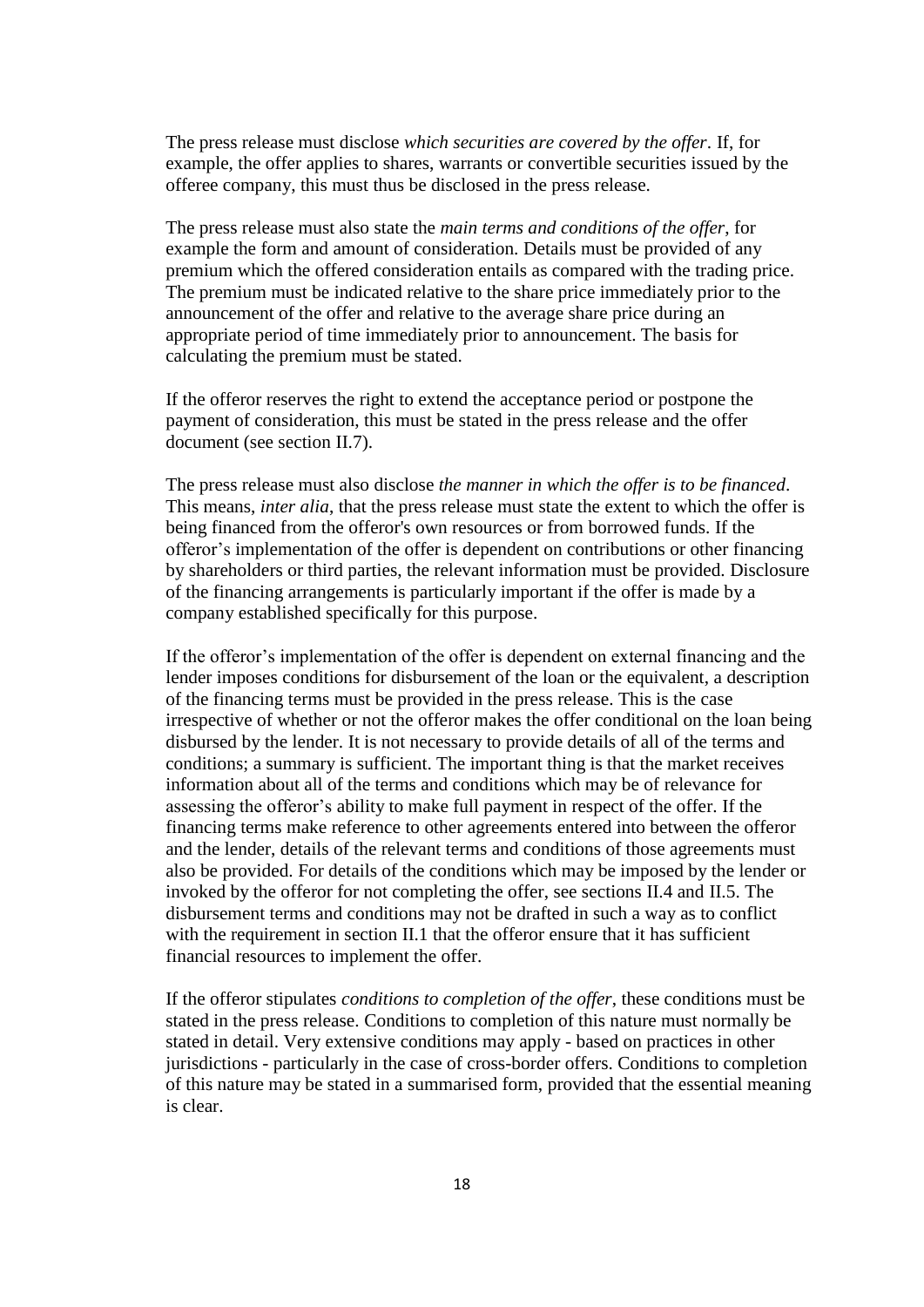The press release must disclose *which securities are covered by the offer*. If, for example, the offer applies to shares, warrants or convertible securities issued by the offeree company, this must thus be disclosed in the press release.

The press release must also state the *main terms and conditions of the offer*, for example the form and amount of consideration. Details must be provided of any premium which the offered consideration entails as compared with the trading price. The premium must be indicated relative to the share price immediately prior to the announcement of the offer and relative to the average share price during an appropriate period of time immediately prior to announcement. The basis for calculating the premium must be stated.

If the offeror reserves the right to extend the acceptance period or postpone the payment of consideration, this must be stated in the press release and the offer document (see section II.7).

The press release must also disclose *the manner in which the offer is to be financed*. This means, *inter alia*, that the press release must state the extent to which the offer is being financed from the offeror's own resources or from borrowed funds. If the offeror's implementation of the offer is dependent on contributions or other financing by shareholders or third parties, the relevant information must be provided. Disclosure of the financing arrangements is particularly important if the offer is made by a company established specifically for this purpose.

If the offeror's implementation of the offer is dependent on external financing and the lender imposes conditions for disbursement of the loan or the equivalent, a description of the financing terms must be provided in the press release. This is the case irrespective of whether or not the offeror makes the offer conditional on the loan being disbursed by the lender. It is not necessary to provide details of all of the terms and conditions; a summary is sufficient. The important thing is that the market receives information about all of the terms and conditions which may be of relevance for assessing the offeror's ability to make full payment in respect of the offer. If the financing terms make reference to other agreements entered into between the offeror and the lender, details of the relevant terms and conditions of those agreements must also be provided. For details of the conditions which may be imposed by the lender or invoked by the offeror for not completing the offer, see sections II.4 and II.5. The disbursement terms and conditions may not be drafted in such a way as to conflict with the requirement in section II.1 that the offeror ensure that it has sufficient financial resources to implement the offer.

If the offeror stipulates *conditions to completion of the offer*, these conditions must be stated in the press release. Conditions to completion of this nature must normally be stated in detail. Very extensive conditions may apply - based on practices in other jurisdictions - particularly in the case of cross-border offers. Conditions to completion of this nature may be stated in a summarised form, provided that the essential meaning is clear.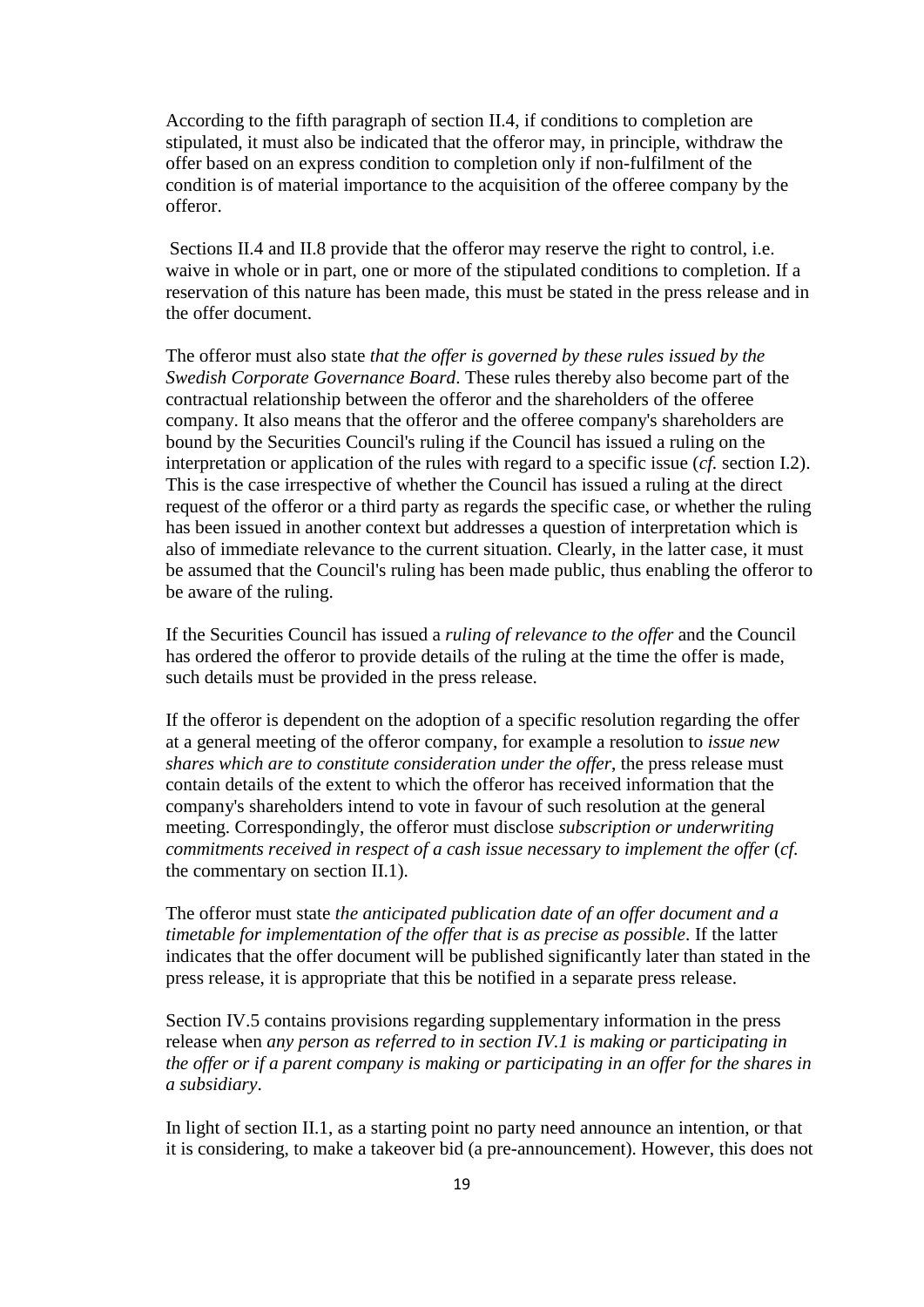According to the fifth paragraph of section II.4, if conditions to completion are stipulated, it must also be indicated that the offeror may, in principle, withdraw the offer based on an express condition to completion only if non-fulfilment of the condition is of material importance to the acquisition of the offeree company by the offeror.

Sections II.4 and II.8 provide that the offeror may reserve the right to control, i.e. waive in whole or in part, one or more of the stipulated conditions to completion. If a reservation of this nature has been made, this must be stated in the press release and in the offer document.

The offeror must also state *that the offer is governed by these rules issued by the Swedish Corporate Governance Board*. These rules thereby also become part of the contractual relationship between the offeror and the shareholders of the offeree company. It also means that the offeror and the offeree company's shareholders are bound by the Securities Council's ruling if the Council has issued a ruling on the interpretation or application of the rules with regard to a specific issue (*cf.* section I.2). This is the case irrespective of whether the Council has issued a ruling at the direct request of the offeror or a third party as regards the specific case, or whether the ruling has been issued in another context but addresses a question of interpretation which is also of immediate relevance to the current situation. Clearly, in the latter case, it must be assumed that the Council's ruling has been made public, thus enabling the offeror to be aware of the ruling.

If the Securities Council has issued a *ruling of relevance to the offer* and the Council has ordered the offeror to provide details of the ruling at the time the offer is made, such details must be provided in the press release.

If the offeror is dependent on the adoption of a specific resolution regarding the offer at a general meeting of the offeror company, for example a resolution to *issue new shares which are to constitute consideration under the offer*, the press release must contain details of the extent to which the offeror has received information that the company's shareholders intend to vote in favour of such resolution at the general meeting. Correspondingly, the offeror must disclose *subscription or underwriting commitments received in respect of a cash issue necessary to implement the offer* (*cf.*  the commentary on section II.1).

The offeror must state *the anticipated publication date of an offer document and a timetable for implementation of the offer that is as precise as possible*. If the latter indicates that the offer document will be published significantly later than stated in the press release, it is appropriate that this be notified in a separate press release.

Section IV.5 contains provisions regarding supplementary information in the press release when *any person as referred to in section IV.1 is making or participating in the offer or if a parent company is making or participating in an offer for the shares in a subsidiary*.

In light of section II.1, as a starting point no party need announce an intention, or that it is considering, to make a takeover bid (a pre-announcement). However, this does not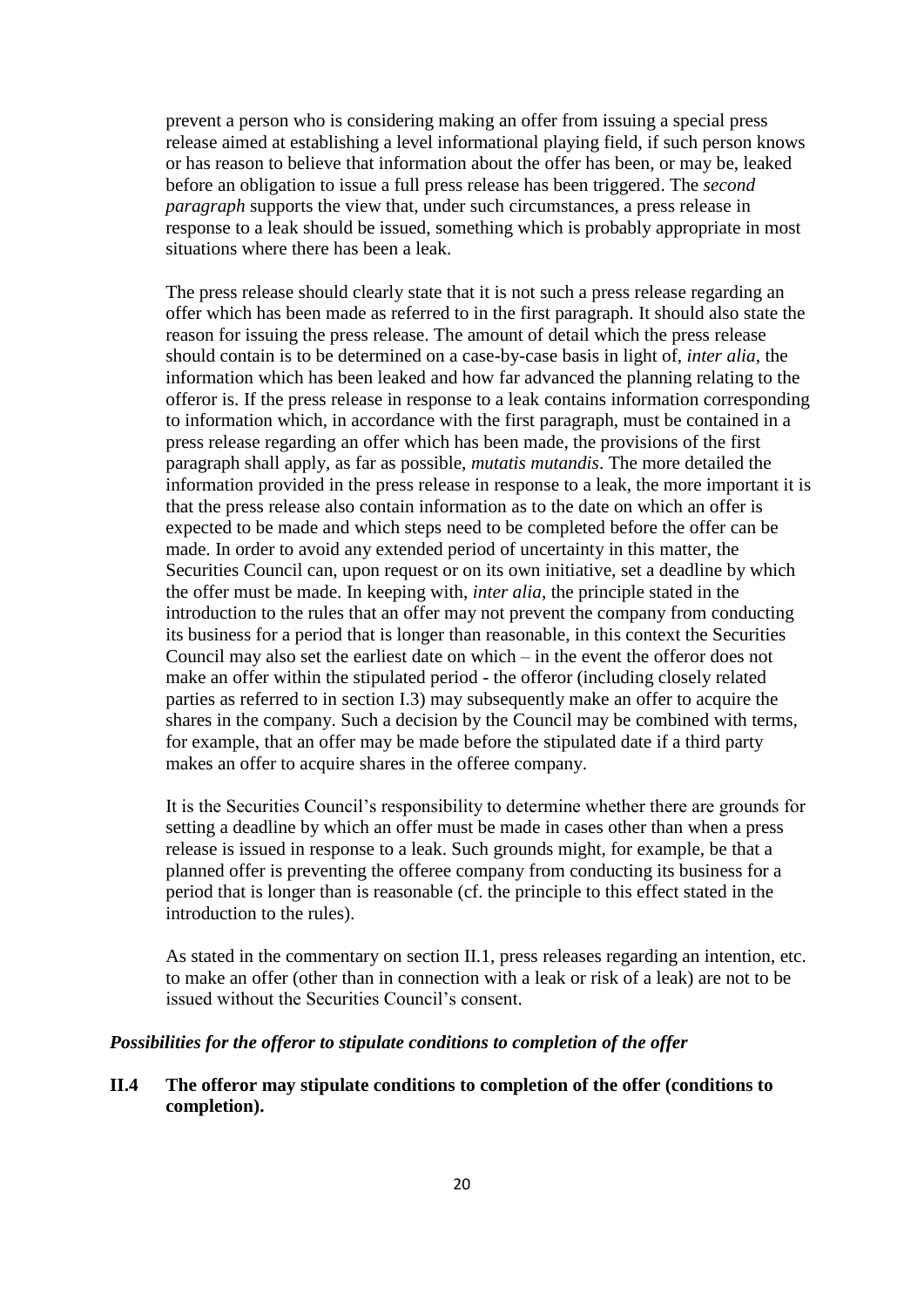prevent a person who is considering making an offer from issuing a special press release aimed at establishing a level informational playing field, if such person knows or has reason to believe that information about the offer has been, or may be, leaked before an obligation to issue a full press release has been triggered. The *second paragraph* supports the view that, under such circumstances, a press release in response to a leak should be issued, something which is probably appropriate in most situations where there has been a leak.

The press release should clearly state that it is not such a press release regarding an offer which has been made as referred to in the first paragraph. It should also state the reason for issuing the press release. The amount of detail which the press release should contain is to be determined on a case-by-case basis in light of, *inter alia*, the information which has been leaked and how far advanced the planning relating to the offeror is. If the press release in response to a leak contains information corresponding to information which, in accordance with the first paragraph, must be contained in a press release regarding an offer which has been made, the provisions of the first paragraph shall apply, as far as possible, *mutatis mutandis*. The more detailed the information provided in the press release in response to a leak, the more important it is that the press release also contain information as to the date on which an offer is expected to be made and which steps need to be completed before the offer can be made. In order to avoid any extended period of uncertainty in this matter, the Securities Council can, upon request or on its own initiative, set a deadline by which the offer must be made. In keeping with, *inter alia*, the principle stated in the introduction to the rules that an offer may not prevent the company from conducting its business for a period that is longer than reasonable, in this context the Securities Council may also set the earliest date on which – in the event the offeror does not make an offer within the stipulated period - the offeror (including closely related parties as referred to in section I.3) may subsequently make an offer to acquire the shares in the company. Such a decision by the Council may be combined with terms, for example, that an offer may be made before the stipulated date if a third party makes an offer to acquire shares in the offeree company.

It is the Securities Council's responsibility to determine whether there are grounds for setting a deadline by which an offer must be made in cases other than when a press release is issued in response to a leak. Such grounds might, for example, be that a planned offer is preventing the offeree company from conducting its business for a period that is longer than is reasonable (cf. the principle to this effect stated in the introduction to the rules).

As stated in the commentary on section II.1, press releases regarding an intention, etc. to make an offer (other than in connection with a leak or risk of a leak) are not to be issued without the Securities Council's consent.

## *Possibilities for the offeror to stipulate conditions to completion of the offer*

# **II.4 The offeror may stipulate conditions to completion of the offer (conditions to completion).**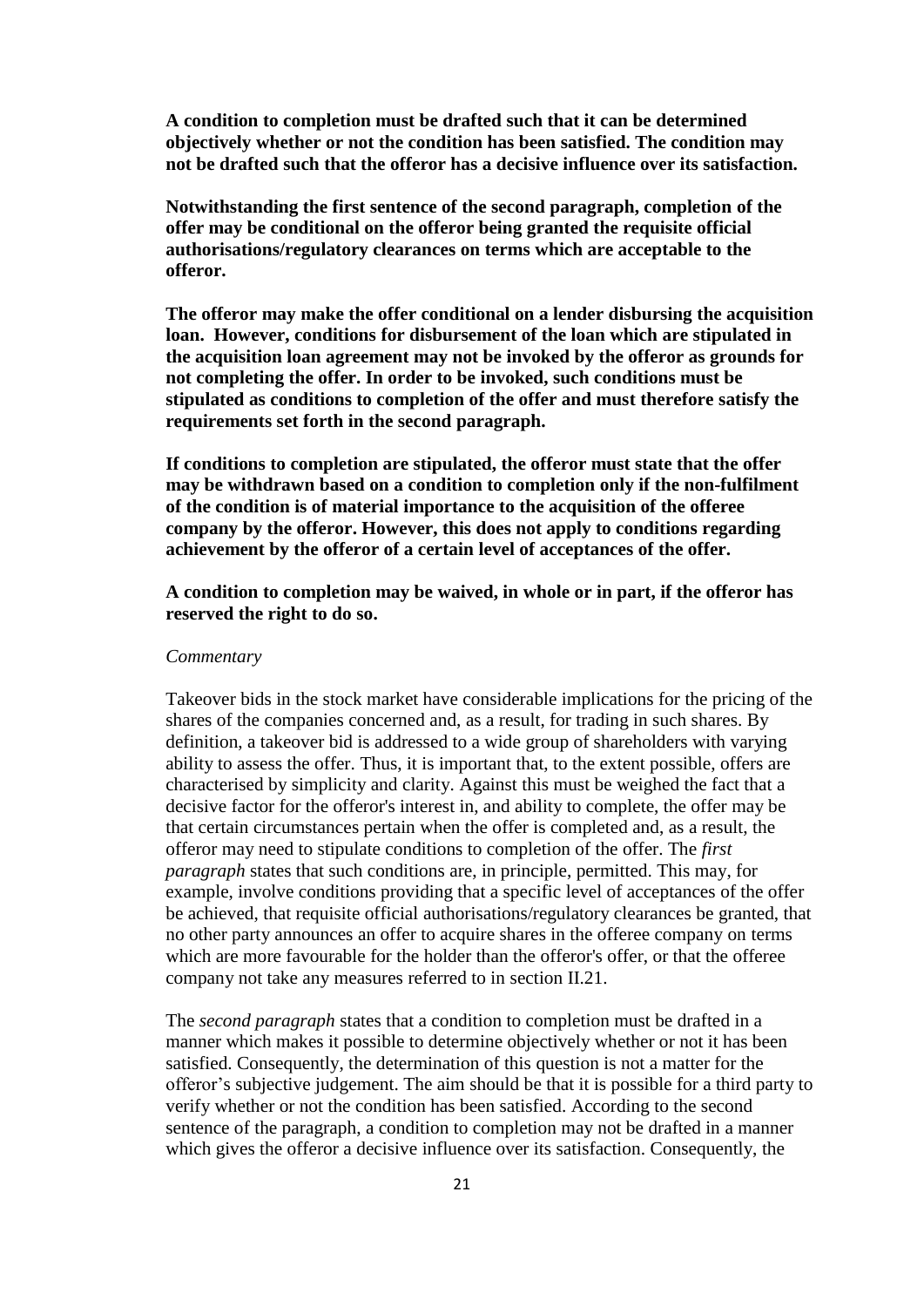**A condition to completion must be drafted such that it can be determined objectively whether or not the condition has been satisfied. The condition may not be drafted such that the offeror has a decisive influence over its satisfaction.**

**Notwithstanding the first sentence of the second paragraph, completion of the offer may be conditional on the offeror being granted the requisite official authorisations/regulatory clearances on terms which are acceptable to the offeror.**

**The offeror may make the offer conditional on a lender disbursing the acquisition loan. However, conditions for disbursement of the loan which are stipulated in the acquisition loan agreement may not be invoked by the offeror as grounds for not completing the offer. In order to be invoked, such conditions must be stipulated as conditions to completion of the offer and must therefore satisfy the requirements set forth in the second paragraph.** 

**If conditions to completion are stipulated, the offeror must state that the offer may be withdrawn based on a condition to completion only if the non-fulfilment of the condition is of material importance to the acquisition of the offeree company by the offeror. However, this does not apply to conditions regarding achievement by the offeror of a certain level of acceptances of the offer.**

**A condition to completion may be waived, in whole or in part, if the offeror has reserved the right to do so.**

#### *Commentary*

Takeover bids in the stock market have considerable implications for the pricing of the shares of the companies concerned and, as a result, for trading in such shares. By definition, a takeover bid is addressed to a wide group of shareholders with varying ability to assess the offer. Thus, it is important that, to the extent possible, offers are characterised by simplicity and clarity. Against this must be weighed the fact that a decisive factor for the offeror's interest in, and ability to complete, the offer may be that certain circumstances pertain when the offer is completed and, as a result, the offeror may need to stipulate conditions to completion of the offer. The *first paragraph* states that such conditions are, in principle, permitted. This may, for example, involve conditions providing that a specific level of acceptances of the offer be achieved, that requisite official authorisations/regulatory clearances be granted, that no other party announces an offer to acquire shares in the offeree company on terms which are more favourable for the holder than the offeror's offer, or that the offeree company not take any measures referred to in section II.21.

The *second paragraph* states that a condition to completion must be drafted in a manner which makes it possible to determine objectively whether or not it has been satisfied. Consequently, the determination of this question is not a matter for the offeror's subjective judgement. The aim should be that it is possible for a third party to verify whether or not the condition has been satisfied. According to the second sentence of the paragraph, a condition to completion may not be drafted in a manner which gives the offeror a decisive influence over its satisfaction. Consequently, the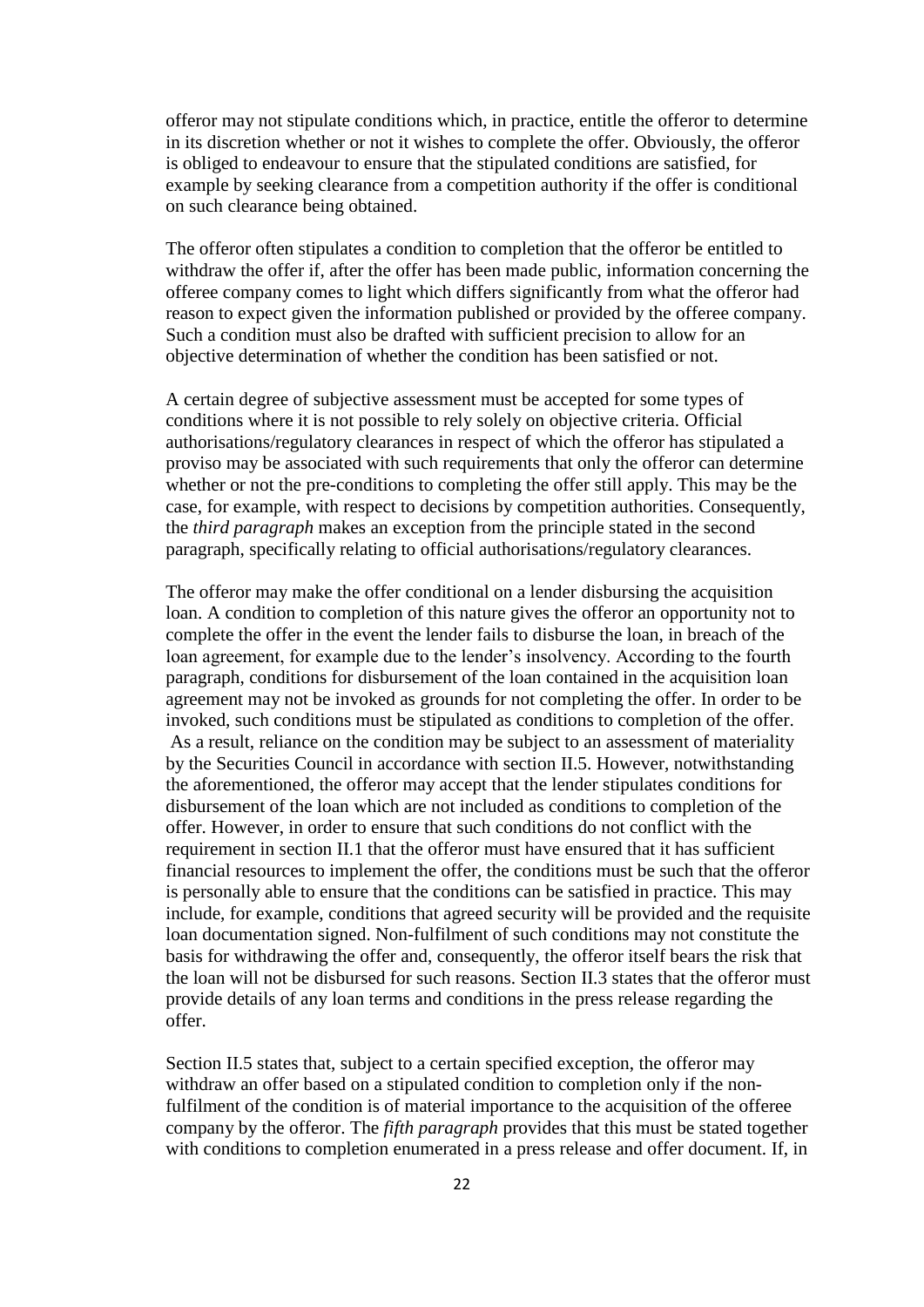offeror may not stipulate conditions which, in practice, entitle the offeror to determine in its discretion whether or not it wishes to complete the offer. Obviously, the offeror is obliged to endeavour to ensure that the stipulated conditions are satisfied, for example by seeking clearance from a competition authority if the offer is conditional on such clearance being obtained.

The offeror often stipulates a condition to completion that the offeror be entitled to withdraw the offer if, after the offer has been made public, information concerning the offeree company comes to light which differs significantly from what the offeror had reason to expect given the information published or provided by the offeree company. Such a condition must also be drafted with sufficient precision to allow for an objective determination of whether the condition has been satisfied or not.

A certain degree of subjective assessment must be accepted for some types of conditions where it is not possible to rely solely on objective criteria. Official authorisations/regulatory clearances in respect of which the offeror has stipulated a proviso may be associated with such requirements that only the offeror can determine whether or not the pre-conditions to completing the offer still apply. This may be the case, for example, with respect to decisions by competition authorities. Consequently, the *third paragraph* makes an exception from the principle stated in the second paragraph, specifically relating to official authorisations/regulatory clearances.

The offeror may make the offer conditional on a lender disbursing the acquisition loan. A condition to completion of this nature gives the offeror an opportunity not to complete the offer in the event the lender fails to disburse the loan, in breach of the loan agreement, for example due to the lender's insolvency. According to the fourth paragraph, conditions for disbursement of the loan contained in the acquisition loan agreement may not be invoked as grounds for not completing the offer. In order to be invoked, such conditions must be stipulated as conditions to completion of the offer. As a result, reliance on the condition may be subject to an assessment of materiality by the Securities Council in accordance with section II.5. However, notwithstanding the aforementioned, the offeror may accept that the lender stipulates conditions for disbursement of the loan which are not included as conditions to completion of the offer. However, in order to ensure that such conditions do not conflict with the requirement in section II.1 that the offeror must have ensured that it has sufficient financial resources to implement the offer, the conditions must be such that the offeror is personally able to ensure that the conditions can be satisfied in practice. This may include, for example, conditions that agreed security will be provided and the requisite loan documentation signed. Non-fulfilment of such conditions may not constitute the basis for withdrawing the offer and, consequently, the offeror itself bears the risk that the loan will not be disbursed for such reasons. Section II.3 states that the offeror must provide details of any loan terms and conditions in the press release regarding the offer.

Section II.5 states that, subject to a certain specified exception, the offeror may withdraw an offer based on a stipulated condition to completion only if the nonfulfilment of the condition is of material importance to the acquisition of the offeree company by the offeror. The *fifth paragraph* provides that this must be stated together with conditions to completion enumerated in a press release and offer document. If, in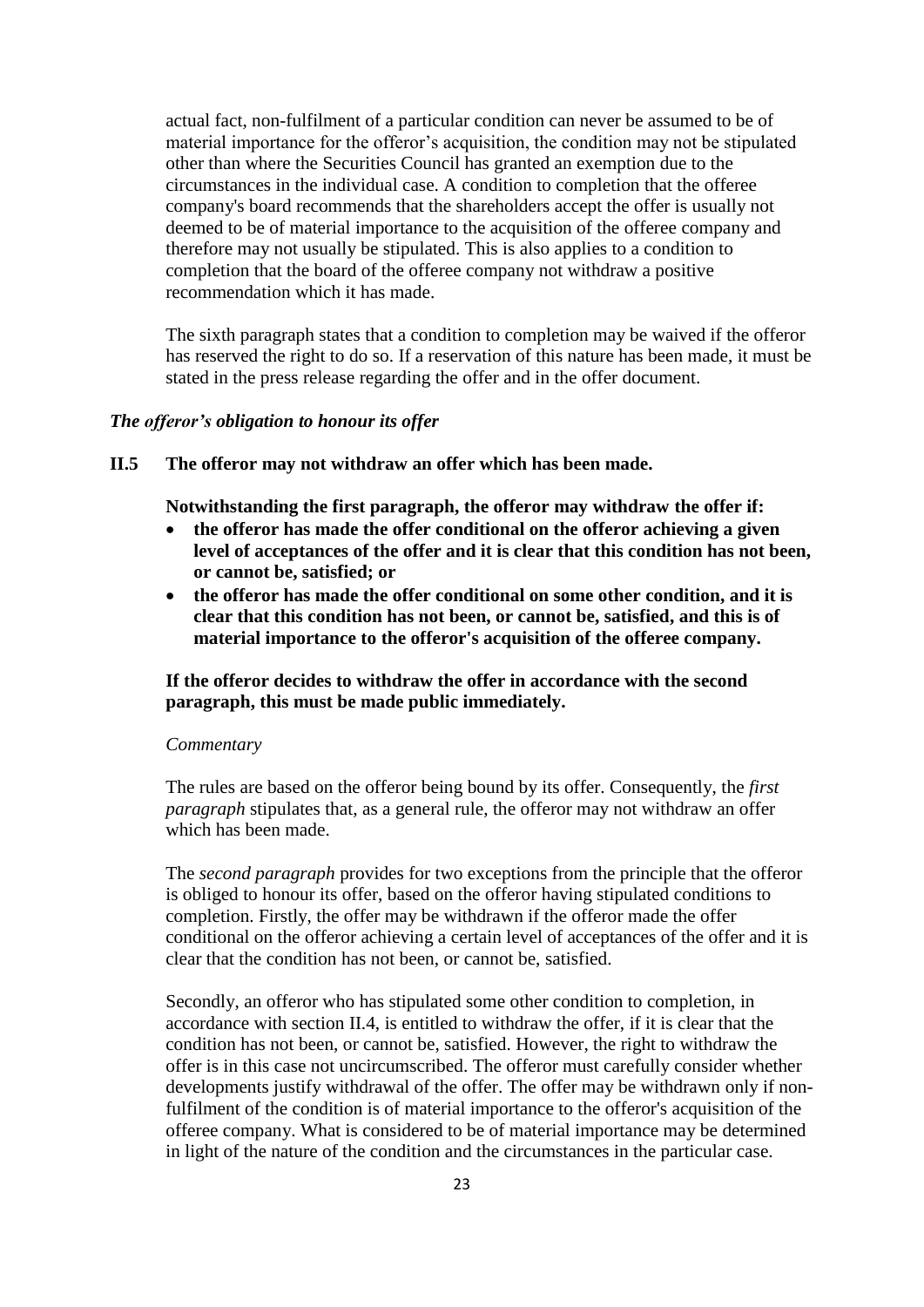actual fact, non-fulfilment of a particular condition can never be assumed to be of material importance for the offeror's acquisition, the condition may not be stipulated other than where the Securities Council has granted an exemption due to the circumstances in the individual case. A condition to completion that the offeree company's board recommends that the shareholders accept the offer is usually not deemed to be of material importance to the acquisition of the offeree company and therefore may not usually be stipulated. This is also applies to a condition to completion that the board of the offeree company not withdraw a positive recommendation which it has made.

The sixth paragraph states that a condition to completion may be waived if the offeror has reserved the right to do so. If a reservation of this nature has been made, it must be stated in the press release regarding the offer and in the offer document.

#### *The offeror's obligation to honour its offer*

**II.5 The offeror may not withdraw an offer which has been made.**

**Notwithstanding the first paragraph, the offeror may withdraw the offer if:**

- **the offeror has made the offer conditional on the offeror achieving a given level of acceptances of the offer and it is clear that this condition has not been, or cannot be, satisfied; or**
- **the offeror has made the offer conditional on some other condition, and it is clear that this condition has not been, or cannot be, satisfied, and this is of material importance to the offeror's acquisition of the offeree company.**

## **If the offeror decides to withdraw the offer in accordance with the second paragraph, this must be made public immediately.**

#### *Commentary*

The rules are based on the offeror being bound by its offer. Consequently, the *first paragraph* stipulates that, as a general rule, the offeror may not withdraw an offer which has been made.

The *second paragraph* provides for two exceptions from the principle that the offeror is obliged to honour its offer, based on the offeror having stipulated conditions to completion. Firstly, the offer may be withdrawn if the offeror made the offer conditional on the offeror achieving a certain level of acceptances of the offer and it is clear that the condition has not been, or cannot be, satisfied.

Secondly, an offeror who has stipulated some other condition to completion, in accordance with section II.4, is entitled to withdraw the offer, if it is clear that the condition has not been, or cannot be, satisfied. However, the right to withdraw the offer is in this case not uncircumscribed. The offeror must carefully consider whether developments justify withdrawal of the offer. The offer may be withdrawn only if nonfulfilment of the condition is of material importance to the offeror's acquisition of the offeree company. What is considered to be of material importance may be determined in light of the nature of the condition and the circumstances in the particular case.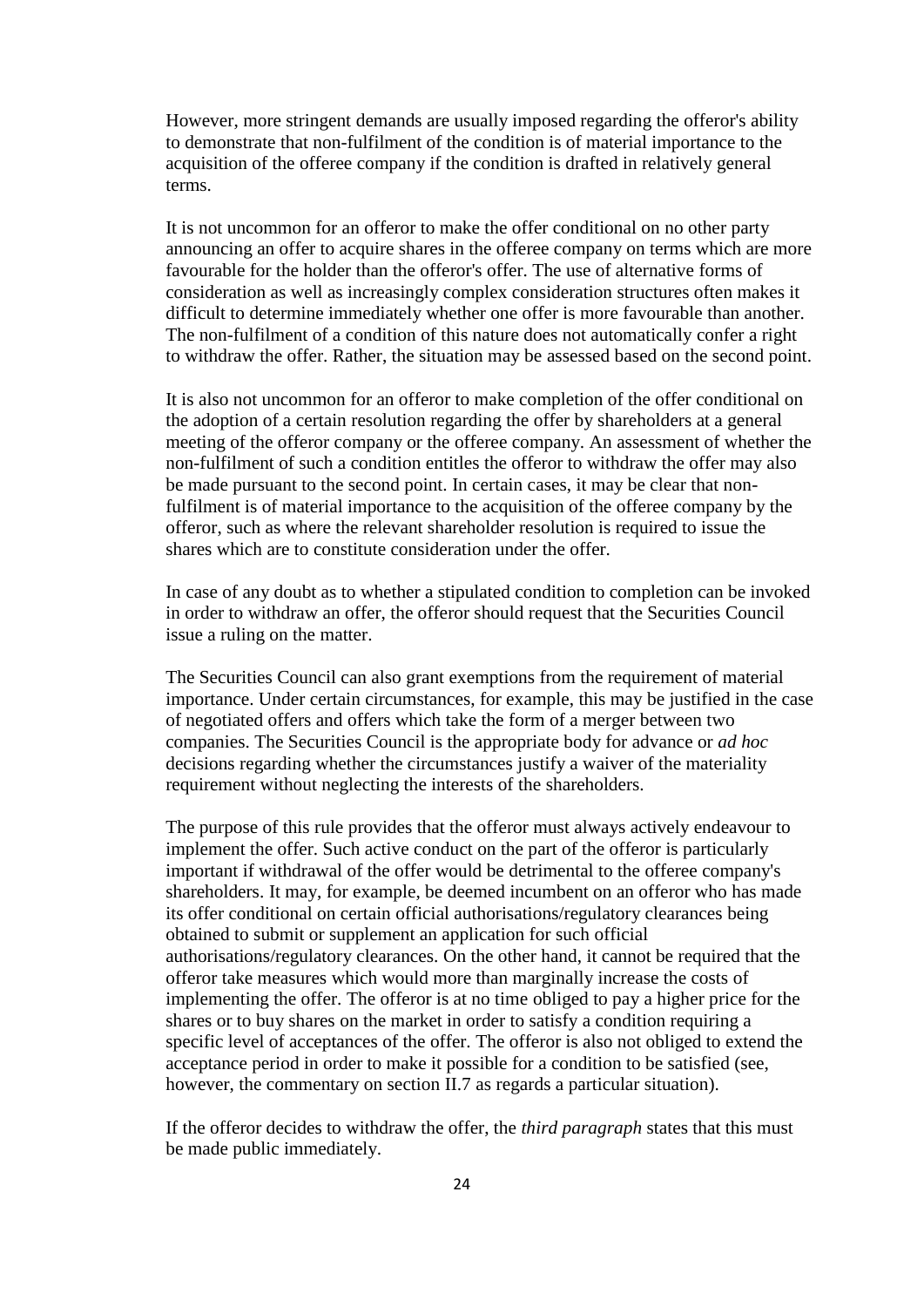However, more stringent demands are usually imposed regarding the offeror's ability to demonstrate that non-fulfilment of the condition is of material importance to the acquisition of the offeree company if the condition is drafted in relatively general terms.

It is not uncommon for an offeror to make the offer conditional on no other party announcing an offer to acquire shares in the offeree company on terms which are more favourable for the holder than the offeror's offer. The use of alternative forms of consideration as well as increasingly complex consideration structures often makes it difficult to determine immediately whether one offer is more favourable than another. The non-fulfilment of a condition of this nature does not automatically confer a right to withdraw the offer. Rather, the situation may be assessed based on the second point.

It is also not uncommon for an offeror to make completion of the offer conditional on the adoption of a certain resolution regarding the offer by shareholders at a general meeting of the offeror company or the offeree company. An assessment of whether the non-fulfilment of such a condition entitles the offeror to withdraw the offer may also be made pursuant to the second point. In certain cases, it may be clear that nonfulfilment is of material importance to the acquisition of the offeree company by the offeror, such as where the relevant shareholder resolution is required to issue the shares which are to constitute consideration under the offer.

In case of any doubt as to whether a stipulated condition to completion can be invoked in order to withdraw an offer, the offeror should request that the Securities Council issue a ruling on the matter.

The Securities Council can also grant exemptions from the requirement of material importance. Under certain circumstances, for example, this may be justified in the case of negotiated offers and offers which take the form of a merger between two companies. The Securities Council is the appropriate body for advance or *ad hoc* decisions regarding whether the circumstances justify a waiver of the materiality requirement without neglecting the interests of the shareholders.

The purpose of this rule provides that the offeror must always actively endeavour to implement the offer. Such active conduct on the part of the offeror is particularly important if withdrawal of the offer would be detrimental to the offeree company's shareholders. It may, for example, be deemed incumbent on an offeror who has made its offer conditional on certain official authorisations/regulatory clearances being obtained to submit or supplement an application for such official authorisations/regulatory clearances. On the other hand, it cannot be required that the offeror take measures which would more than marginally increase the costs of implementing the offer. The offeror is at no time obliged to pay a higher price for the shares or to buy shares on the market in order to satisfy a condition requiring a specific level of acceptances of the offer. The offeror is also not obliged to extend the acceptance period in order to make it possible for a condition to be satisfied (see, however, the commentary on section II.7 as regards a particular situation).

If the offeror decides to withdraw the offer, the *third paragraph* states that this must be made public immediately.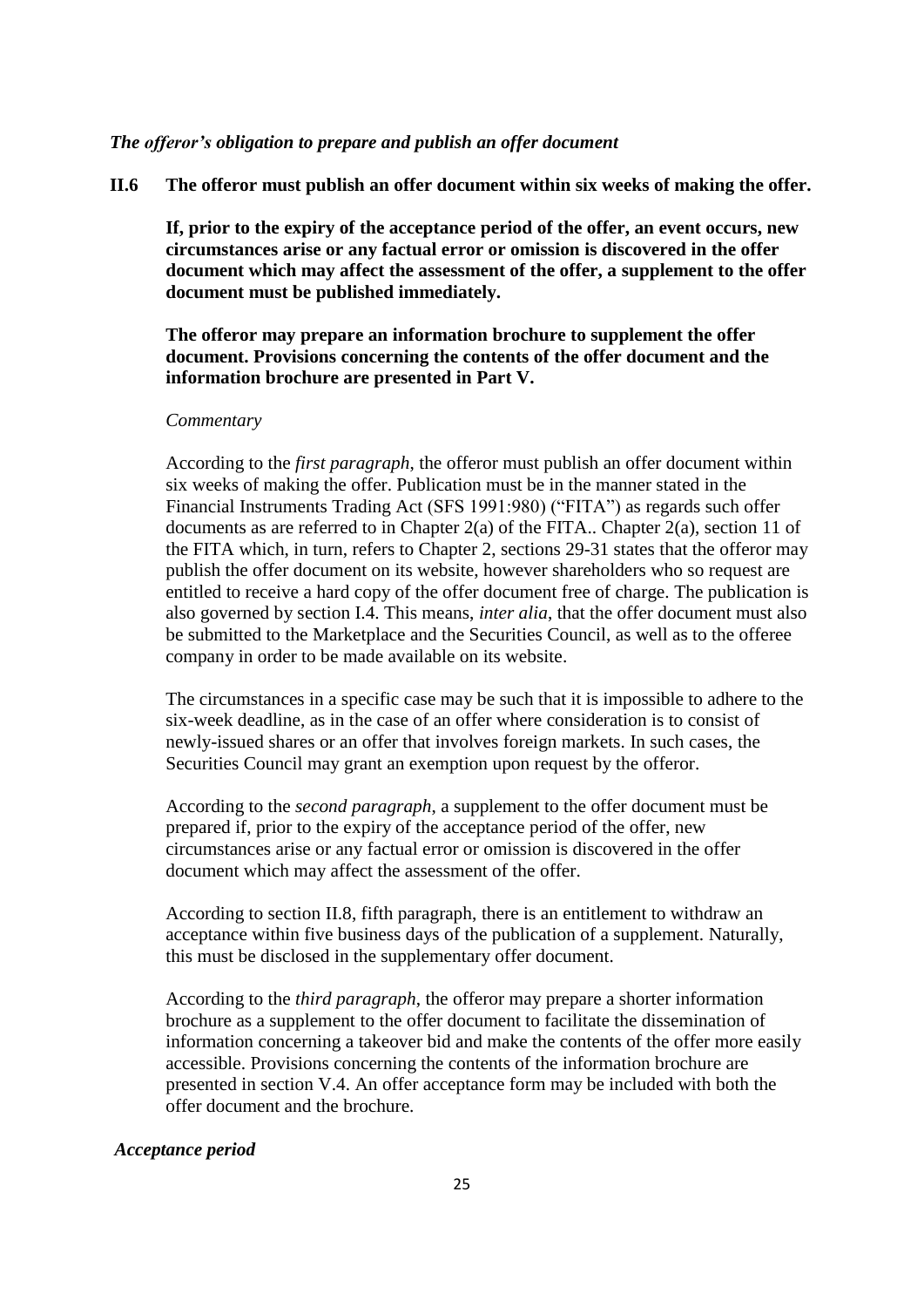#### *The offeror's obligation to prepare and publish an offer document*

**II.6 The offeror must publish an offer document within six weeks of making the offer.**

**If, prior to the expiry of the acceptance period of the offer, an event occurs, new circumstances arise or any factual error or omission is discovered in the offer document which may affect the assessment of the offer, a supplement to the offer document must be published immediately.**

**The offeror may prepare an information brochure to supplement the offer document. Provisions concerning the contents of the offer document and the information brochure are presented in Part V.**

#### *Commentary*

According to the *first paragraph*, the offeror must publish an offer document within six weeks of making the offer. Publication must be in the manner stated in the Financial Instruments Trading Act (SFS 1991:980) ("FITA") as regards such offer documents as are referred to in Chapter 2(a) of the FITA.. Chapter 2(a), section 11 of the FITA which, in turn, refers to Chapter 2, sections 29-31 states that the offeror may publish the offer document on its website, however shareholders who so request are entitled to receive a hard copy of the offer document free of charge. The publication is also governed by section I.4. This means, *inter alia*, that the offer document must also be submitted to the Marketplace and the Securities Council, as well as to the offeree company in order to be made available on its website.

The circumstances in a specific case may be such that it is impossible to adhere to the six-week deadline, as in the case of an offer where consideration is to consist of newly-issued shares or an offer that involves foreign markets. In such cases, the Securities Council may grant an exemption upon request by the offeror.

According to the *second paragraph*, a supplement to the offer document must be prepared if, prior to the expiry of the acceptance period of the offer, new circumstances arise or any factual error or omission is discovered in the offer document which may affect the assessment of the offer.

According to section II.8, fifth paragraph, there is an entitlement to withdraw an acceptance within five business days of the publication of a supplement. Naturally, this must be disclosed in the supplementary offer document.

According to the *third paragraph*, the offeror may prepare a shorter information brochure as a supplement to the offer document to facilitate the dissemination of information concerning a takeover bid and make the contents of the offer more easily accessible. Provisions concerning the contents of the information brochure are presented in section V.4. An offer acceptance form may be included with both the offer document and the brochure.

#### *Acceptance period*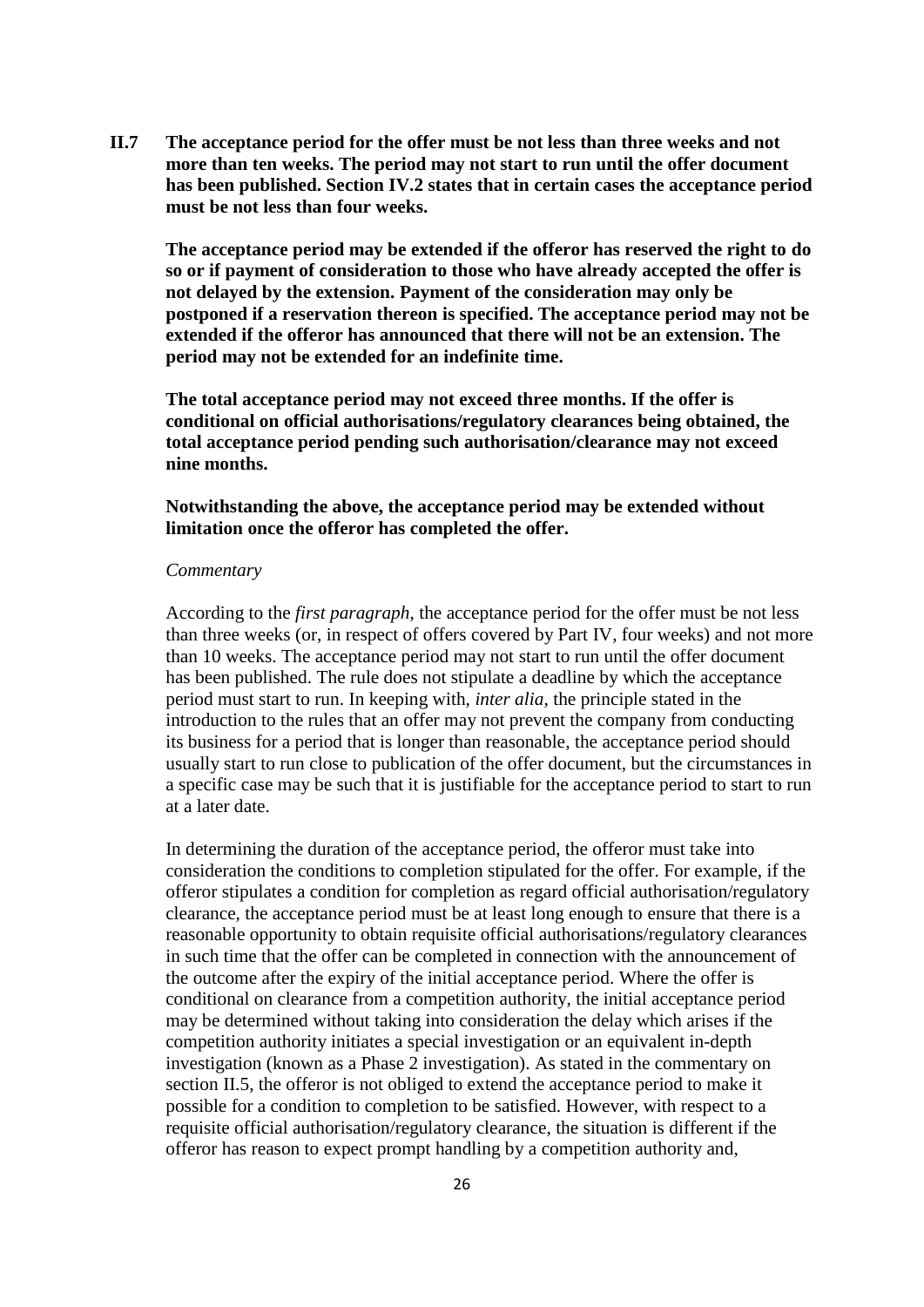**II.7 The acceptance period for the offer must be not less than three weeks and not more than ten weeks. The period may not start to run until the offer document has been published. Section IV.2 states that in certain cases the acceptance period must be not less than four weeks.**

**The acceptance period may be extended if the offeror has reserved the right to do so or if payment of consideration to those who have already accepted the offer is not delayed by the extension. Payment of the consideration may only be postponed if a reservation thereon is specified. The acceptance period may not be extended if the offeror has announced that there will not be an extension. The period may not be extended for an indefinite time.**

**The total acceptance period may not exceed three months. If the offer is conditional on official authorisations/regulatory clearances being obtained, the total acceptance period pending such authorisation/clearance may not exceed nine months.**

#### **Notwithstanding the above, the acceptance period may be extended without limitation once the offeror has completed the offer.**

#### *Commentary*

According to the *first paragraph*, the acceptance period for the offer must be not less than three weeks (or, in respect of offers covered by Part IV, four weeks) and not more than 10 weeks. The acceptance period may not start to run until the offer document has been published. The rule does not stipulate a deadline by which the acceptance period must start to run. In keeping with, *inter alia*, the principle stated in the introduction to the rules that an offer may not prevent the company from conducting its business for a period that is longer than reasonable, the acceptance period should usually start to run close to publication of the offer document, but the circumstances in a specific case may be such that it is justifiable for the acceptance period to start to run at a later date.

In determining the duration of the acceptance period, the offeror must take into consideration the conditions to completion stipulated for the offer. For example, if the offeror stipulates a condition for completion as regard official authorisation/regulatory clearance, the acceptance period must be at least long enough to ensure that there is a reasonable opportunity to obtain requisite official authorisations/regulatory clearances in such time that the offer can be completed in connection with the announcement of the outcome after the expiry of the initial acceptance period. Where the offer is conditional on clearance from a competition authority, the initial acceptance period may be determined without taking into consideration the delay which arises if the competition authority initiates a special investigation or an equivalent in-depth investigation (known as a Phase 2 investigation). As stated in the commentary on section II.5, the offeror is not obliged to extend the acceptance period to make it possible for a condition to completion to be satisfied. However, with respect to a requisite official authorisation/regulatory clearance, the situation is different if the offeror has reason to expect prompt handling by a competition authority and,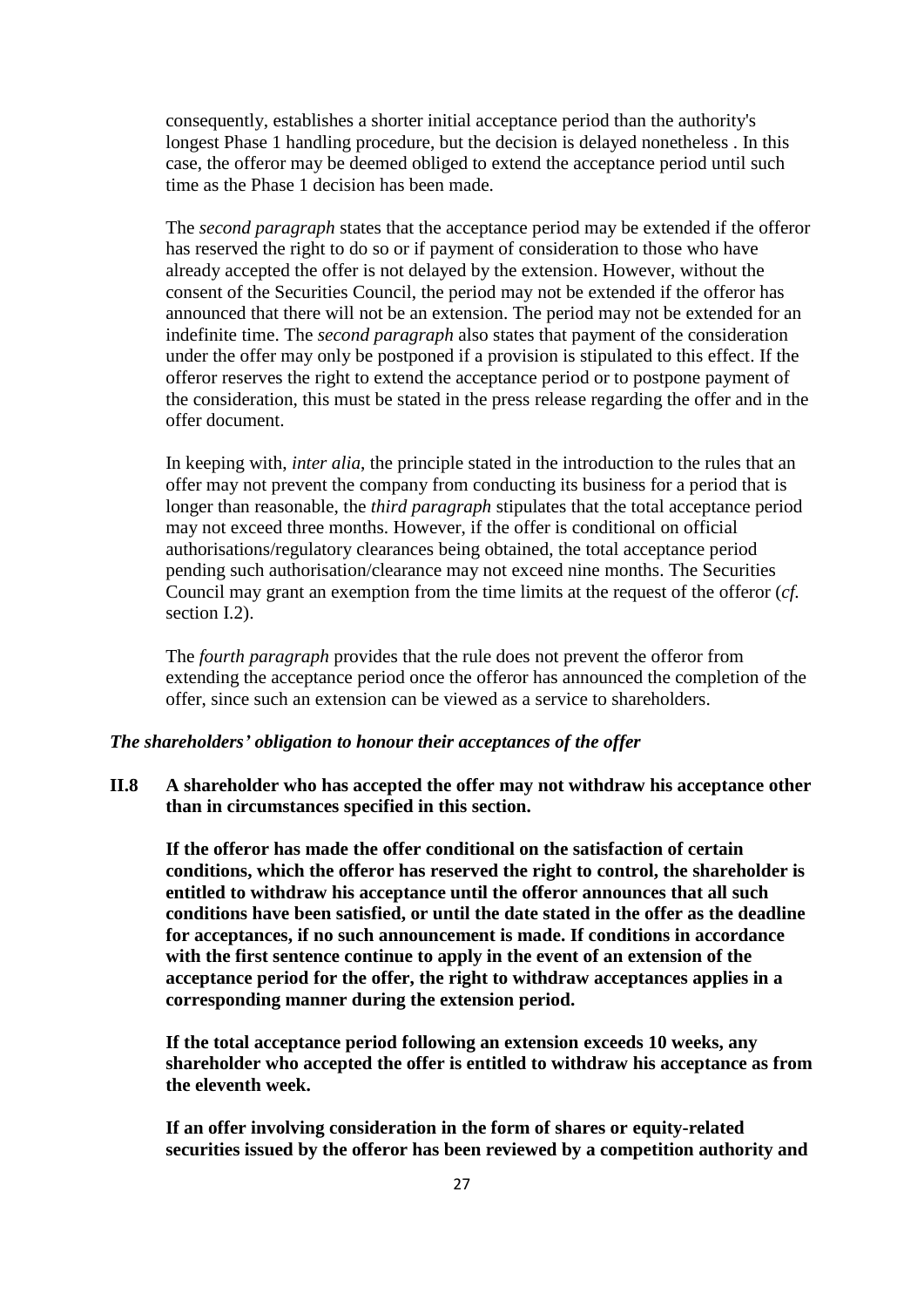consequently, establishes a shorter initial acceptance period than the authority's longest Phase 1 handling procedure, but the decision is delayed nonetheless . In this case, the offeror may be deemed obliged to extend the acceptance period until such time as the Phase 1 decision has been made.

The *second paragraph* states that the acceptance period may be extended if the offeror has reserved the right to do so or if payment of consideration to those who have already accepted the offer is not delayed by the extension. However, without the consent of the Securities Council, the period may not be extended if the offeror has announced that there will not be an extension. The period may not be extended for an indefinite time. The *second paragraph* also states that payment of the consideration under the offer may only be postponed if a provision is stipulated to this effect. If the offeror reserves the right to extend the acceptance period or to postpone payment of the consideration, this must be stated in the press release regarding the offer and in the offer document.

In keeping with, *inter alia*, the principle stated in the introduction to the rules that an offer may not prevent the company from conducting its business for a period that is longer than reasonable, the *third paragraph* stipulates that the total acceptance period may not exceed three months. However, if the offer is conditional on official authorisations/regulatory clearances being obtained, the total acceptance period pending such authorisation/clearance may not exceed nine months. The Securities Council may grant an exemption from the time limits at the request of the offeror (*cf.* section I.2).

The *fourth paragraph* provides that the rule does not prevent the offeror from extending the acceptance period once the offeror has announced the completion of the offer, since such an extension can be viewed as a service to shareholders.

## *The shareholders' obligation to honour their acceptances of the offer*

**II.8 A shareholder who has accepted the offer may not withdraw his acceptance other than in circumstances specified in this section.**

**If the offeror has made the offer conditional on the satisfaction of certain conditions, which the offeror has reserved the right to control, the shareholder is entitled to withdraw his acceptance until the offeror announces that all such conditions have been satisfied, or until the date stated in the offer as the deadline for acceptances, if no such announcement is made. If conditions in accordance with the first sentence continue to apply in the event of an extension of the acceptance period for the offer, the right to withdraw acceptances applies in a corresponding manner during the extension period.**

**If the total acceptance period following an extension exceeds 10 weeks, any shareholder who accepted the offer is entitled to withdraw his acceptance as from the eleventh week.**

**If an offer involving consideration in the form of shares or equity-related securities issued by the offeror has been reviewed by a competition authority and**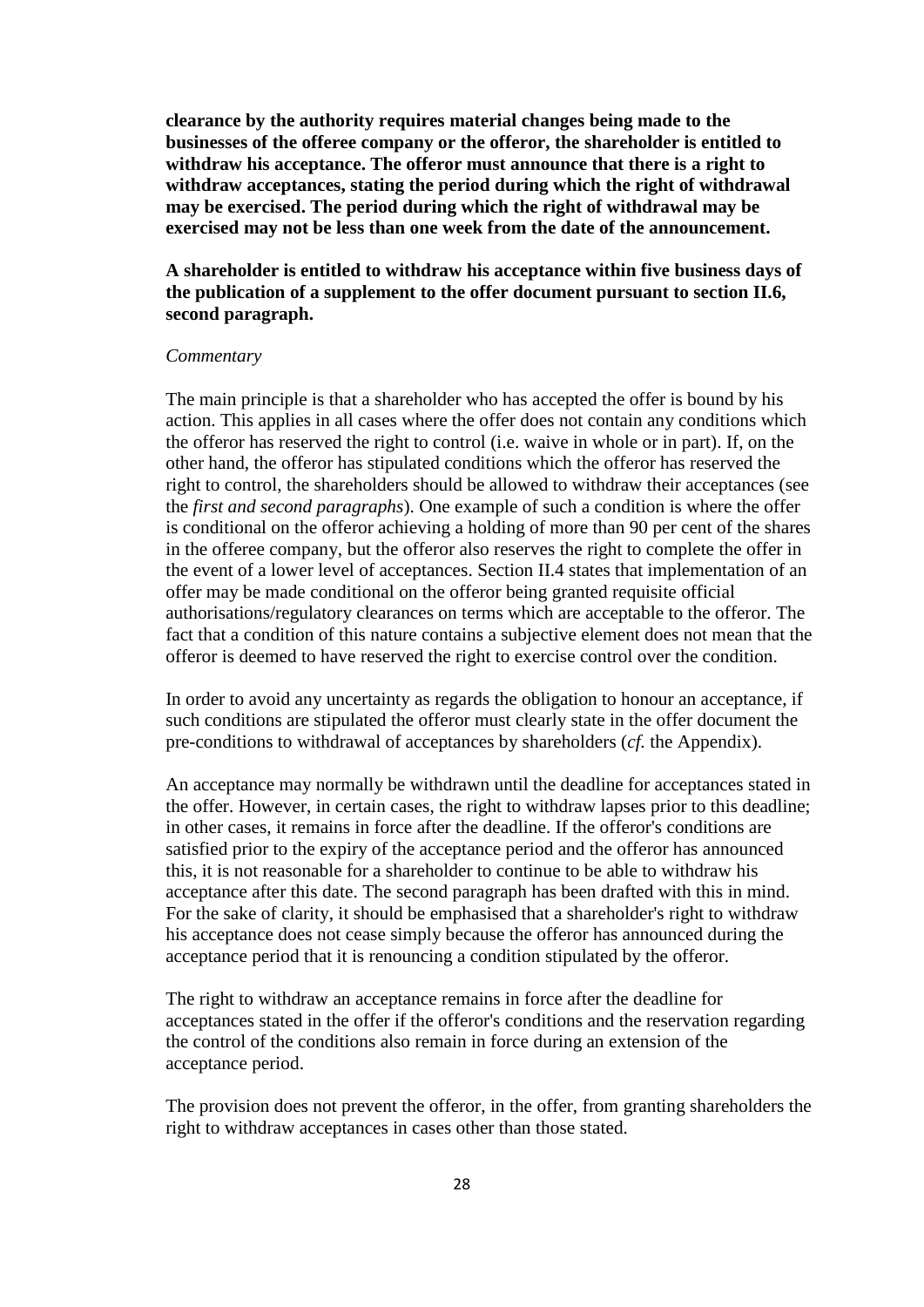**clearance by the authority requires material changes being made to the businesses of the offeree company or the offeror, the shareholder is entitled to withdraw his acceptance. The offeror must announce that there is a right to withdraw acceptances, stating the period during which the right of withdrawal may be exercised. The period during which the right of withdrawal may be exercised may not be less than one week from the date of the announcement.**

## **A shareholder is entitled to withdraw his acceptance within five business days of the publication of a supplement to the offer document pursuant to section II.6, second paragraph.**

#### *Commentary*

The main principle is that a shareholder who has accepted the offer is bound by his action. This applies in all cases where the offer does not contain any conditions which the offeror has reserved the right to control (i.e. waive in whole or in part). If, on the other hand, the offeror has stipulated conditions which the offeror has reserved the right to control, the shareholders should be allowed to withdraw their acceptances (see the *first and second paragraphs*). One example of such a condition is where the offer is conditional on the offeror achieving a holding of more than 90 per cent of the shares in the offeree company, but the offeror also reserves the right to complete the offer in the event of a lower level of acceptances. Section II.4 states that implementation of an offer may be made conditional on the offeror being granted requisite official authorisations/regulatory clearances on terms which are acceptable to the offeror. The fact that a condition of this nature contains a subjective element does not mean that the offeror is deemed to have reserved the right to exercise control over the condition.

In order to avoid any uncertainty as regards the obligation to honour an acceptance, if such conditions are stipulated the offeror must clearly state in the offer document the pre-conditions to withdrawal of acceptances by shareholders (*cf.* the Appendix).

An acceptance may normally be withdrawn until the deadline for acceptances stated in the offer. However, in certain cases, the right to withdraw lapses prior to this deadline; in other cases, it remains in force after the deadline. If the offeror's conditions are satisfied prior to the expiry of the acceptance period and the offeror has announced this, it is not reasonable for a shareholder to continue to be able to withdraw his acceptance after this date. The second paragraph has been drafted with this in mind. For the sake of clarity, it should be emphasised that a shareholder's right to withdraw his acceptance does not cease simply because the offeror has announced during the acceptance period that it is renouncing a condition stipulated by the offeror.

The right to withdraw an acceptance remains in force after the deadline for acceptances stated in the offer if the offeror's conditions and the reservation regarding the control of the conditions also remain in force during an extension of the acceptance period.

The provision does not prevent the offeror, in the offer, from granting shareholders the right to withdraw acceptances in cases other than those stated.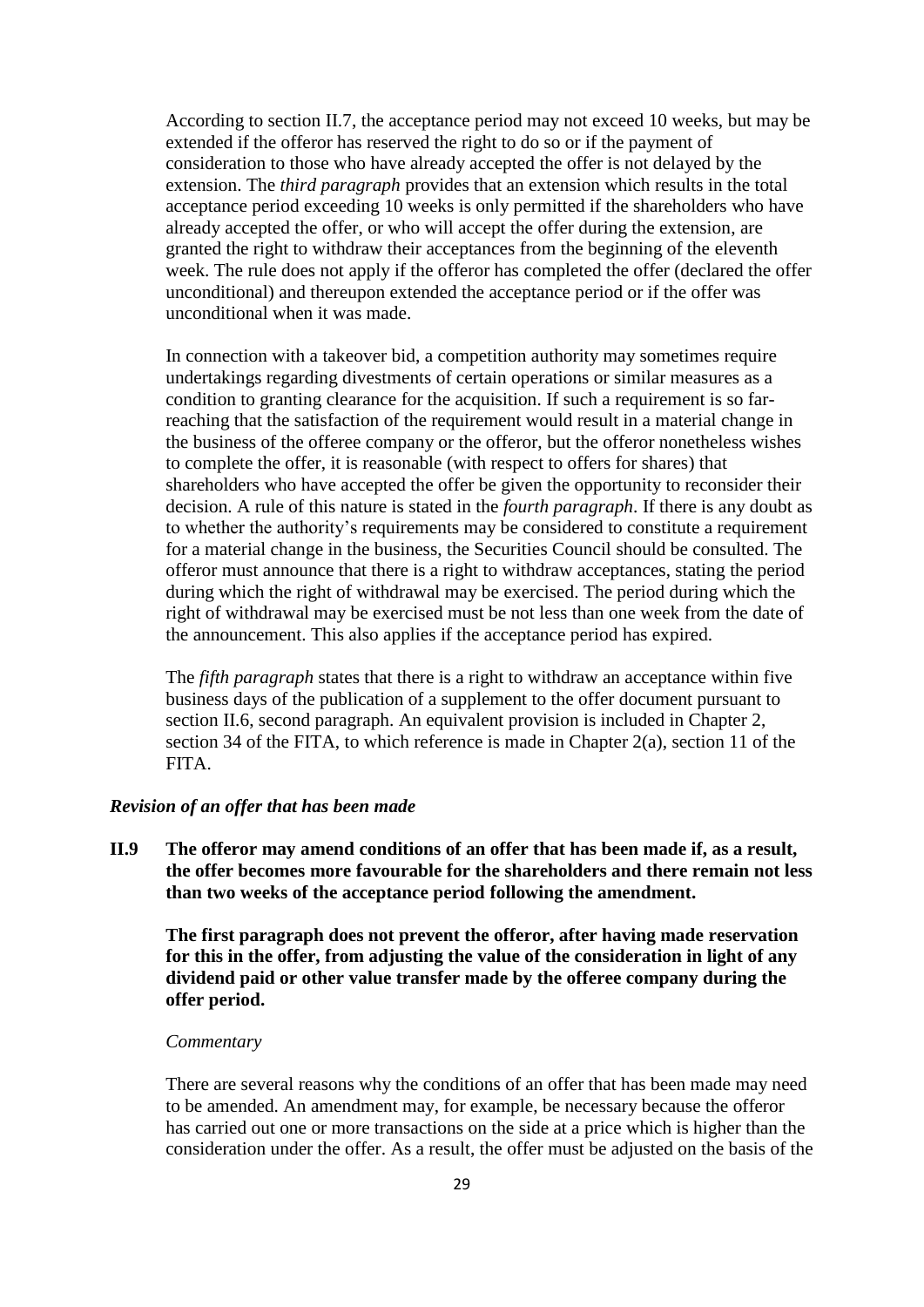According to section II.7, the acceptance period may not exceed 10 weeks, but may be extended if the offeror has reserved the right to do so or if the payment of consideration to those who have already accepted the offer is not delayed by the extension. The *third paragraph* provides that an extension which results in the total acceptance period exceeding 10 weeks is only permitted if the shareholders who have already accepted the offer, or who will accept the offer during the extension, are granted the right to withdraw their acceptances from the beginning of the eleventh week. The rule does not apply if the offeror has completed the offer (declared the offer unconditional) and thereupon extended the acceptance period or if the offer was unconditional when it was made.

In connection with a takeover bid, a competition authority may sometimes require undertakings regarding divestments of certain operations or similar measures as a condition to granting clearance for the acquisition. If such a requirement is so farreaching that the satisfaction of the requirement would result in a material change in the business of the offeree company or the offeror, but the offeror nonetheless wishes to complete the offer, it is reasonable (with respect to offers for shares) that shareholders who have accepted the offer be given the opportunity to reconsider their decision. A rule of this nature is stated in the *fourth paragraph*. If there is any doubt as to whether the authority's requirements may be considered to constitute a requirement for a material change in the business, the Securities Council should be consulted. The offeror must announce that there is a right to withdraw acceptances, stating the period during which the right of withdrawal may be exercised. The period during which the right of withdrawal may be exercised must be not less than one week from the date of the announcement. This also applies if the acceptance period has expired.

The *fifth paragraph* states that there is a right to withdraw an acceptance within five business days of the publication of a supplement to the offer document pursuant to section II.6, second paragraph. An equivalent provision is included in Chapter 2, section 34 of the FITA, to which reference is made in Chapter 2(a), section 11 of the FITA.

#### *Revision of an offer that has been made*

**II.9 The offeror may amend conditions of an offer that has been made if, as a result, the offer becomes more favourable for the shareholders and there remain not less than two weeks of the acceptance period following the amendment.**

**The first paragraph does not prevent the offeror, after having made reservation for this in the offer, from adjusting the value of the consideration in light of any dividend paid or other value transfer made by the offeree company during the offer period.**

#### *Commentary*

There are several reasons why the conditions of an offer that has been made may need to be amended. An amendment may, for example, be necessary because the offeror has carried out one or more transactions on the side at a price which is higher than the consideration under the offer. As a result, the offer must be adjusted on the basis of the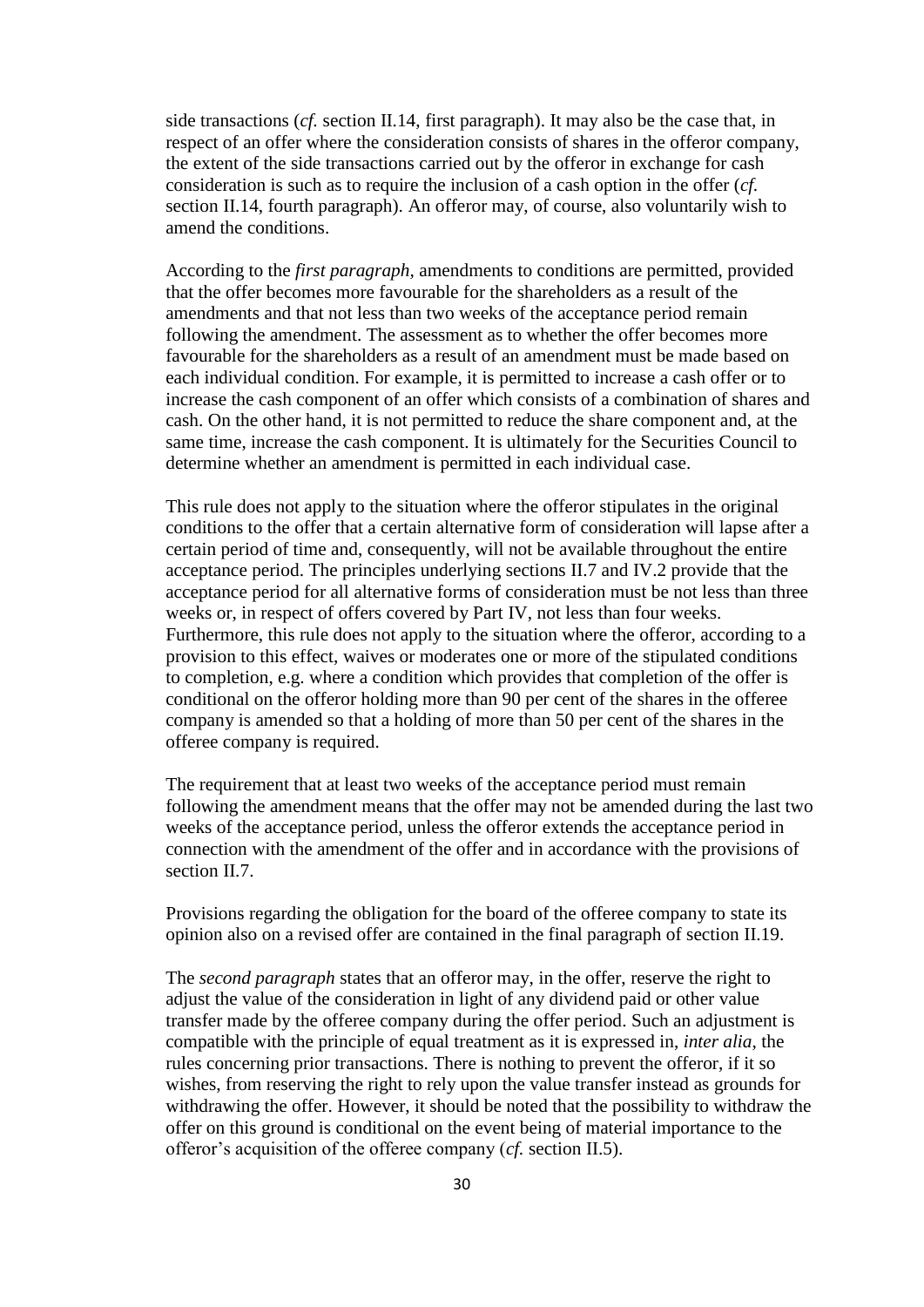side transactions (*cf.* section II.14, first paragraph). It may also be the case that, in respect of an offer where the consideration consists of shares in the offeror company, the extent of the side transactions carried out by the offeror in exchange for cash consideration is such as to require the inclusion of a cash option in the offer (*cf.* section II.14, fourth paragraph). An offeror may, of course, also voluntarily wish to amend the conditions.

According to the *first paragraph,* amendments to conditions are permitted, provided that the offer becomes more favourable for the shareholders as a result of the amendments and that not less than two weeks of the acceptance period remain following the amendment. The assessment as to whether the offer becomes more favourable for the shareholders as a result of an amendment must be made based on each individual condition. For example, it is permitted to increase a cash offer or to increase the cash component of an offer which consists of a combination of shares and cash. On the other hand, it is not permitted to reduce the share component and, at the same time, increase the cash component. It is ultimately for the Securities Council to determine whether an amendment is permitted in each individual case.

This rule does not apply to the situation where the offeror stipulates in the original conditions to the offer that a certain alternative form of consideration will lapse after a certain period of time and, consequently, will not be available throughout the entire acceptance period. The principles underlying sections II.7 and IV.2 provide that the acceptance period for all alternative forms of consideration must be not less than three weeks or, in respect of offers covered by Part IV, not less than four weeks. Furthermore, this rule does not apply to the situation where the offeror, according to a provision to this effect, waives or moderates one or more of the stipulated conditions to completion, e.g. where a condition which provides that completion of the offer is conditional on the offeror holding more than 90 per cent of the shares in the offeree company is amended so that a holding of more than 50 per cent of the shares in the offeree company is required.

The requirement that at least two weeks of the acceptance period must remain following the amendment means that the offer may not be amended during the last two weeks of the acceptance period, unless the offeror extends the acceptance period in connection with the amendment of the offer and in accordance with the provisions of section II.7.

Provisions regarding the obligation for the board of the offeree company to state its opinion also on a revised offer are contained in the final paragraph of section II.19.

The *second paragraph* states that an offeror may, in the offer, reserve the right to adjust the value of the consideration in light of any dividend paid or other value transfer made by the offeree company during the offer period. Such an adjustment is compatible with the principle of equal treatment as it is expressed in, *inter alia*, the rules concerning prior transactions. There is nothing to prevent the offeror, if it so wishes, from reserving the right to rely upon the value transfer instead as grounds for withdrawing the offer. However, it should be noted that the possibility to withdraw the offer on this ground is conditional on the event being of material importance to the offeror's acquisition of the offeree company (*cf.* section II.5).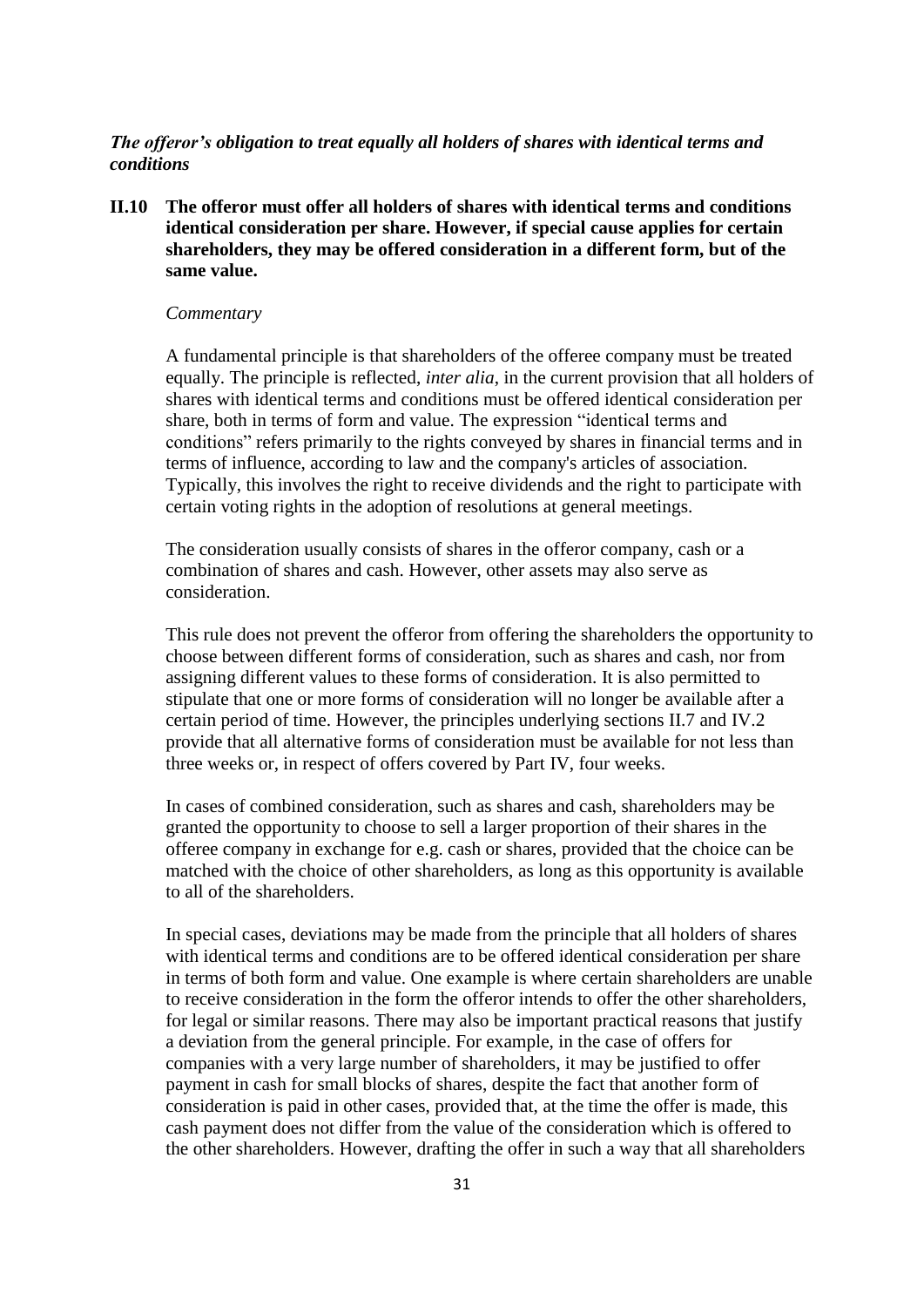## *The offeror's obligation to treat equally all holders of shares with identical terms and conditions*

**II.10 The offeror must offer all holders of shares with identical terms and conditions identical consideration per share. However, if special cause applies for certain shareholders, they may be offered consideration in a different form, but of the same value.**

#### *Commentary*

A fundamental principle is that shareholders of the offeree company must be treated equally. The principle is reflected, *inter alia*, in the current provision that all holders of shares with identical terms and conditions must be offered identical consideration per share, both in terms of form and value. The expression "identical terms and conditions" refers primarily to the rights conveyed by shares in financial terms and in terms of influence, according to law and the company's articles of association. Typically, this involves the right to receive dividends and the right to participate with certain voting rights in the adoption of resolutions at general meetings.

The consideration usually consists of shares in the offeror company, cash or a combination of shares and cash. However, other assets may also serve as consideration.

This rule does not prevent the offeror from offering the shareholders the opportunity to choose between different forms of consideration, such as shares and cash, nor from assigning different values to these forms of consideration. It is also permitted to stipulate that one or more forms of consideration will no longer be available after a certain period of time. However, the principles underlying sections II.7 and IV.2 provide that all alternative forms of consideration must be available for not less than three weeks or, in respect of offers covered by Part IV, four weeks.

In cases of combined consideration, such as shares and cash, shareholders may be granted the opportunity to choose to sell a larger proportion of their shares in the offeree company in exchange for e.g. cash or shares, provided that the choice can be matched with the choice of other shareholders, as long as this opportunity is available to all of the shareholders.

In special cases, deviations may be made from the principle that all holders of shares with identical terms and conditions are to be offered identical consideration per share in terms of both form and value. One example is where certain shareholders are unable to receive consideration in the form the offeror intends to offer the other shareholders, for legal or similar reasons. There may also be important practical reasons that justify a deviation from the general principle. For example, in the case of offers for companies with a very large number of shareholders, it may be justified to offer payment in cash for small blocks of shares, despite the fact that another form of consideration is paid in other cases, provided that, at the time the offer is made, this cash payment does not differ from the value of the consideration which is offered to the other shareholders. However, drafting the offer in such a way that all shareholders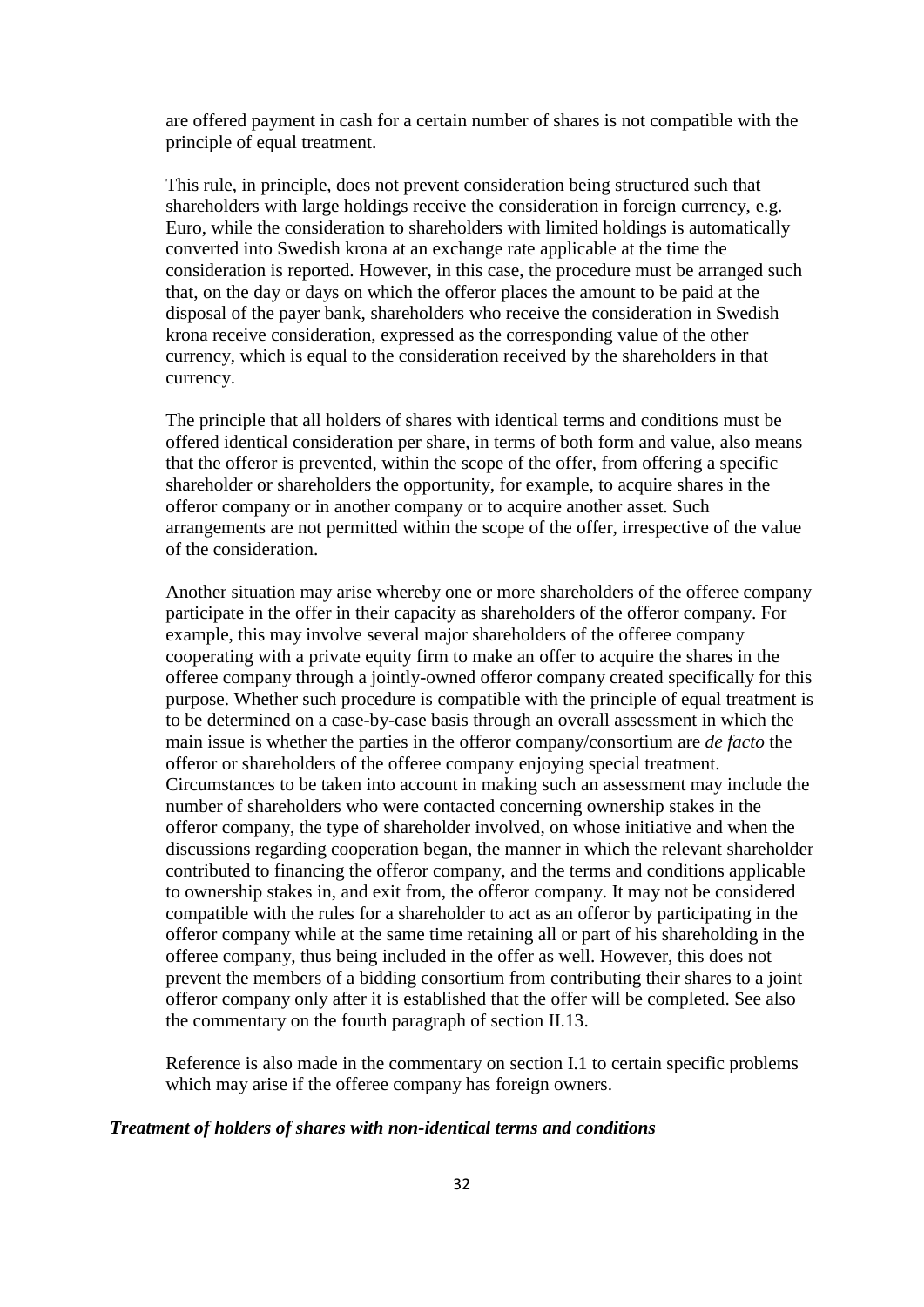are offered payment in cash for a certain number of shares is not compatible with the principle of equal treatment.

This rule, in principle, does not prevent consideration being structured such that shareholders with large holdings receive the consideration in foreign currency, e.g. Euro, while the consideration to shareholders with limited holdings is automatically converted into Swedish krona at an exchange rate applicable at the time the consideration is reported. However, in this case, the procedure must be arranged such that, on the day or days on which the offeror places the amount to be paid at the disposal of the payer bank, shareholders who receive the consideration in Swedish krona receive consideration, expressed as the corresponding value of the other currency, which is equal to the consideration received by the shareholders in that currency.

The principle that all holders of shares with identical terms and conditions must be offered identical consideration per share, in terms of both form and value, also means that the offeror is prevented, within the scope of the offer, from offering a specific shareholder or shareholders the opportunity, for example, to acquire shares in the offeror company or in another company or to acquire another asset. Such arrangements are not permitted within the scope of the offer, irrespective of the value of the consideration.

Another situation may arise whereby one or more shareholders of the offeree company participate in the offer in their capacity as shareholders of the offeror company. For example, this may involve several major shareholders of the offeree company cooperating with a private equity firm to make an offer to acquire the shares in the offeree company through a jointly-owned offeror company created specifically for this purpose. Whether such procedure is compatible with the principle of equal treatment is to be determined on a case-by-case basis through an overall assessment in which the main issue is whether the parties in the offeror company/consortium are *de facto* the offeror or shareholders of the offeree company enjoying special treatment. Circumstances to be taken into account in making such an assessment may include the number of shareholders who were contacted concerning ownership stakes in the offeror company, the type of shareholder involved, on whose initiative and when the discussions regarding cooperation began, the manner in which the relevant shareholder contributed to financing the offeror company, and the terms and conditions applicable to ownership stakes in, and exit from, the offeror company. It may not be considered compatible with the rules for a shareholder to act as an offeror by participating in the offeror company while at the same time retaining all or part of his shareholding in the offeree company, thus being included in the offer as well. However, this does not prevent the members of a bidding consortium from contributing their shares to a joint offeror company only after it is established that the offer will be completed. See also the commentary on the fourth paragraph of section II.13.

Reference is also made in the commentary on section I.1 to certain specific problems which may arise if the offeree company has foreign owners.

#### *Treatment of holders of shares with non-identical terms and conditions*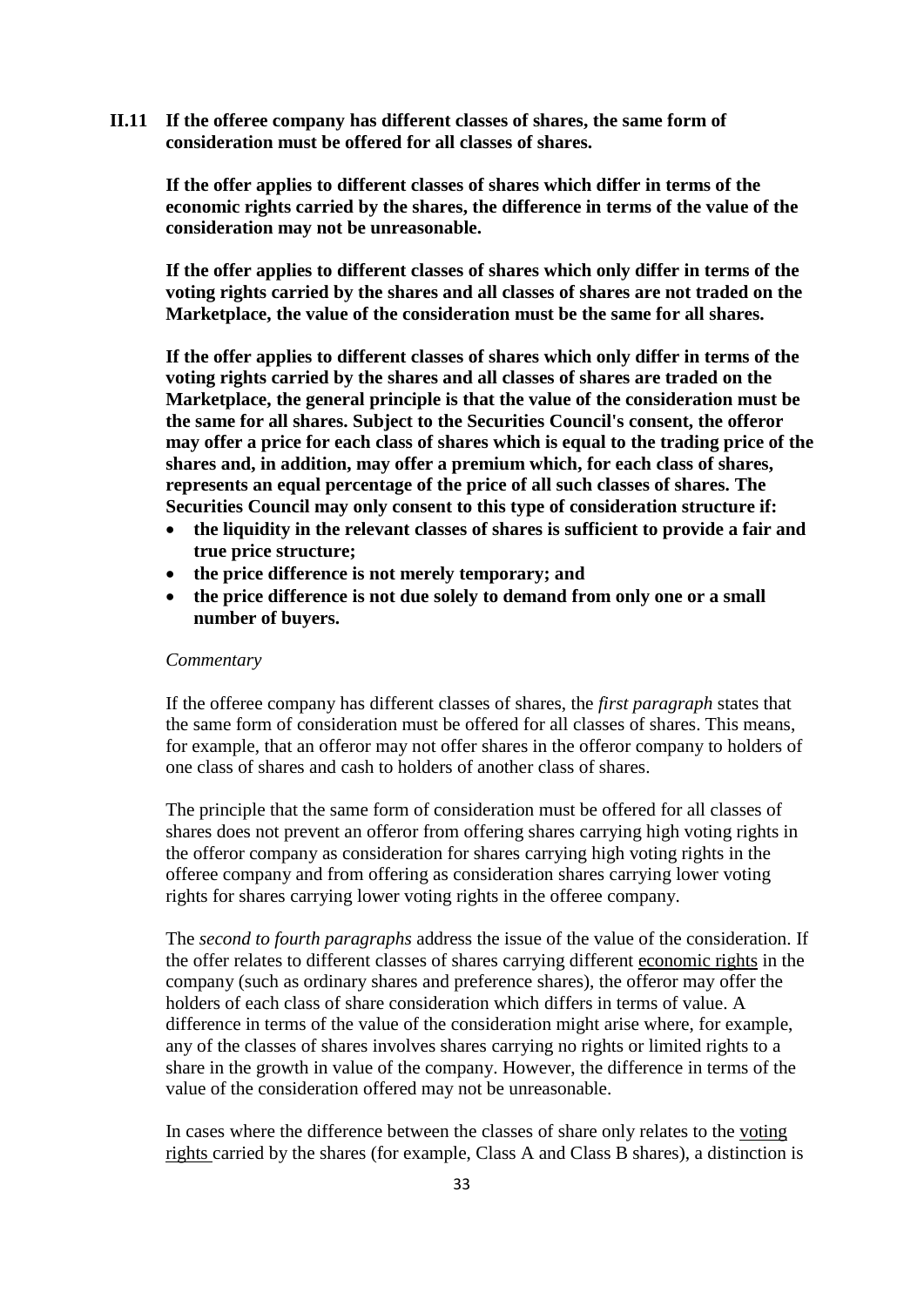**II.11 If the offeree company has different classes of shares, the same form of consideration must be offered for all classes of shares.**

**If the offer applies to different classes of shares which differ in terms of the economic rights carried by the shares, the difference in terms of the value of the consideration may not be unreasonable.**

**If the offer applies to different classes of shares which only differ in terms of the voting rights carried by the shares and all classes of shares are not traded on the Marketplace, the value of the consideration must be the same for all shares.**

**If the offer applies to different classes of shares which only differ in terms of the voting rights carried by the shares and all classes of shares are traded on the Marketplace, the general principle is that the value of the consideration must be the same for all shares. Subject to the Securities Council's consent, the offeror may offer a price for each class of shares which is equal to the trading price of the shares and, in addition, may offer a premium which, for each class of shares, represents an equal percentage of the price of all such classes of shares. The Securities Council may only consent to this type of consideration structure if:**

- **the liquidity in the relevant classes of shares is sufficient to provide a fair and true price structure;**
- **the price difference is not merely temporary; and**
- **the price difference is not due solely to demand from only one or a small number of buyers.**

#### *Commentary*

If the offeree company has different classes of shares, the *first paragraph* states that the same form of consideration must be offered for all classes of shares. This means, for example, that an offeror may not offer shares in the offeror company to holders of one class of shares and cash to holders of another class of shares.

The principle that the same form of consideration must be offered for all classes of shares does not prevent an offeror from offering shares carrying high voting rights in the offeror company as consideration for shares carrying high voting rights in the offeree company and from offering as consideration shares carrying lower voting rights for shares carrying lower voting rights in the offeree company.

The *second to fourth paragraphs* address the issue of the value of the consideration. If the offer relates to different classes of shares carrying different economic rights in the company (such as ordinary shares and preference shares), the offeror may offer the holders of each class of share consideration which differs in terms of value. A difference in terms of the value of the consideration might arise where, for example, any of the classes of shares involves shares carrying no rights or limited rights to a share in the growth in value of the company. However, the difference in terms of the value of the consideration offered may not be unreasonable.

In cases where the difference between the classes of share only relates to the voting rights carried by the shares (for example, Class A and Class B shares), a distinction is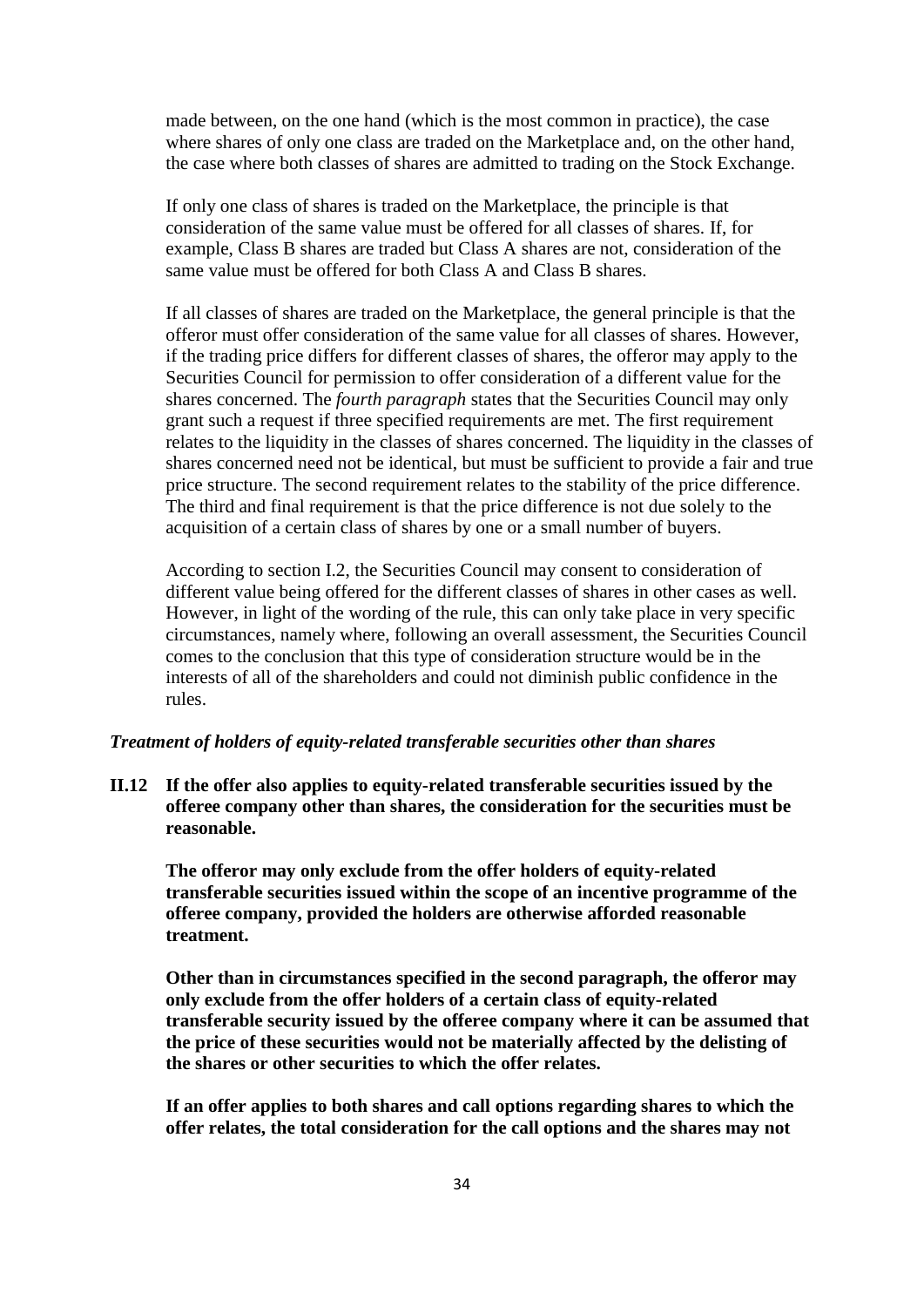made between, on the one hand (which is the most common in practice), the case where shares of only one class are traded on the Marketplace and, on the other hand, the case where both classes of shares are admitted to trading on the Stock Exchange.

If only one class of shares is traded on the Marketplace, the principle is that consideration of the same value must be offered for all classes of shares. If, for example, Class B shares are traded but Class A shares are not, consideration of the same value must be offered for both Class A and Class B shares.

If all classes of shares are traded on the Marketplace, the general principle is that the offeror must offer consideration of the same value for all classes of shares. However, if the trading price differs for different classes of shares, the offeror may apply to the Securities Council for permission to offer consideration of a different value for the shares concerned. The *fourth paragraph* states that the Securities Council may only grant such a request if three specified requirements are met. The first requirement relates to the liquidity in the classes of shares concerned. The liquidity in the classes of shares concerned need not be identical, but must be sufficient to provide a fair and true price structure. The second requirement relates to the stability of the price difference. The third and final requirement is that the price difference is not due solely to the acquisition of a certain class of shares by one or a small number of buyers.

According to section I.2, the Securities Council may consent to consideration of different value being offered for the different classes of shares in other cases as well. However, in light of the wording of the rule, this can only take place in very specific circumstances, namely where, following an overall assessment, the Securities Council comes to the conclusion that this type of consideration structure would be in the interests of all of the shareholders and could not diminish public confidence in the rules.

## *Treatment of holders of equity-related transferable securities other than shares*

**II.12 If the offer also applies to equity-related transferable securities issued by the offeree company other than shares, the consideration for the securities must be reasonable.**

**The offeror may only exclude from the offer holders of equity-related transferable securities issued within the scope of an incentive programme of the offeree company, provided the holders are otherwise afforded reasonable treatment.**

**Other than in circumstances specified in the second paragraph, the offeror may only exclude from the offer holders of a certain class of equity-related transferable security issued by the offeree company where it can be assumed that the price of these securities would not be materially affected by the delisting of the shares or other securities to which the offer relates.**

**If an offer applies to both shares and call options regarding shares to which the offer relates, the total consideration for the call options and the shares may not**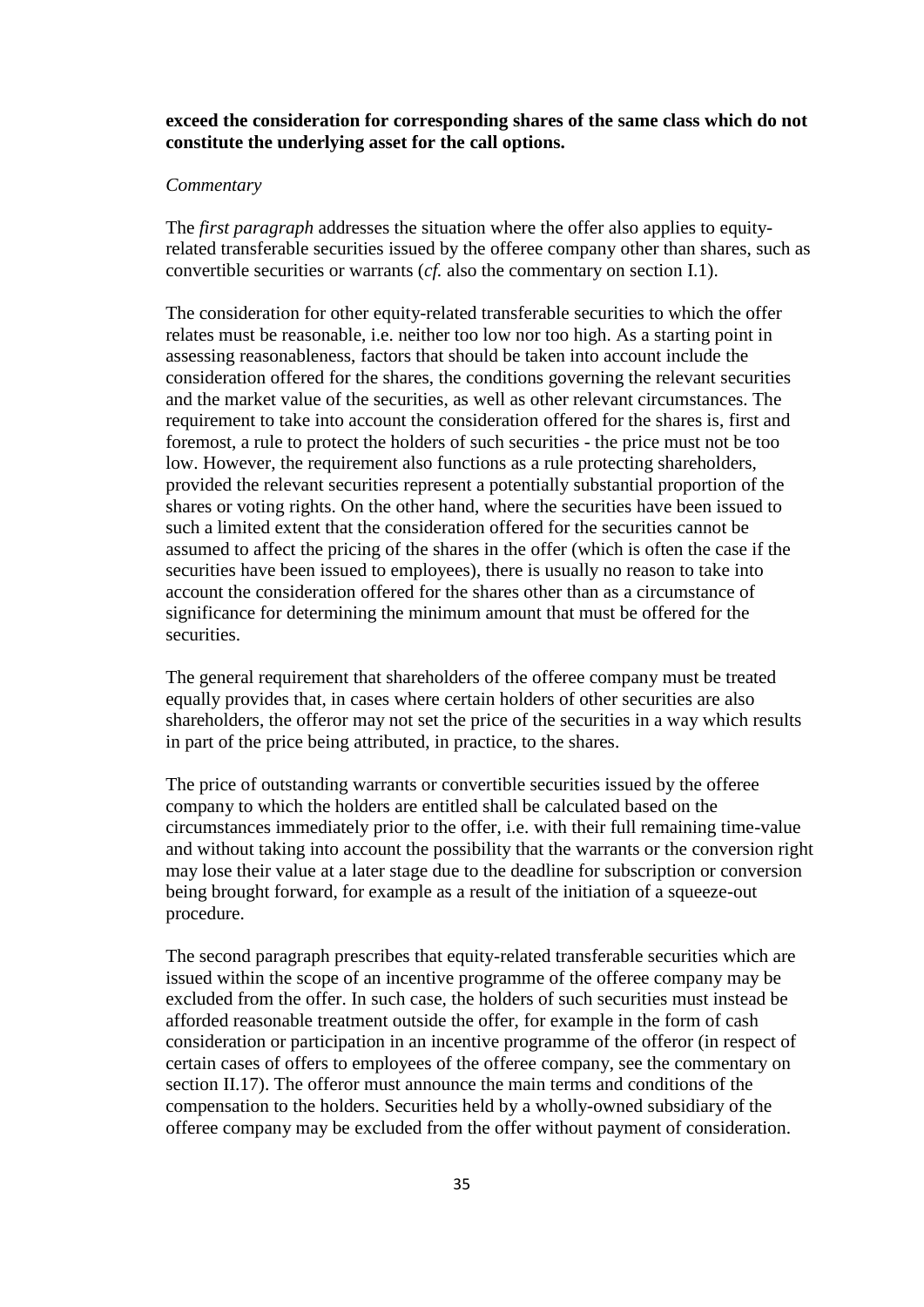**exceed the consideration for corresponding shares of the same class which do not constitute the underlying asset for the call options.**

#### *Commentary*

The *first paragraph* addresses the situation where the offer also applies to equityrelated transferable securities issued by the offeree company other than shares, such as convertible securities or warrants (*cf.* also the commentary on section I.1).

The consideration for other equity-related transferable securities to which the offer relates must be reasonable, i.e. neither too low nor too high. As a starting point in assessing reasonableness, factors that should be taken into account include the consideration offered for the shares, the conditions governing the relevant securities and the market value of the securities, as well as other relevant circumstances. The requirement to take into account the consideration offered for the shares is, first and foremost, a rule to protect the holders of such securities - the price must not be too low. However, the requirement also functions as a rule protecting shareholders, provided the relevant securities represent a potentially substantial proportion of the shares or voting rights. On the other hand, where the securities have been issued to such a limited extent that the consideration offered for the securities cannot be assumed to affect the pricing of the shares in the offer (which is often the case if the securities have been issued to employees), there is usually no reason to take into account the consideration offered for the shares other than as a circumstance of significance for determining the minimum amount that must be offered for the securities.

The general requirement that shareholders of the offeree company must be treated equally provides that, in cases where certain holders of other securities are also shareholders, the offeror may not set the price of the securities in a way which results in part of the price being attributed, in practice, to the shares.

The price of outstanding warrants or convertible securities issued by the offeree company to which the holders are entitled shall be calculated based on the circumstances immediately prior to the offer, i.e. with their full remaining time-value and without taking into account the possibility that the warrants or the conversion right may lose their value at a later stage due to the deadline for subscription or conversion being brought forward, for example as a result of the initiation of a squeeze-out procedure.

The second paragraph prescribes that equity-related transferable securities which are issued within the scope of an incentive programme of the offeree company may be excluded from the offer. In such case, the holders of such securities must instead be afforded reasonable treatment outside the offer, for example in the form of cash consideration or participation in an incentive programme of the offeror (in respect of certain cases of offers to employees of the offeree company, see the commentary on section II.17). The offeror must announce the main terms and conditions of the compensation to the holders. Securities held by a wholly-owned subsidiary of the offeree company may be excluded from the offer without payment of consideration.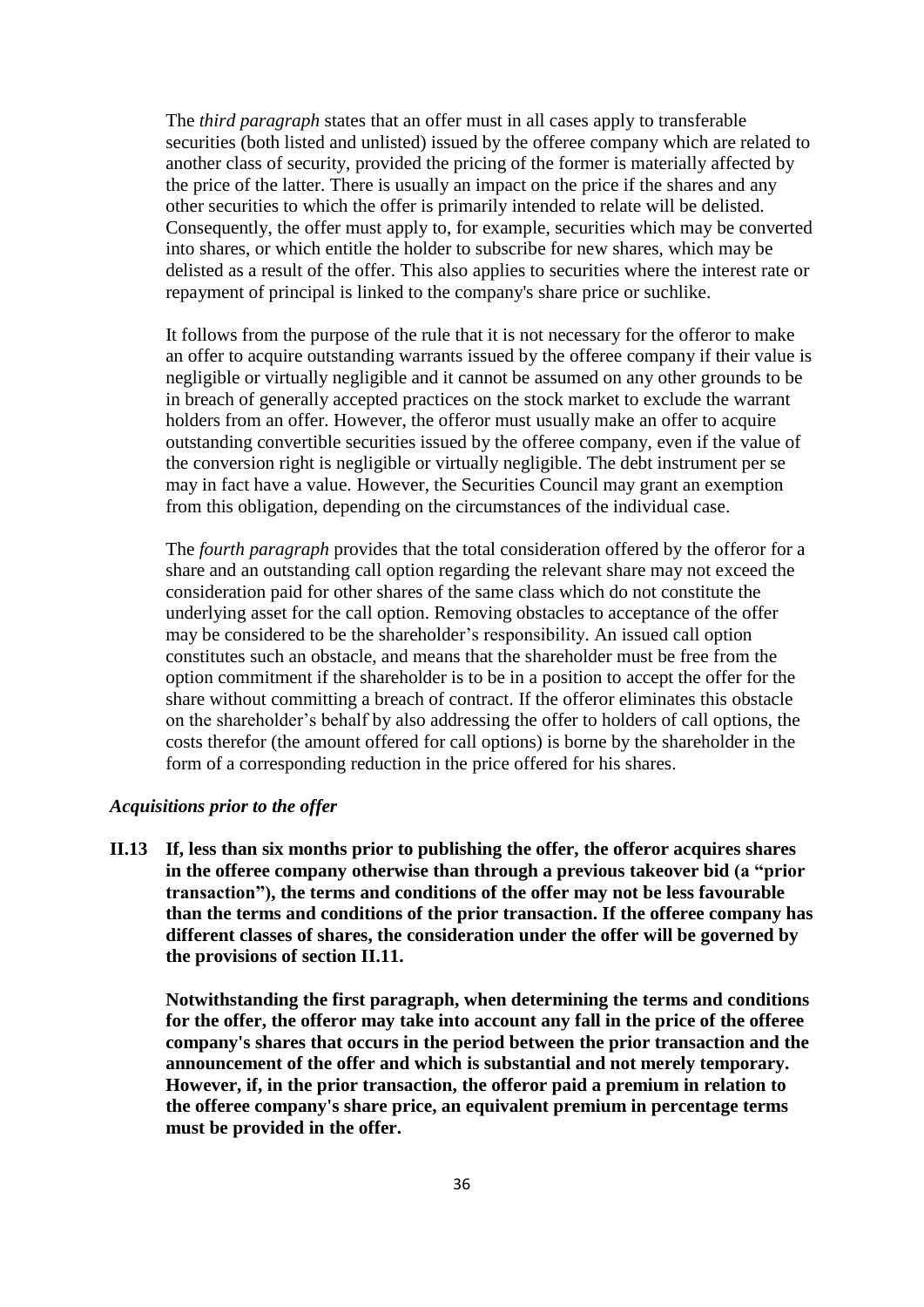The *third paragraph* states that an offer must in all cases apply to transferable securities (both listed and unlisted) issued by the offeree company which are related to another class of security, provided the pricing of the former is materially affected by the price of the latter. There is usually an impact on the price if the shares and any other securities to which the offer is primarily intended to relate will be delisted. Consequently, the offer must apply to, for example, securities which may be converted into shares, or which entitle the holder to subscribe for new shares, which may be delisted as a result of the offer. This also applies to securities where the interest rate or repayment of principal is linked to the company's share price or suchlike.

It follows from the purpose of the rule that it is not necessary for the offeror to make an offer to acquire outstanding warrants issued by the offeree company if their value is negligible or virtually negligible and it cannot be assumed on any other grounds to be in breach of generally accepted practices on the stock market to exclude the warrant holders from an offer. However, the offeror must usually make an offer to acquire outstanding convertible securities issued by the offeree company, even if the value of the conversion right is negligible or virtually negligible. The debt instrument per se may in fact have a value. However, the Securities Council may grant an exemption from this obligation, depending on the circumstances of the individual case.

The *fourth paragraph* provides that the total consideration offered by the offeror for a share and an outstanding call option regarding the relevant share may not exceed the consideration paid for other shares of the same class which do not constitute the underlying asset for the call option. Removing obstacles to acceptance of the offer may be considered to be the shareholder's responsibility. An issued call option constitutes such an obstacle, and means that the shareholder must be free from the option commitment if the shareholder is to be in a position to accept the offer for the share without committing a breach of contract. If the offeror eliminates this obstacle on the shareholder's behalf by also addressing the offer to holders of call options, the costs therefor (the amount offered for call options) is borne by the shareholder in the form of a corresponding reduction in the price offered for his shares.

### *Acquisitions prior to the offer*

**II.13 If, less than six months prior to publishing the offer, the offeror acquires shares in the offeree company otherwise than through a previous takeover bid (a "prior transaction"), the terms and conditions of the offer may not be less favourable than the terms and conditions of the prior transaction. If the offeree company has different classes of shares, the consideration under the offer will be governed by the provisions of section II.11.**

**Notwithstanding the first paragraph, when determining the terms and conditions for the offer, the offeror may take into account any fall in the price of the offeree company's shares that occurs in the period between the prior transaction and the announcement of the offer and which is substantial and not merely temporary. However, if, in the prior transaction, the offeror paid a premium in relation to the offeree company's share price, an equivalent premium in percentage terms must be provided in the offer.**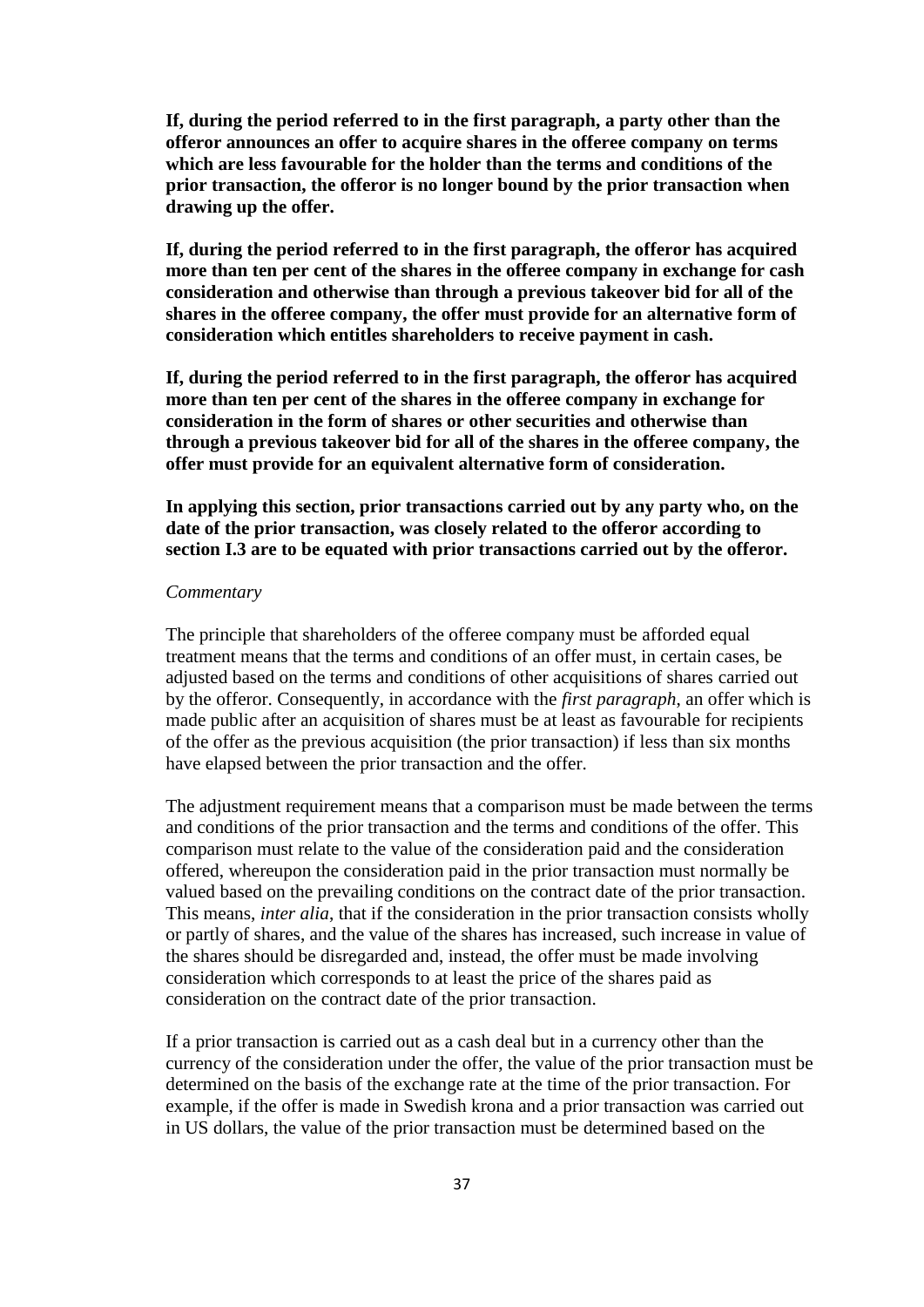**If, during the period referred to in the first paragraph, a party other than the offeror announces an offer to acquire shares in the offeree company on terms which are less favourable for the holder than the terms and conditions of the prior transaction, the offeror is no longer bound by the prior transaction when drawing up the offer.**

**If, during the period referred to in the first paragraph, the offeror has acquired more than ten per cent of the shares in the offeree company in exchange for cash consideration and otherwise than through a previous takeover bid for all of the shares in the offeree company, the offer must provide for an alternative form of consideration which entitles shareholders to receive payment in cash.**

**If, during the period referred to in the first paragraph, the offeror has acquired more than ten per cent of the shares in the offeree company in exchange for consideration in the form of shares or other securities and otherwise than through a previous takeover bid for all of the shares in the offeree company, the offer must provide for an equivalent alternative form of consideration.**

**In applying this section, prior transactions carried out by any party who, on the date of the prior transaction, was closely related to the offeror according to section I.3 are to be equated with prior transactions carried out by the offeror.**

#### *Commentary*

The principle that shareholders of the offeree company must be afforded equal treatment means that the terms and conditions of an offer must, in certain cases, be adjusted based on the terms and conditions of other acquisitions of shares carried out by the offeror. Consequently, in accordance with the *first paragraph*, an offer which is made public after an acquisition of shares must be at least as favourable for recipients of the offer as the previous acquisition (the prior transaction) if less than six months have elapsed between the prior transaction and the offer.

The adjustment requirement means that a comparison must be made between the terms and conditions of the prior transaction and the terms and conditions of the offer. This comparison must relate to the value of the consideration paid and the consideration offered, whereupon the consideration paid in the prior transaction must normally be valued based on the prevailing conditions on the contract date of the prior transaction. This means, *inter alia*, that if the consideration in the prior transaction consists wholly or partly of shares, and the value of the shares has increased, such increase in value of the shares should be disregarded and, instead, the offer must be made involving consideration which corresponds to at least the price of the shares paid as consideration on the contract date of the prior transaction.

If a prior transaction is carried out as a cash deal but in a currency other than the currency of the consideration under the offer, the value of the prior transaction must be determined on the basis of the exchange rate at the time of the prior transaction. For example, if the offer is made in Swedish krona and a prior transaction was carried out in US dollars, the value of the prior transaction must be determined based on the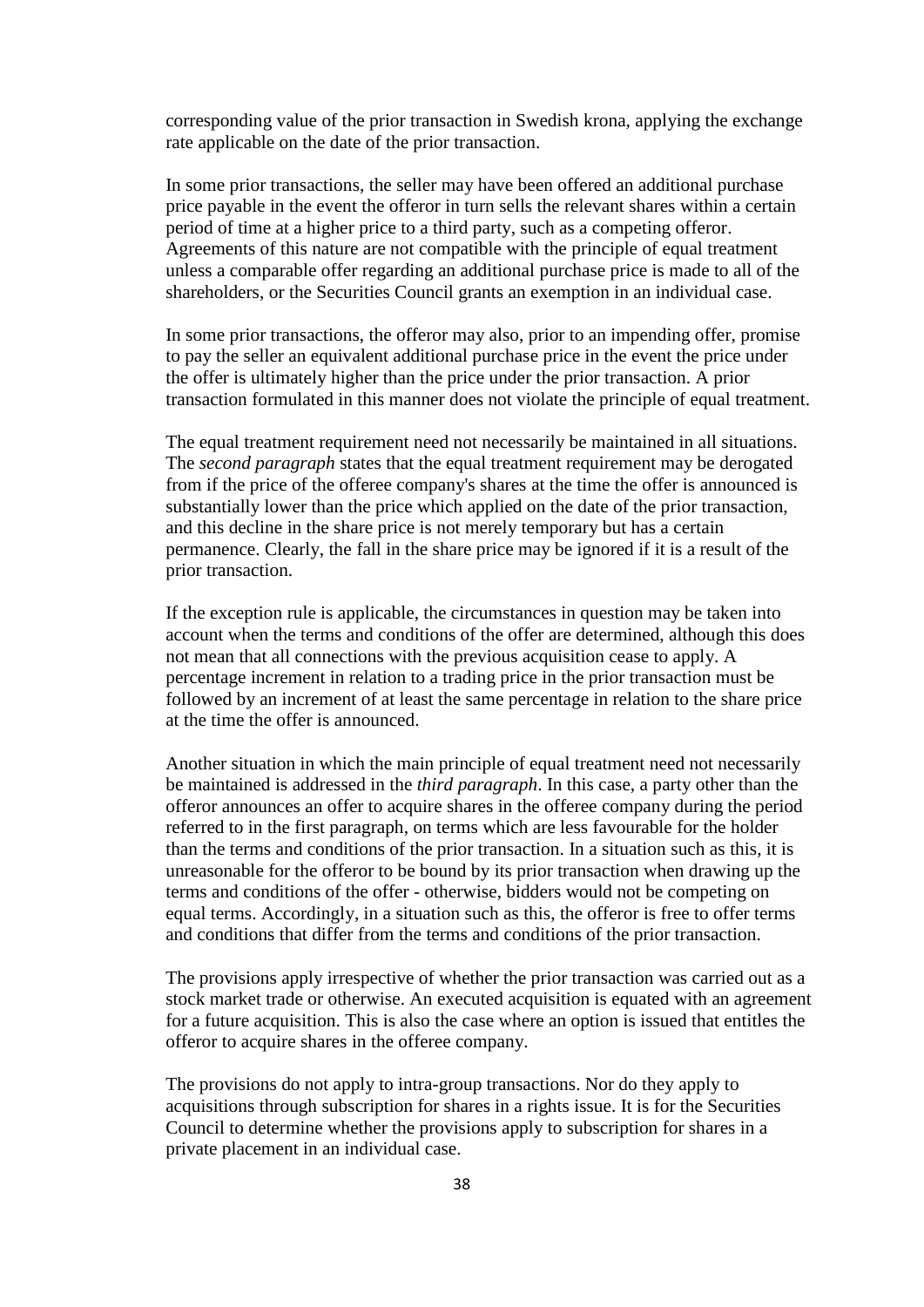corresponding value of the prior transaction in Swedish krona, applying the exchange rate applicable on the date of the prior transaction.

In some prior transactions, the seller may have been offered an additional purchase price payable in the event the offeror in turn sells the relevant shares within a certain period of time at a higher price to a third party, such as a competing offeror. Agreements of this nature are not compatible with the principle of equal treatment unless a comparable offer regarding an additional purchase price is made to all of the shareholders, or the Securities Council grants an exemption in an individual case.

In some prior transactions, the offeror may also, prior to an impending offer, promise to pay the seller an equivalent additional purchase price in the event the price under the offer is ultimately higher than the price under the prior transaction. A prior transaction formulated in this manner does not violate the principle of equal treatment.

The equal treatment requirement need not necessarily be maintained in all situations. The *second paragraph* states that the equal treatment requirement may be derogated from if the price of the offeree company's shares at the time the offer is announced is substantially lower than the price which applied on the date of the prior transaction, and this decline in the share price is not merely temporary but has a certain permanence. Clearly, the fall in the share price may be ignored if it is a result of the prior transaction.

If the exception rule is applicable, the circumstances in question may be taken into account when the terms and conditions of the offer are determined, although this does not mean that all connections with the previous acquisition cease to apply. A percentage increment in relation to a trading price in the prior transaction must be followed by an increment of at least the same percentage in relation to the share price at the time the offer is announced.

Another situation in which the main principle of equal treatment need not necessarily be maintained is addressed in the *third paragraph*. In this case, a party other than the offeror announces an offer to acquire shares in the offeree company during the period referred to in the first paragraph, on terms which are less favourable for the holder than the terms and conditions of the prior transaction. In a situation such as this, it is unreasonable for the offeror to be bound by its prior transaction when drawing up the terms and conditions of the offer - otherwise, bidders would not be competing on equal terms. Accordingly, in a situation such as this, the offeror is free to offer terms and conditions that differ from the terms and conditions of the prior transaction.

The provisions apply irrespective of whether the prior transaction was carried out as a stock market trade or otherwise. An executed acquisition is equated with an agreement for a future acquisition. This is also the case where an option is issued that entitles the offeror to acquire shares in the offeree company.

The provisions do not apply to intra-group transactions. Nor do they apply to acquisitions through subscription for shares in a rights issue. It is for the Securities Council to determine whether the provisions apply to subscription for shares in a private placement in an individual case.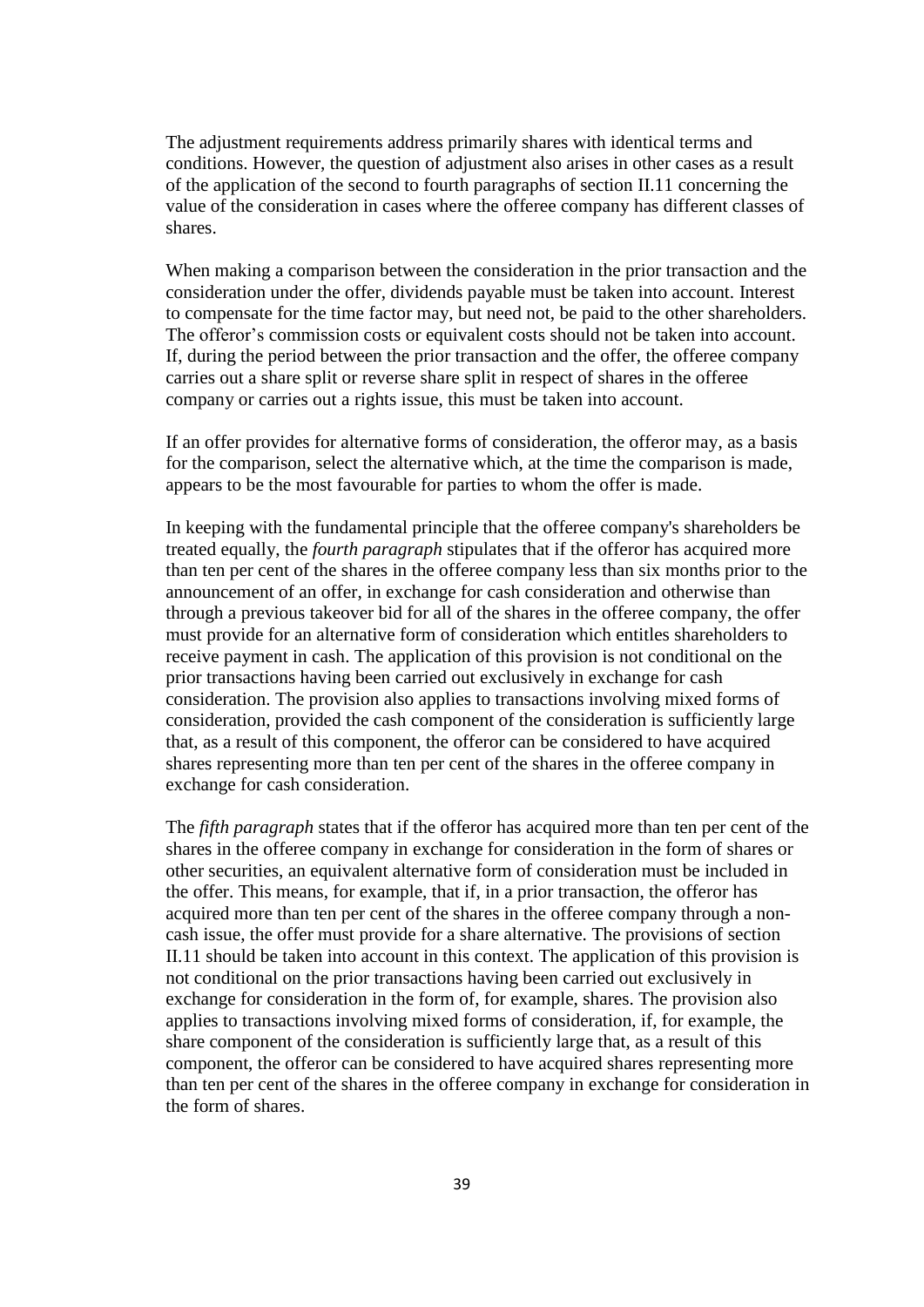The adjustment requirements address primarily shares with identical terms and conditions. However, the question of adjustment also arises in other cases as a result of the application of the second to fourth paragraphs of section II.11 concerning the value of the consideration in cases where the offeree company has different classes of shares.

When making a comparison between the consideration in the prior transaction and the consideration under the offer, dividends payable must be taken into account. Interest to compensate for the time factor may, but need not, be paid to the other shareholders. The offeror's commission costs or equivalent costs should not be taken into account. If, during the period between the prior transaction and the offer, the offeree company carries out a share split or reverse share split in respect of shares in the offeree company or carries out a rights issue, this must be taken into account.

If an offer provides for alternative forms of consideration, the offeror may, as a basis for the comparison, select the alternative which, at the time the comparison is made, appears to be the most favourable for parties to whom the offer is made.

In keeping with the fundamental principle that the offeree company's shareholders be treated equally, the *fourth paragraph* stipulates that if the offeror has acquired more than ten per cent of the shares in the offeree company less than six months prior to the announcement of an offer, in exchange for cash consideration and otherwise than through a previous takeover bid for all of the shares in the offeree company, the offer must provide for an alternative form of consideration which entitles shareholders to receive payment in cash. The application of this provision is not conditional on the prior transactions having been carried out exclusively in exchange for cash consideration. The provision also applies to transactions involving mixed forms of consideration, provided the cash component of the consideration is sufficiently large that, as a result of this component, the offeror can be considered to have acquired shares representing more than ten per cent of the shares in the offeree company in exchange for cash consideration.

The *fifth paragraph* states that if the offeror has acquired more than ten per cent of the shares in the offeree company in exchange for consideration in the form of shares or other securities, an equivalent alternative form of consideration must be included in the offer. This means, for example, that if, in a prior transaction, the offeror has acquired more than ten per cent of the shares in the offeree company through a noncash issue, the offer must provide for a share alternative. The provisions of section II.11 should be taken into account in this context. The application of this provision is not conditional on the prior transactions having been carried out exclusively in exchange for consideration in the form of, for example, shares. The provision also applies to transactions involving mixed forms of consideration, if, for example, the share component of the consideration is sufficiently large that, as a result of this component, the offeror can be considered to have acquired shares representing more than ten per cent of the shares in the offeree company in exchange for consideration in the form of shares.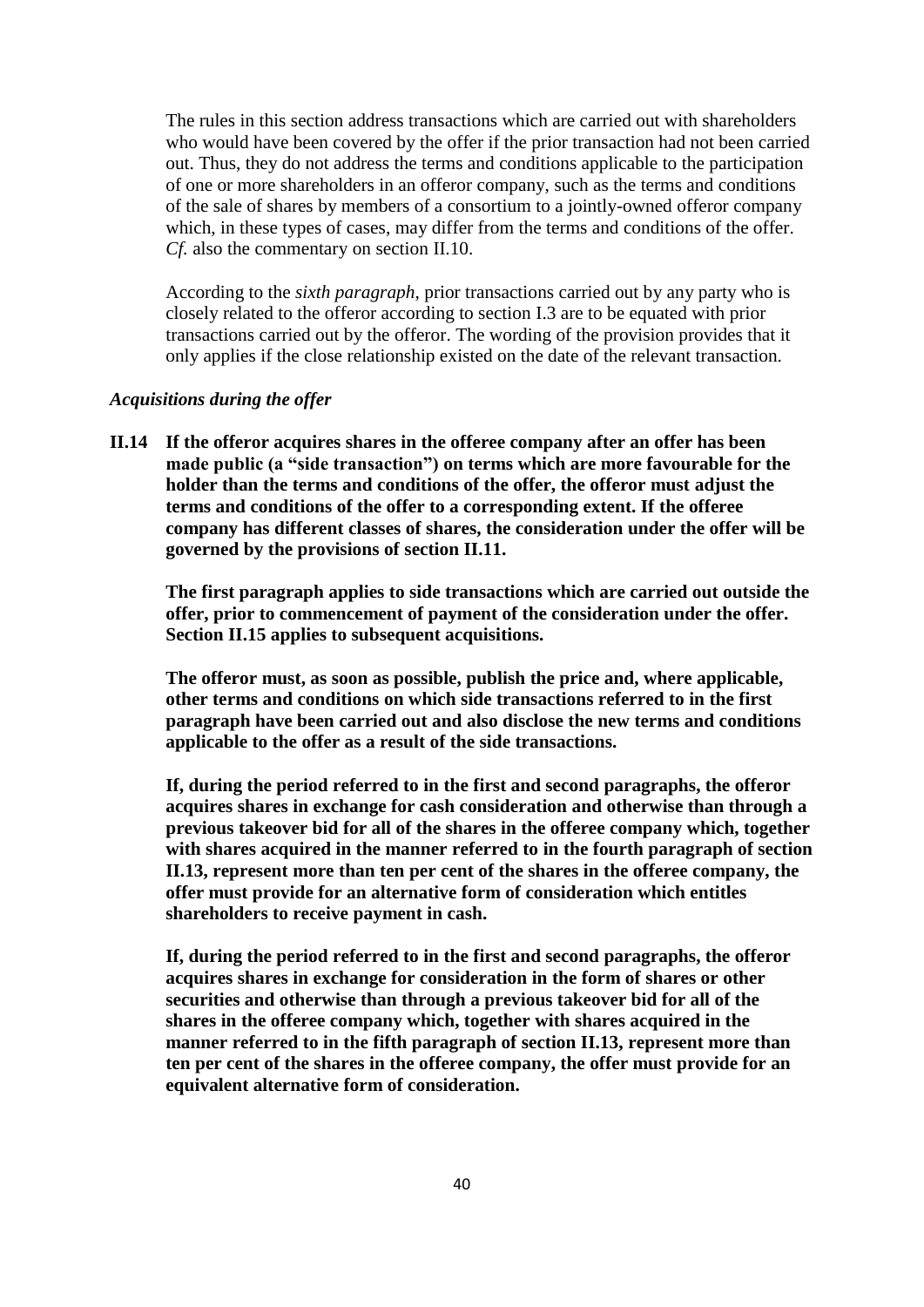The rules in this section address transactions which are carried out with shareholders who would have been covered by the offer if the prior transaction had not been carried out. Thus, they do not address the terms and conditions applicable to the participation of one or more shareholders in an offeror company, such as the terms and conditions of the sale of shares by members of a consortium to a jointly-owned offeror company which, in these types of cases, may differ from the terms and conditions of the offer. *Cf.* also the commentary on section II.10.

According to the *sixth paragraph*, prior transactions carried out by any party who is closely related to the offeror according to section I.3 are to be equated with prior transactions carried out by the offeror. The wording of the provision provides that it only applies if the close relationship existed on the date of the relevant transaction.

## *Acquisitions during the offer*

**II.14 If the offeror acquires shares in the offeree company after an offer has been made public (a "side transaction") on terms which are more favourable for the holder than the terms and conditions of the offer, the offeror must adjust the terms and conditions of the offer to a corresponding extent. If the offeree company has different classes of shares, the consideration under the offer will be governed by the provisions of section II.11.**

**The first paragraph applies to side transactions which are carried out outside the offer, prior to commencement of payment of the consideration under the offer. Section II.15 applies to subsequent acquisitions.**

**The offeror must, as soon as possible, publish the price and, where applicable, other terms and conditions on which side transactions referred to in the first paragraph have been carried out and also disclose the new terms and conditions applicable to the offer as a result of the side transactions.**

**If, during the period referred to in the first and second paragraphs, the offeror acquires shares in exchange for cash consideration and otherwise than through a previous takeover bid for all of the shares in the offeree company which, together with shares acquired in the manner referred to in the fourth paragraph of section II.13, represent more than ten per cent of the shares in the offeree company, the offer must provide for an alternative form of consideration which entitles shareholders to receive payment in cash.**

**If, during the period referred to in the first and second paragraphs, the offeror acquires shares in exchange for consideration in the form of shares or other securities and otherwise than through a previous takeover bid for all of the shares in the offeree company which, together with shares acquired in the manner referred to in the fifth paragraph of section II.13, represent more than ten per cent of the shares in the offeree company, the offer must provide for an equivalent alternative form of consideration.**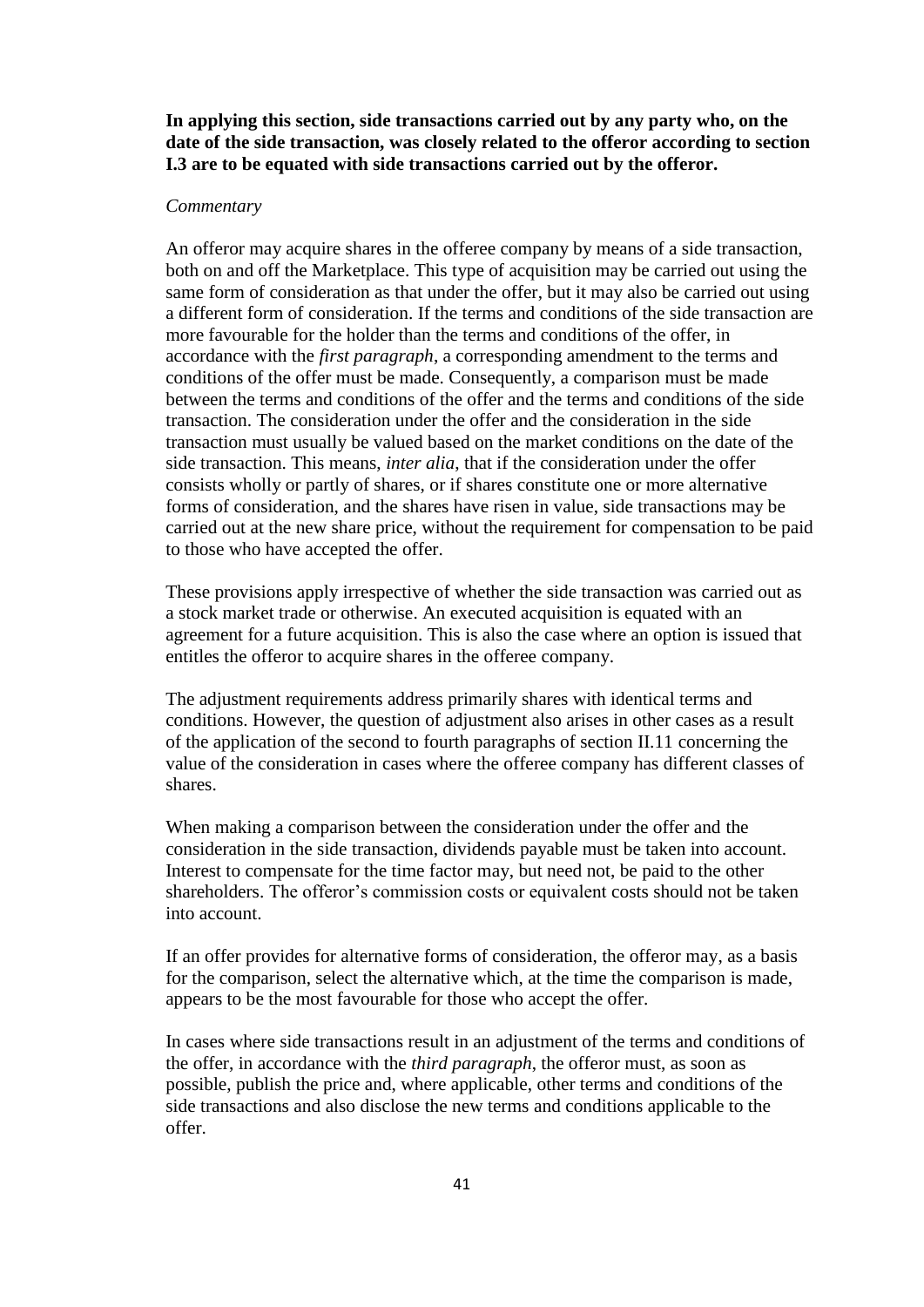**In applying this section, side transactions carried out by any party who, on the date of the side transaction, was closely related to the offeror according to section I.3 are to be equated with side transactions carried out by the offeror.**

### *Commentary*

An offeror may acquire shares in the offeree company by means of a side transaction, both on and off the Marketplace. This type of acquisition may be carried out using the same form of consideration as that under the offer, but it may also be carried out using a different form of consideration. If the terms and conditions of the side transaction are more favourable for the holder than the terms and conditions of the offer, in accordance with the *first paragraph*, a corresponding amendment to the terms and conditions of the offer must be made. Consequently, a comparison must be made between the terms and conditions of the offer and the terms and conditions of the side transaction. The consideration under the offer and the consideration in the side transaction must usually be valued based on the market conditions on the date of the side transaction. This means, *inter alia*, that if the consideration under the offer consists wholly or partly of shares, or if shares constitute one or more alternative forms of consideration, and the shares have risen in value, side transactions may be carried out at the new share price, without the requirement for compensation to be paid to those who have accepted the offer.

These provisions apply irrespective of whether the side transaction was carried out as a stock market trade or otherwise. An executed acquisition is equated with an agreement for a future acquisition. This is also the case where an option is issued that entitles the offeror to acquire shares in the offeree company.

The adjustment requirements address primarily shares with identical terms and conditions. However, the question of adjustment also arises in other cases as a result of the application of the second to fourth paragraphs of section II.11 concerning the value of the consideration in cases where the offeree company has different classes of shares.

When making a comparison between the consideration under the offer and the consideration in the side transaction, dividends payable must be taken into account. Interest to compensate for the time factor may, but need not, be paid to the other shareholders. The offeror's commission costs or equivalent costs should not be taken into account.

If an offer provides for alternative forms of consideration, the offeror may, as a basis for the comparison, select the alternative which, at the time the comparison is made, appears to be the most favourable for those who accept the offer.

In cases where side transactions result in an adjustment of the terms and conditions of the offer, in accordance with the *third paragraph*, the offeror must, as soon as possible, publish the price and, where applicable, other terms and conditions of the side transactions and also disclose the new terms and conditions applicable to the offer.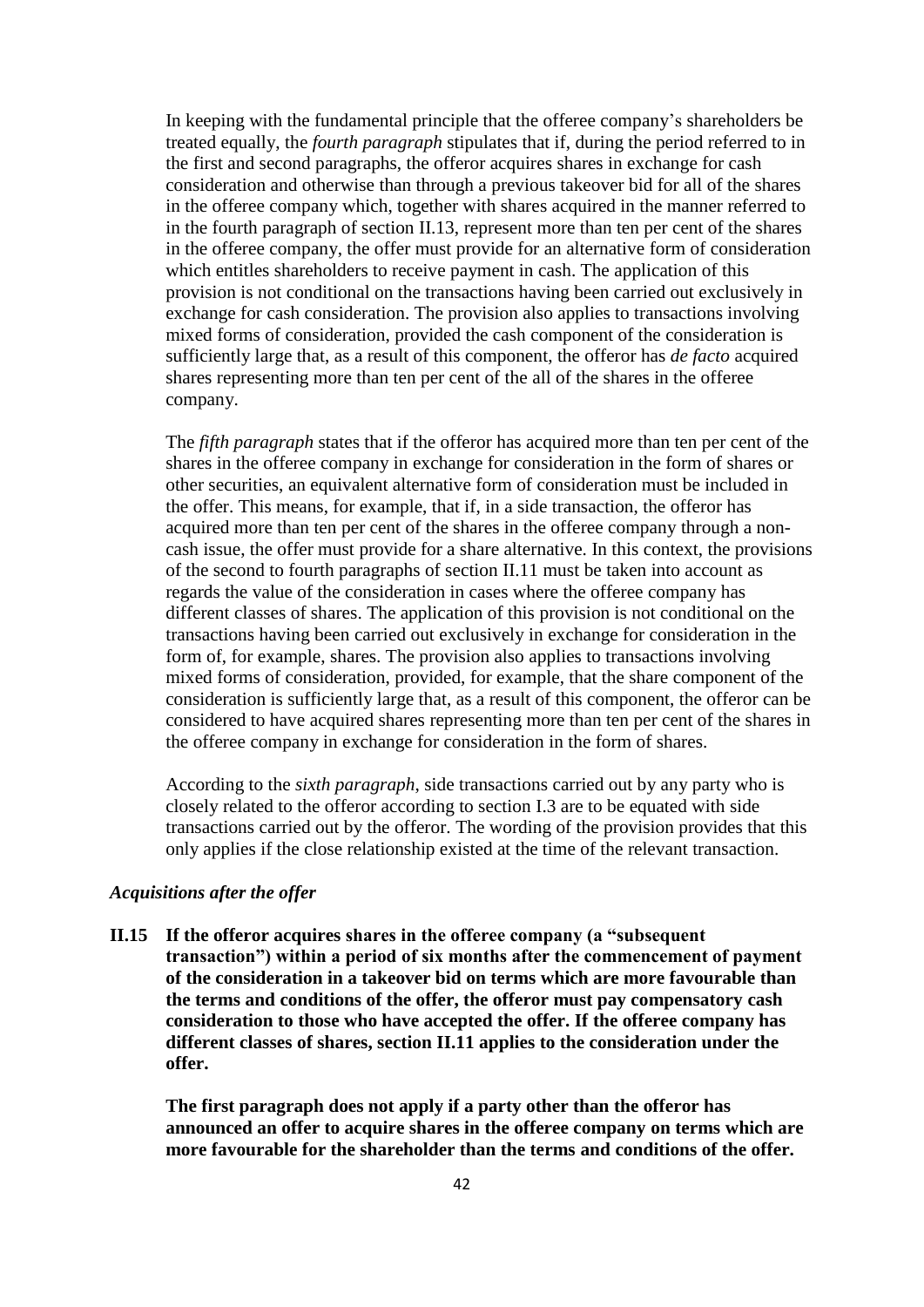In keeping with the fundamental principle that the offeree company's shareholders be treated equally, the *fourth paragraph* stipulates that if, during the period referred to in the first and second paragraphs, the offeror acquires shares in exchange for cash consideration and otherwise than through a previous takeover bid for all of the shares in the offeree company which, together with shares acquired in the manner referred to in the fourth paragraph of section II.13, represent more than ten per cent of the shares in the offeree company, the offer must provide for an alternative form of consideration which entitles shareholders to receive payment in cash. The application of this provision is not conditional on the transactions having been carried out exclusively in exchange for cash consideration. The provision also applies to transactions involving mixed forms of consideration, provided the cash component of the consideration is sufficiently large that, as a result of this component, the offeror has *de facto* acquired shares representing more than ten per cent of the all of the shares in the offeree company.

The *fifth paragraph* states that if the offeror has acquired more than ten per cent of the shares in the offeree company in exchange for consideration in the form of shares or other securities, an equivalent alternative form of consideration must be included in the offer. This means, for example, that if, in a side transaction, the offeror has acquired more than ten per cent of the shares in the offeree company through a noncash issue, the offer must provide for a share alternative. In this context, the provisions of the second to fourth paragraphs of section II.11 must be taken into account as regards the value of the consideration in cases where the offeree company has different classes of shares. The application of this provision is not conditional on the transactions having been carried out exclusively in exchange for consideration in the form of, for example, shares. The provision also applies to transactions involving mixed forms of consideration, provided, for example, that the share component of the consideration is sufficiently large that, as a result of this component, the offeror can be considered to have acquired shares representing more than ten per cent of the shares in the offeree company in exchange for consideration in the form of shares.

According to the *sixth paragraph*, side transactions carried out by any party who is closely related to the offeror according to section I.3 are to be equated with side transactions carried out by the offeror. The wording of the provision provides that this only applies if the close relationship existed at the time of the relevant transaction.

# *Acquisitions after the offer*

**II.15 If the offeror acquires shares in the offeree company (a "subsequent transaction") within a period of six months after the commencement of payment of the consideration in a takeover bid on terms which are more favourable than the terms and conditions of the offer, the offeror must pay compensatory cash consideration to those who have accepted the offer. If the offeree company has different classes of shares, section II.11 applies to the consideration under the offer.**

**The first paragraph does not apply if a party other than the offeror has announced an offer to acquire shares in the offeree company on terms which are more favourable for the shareholder than the terms and conditions of the offer.**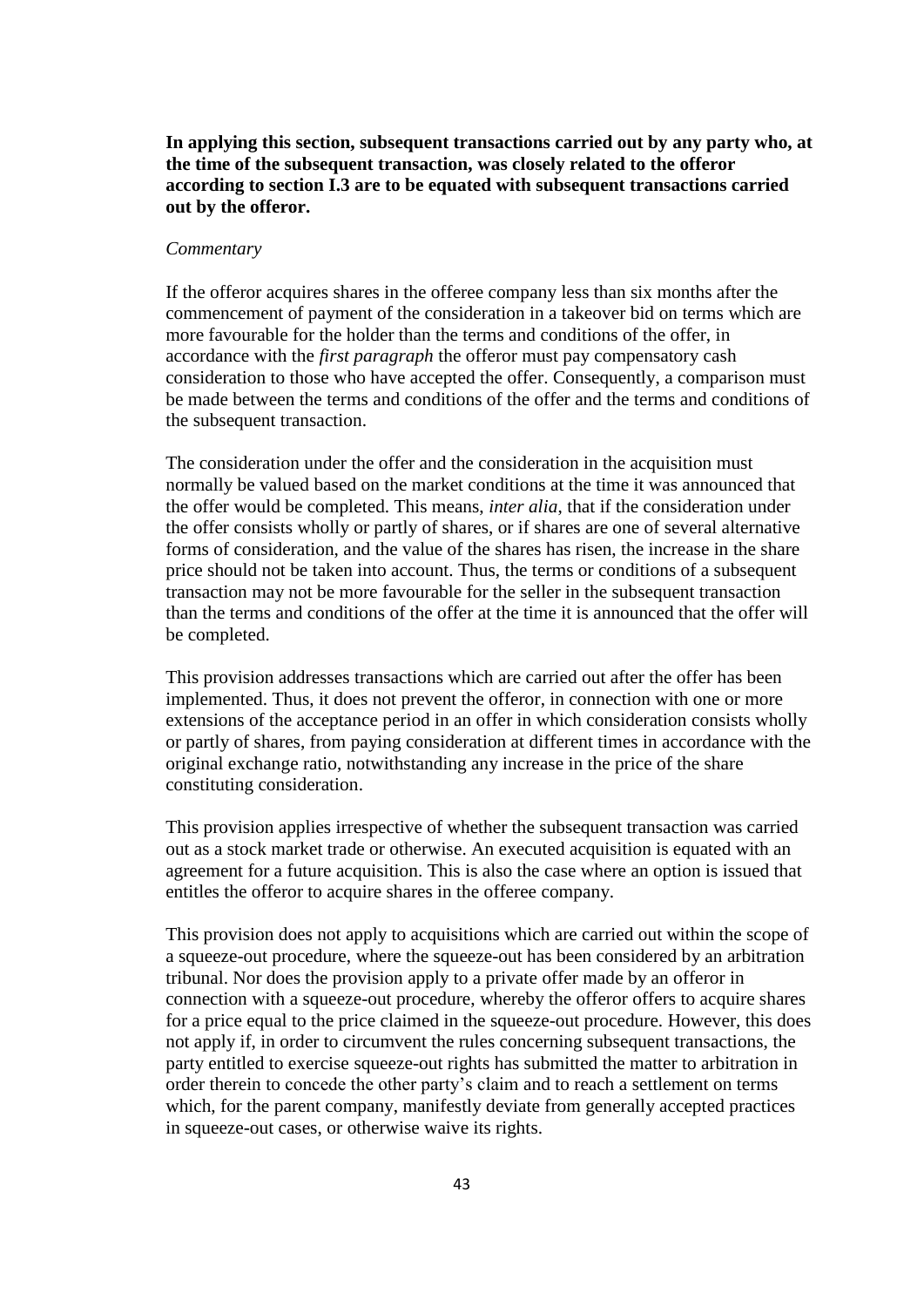**In applying this section, subsequent transactions carried out by any party who, at the time of the subsequent transaction, was closely related to the offeror according to section I.3 are to be equated with subsequent transactions carried out by the offeror.**

### *Commentary*

If the offeror acquires shares in the offeree company less than six months after the commencement of payment of the consideration in a takeover bid on terms which are more favourable for the holder than the terms and conditions of the offer, in accordance with the *first paragraph* the offeror must pay compensatory cash consideration to those who have accepted the offer. Consequently, a comparison must be made between the terms and conditions of the offer and the terms and conditions of the subsequent transaction.

The consideration under the offer and the consideration in the acquisition must normally be valued based on the market conditions at the time it was announced that the offer would be completed. This means, *inter alia*, that if the consideration under the offer consists wholly or partly of shares, or if shares are one of several alternative forms of consideration, and the value of the shares has risen, the increase in the share price should not be taken into account. Thus, the terms or conditions of a subsequent transaction may not be more favourable for the seller in the subsequent transaction than the terms and conditions of the offer at the time it is announced that the offer will be completed.

This provision addresses transactions which are carried out after the offer has been implemented. Thus, it does not prevent the offeror, in connection with one or more extensions of the acceptance period in an offer in which consideration consists wholly or partly of shares, from paying consideration at different times in accordance with the original exchange ratio, notwithstanding any increase in the price of the share constituting consideration.

This provision applies irrespective of whether the subsequent transaction was carried out as a stock market trade or otherwise. An executed acquisition is equated with an agreement for a future acquisition. This is also the case where an option is issued that entitles the offeror to acquire shares in the offeree company.

This provision does not apply to acquisitions which are carried out within the scope of a squeeze-out procedure, where the squeeze-out has been considered by an arbitration tribunal. Nor does the provision apply to a private offer made by an offeror in connection with a squeeze-out procedure, whereby the offeror offers to acquire shares for a price equal to the price claimed in the squeeze-out procedure. However, this does not apply if, in order to circumvent the rules concerning subsequent transactions, the party entitled to exercise squeeze-out rights has submitted the matter to arbitration in order therein to concede the other party's claim and to reach a settlement on terms which, for the parent company, manifestly deviate from generally accepted practices in squeeze-out cases, or otherwise waive its rights.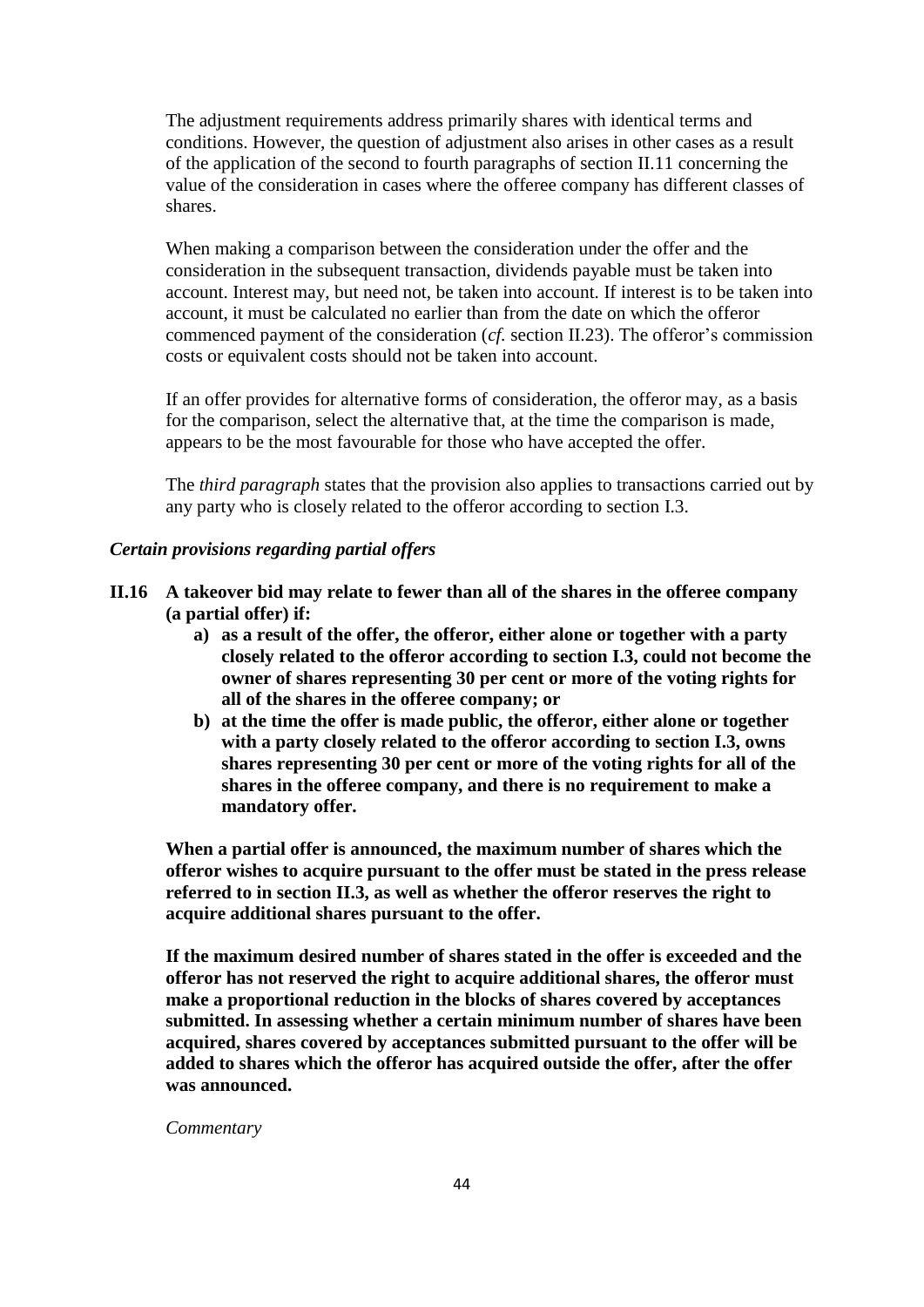The adjustment requirements address primarily shares with identical terms and conditions. However, the question of adjustment also arises in other cases as a result of the application of the second to fourth paragraphs of section II.11 concerning the value of the consideration in cases where the offeree company has different classes of shares.

When making a comparison between the consideration under the offer and the consideration in the subsequent transaction, dividends payable must be taken into account. Interest may, but need not, be taken into account. If interest is to be taken into account, it must be calculated no earlier than from the date on which the offeror commenced payment of the consideration (*cf.* section II.23). The offeror's commission costs or equivalent costs should not be taken into account.

If an offer provides for alternative forms of consideration, the offeror may, as a basis for the comparison, select the alternative that, at the time the comparison is made, appears to be the most favourable for those who have accepted the offer.

The *third paragraph* states that the provision also applies to transactions carried out by any party who is closely related to the offeror according to section I.3.

# *Certain provisions regarding partial offers*

- **II.16 A takeover bid may relate to fewer than all of the shares in the offeree company (a partial offer) if:**
	- **a) as a result of the offer, the offeror, either alone or together with a party closely related to the offeror according to section I.3, could not become the owner of shares representing 30 per cent or more of the voting rights for all of the shares in the offeree company; or**
	- **b) at the time the offer is made public, the offeror, either alone or together with a party closely related to the offeror according to section I.3, owns shares representing 30 per cent or more of the voting rights for all of the shares in the offeree company, and there is no requirement to make a mandatory offer.**

**When a partial offer is announced, the maximum number of shares which the offeror wishes to acquire pursuant to the offer must be stated in the press release referred to in section II.3, as well as whether the offeror reserves the right to acquire additional shares pursuant to the offer.**

**If the maximum desired number of shares stated in the offer is exceeded and the offeror has not reserved the right to acquire additional shares, the offeror must make a proportional reduction in the blocks of shares covered by acceptances submitted. In assessing whether a certain minimum number of shares have been acquired, shares covered by acceptances submitted pursuant to the offer will be added to shares which the offeror has acquired outside the offer, after the offer was announced.**

*Commentary*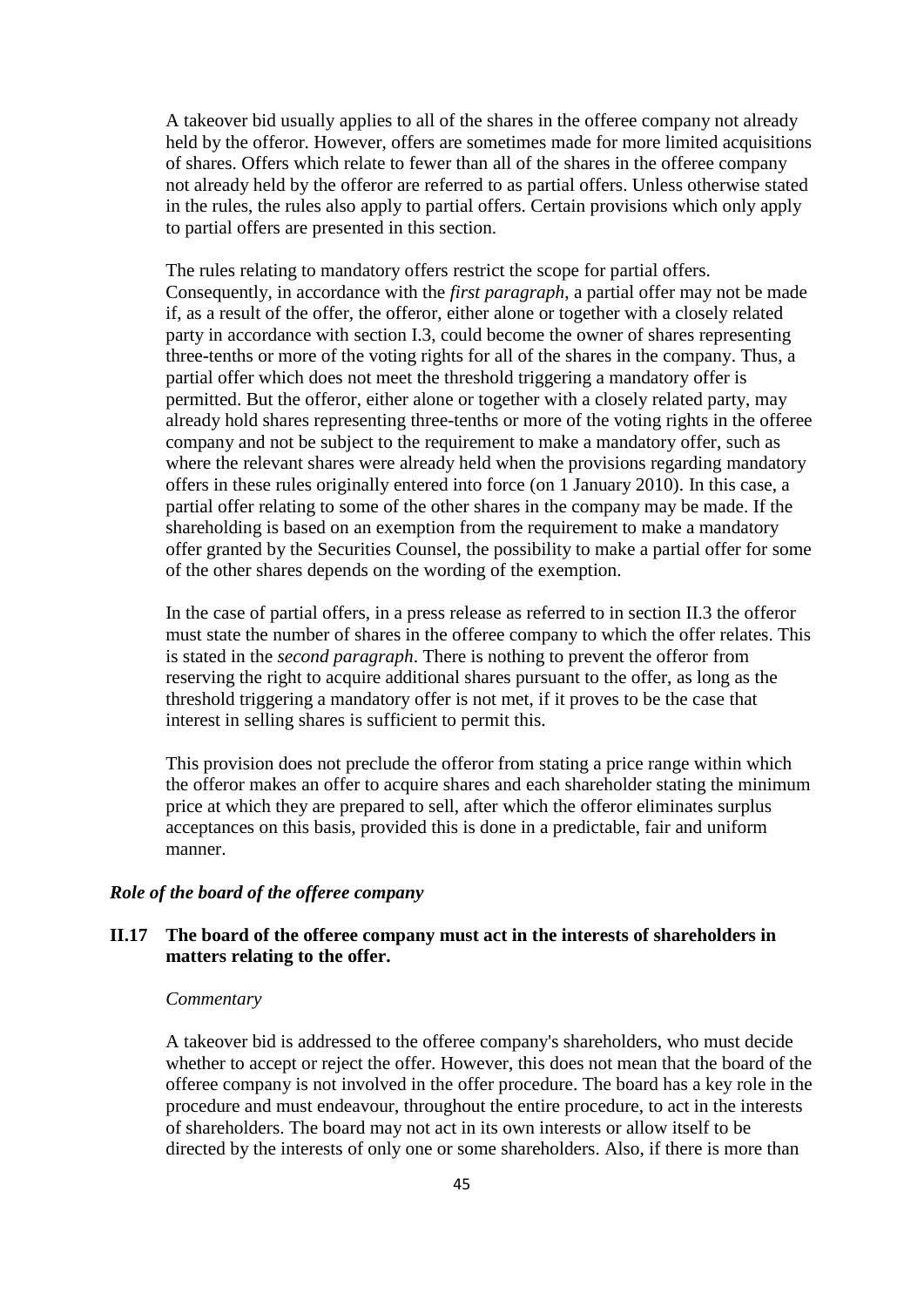A takeover bid usually applies to all of the shares in the offeree company not already held by the offeror. However, offers are sometimes made for more limited acquisitions of shares. Offers which relate to fewer than all of the shares in the offeree company not already held by the offeror are referred to as partial offers. Unless otherwise stated in the rules, the rules also apply to partial offers. Certain provisions which only apply to partial offers are presented in this section.

The rules relating to mandatory offers restrict the scope for partial offers. Consequently, in accordance with the *first paragraph*, a partial offer may not be made if, as a result of the offer, the offeror, either alone or together with a closely related party in accordance with section I.3, could become the owner of shares representing three-tenths or more of the voting rights for all of the shares in the company. Thus, a partial offer which does not meet the threshold triggering a mandatory offer is permitted. But the offeror, either alone or together with a closely related party, may already hold shares representing three-tenths or more of the voting rights in the offeree company and not be subject to the requirement to make a mandatory offer, such as where the relevant shares were already held when the provisions regarding mandatory offers in these rules originally entered into force (on 1 January 2010). In this case, a partial offer relating to some of the other shares in the company may be made. If the shareholding is based on an exemption from the requirement to make a mandatory offer granted by the Securities Counsel, the possibility to make a partial offer for some of the other shares depends on the wording of the exemption.

In the case of partial offers, in a press release as referred to in section II.3 the offeror must state the number of shares in the offeree company to which the offer relates. This is stated in the *second paragraph*. There is nothing to prevent the offeror from reserving the right to acquire additional shares pursuant to the offer, as long as the threshold triggering a mandatory offer is not met, if it proves to be the case that interest in selling shares is sufficient to permit this.

This provision does not preclude the offeror from stating a price range within which the offeror makes an offer to acquire shares and each shareholder stating the minimum price at which they are prepared to sell, after which the offeror eliminates surplus acceptances on this basis, provided this is done in a predictable, fair and uniform manner.

## *Role of the board of the offeree company*

# **II.17 The board of the offeree company must act in the interests of shareholders in matters relating to the offer.**

### *Commentary*

A takeover bid is addressed to the offeree company's shareholders, who must decide whether to accept or reject the offer. However, this does not mean that the board of the offeree company is not involved in the offer procedure. The board has a key role in the procedure and must endeavour, throughout the entire procedure, to act in the interests of shareholders. The board may not act in its own interests or allow itself to be directed by the interests of only one or some shareholders. Also, if there is more than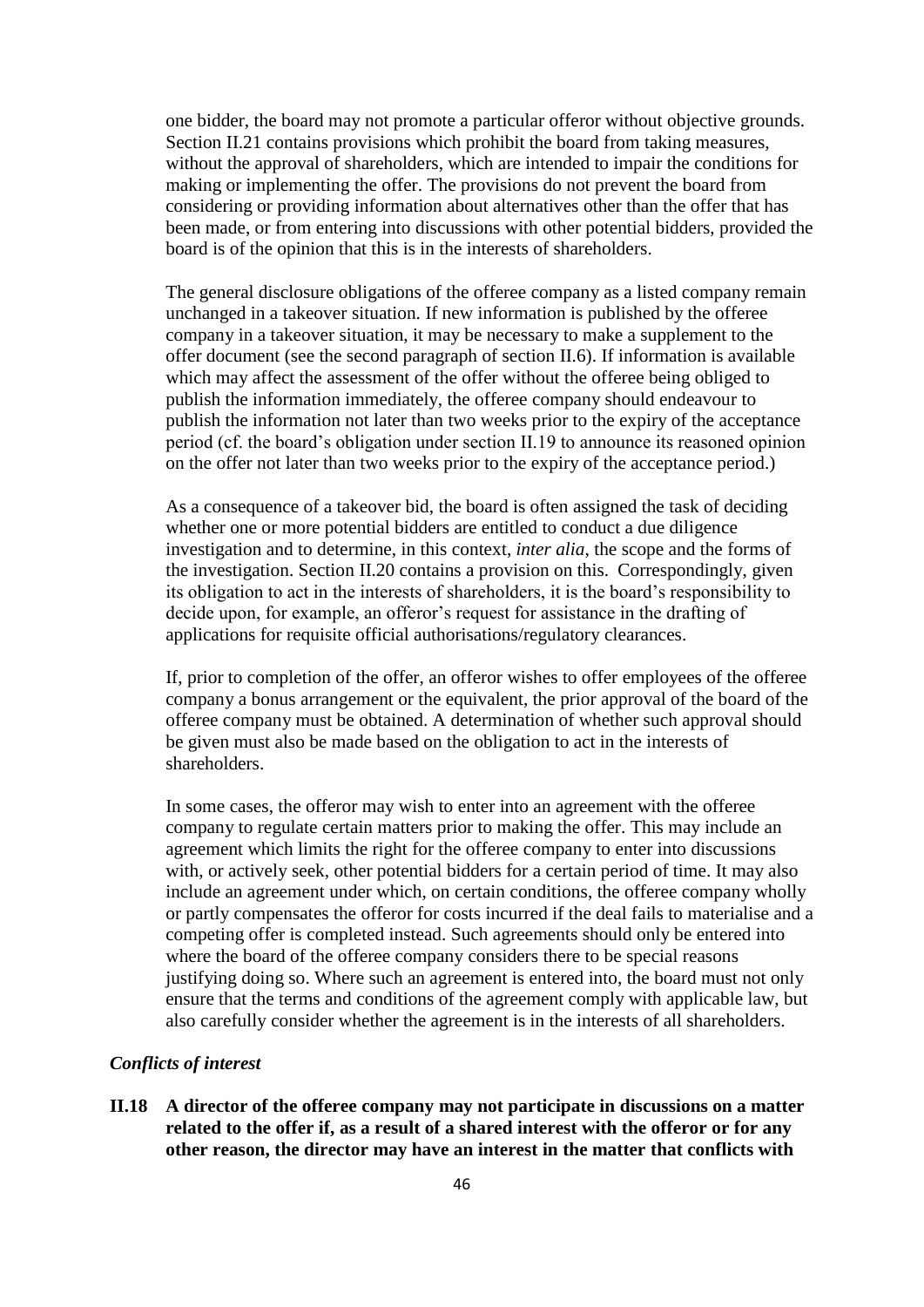one bidder, the board may not promote a particular offeror without objective grounds. Section II.21 contains provisions which prohibit the board from taking measures, without the approval of shareholders, which are intended to impair the conditions for making or implementing the offer. The provisions do not prevent the board from considering or providing information about alternatives other than the offer that has been made, or from entering into discussions with other potential bidders, provided the board is of the opinion that this is in the interests of shareholders.

The general disclosure obligations of the offeree company as a listed company remain unchanged in a takeover situation. If new information is published by the offeree company in a takeover situation, it may be necessary to make a supplement to the offer document (see the second paragraph of section II.6). If information is available which may affect the assessment of the offer without the offeree being obliged to publish the information immediately, the offeree company should endeavour to publish the information not later than two weeks prior to the expiry of the acceptance period (cf. the board's obligation under section II.19 to announce its reasoned opinion on the offer not later than two weeks prior to the expiry of the acceptance period.)

As a consequence of a takeover bid, the board is often assigned the task of deciding whether one or more potential bidders are entitled to conduct a due diligence investigation and to determine, in this context, *inter alia*, the scope and the forms of the investigation. Section II.20 contains a provision on this. Correspondingly, given its obligation to act in the interests of shareholders, it is the board's responsibility to decide upon, for example, an offeror's request for assistance in the drafting of applications for requisite official authorisations/regulatory clearances.

If, prior to completion of the offer, an offeror wishes to offer employees of the offeree company a bonus arrangement or the equivalent, the prior approval of the board of the offeree company must be obtained. A determination of whether such approval should be given must also be made based on the obligation to act in the interests of shareholders.

In some cases, the offeror may wish to enter into an agreement with the offeree company to regulate certain matters prior to making the offer. This may include an agreement which limits the right for the offeree company to enter into discussions with, or actively seek, other potential bidders for a certain period of time. It may also include an agreement under which, on certain conditions, the offeree company wholly or partly compensates the offeror for costs incurred if the deal fails to materialise and a competing offer is completed instead. Such agreements should only be entered into where the board of the offeree company considers there to be special reasons justifying doing so. Where such an agreement is entered into, the board must not only ensure that the terms and conditions of the agreement comply with applicable law, but also carefully consider whether the agreement is in the interests of all shareholders.

### *Conflicts of interest*

**II.18 A director of the offeree company may not participate in discussions on a matter related to the offer if, as a result of a shared interest with the offeror or for any other reason, the director may have an interest in the matter that conflicts with**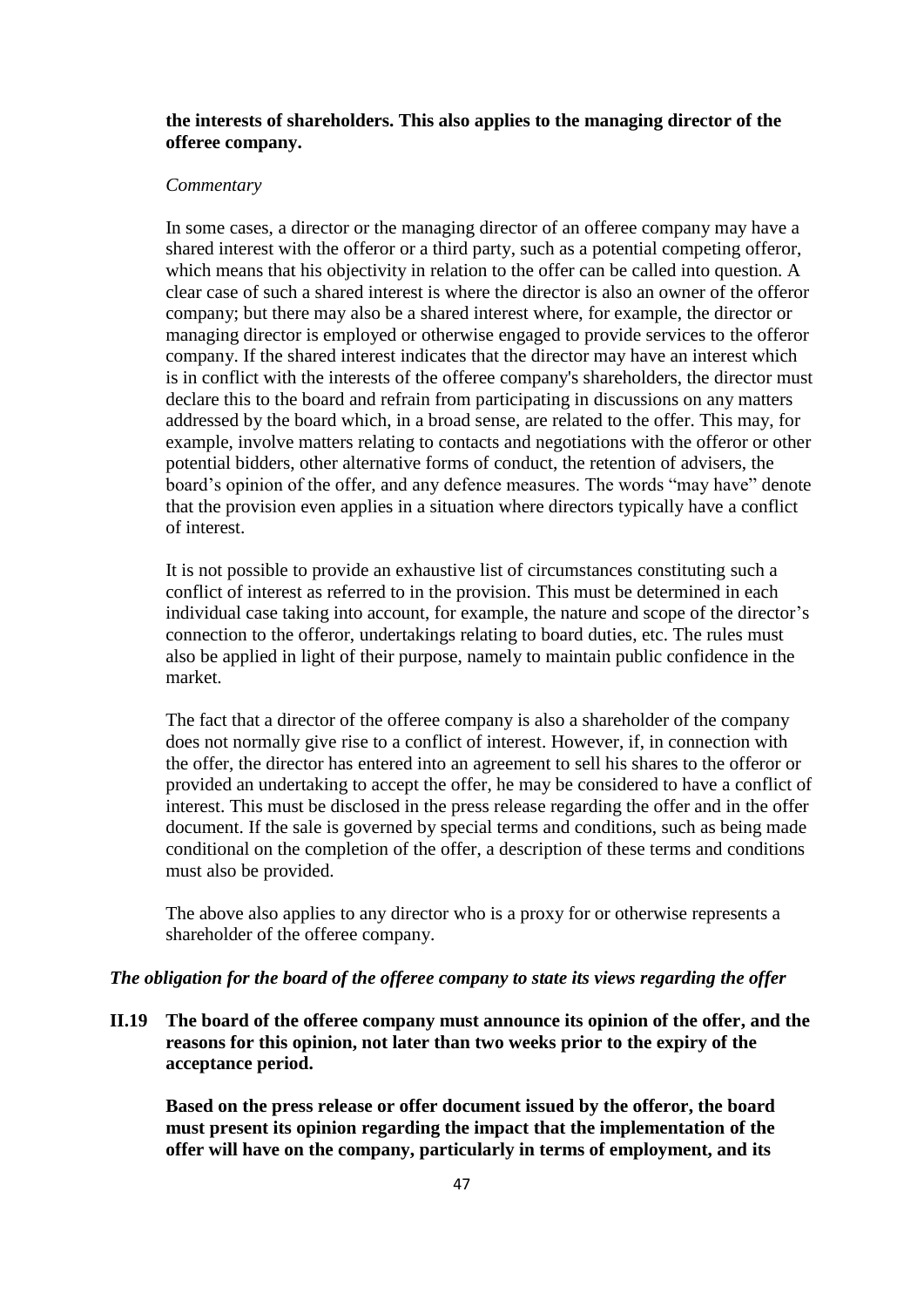# **the interests of shareholders. This also applies to the managing director of the offeree company.**

### *Commentary*

In some cases, a director or the managing director of an offeree company may have a shared interest with the offeror or a third party, such as a potential competing offeror, which means that his objectivity in relation to the offer can be called into question. A clear case of such a shared interest is where the director is also an owner of the offeror company; but there may also be a shared interest where, for example, the director or managing director is employed or otherwise engaged to provide services to the offeror company. If the shared interest indicates that the director may have an interest which is in conflict with the interests of the offeree company's shareholders, the director must declare this to the board and refrain from participating in discussions on any matters addressed by the board which, in a broad sense, are related to the offer. This may, for example, involve matters relating to contacts and negotiations with the offeror or other potential bidders, other alternative forms of conduct, the retention of advisers, the board's opinion of the offer, and any defence measures. The words "may have" denote that the provision even applies in a situation where directors typically have a conflict of interest.

It is not possible to provide an exhaustive list of circumstances constituting such a conflict of interest as referred to in the provision. This must be determined in each individual case taking into account, for example, the nature and scope of the director's connection to the offeror, undertakings relating to board duties, etc. The rules must also be applied in light of their purpose, namely to maintain public confidence in the market.

The fact that a director of the offeree company is also a shareholder of the company does not normally give rise to a conflict of interest. However, if, in connection with the offer, the director has entered into an agreement to sell his shares to the offeror or provided an undertaking to accept the offer, he may be considered to have a conflict of interest. This must be disclosed in the press release regarding the offer and in the offer document. If the sale is governed by special terms and conditions, such as being made conditional on the completion of the offer, a description of these terms and conditions must also be provided.

The above also applies to any director who is a proxy for or otherwise represents a shareholder of the offeree company.

## *The obligation for the board of the offeree company to state its views regarding the offer*

**II.19 The board of the offeree company must announce its opinion of the offer, and the reasons for this opinion, not later than two weeks prior to the expiry of the acceptance period.**

**Based on the press release or offer document issued by the offeror, the board must present its opinion regarding the impact that the implementation of the offer will have on the company, particularly in terms of employment, and its**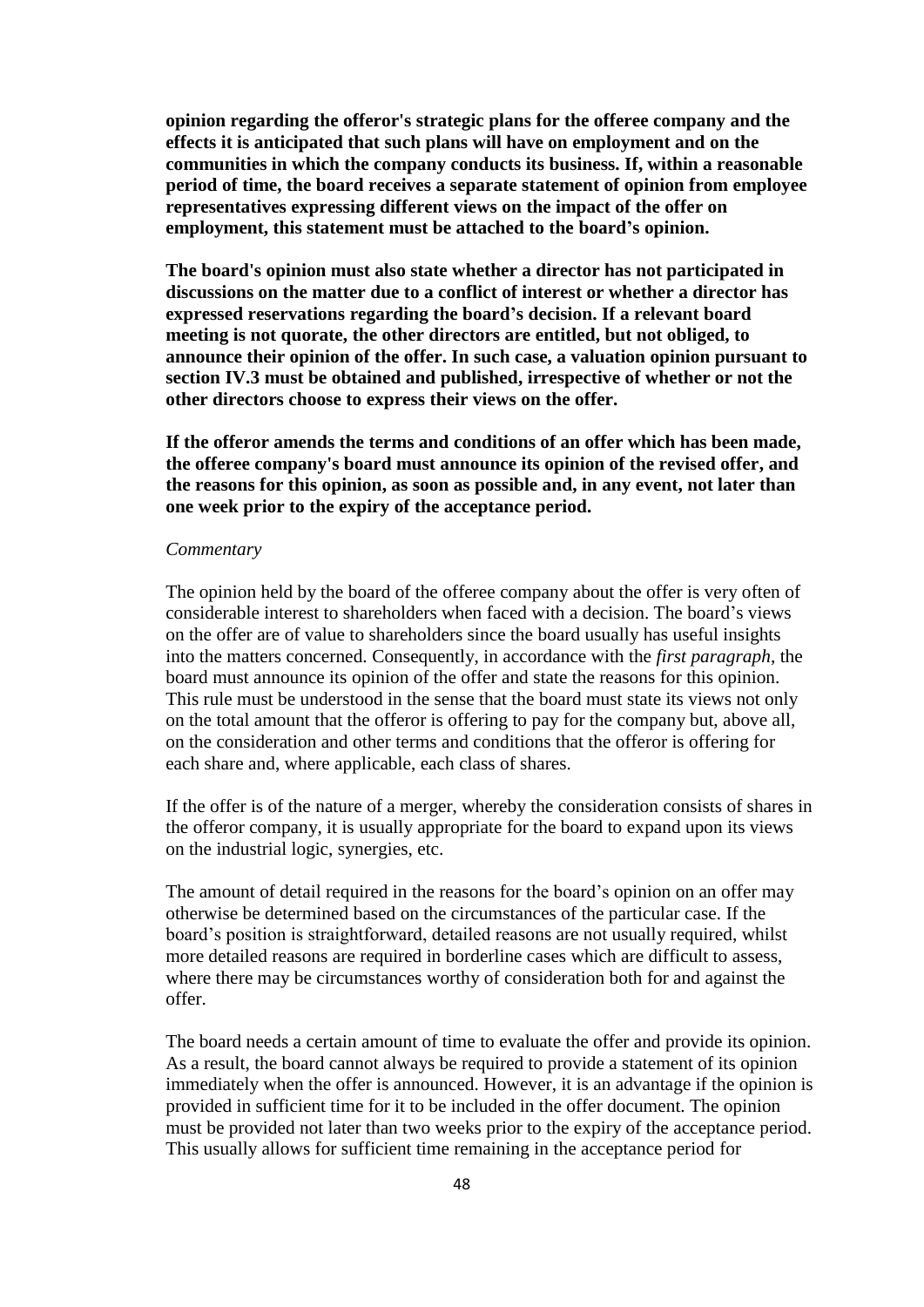**opinion regarding the offeror's strategic plans for the offeree company and the effects it is anticipated that such plans will have on employment and on the communities in which the company conducts its business. If, within a reasonable period of time, the board receives a separate statement of opinion from employee representatives expressing different views on the impact of the offer on employment, this statement must be attached to the board's opinion.**

**The board's opinion must also state whether a director has not participated in discussions on the matter due to a conflict of interest or whether a director has expressed reservations regarding the board's decision. If a relevant board meeting is not quorate, the other directors are entitled, but not obliged, to announce their opinion of the offer. In such case, a valuation opinion pursuant to section IV.3 must be obtained and published, irrespective of whether or not the other directors choose to express their views on the offer.**

**If the offeror amends the terms and conditions of an offer which has been made, the offeree company's board must announce its opinion of the revised offer, and the reasons for this opinion, as soon as possible and, in any event, not later than one week prior to the expiry of the acceptance period.**

#### *Commentary*

The opinion held by the board of the offeree company about the offer is very often of considerable interest to shareholders when faced with a decision. The board's views on the offer are of value to shareholders since the board usually has useful insights into the matters concerned. Consequently, in accordance with the *first paragraph*, the board must announce its opinion of the offer and state the reasons for this opinion. This rule must be understood in the sense that the board must state its views not only on the total amount that the offeror is offering to pay for the company but, above all, on the consideration and other terms and conditions that the offeror is offering for each share and, where applicable, each class of shares.

If the offer is of the nature of a merger, whereby the consideration consists of shares in the offeror company, it is usually appropriate for the board to expand upon its views on the industrial logic, synergies, etc.

The amount of detail required in the reasons for the board's opinion on an offer may otherwise be determined based on the circumstances of the particular case. If the board's position is straightforward, detailed reasons are not usually required, whilst more detailed reasons are required in borderline cases which are difficult to assess, where there may be circumstances worthy of consideration both for and against the offer.

The board needs a certain amount of time to evaluate the offer and provide its opinion. As a result, the board cannot always be required to provide a statement of its opinion immediately when the offer is announced. However, it is an advantage if the opinion is provided in sufficient time for it to be included in the offer document. The opinion must be provided not later than two weeks prior to the expiry of the acceptance period. This usually allows for sufficient time remaining in the acceptance period for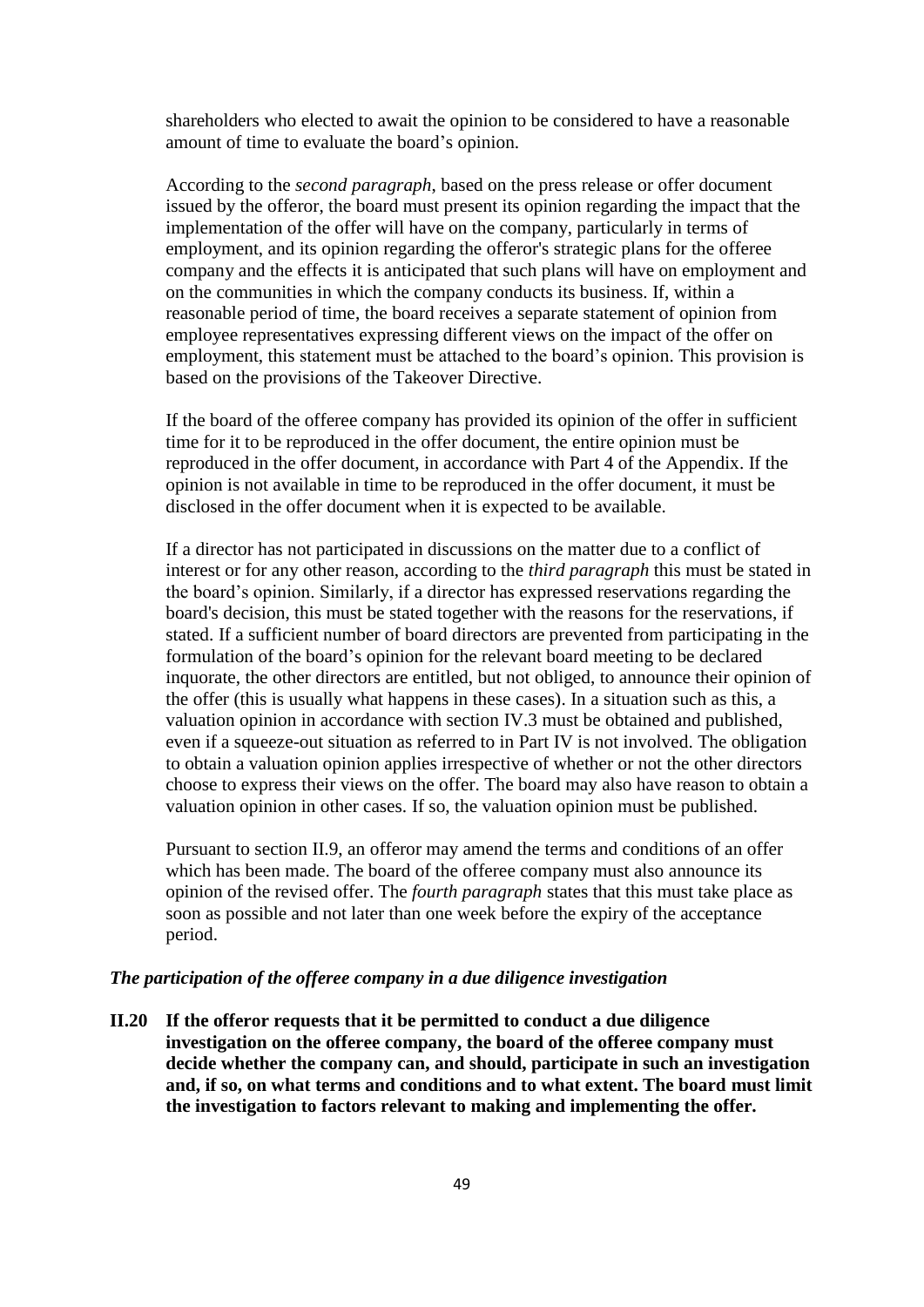shareholders who elected to await the opinion to be considered to have a reasonable amount of time to evaluate the board's opinion.

According to the *second paragraph*, based on the press release or offer document issued by the offeror, the board must present its opinion regarding the impact that the implementation of the offer will have on the company, particularly in terms of employment, and its opinion regarding the offeror's strategic plans for the offeree company and the effects it is anticipated that such plans will have on employment and on the communities in which the company conducts its business. If, within a reasonable period of time, the board receives a separate statement of opinion from employee representatives expressing different views on the impact of the offer on employment, this statement must be attached to the board's opinion. This provision is based on the provisions of the Takeover Directive.

If the board of the offeree company has provided its opinion of the offer in sufficient time for it to be reproduced in the offer document, the entire opinion must be reproduced in the offer document, in accordance with Part 4 of the Appendix. If the opinion is not available in time to be reproduced in the offer document, it must be disclosed in the offer document when it is expected to be available.

If a director has not participated in discussions on the matter due to a conflict of interest or for any other reason, according to the *third paragraph* this must be stated in the board's opinion. Similarly, if a director has expressed reservations regarding the board's decision, this must be stated together with the reasons for the reservations, if stated. If a sufficient number of board directors are prevented from participating in the formulation of the board's opinion for the relevant board meeting to be declared inquorate, the other directors are entitled, but not obliged, to announce their opinion of the offer (this is usually what happens in these cases). In a situation such as this, a valuation opinion in accordance with section IV.3 must be obtained and published, even if a squeeze-out situation as referred to in Part IV is not involved. The obligation to obtain a valuation opinion applies irrespective of whether or not the other directors choose to express their views on the offer. The board may also have reason to obtain a valuation opinion in other cases. If so, the valuation opinion must be published.

Pursuant to section II.9, an offeror may amend the terms and conditions of an offer which has been made. The board of the offeree company must also announce its opinion of the revised offer. The *fourth paragraph* states that this must take place as soon as possible and not later than one week before the expiry of the acceptance period.

## *The participation of the offeree company in a due diligence investigation*

**II.20 If the offeror requests that it be permitted to conduct a due diligence investigation on the offeree company, the board of the offeree company must decide whether the company can, and should, participate in such an investigation and, if so, on what terms and conditions and to what extent. The board must limit the investigation to factors relevant to making and implementing the offer.**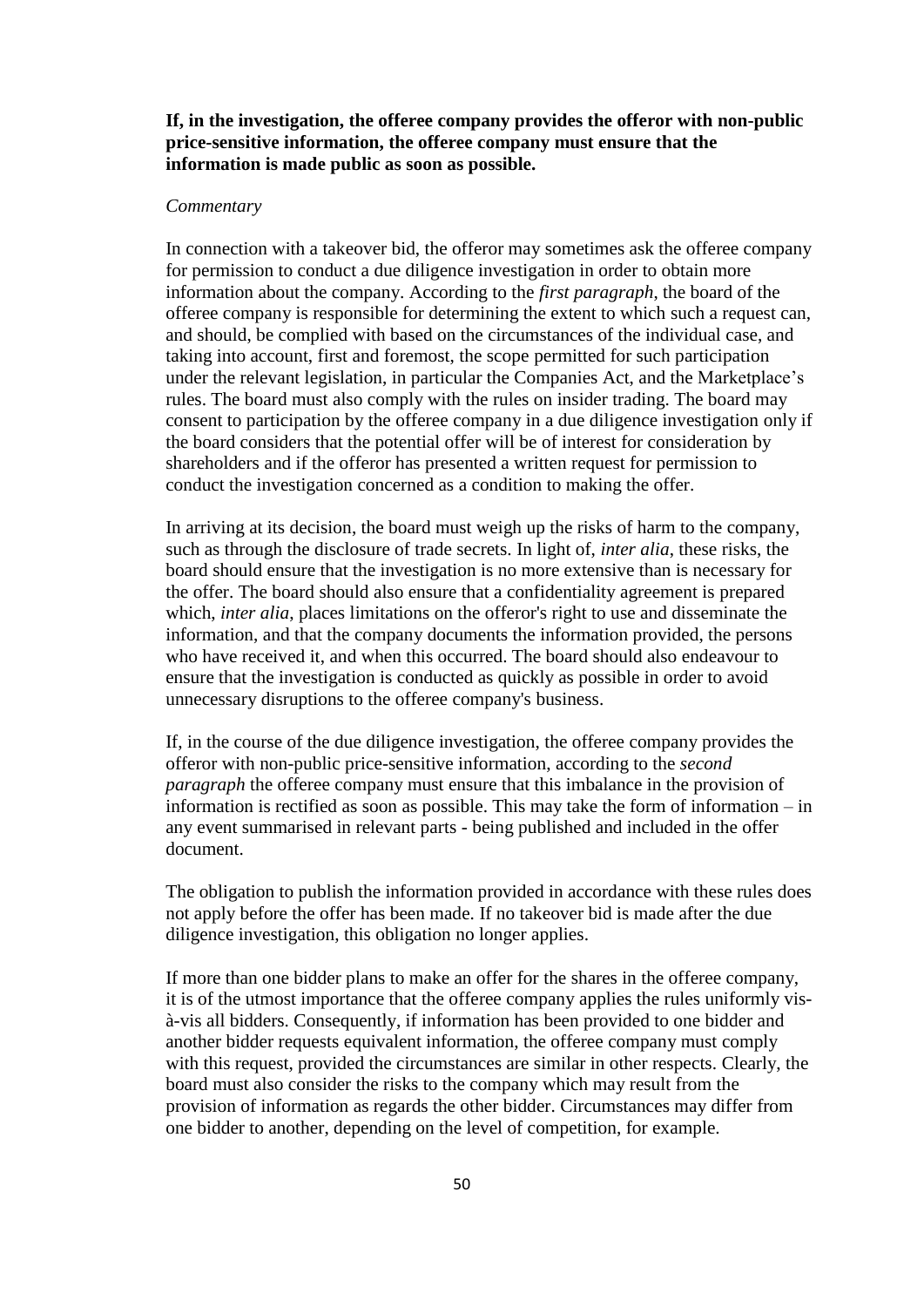# **If, in the investigation, the offeree company provides the offeror with non-public price-sensitive information, the offeree company must ensure that the information is made public as soon as possible.**

### *Commentary*

In connection with a takeover bid, the offeror may sometimes ask the offeree company for permission to conduct a due diligence investigation in order to obtain more information about the company. According to the *first paragraph*, the board of the offeree company is responsible for determining the extent to which such a request can, and should, be complied with based on the circumstances of the individual case, and taking into account, first and foremost, the scope permitted for such participation under the relevant legislation, in particular the Companies Act, and the Marketplace's rules. The board must also comply with the rules on insider trading. The board may consent to participation by the offeree company in a due diligence investigation only if the board considers that the potential offer will be of interest for consideration by shareholders and if the offeror has presented a written request for permission to conduct the investigation concerned as a condition to making the offer.

In arriving at its decision, the board must weigh up the risks of harm to the company, such as through the disclosure of trade secrets. In light of, *inter alia*, these risks, the board should ensure that the investigation is no more extensive than is necessary for the offer. The board should also ensure that a confidentiality agreement is prepared which, *inter alia*, places limitations on the offeror's right to use and disseminate the information, and that the company documents the information provided, the persons who have received it, and when this occurred. The board should also endeavour to ensure that the investigation is conducted as quickly as possible in order to avoid unnecessary disruptions to the offeree company's business.

If, in the course of the due diligence investigation, the offeree company provides the offeror with non-public price-sensitive information, according to the *second paragraph* the offeree company must ensure that this imbalance in the provision of information is rectified as soon as possible. This may take the form of information – in any event summarised in relevant parts - being published and included in the offer document.

The obligation to publish the information provided in accordance with these rules does not apply before the offer has been made. If no takeover bid is made after the due diligence investigation, this obligation no longer applies.

If more than one bidder plans to make an offer for the shares in the offeree company, it is of the utmost importance that the offeree company applies the rules uniformly visà-vis all bidders. Consequently, if information has been provided to one bidder and another bidder requests equivalent information, the offeree company must comply with this request, provided the circumstances are similar in other respects. Clearly, the board must also consider the risks to the company which may result from the provision of information as regards the other bidder. Circumstances may differ from one bidder to another, depending on the level of competition, for example.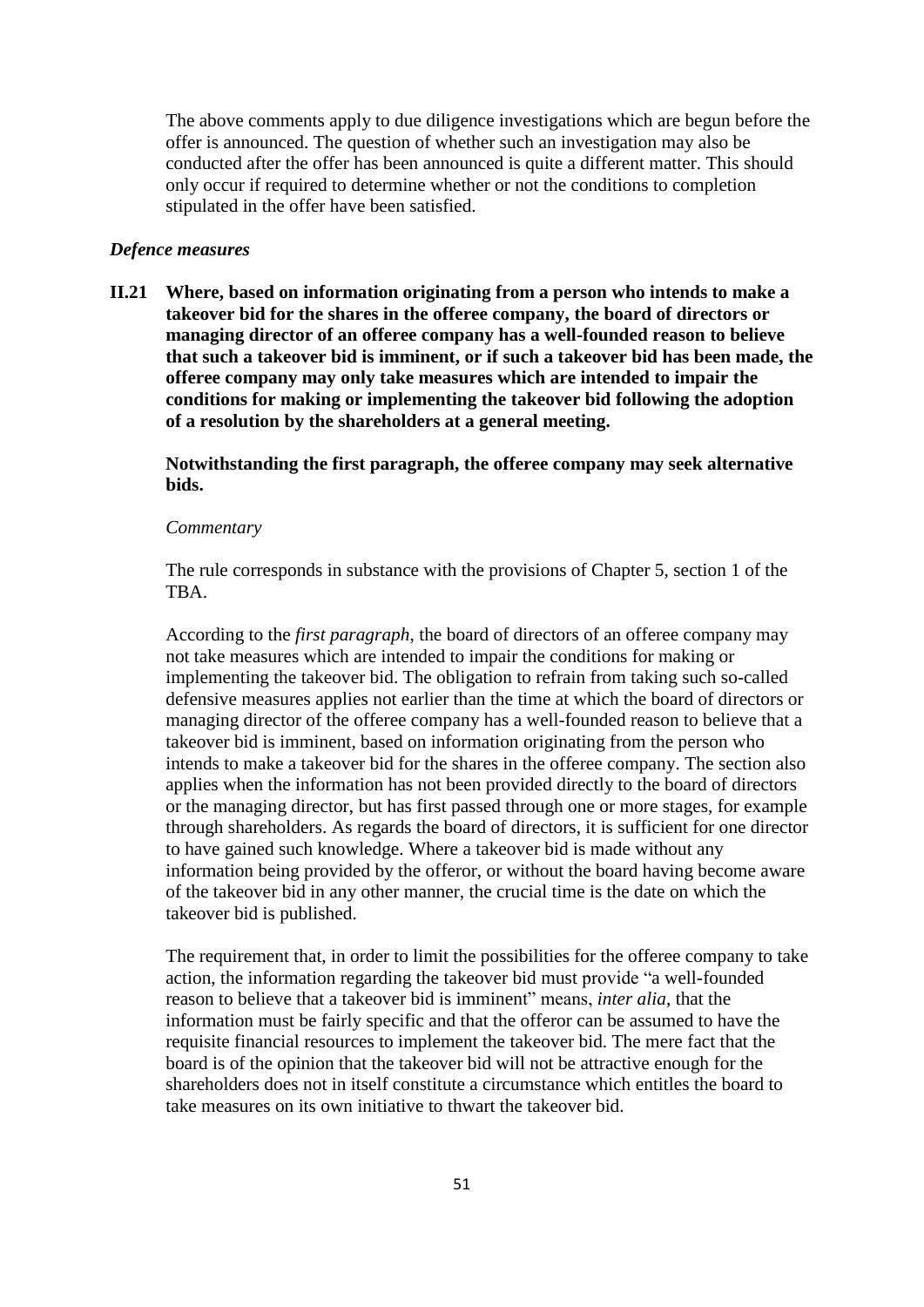The above comments apply to due diligence investigations which are begun before the offer is announced. The question of whether such an investigation may also be conducted after the offer has been announced is quite a different matter. This should only occur if required to determine whether or not the conditions to completion stipulated in the offer have been satisfied.

### *Defence measures*

**II.21 Where, based on information originating from a person who intends to make a takeover bid for the shares in the offeree company, the board of directors or managing director of an offeree company has a well-founded reason to believe that such a takeover bid is imminent, or if such a takeover bid has been made, the offeree company may only take measures which are intended to impair the conditions for making or implementing the takeover bid following the adoption of a resolution by the shareholders at a general meeting.**

**Notwithstanding the first paragraph, the offeree company may seek alternative bids.**

### *Commentary*

The rule corresponds in substance with the provisions of Chapter 5, section 1 of the TBA.

According to the *first paragraph*, the board of directors of an offeree company may not take measures which are intended to impair the conditions for making or implementing the takeover bid. The obligation to refrain from taking such so-called defensive measures applies not earlier than the time at which the board of directors or managing director of the offeree company has a well-founded reason to believe that a takeover bid is imminent, based on information originating from the person who intends to make a takeover bid for the shares in the offeree company. The section also applies when the information has not been provided directly to the board of directors or the managing director, but has first passed through one or more stages, for example through shareholders. As regards the board of directors, it is sufficient for one director to have gained such knowledge. Where a takeover bid is made without any information being provided by the offeror, or without the board having become aware of the takeover bid in any other manner, the crucial time is the date on which the takeover bid is published.

The requirement that, in order to limit the possibilities for the offeree company to take action, the information regarding the takeover bid must provide "a well-founded reason to believe that a takeover bid is imminent" means, *inter alia*, that the information must be fairly specific and that the offeror can be assumed to have the requisite financial resources to implement the takeover bid. The mere fact that the board is of the opinion that the takeover bid will not be attractive enough for the shareholders does not in itself constitute a circumstance which entitles the board to take measures on its own initiative to thwart the takeover bid.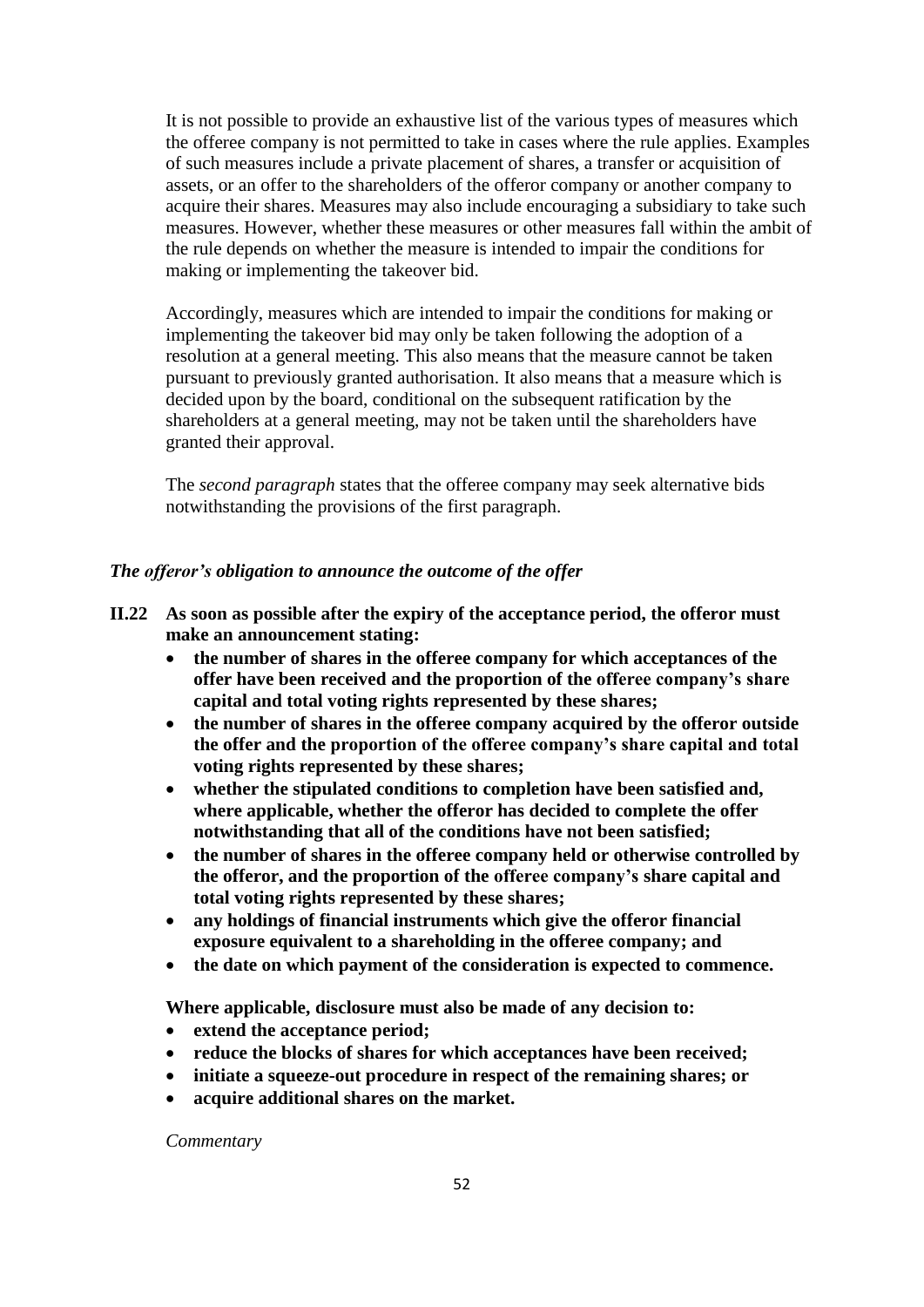It is not possible to provide an exhaustive list of the various types of measures which the offeree company is not permitted to take in cases where the rule applies. Examples of such measures include a private placement of shares, a transfer or acquisition of assets, or an offer to the shareholders of the offeror company or another company to acquire their shares. Measures may also include encouraging a subsidiary to take such measures. However, whether these measures or other measures fall within the ambit of the rule depends on whether the measure is intended to impair the conditions for making or implementing the takeover bid.

Accordingly, measures which are intended to impair the conditions for making or implementing the takeover bid may only be taken following the adoption of a resolution at a general meeting. This also means that the measure cannot be taken pursuant to previously granted authorisation. It also means that a measure which is decided upon by the board, conditional on the subsequent ratification by the shareholders at a general meeting, may not be taken until the shareholders have granted their approval.

The *second paragraph* states that the offeree company may seek alternative bids notwithstanding the provisions of the first paragraph.

# *The offeror's obligation to announce the outcome of the offer*

- **II.22 As soon as possible after the expiry of the acceptance period, the offeror must make an announcement stating:**
	- **the number of shares in the offeree company for which acceptances of the offer have been received and the proportion of the offeree company's share capital and total voting rights represented by these shares;**
	- **the number of shares in the offeree company acquired by the offeror outside the offer and the proportion of the offeree company's share capital and total voting rights represented by these shares;**
	- **whether the stipulated conditions to completion have been satisfied and, where applicable, whether the offeror has decided to complete the offer notwithstanding that all of the conditions have not been satisfied;**
	- **the number of shares in the offeree company held or otherwise controlled by the offeror, and the proportion of the offeree company's share capital and total voting rights represented by these shares;**
	- **any holdings of financial instruments which give the offeror financial exposure equivalent to a shareholding in the offeree company; and**
	- **the date on which payment of the consideration is expected to commence.**

**Where applicable, disclosure must also be made of any decision to:**

- **extend the acceptance period;**
- **reduce the blocks of shares for which acceptances have been received;**
- **initiate a squeeze-out procedure in respect of the remaining shares; or**
- **acquire additional shares on the market.**

*Commentary*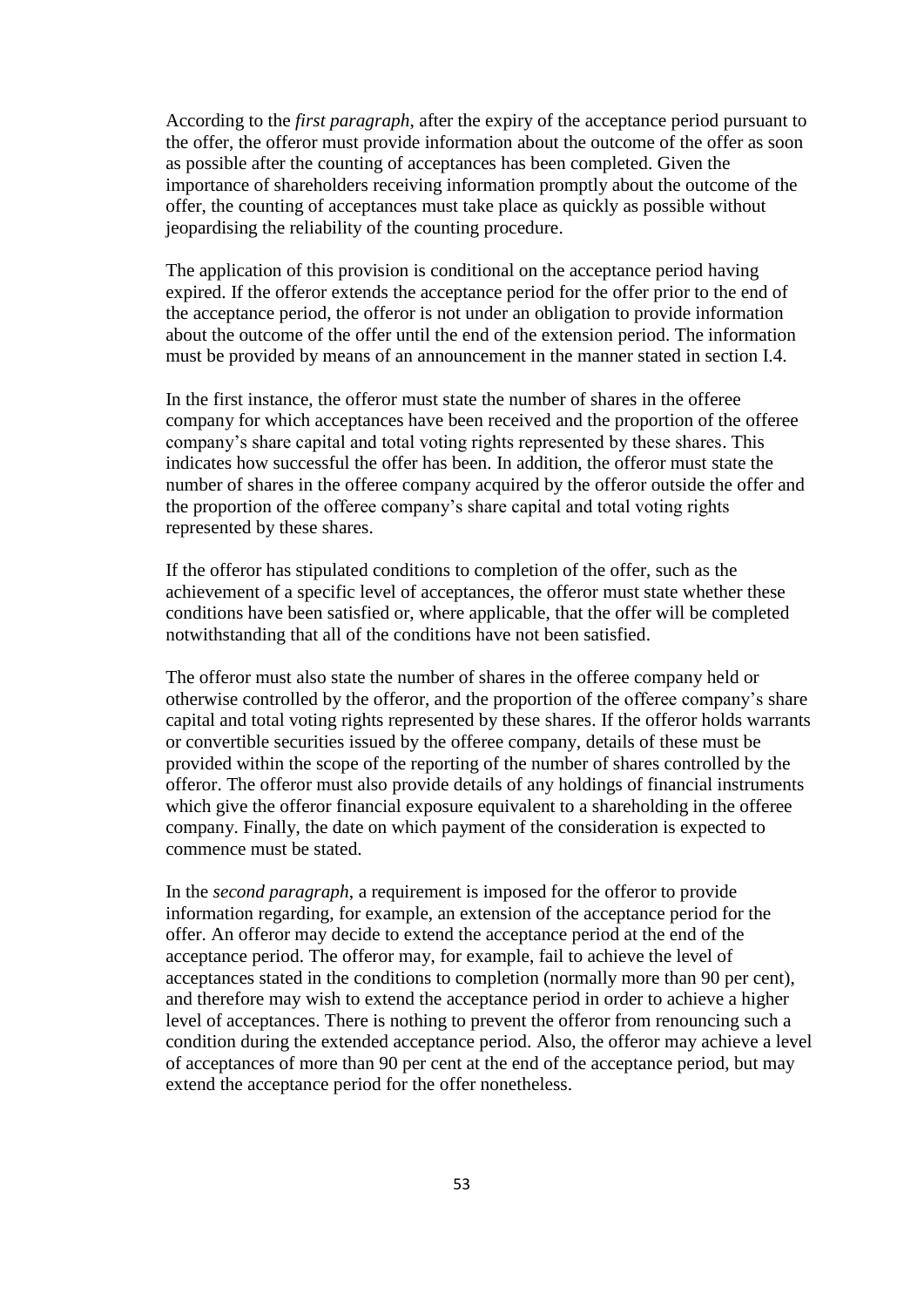According to the *first paragraph*, after the expiry of the acceptance period pursuant to the offer, the offeror must provide information about the outcome of the offer as soon as possible after the counting of acceptances has been completed. Given the importance of shareholders receiving information promptly about the outcome of the offer, the counting of acceptances must take place as quickly as possible without jeopardising the reliability of the counting procedure.

The application of this provision is conditional on the acceptance period having expired. If the offeror extends the acceptance period for the offer prior to the end of the acceptance period, the offeror is not under an obligation to provide information about the outcome of the offer until the end of the extension period. The information must be provided by means of an announcement in the manner stated in section I.4.

In the first instance, the offeror must state the number of shares in the offeree company for which acceptances have been received and the proportion of the offeree company's share capital and total voting rights represented by these shares. This indicates how successful the offer has been. In addition, the offeror must state the number of shares in the offeree company acquired by the offeror outside the offer and the proportion of the offeree company's share capital and total voting rights represented by these shares.

If the offeror has stipulated conditions to completion of the offer, such as the achievement of a specific level of acceptances, the offeror must state whether these conditions have been satisfied or, where applicable, that the offer will be completed notwithstanding that all of the conditions have not been satisfied.

The offeror must also state the number of shares in the offeree company held or otherwise controlled by the offeror, and the proportion of the offeree company's share capital and total voting rights represented by these shares. If the offeror holds warrants or convertible securities issued by the offeree company, details of these must be provided within the scope of the reporting of the number of shares controlled by the offeror. The offeror must also provide details of any holdings of financial instruments which give the offeror financial exposure equivalent to a shareholding in the offeree company. Finally, the date on which payment of the consideration is expected to commence must be stated.

In the *second paragraph*, a requirement is imposed for the offeror to provide information regarding, for example, an extension of the acceptance period for the offer. An offeror may decide to extend the acceptance period at the end of the acceptance period. The offeror may, for example, fail to achieve the level of acceptances stated in the conditions to completion (normally more than 90 per cent), and therefore may wish to extend the acceptance period in order to achieve a higher level of acceptances. There is nothing to prevent the offeror from renouncing such a condition during the extended acceptance period. Also, the offeror may achieve a level of acceptances of more than 90 per cent at the end of the acceptance period, but may extend the acceptance period for the offer nonetheless.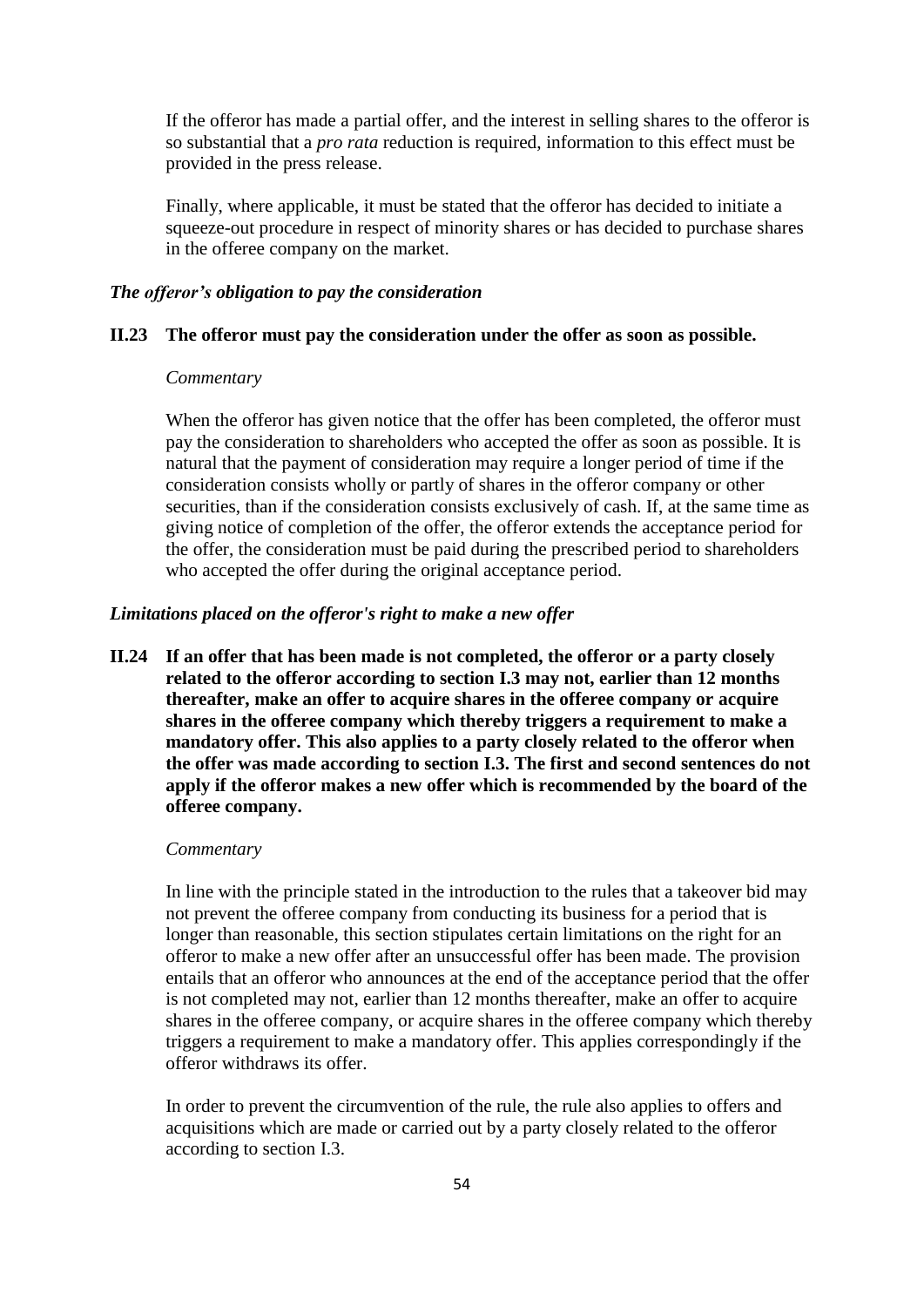If the offeror has made a partial offer, and the interest in selling shares to the offeror is so substantial that a *pro rata* reduction is required, information to this effect must be provided in the press release.

Finally, where applicable, it must be stated that the offeror has decided to initiate a squeeze-out procedure in respect of minority shares or has decided to purchase shares in the offeree company on the market.

### *The offeror's obligation to pay the consideration*

### **II.23 The offeror must pay the consideration under the offer as soon as possible.**

### *Commentary*

When the offeror has given notice that the offer has been completed, the offeror must pay the consideration to shareholders who accepted the offer as soon as possible. It is natural that the payment of consideration may require a longer period of time if the consideration consists wholly or partly of shares in the offeror company or other securities, than if the consideration consists exclusively of cash. If, at the same time as giving notice of completion of the offer, the offeror extends the acceptance period for the offer, the consideration must be paid during the prescribed period to shareholders who accepted the offer during the original acceptance period.

## *Limitations placed on the offeror's right to make a new offer*

**II.24 If an offer that has been made is not completed, the offeror or a party closely related to the offeror according to section I.3 may not, earlier than 12 months thereafter, make an offer to acquire shares in the offeree company or acquire shares in the offeree company which thereby triggers a requirement to make a mandatory offer. This also applies to a party closely related to the offeror when the offer was made according to section I.3. The first and second sentences do not apply if the offeror makes a new offer which is recommended by the board of the offeree company.**

#### *Commentary*

In line with the principle stated in the introduction to the rules that a takeover bid may not prevent the offeree company from conducting its business for a period that is longer than reasonable, this section stipulates certain limitations on the right for an offeror to make a new offer after an unsuccessful offer has been made. The provision entails that an offeror who announces at the end of the acceptance period that the offer is not completed may not, earlier than 12 months thereafter, make an offer to acquire shares in the offeree company, or acquire shares in the offeree company which thereby triggers a requirement to make a mandatory offer. This applies correspondingly if the offeror withdraws its offer.

In order to prevent the circumvention of the rule, the rule also applies to offers and acquisitions which are made or carried out by a party closely related to the offeror according to section I.3.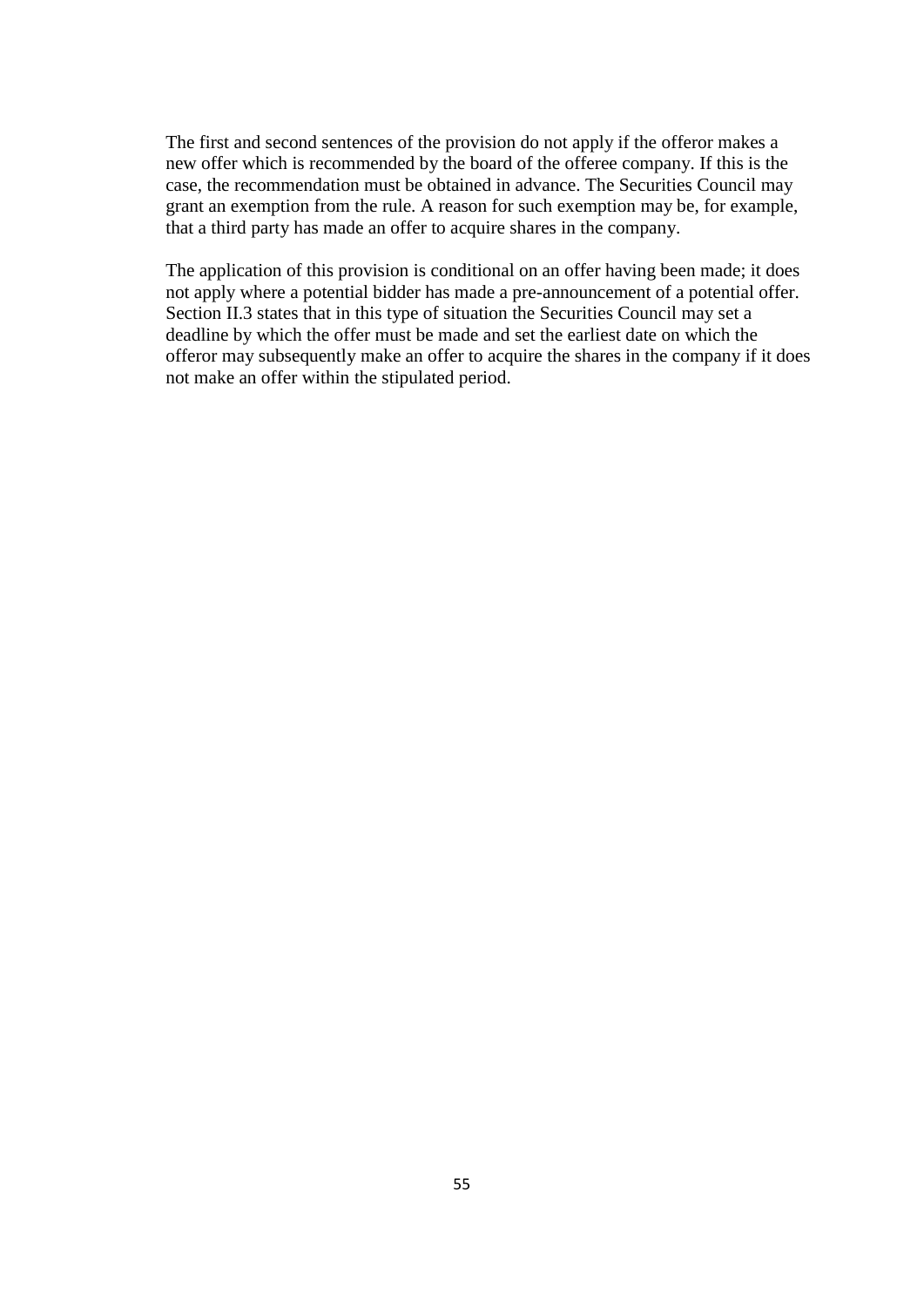The first and second sentences of the provision do not apply if the offeror makes a new offer which is recommended by the board of the offeree company. If this is the case, the recommendation must be obtained in advance. The Securities Council may grant an exemption from the rule. A reason for such exemption may be, for example, that a third party has made an offer to acquire shares in the company.

The application of this provision is conditional on an offer having been made; it does not apply where a potential bidder has made a pre-announcement of a potential offer. Section II.3 states that in this type of situation the Securities Council may set a deadline by which the offer must be made and set the earliest date on which the offeror may subsequently make an offer to acquire the shares in the company if it does not make an offer within the stipulated period.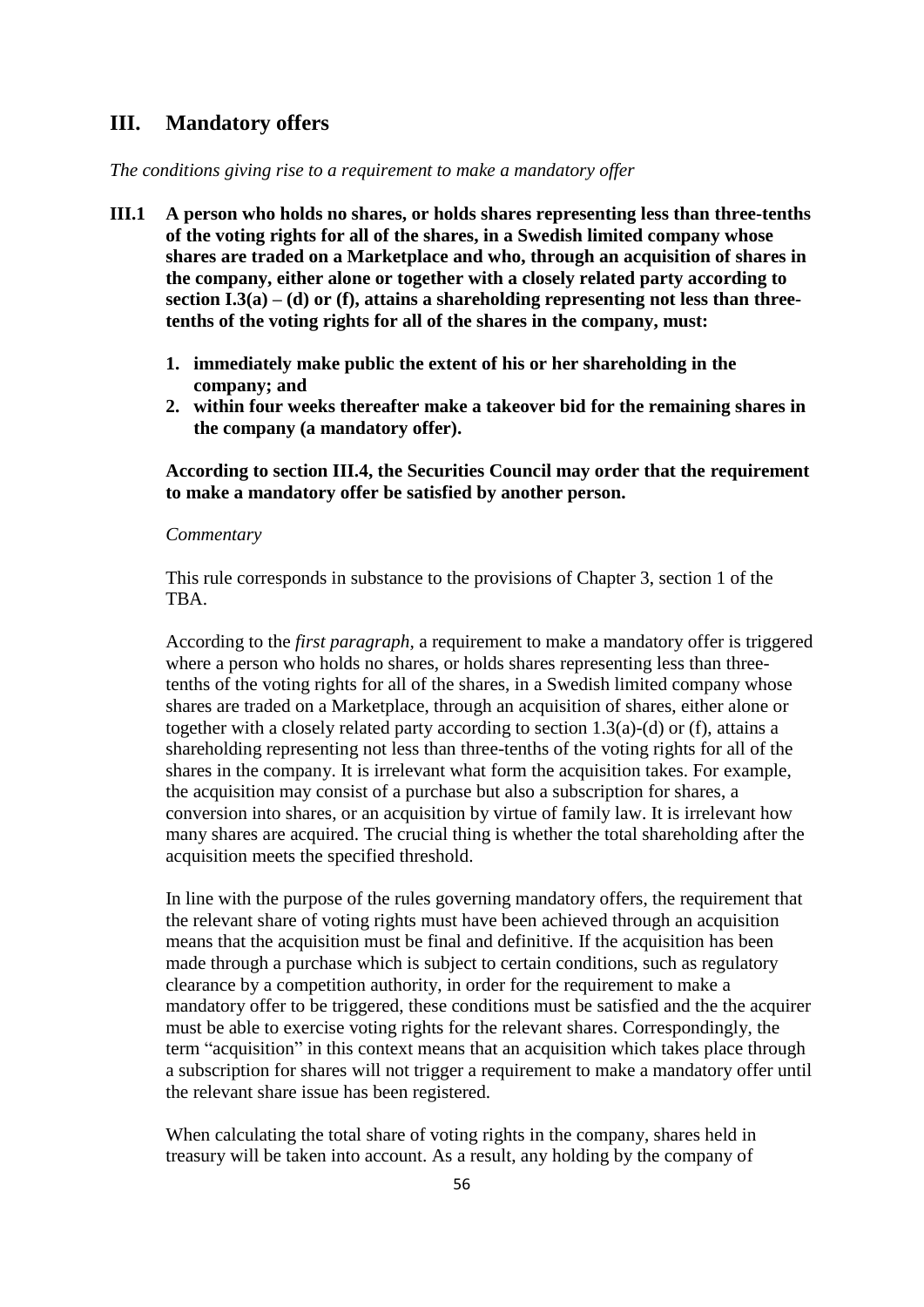# **III. Mandatory offers**

*The conditions giving rise to a requirement to make a mandatory offer*

- **III.1 A person who holds no shares, or holds shares representing less than three-tenths of the voting rights for all of the shares, in a Swedish limited company whose shares are traded on a Marketplace and who, through an acquisition of shares in the company, either alone or together with a closely related party according to section I.3(a) – (d) or (f), attains a shareholding representing not less than threetenths of the voting rights for all of the shares in the company, must:**
	- **1. immediately make public the extent of his or her shareholding in the company; and**
	- **2. within four weeks thereafter make a takeover bid for the remaining shares in the company (a mandatory offer).**

# **According to section III.4, the Securities Council may order that the requirement to make a mandatory offer be satisfied by another person.**

#### *Commentary*

This rule corresponds in substance to the provisions of Chapter 3, section 1 of the TBA.

According to the *first paragraph,* a requirement to make a mandatory offer is triggered where a person who holds no shares, or holds shares representing less than threetenths of the voting rights for all of the shares, in a Swedish limited company whose shares are traded on a Marketplace, through an acquisition of shares, either alone or together with a closely related party according to section 1.3(a)-(d) or (f), attains a shareholding representing not less than three-tenths of the voting rights for all of the shares in the company. It is irrelevant what form the acquisition takes. For example, the acquisition may consist of a purchase but also a subscription for shares, a conversion into shares, or an acquisition by virtue of family law. It is irrelevant how many shares are acquired. The crucial thing is whether the total shareholding after the acquisition meets the specified threshold.

In line with the purpose of the rules governing mandatory offers, the requirement that the relevant share of voting rights must have been achieved through an acquisition means that the acquisition must be final and definitive. If the acquisition has been made through a purchase which is subject to certain conditions, such as regulatory clearance by a competition authority, in order for the requirement to make a mandatory offer to be triggered, these conditions must be satisfied and the the acquirer must be able to exercise voting rights for the relevant shares. Correspondingly, the term "acquisition" in this context means that an acquisition which takes place through a subscription for shares will not trigger a requirement to make a mandatory offer until the relevant share issue has been registered.

When calculating the total share of voting rights in the company, shares held in treasury will be taken into account. As a result, any holding by the company of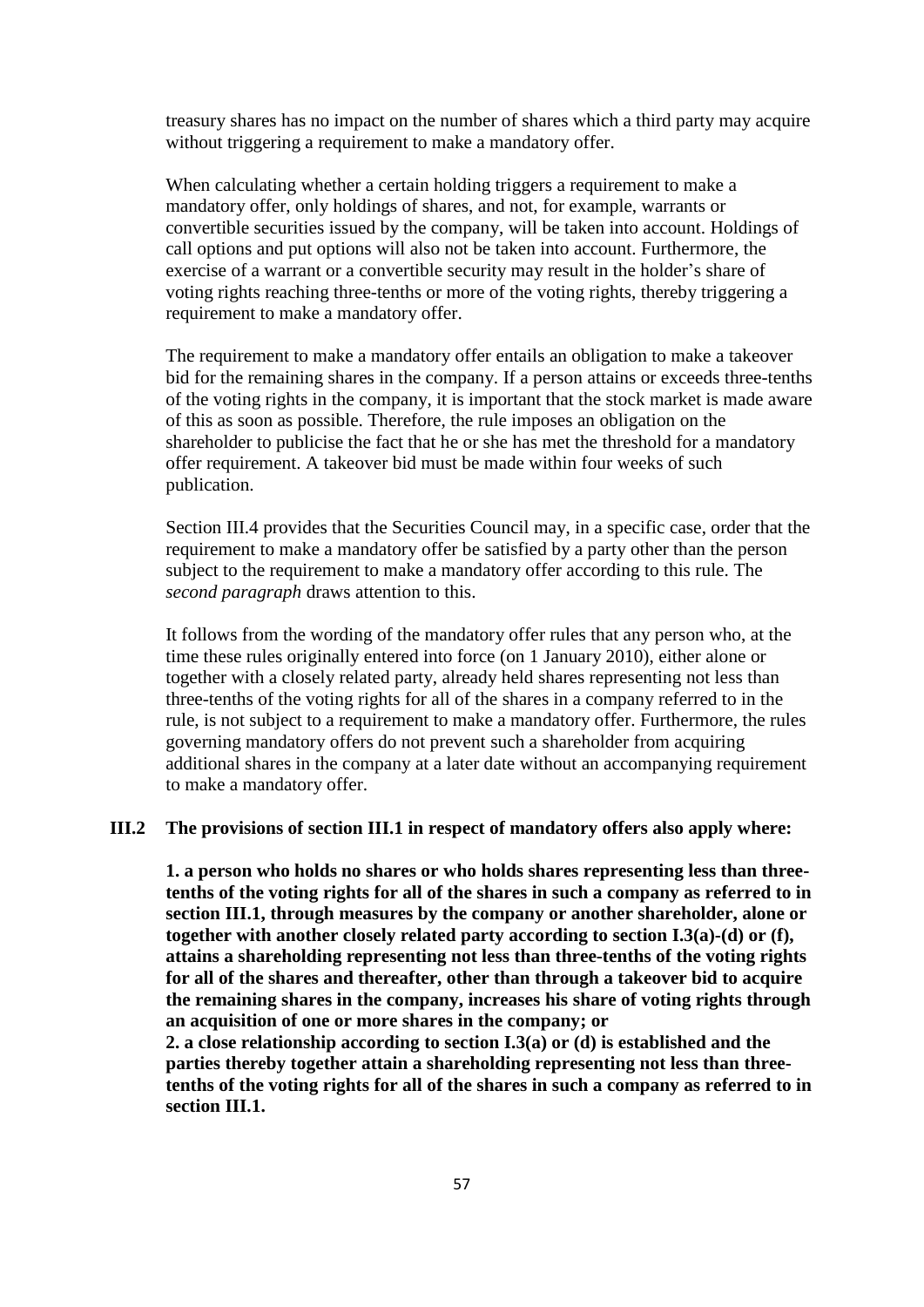treasury shares has no impact on the number of shares which a third party may acquire without triggering a requirement to make a mandatory offer.

When calculating whether a certain holding triggers a requirement to make a mandatory offer, only holdings of shares, and not, for example, warrants or convertible securities issued by the company, will be taken into account. Holdings of call options and put options will also not be taken into account. Furthermore, the exercise of a warrant or a convertible security may result in the holder's share of voting rights reaching three-tenths or more of the voting rights, thereby triggering a requirement to make a mandatory offer.

The requirement to make a mandatory offer entails an obligation to make a takeover bid for the remaining shares in the company. If a person attains or exceeds three-tenths of the voting rights in the company, it is important that the stock market is made aware of this as soon as possible. Therefore, the rule imposes an obligation on the shareholder to publicise the fact that he or she has met the threshold for a mandatory offer requirement. A takeover bid must be made within four weeks of such publication.

Section III.4 provides that the Securities Council may, in a specific case, order that the requirement to make a mandatory offer be satisfied by a party other than the person subject to the requirement to make a mandatory offer according to this rule. The *second paragraph* draws attention to this.

It follows from the wording of the mandatory offer rules that any person who, at the time these rules originally entered into force (on 1 January 2010), either alone or together with a closely related party, already held shares representing not less than three-tenths of the voting rights for all of the shares in a company referred to in the rule, is not subject to a requirement to make a mandatory offer. Furthermore, the rules governing mandatory offers do not prevent such a shareholder from acquiring additional shares in the company at a later date without an accompanying requirement to make a mandatory offer.

### **III.2 The provisions of section III.1 in respect of mandatory offers also apply where:**

**1. a person who holds no shares or who holds shares representing less than threetenths of the voting rights for all of the shares in such a company as referred to in section III.1, through measures by the company or another shareholder, alone or together with another closely related party according to section I.3(a)-(d) or (f), attains a shareholding representing not less than three-tenths of the voting rights for all of the shares and thereafter, other than through a takeover bid to acquire the remaining shares in the company, increases his share of voting rights through an acquisition of one or more shares in the company; or**

**2. a close relationship according to section I.3(a) or (d) is established and the parties thereby together attain a shareholding representing not less than threetenths of the voting rights for all of the shares in such a company as referred to in section III.1.**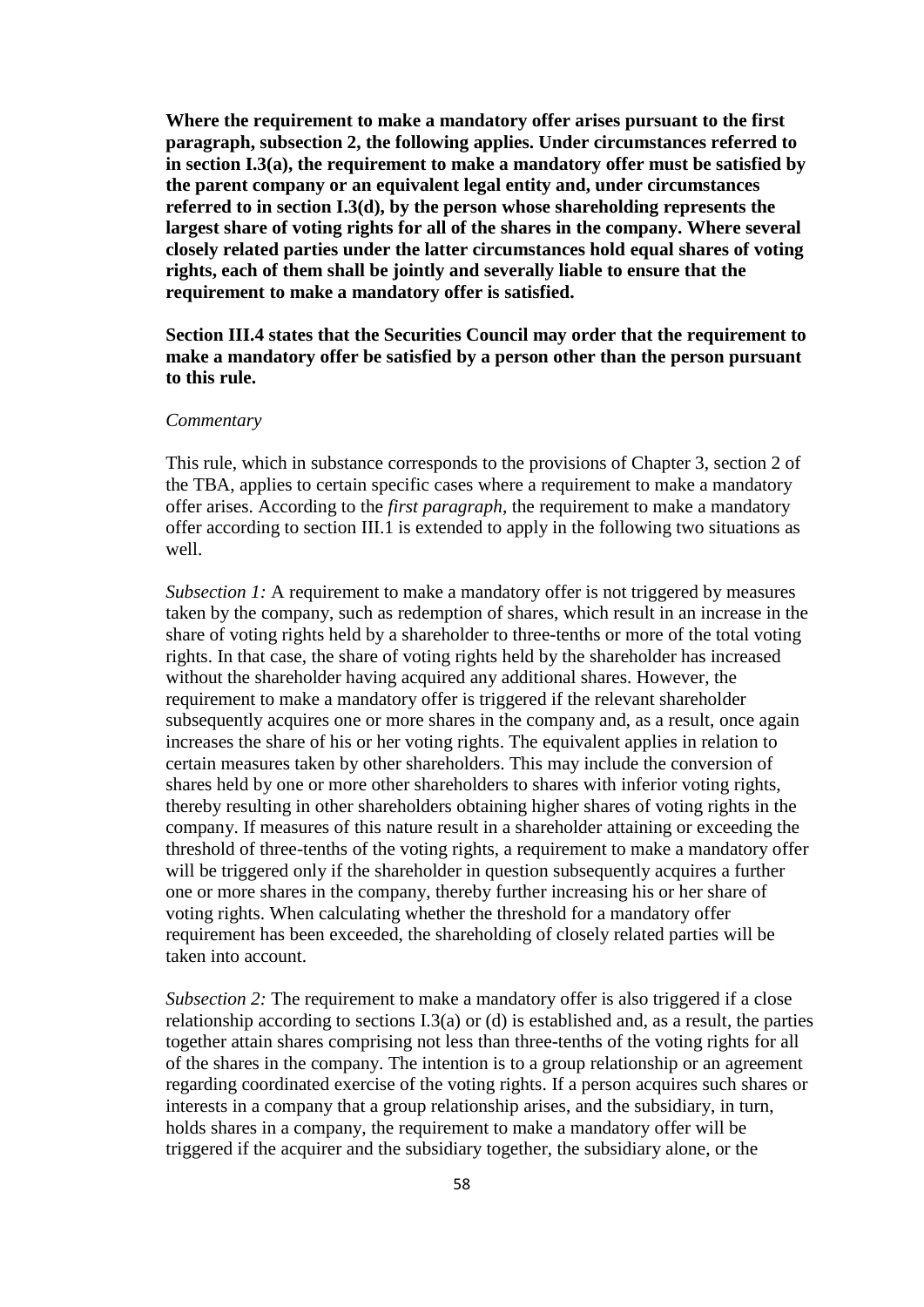**Where the requirement to make a mandatory offer arises pursuant to the first paragraph, subsection 2, the following applies. Under circumstances referred to in section I.3(a), the requirement to make a mandatory offer must be satisfied by the parent company or an equivalent legal entity and, under circumstances referred to in section I.3(d), by the person whose shareholding represents the largest share of voting rights for all of the shares in the company. Where several closely related parties under the latter circumstances hold equal shares of voting rights, each of them shall be jointly and severally liable to ensure that the requirement to make a mandatory offer is satisfied.**

# **Section III.4 states that the Securities Council may order that the requirement to make a mandatory offer be satisfied by a person other than the person pursuant to this rule.**

### *Commentary*

This rule, which in substance corresponds to the provisions of Chapter 3, section 2 of the TBA, applies to certain specific cases where a requirement to make a mandatory offer arises. According to the *first paragraph*, the requirement to make a mandatory offer according to section III.1 is extended to apply in the following two situations as well.

*Subsection 1:* A requirement to make a mandatory offer is not triggered by measures taken by the company, such as redemption of shares, which result in an increase in the share of voting rights held by a shareholder to three-tenths or more of the total voting rights. In that case, the share of voting rights held by the shareholder has increased without the shareholder having acquired any additional shares. However, the requirement to make a mandatory offer is triggered if the relevant shareholder subsequently acquires one or more shares in the company and, as a result, once again increases the share of his or her voting rights. The equivalent applies in relation to certain measures taken by other shareholders. This may include the conversion of shares held by one or more other shareholders to shares with inferior voting rights, thereby resulting in other shareholders obtaining higher shares of voting rights in the company. If measures of this nature result in a shareholder attaining or exceeding the threshold of three-tenths of the voting rights, a requirement to make a mandatory offer will be triggered only if the shareholder in question subsequently acquires a further one or more shares in the company, thereby further increasing his or her share of voting rights. When calculating whether the threshold for a mandatory offer requirement has been exceeded, the shareholding of closely related parties will be taken into account.

*Subsection 2:* The requirement to make a mandatory offer is also triggered if a close relationship according to sections I.3(a) or (d) is established and, as a result, the parties together attain shares comprising not less than three-tenths of the voting rights for all of the shares in the company. The intention is to a group relationship or an agreement regarding coordinated exercise of the voting rights. If a person acquires such shares or interests in a company that a group relationship arises, and the subsidiary, in turn, holds shares in a company, the requirement to make a mandatory offer will be triggered if the acquirer and the subsidiary together, the subsidiary alone, or the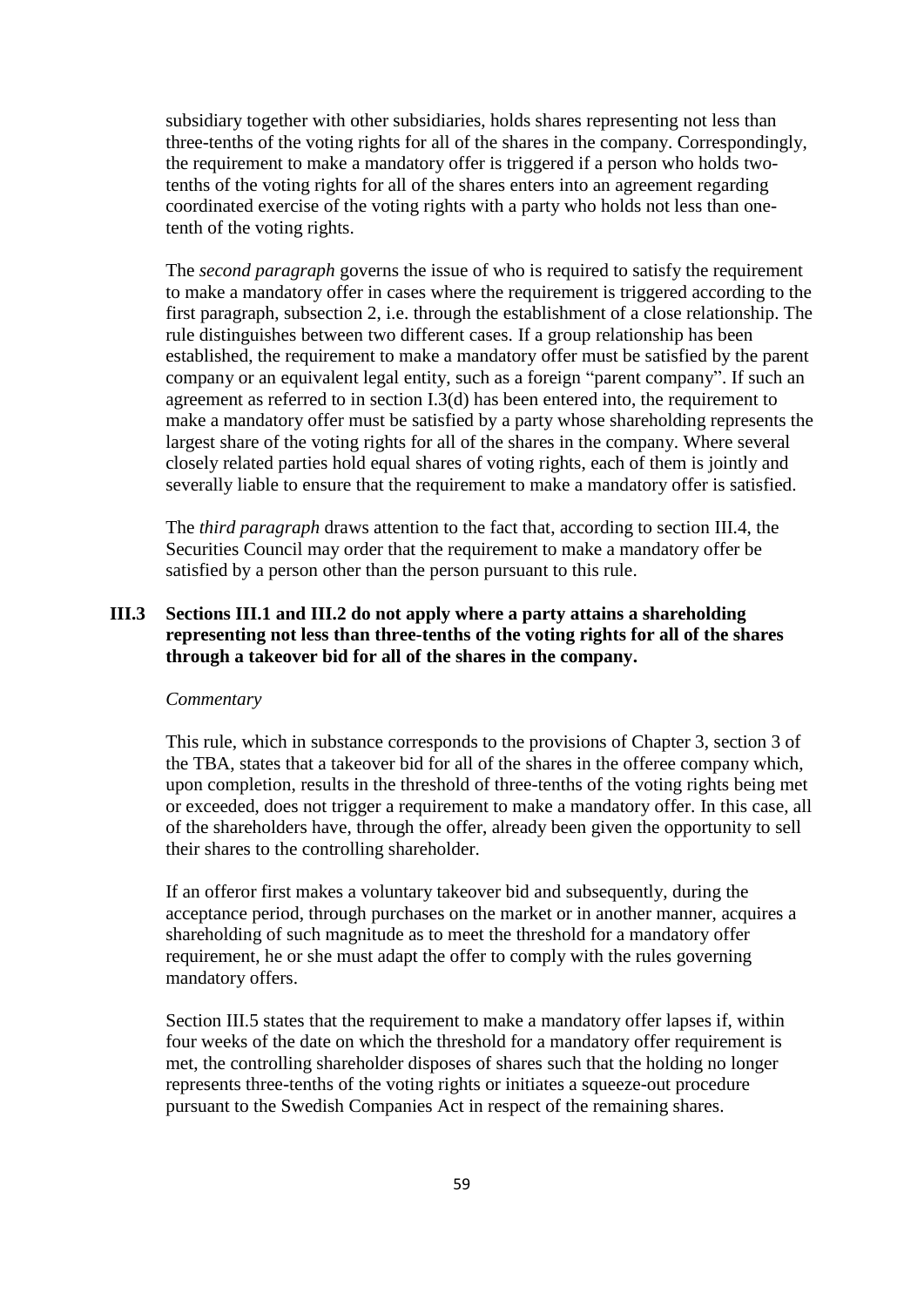subsidiary together with other subsidiaries, holds shares representing not less than three-tenths of the voting rights for all of the shares in the company. Correspondingly, the requirement to make a mandatory offer is triggered if a person who holds twotenths of the voting rights for all of the shares enters into an agreement regarding coordinated exercise of the voting rights with a party who holds not less than onetenth of the voting rights.

The *second paragraph* governs the issue of who is required to satisfy the requirement to make a mandatory offer in cases where the requirement is triggered according to the first paragraph, subsection 2, i.e. through the establishment of a close relationship. The rule distinguishes between two different cases. If a group relationship has been established, the requirement to make a mandatory offer must be satisfied by the parent company or an equivalent legal entity, such as a foreign "parent company". If such an agreement as referred to in section I.3(d) has been entered into, the requirement to make a mandatory offer must be satisfied by a party whose shareholding represents the largest share of the voting rights for all of the shares in the company. Where several closely related parties hold equal shares of voting rights, each of them is jointly and severally liable to ensure that the requirement to make a mandatory offer is satisfied.

The *third paragraph* draws attention to the fact that, according to section III.4, the Securities Council may order that the requirement to make a mandatory offer be satisfied by a person other than the person pursuant to this rule.

# **III.3 Sections III.1 and III.2 do not apply where a party attains a shareholding representing not less than three-tenths of the voting rights for all of the shares through a takeover bid for all of the shares in the company.**

### *Commentary*

This rule, which in substance corresponds to the provisions of Chapter 3, section 3 of the TBA, states that a takeover bid for all of the shares in the offeree company which, upon completion, results in the threshold of three-tenths of the voting rights being met or exceeded, does not trigger a requirement to make a mandatory offer. In this case, all of the shareholders have, through the offer, already been given the opportunity to sell their shares to the controlling shareholder.

If an offeror first makes a voluntary takeover bid and subsequently, during the acceptance period, through purchases on the market or in another manner, acquires a shareholding of such magnitude as to meet the threshold for a mandatory offer requirement, he or she must adapt the offer to comply with the rules governing mandatory offers.

Section III.5 states that the requirement to make a mandatory offer lapses if, within four weeks of the date on which the threshold for a mandatory offer requirement is met, the controlling shareholder disposes of shares such that the holding no longer represents three-tenths of the voting rights or initiates a squeeze-out procedure pursuant to the Swedish Companies Act in respect of the remaining shares.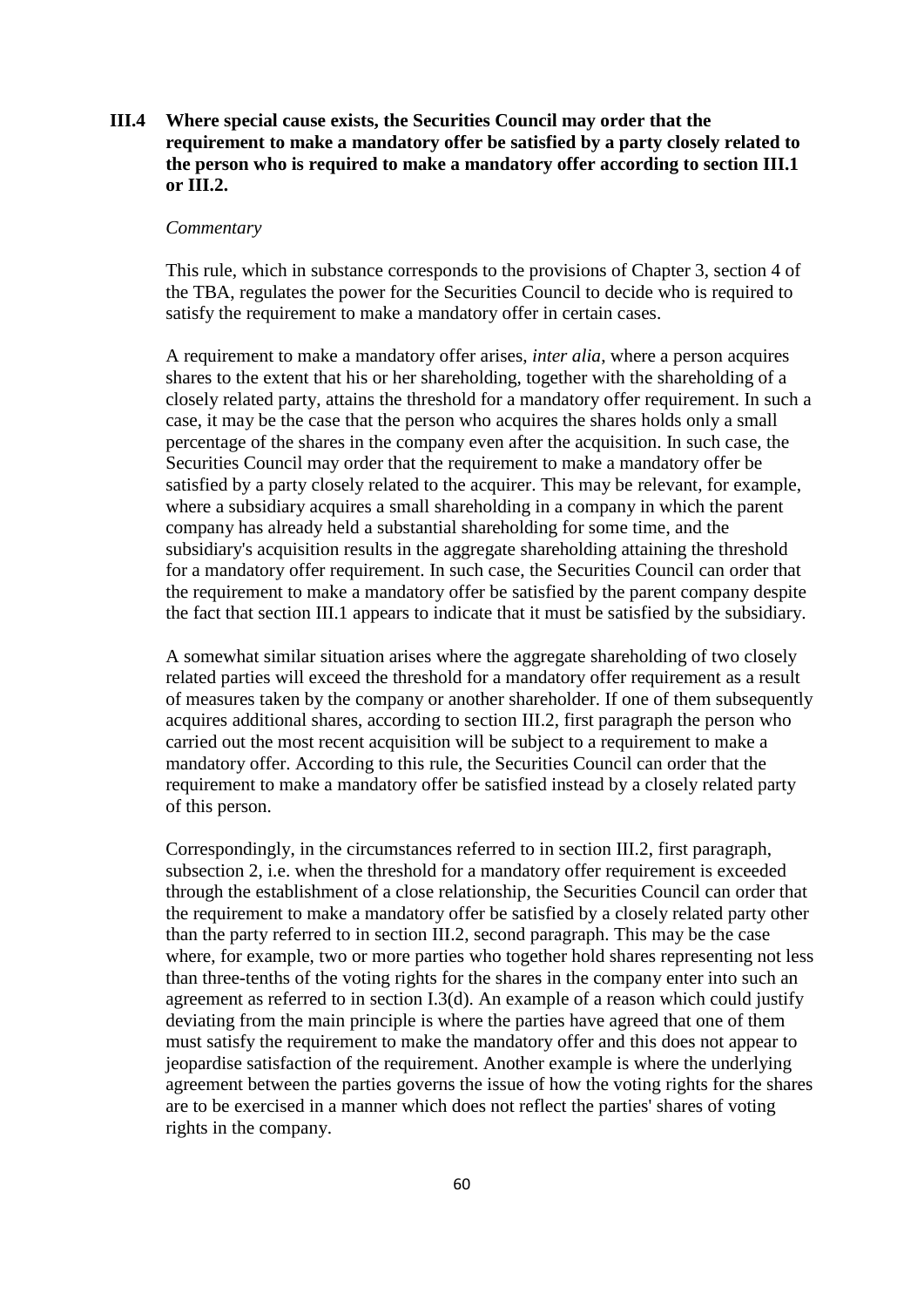# **III.4 Where special cause exists, the Securities Council may order that the requirement to make a mandatory offer be satisfied by a party closely related to the person who is required to make a mandatory offer according to section III.1 or III.2.**

### *Commentary*

This rule, which in substance corresponds to the provisions of Chapter 3, section 4 of the TBA, regulates the power for the Securities Council to decide who is required to satisfy the requirement to make a mandatory offer in certain cases.

A requirement to make a mandatory offer arises, *inter alia*, where a person acquires shares to the extent that his or her shareholding, together with the shareholding of a closely related party, attains the threshold for a mandatory offer requirement. In such a case, it may be the case that the person who acquires the shares holds only a small percentage of the shares in the company even after the acquisition. In such case, the Securities Council may order that the requirement to make a mandatory offer be satisfied by a party closely related to the acquirer. This may be relevant, for example, where a subsidiary acquires a small shareholding in a company in which the parent company has already held a substantial shareholding for some time, and the subsidiary's acquisition results in the aggregate shareholding attaining the threshold for a mandatory offer requirement. In such case, the Securities Council can order that the requirement to make a mandatory offer be satisfied by the parent company despite the fact that section III.1 appears to indicate that it must be satisfied by the subsidiary.

A somewhat similar situation arises where the aggregate shareholding of two closely related parties will exceed the threshold for a mandatory offer requirement as a result of measures taken by the company or another shareholder. If one of them subsequently acquires additional shares, according to section III.2, first paragraph the person who carried out the most recent acquisition will be subject to a requirement to make a mandatory offer. According to this rule, the Securities Council can order that the requirement to make a mandatory offer be satisfied instead by a closely related party of this person.

Correspondingly, in the circumstances referred to in section III.2, first paragraph, subsection 2, i.e. when the threshold for a mandatory offer requirement is exceeded through the establishment of a close relationship, the Securities Council can order that the requirement to make a mandatory offer be satisfied by a closely related party other than the party referred to in section III.2, second paragraph. This may be the case where, for example, two or more parties who together hold shares representing not less than three-tenths of the voting rights for the shares in the company enter into such an agreement as referred to in section I.3(d). An example of a reason which could justify deviating from the main principle is where the parties have agreed that one of them must satisfy the requirement to make the mandatory offer and this does not appear to jeopardise satisfaction of the requirement. Another example is where the underlying agreement between the parties governs the issue of how the voting rights for the shares are to be exercised in a manner which does not reflect the parties' shares of voting rights in the company.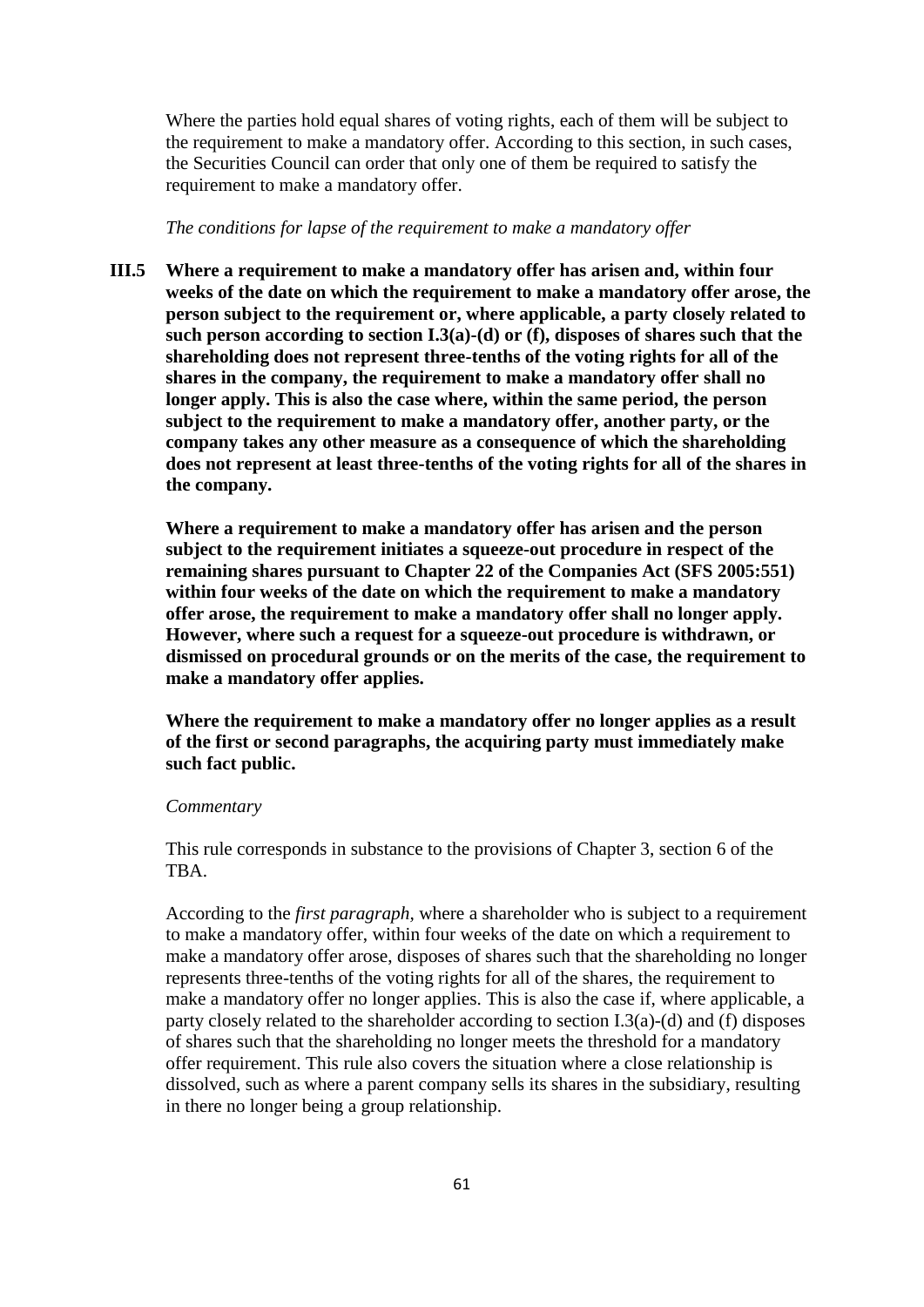Where the parties hold equal shares of voting rights, each of them will be subject to the requirement to make a mandatory offer. According to this section, in such cases, the Securities Council can order that only one of them be required to satisfy the requirement to make a mandatory offer.

*The conditions for lapse of the requirement to make a mandatory offer* 

**III.5 Where a requirement to make a mandatory offer has arisen and, within four weeks of the date on which the requirement to make a mandatory offer arose, the person subject to the requirement or, where applicable, a party closely related to such person according to section I.3(a)-(d) or (f), disposes of shares such that the shareholding does not represent three-tenths of the voting rights for all of the shares in the company, the requirement to make a mandatory offer shall no longer apply. This is also the case where, within the same period, the person subject to the requirement to make a mandatory offer, another party, or the company takes any other measure as a consequence of which the shareholding does not represent at least three-tenths of the voting rights for all of the shares in the company.**

**Where a requirement to make a mandatory offer has arisen and the person subject to the requirement initiates a squeeze-out procedure in respect of the remaining shares pursuant to Chapter 22 of the Companies Act (SFS 2005:551) within four weeks of the date on which the requirement to make a mandatory offer arose, the requirement to make a mandatory offer shall no longer apply. However, where such a request for a squeeze-out procedure is withdrawn, or dismissed on procedural grounds or on the merits of the case, the requirement to make a mandatory offer applies.**

**Where the requirement to make a mandatory offer no longer applies as a result of the first or second paragraphs, the acquiring party must immediately make such fact public.**

### *Commentary*

This rule corresponds in substance to the provisions of Chapter 3, section 6 of the TBA.

According to the *first paragraph,* where a shareholder who is subject to a requirement to make a mandatory offer, within four weeks of the date on which a requirement to make a mandatory offer arose, disposes of shares such that the shareholding no longer represents three-tenths of the voting rights for all of the shares, the requirement to make a mandatory offer no longer applies. This is also the case if, where applicable, a party closely related to the shareholder according to section I.3(a)-(d) and (f) disposes of shares such that the shareholding no longer meets the threshold for a mandatory offer requirement. This rule also covers the situation where a close relationship is dissolved, such as where a parent company sells its shares in the subsidiary, resulting in there no longer being a group relationship.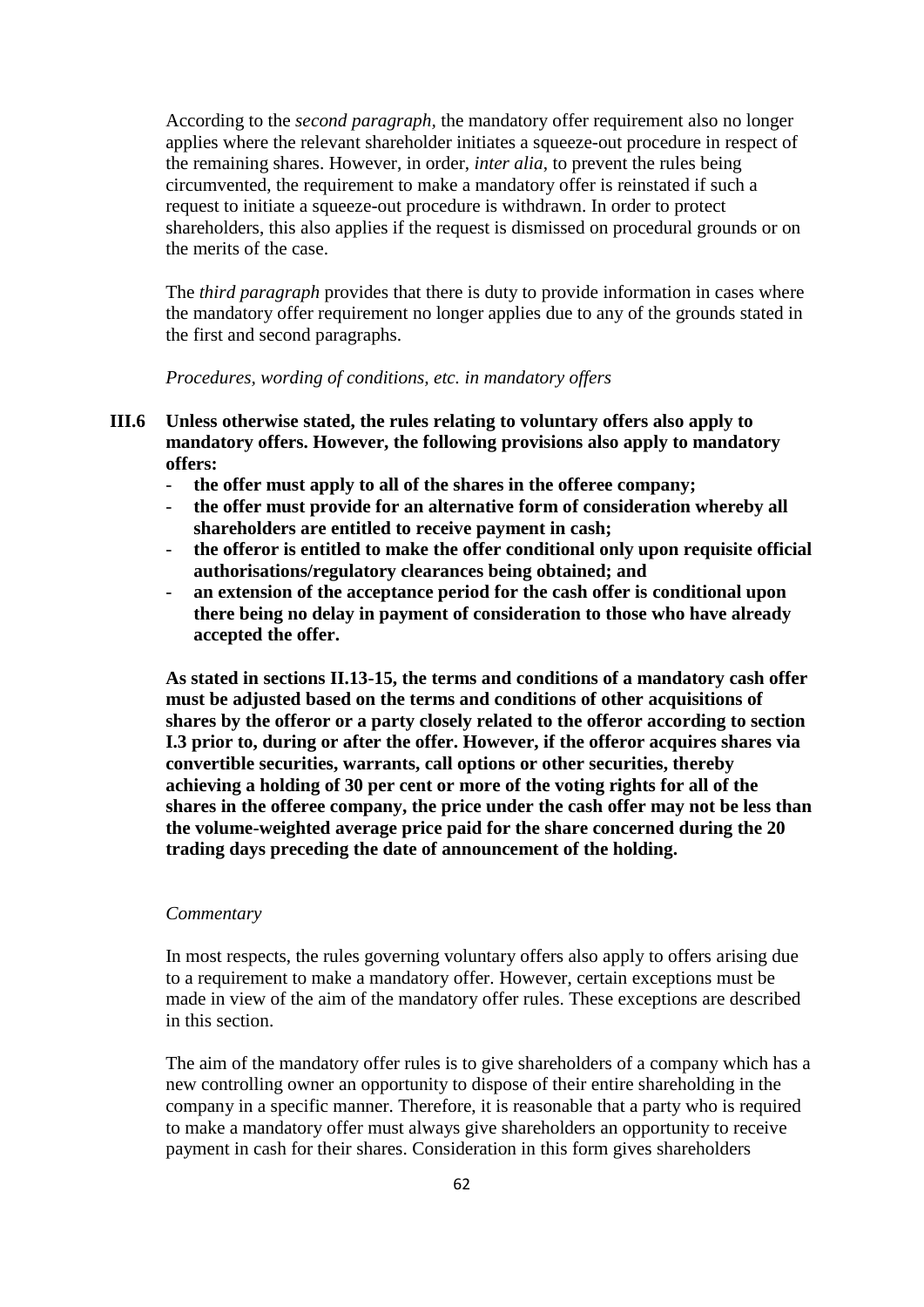According to the *second paragraph,* the mandatory offer requirement also no longer applies where the relevant shareholder initiates a squeeze-out procedure in respect of the remaining shares. However, in order, *inter alia*, to prevent the rules being circumvented, the requirement to make a mandatory offer is reinstated if such a request to initiate a squeeze-out procedure is withdrawn. In order to protect shareholders, this also applies if the request is dismissed on procedural grounds or on the merits of the case.

The *third paragraph* provides that there is duty to provide information in cases where the mandatory offer requirement no longer applies due to any of the grounds stated in the first and second paragraphs.

*Procedures, wording of conditions, etc. in mandatory offers*

- **III.6 Unless otherwise stated, the rules relating to voluntary offers also apply to mandatory offers. However, the following provisions also apply to mandatory offers:**
	- the offer must apply to all of the shares in the offeree company;
	- **the offer must provide for an alternative form of consideration whereby all shareholders are entitled to receive payment in cash;**
	- **the offeror is entitled to make the offer conditional only upon requisite official authorisations/regulatory clearances being obtained; and**
	- an extension of the acceptance period for the cash offer is conditional upon **there being no delay in payment of consideration to those who have already accepted the offer.**

**As stated in sections II.13-15, the terms and conditions of a mandatory cash offer must be adjusted based on the terms and conditions of other acquisitions of shares by the offeror or a party closely related to the offeror according to section I.3 prior to, during or after the offer. However, if the offeror acquires shares via convertible securities, warrants, call options or other securities, thereby achieving a holding of 30 per cent or more of the voting rights for all of the shares in the offeree company, the price under the cash offer may not be less than the volume-weighted average price paid for the share concerned during the 20 trading days preceding the date of announcement of the holding.**

### *Commentary*

In most respects, the rules governing voluntary offers also apply to offers arising due to a requirement to make a mandatory offer. However, certain exceptions must be made in view of the aim of the mandatory offer rules. These exceptions are described in this section.

The aim of the mandatory offer rules is to give shareholders of a company which has a new controlling owner an opportunity to dispose of their entire shareholding in the company in a specific manner. Therefore, it is reasonable that a party who is required to make a mandatory offer must always give shareholders an opportunity to receive payment in cash for their shares. Consideration in this form gives shareholders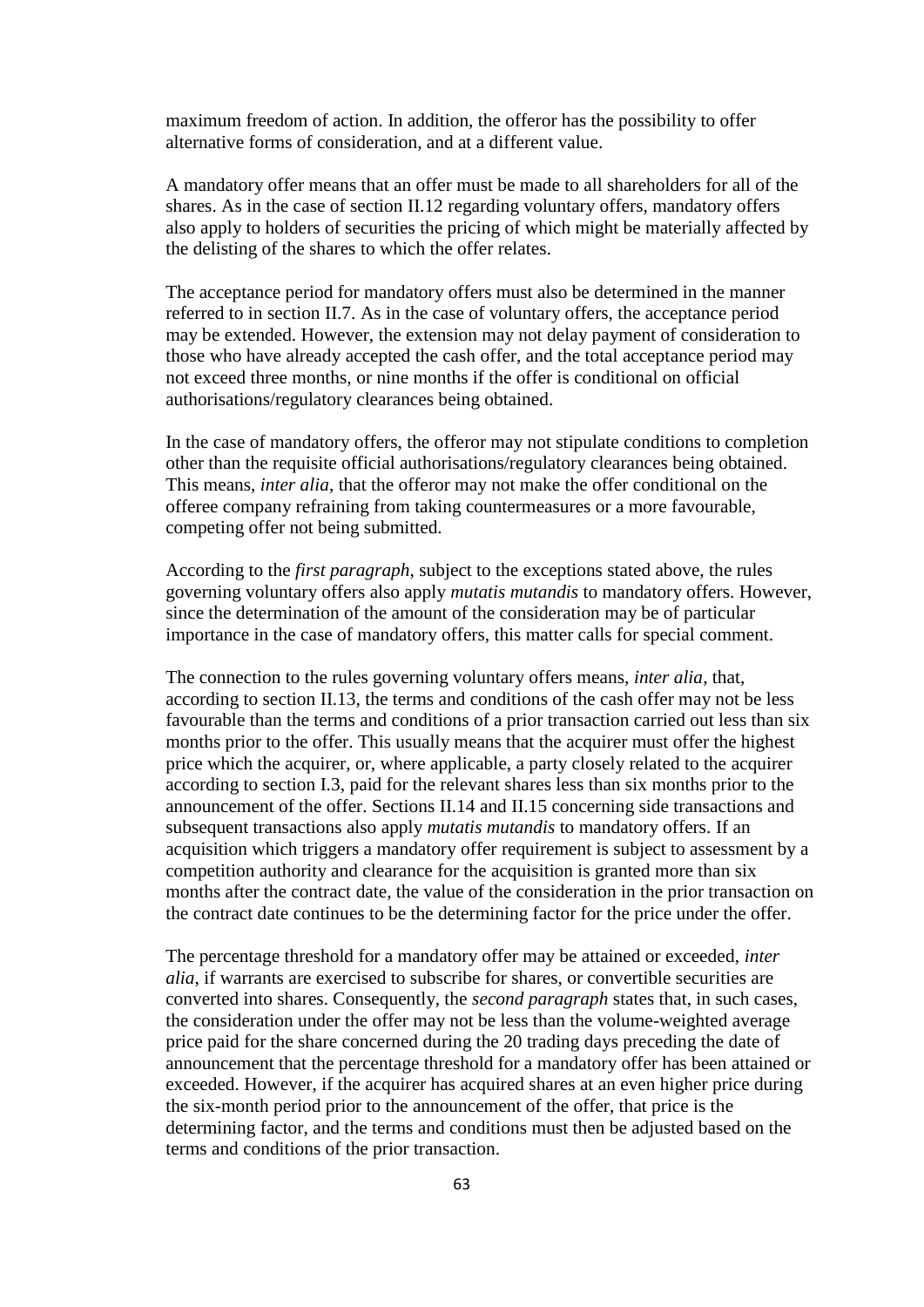maximum freedom of action. In addition, the offeror has the possibility to offer alternative forms of consideration, and at a different value.

A mandatory offer means that an offer must be made to all shareholders for all of the shares. As in the case of section II.12 regarding voluntary offers, mandatory offers also apply to holders of securities the pricing of which might be materially affected by the delisting of the shares to which the offer relates.

The acceptance period for mandatory offers must also be determined in the manner referred to in section II.7. As in the case of voluntary offers, the acceptance period may be extended. However, the extension may not delay payment of consideration to those who have already accepted the cash offer, and the total acceptance period may not exceed three months, or nine months if the offer is conditional on official authorisations/regulatory clearances being obtained.

In the case of mandatory offers, the offeror may not stipulate conditions to completion other than the requisite official authorisations/regulatory clearances being obtained. This means, *inter alia*, that the offeror may not make the offer conditional on the offeree company refraining from taking countermeasures or a more favourable, competing offer not being submitted.

According to the *first paragraph*, subject to the exceptions stated above, the rules governing voluntary offers also apply *mutatis mutandis* to mandatory offers. However, since the determination of the amount of the consideration may be of particular importance in the case of mandatory offers, this matter calls for special comment.

The connection to the rules governing voluntary offers means, *inter alia*, that, according to section II.13, the terms and conditions of the cash offer may not be less favourable than the terms and conditions of a prior transaction carried out less than six months prior to the offer. This usually means that the acquirer must offer the highest price which the acquirer, or, where applicable, a party closely related to the acquirer according to section I.3, paid for the relevant shares less than six months prior to the announcement of the offer. Sections II.14 and II.15 concerning side transactions and subsequent transactions also apply *mutatis mutandis* to mandatory offers. If an acquisition which triggers a mandatory offer requirement is subject to assessment by a competition authority and clearance for the acquisition is granted more than six months after the contract date, the value of the consideration in the prior transaction on the contract date continues to be the determining factor for the price under the offer.

The percentage threshold for a mandatory offer may be attained or exceeded, *inter alia*, if warrants are exercised to subscribe for shares, or convertible securities are converted into shares. Consequently, the *second paragraph* states that, in such cases, the consideration under the offer may not be less than the volume-weighted average price paid for the share concerned during the 20 trading days preceding the date of announcement that the percentage threshold for a mandatory offer has been attained or exceeded. However, if the acquirer has acquired shares at an even higher price during the six-month period prior to the announcement of the offer, that price is the determining factor, and the terms and conditions must then be adjusted based on the terms and conditions of the prior transaction.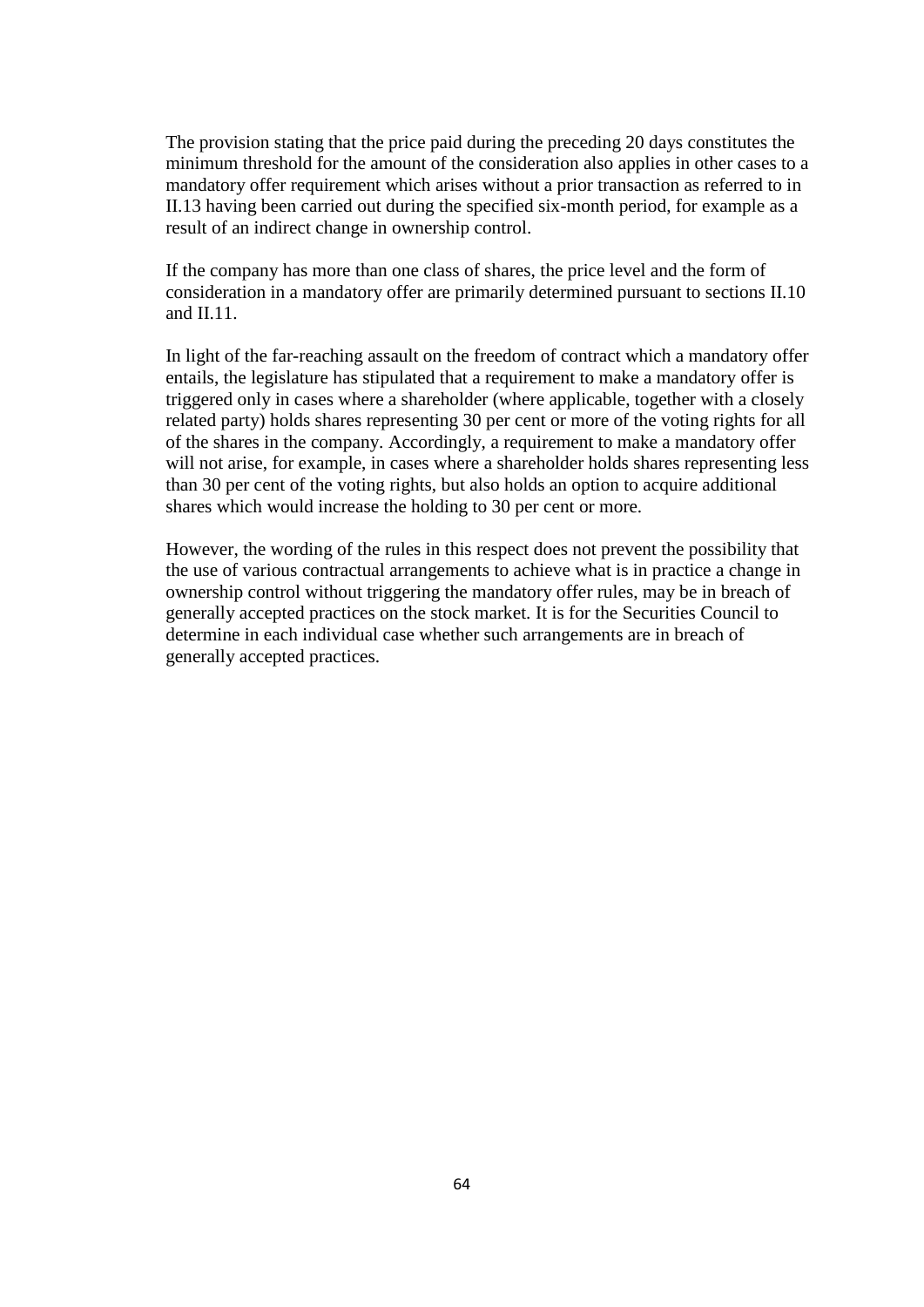The provision stating that the price paid during the preceding 20 days constitutes the minimum threshold for the amount of the consideration also applies in other cases to a mandatory offer requirement which arises without a prior transaction as referred to in II.13 having been carried out during the specified six-month period, for example as a result of an indirect change in ownership control.

If the company has more than one class of shares, the price level and the form of consideration in a mandatory offer are primarily determined pursuant to sections II.10 and II.11.

In light of the far-reaching assault on the freedom of contract which a mandatory offer entails, the legislature has stipulated that a requirement to make a mandatory offer is triggered only in cases where a shareholder (where applicable, together with a closely related party) holds shares representing 30 per cent or more of the voting rights for all of the shares in the company. Accordingly, a requirement to make a mandatory offer will not arise, for example, in cases where a shareholder holds shares representing less than 30 per cent of the voting rights, but also holds an option to acquire additional shares which would increase the holding to 30 per cent or more.

However, the wording of the rules in this respect does not prevent the possibility that the use of various contractual arrangements to achieve what is in practice a change in ownership control without triggering the mandatory offer rules, may be in breach of generally accepted practices on the stock market. It is for the Securities Council to determine in each individual case whether such arrangements are in breach of generally accepted practices.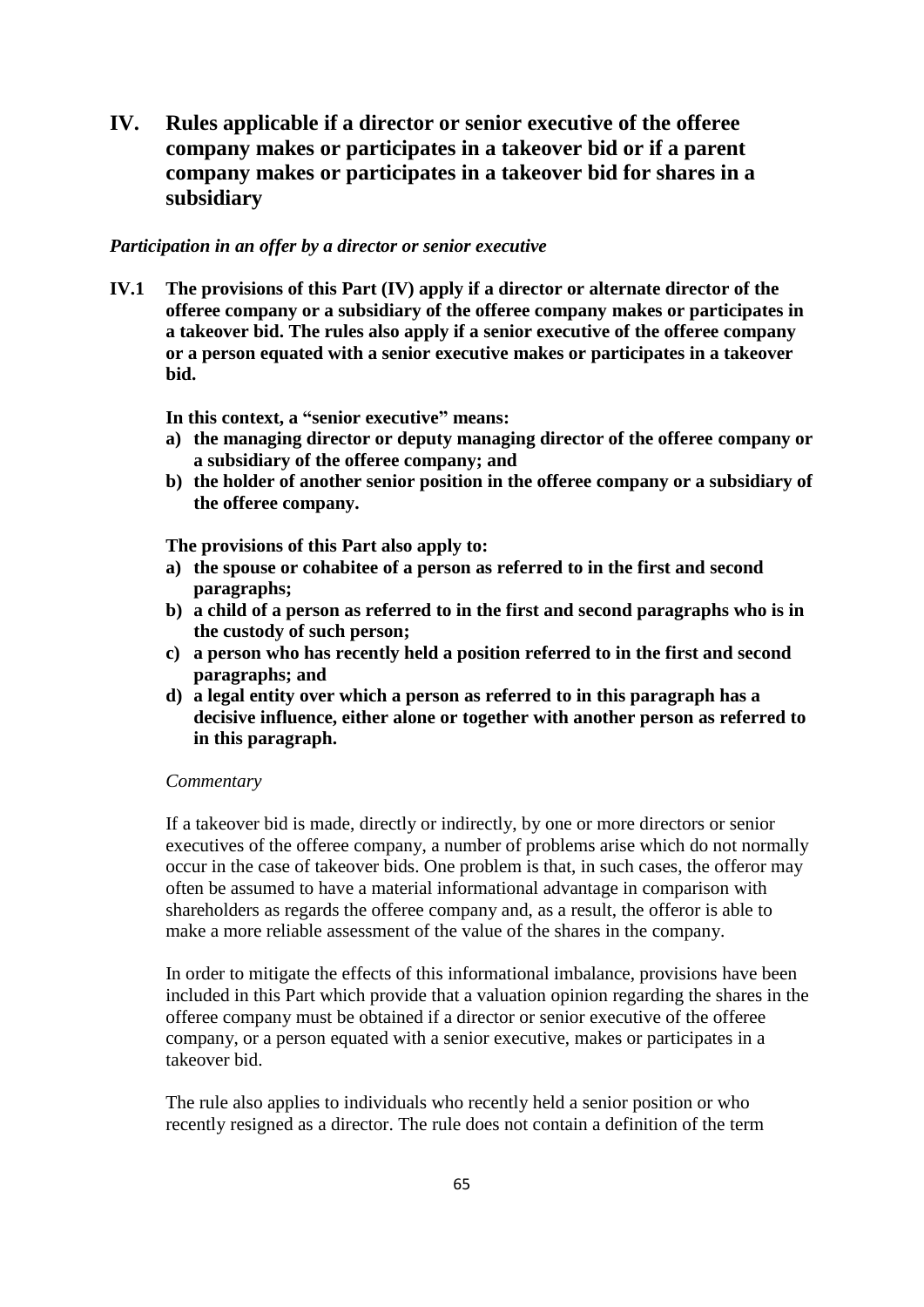**IV. Rules applicable if a director or senior executive of the offeree company makes or participates in a takeover bid or if a parent company makes or participates in a takeover bid for shares in a subsidiary**

## *Participation in an offer by a director or senior executive*

**IV.1 The provisions of this Part (IV) apply if a director or alternate director of the offeree company or a subsidiary of the offeree company makes or participates in a takeover bid. The rules also apply if a senior executive of the offeree company or a person equated with a senior executive makes or participates in a takeover bid.**

**In this context, a "senior executive" means:**

- **a) the managing director or deputy managing director of the offeree company or a subsidiary of the offeree company; and**
- **b) the holder of another senior position in the offeree company or a subsidiary of the offeree company.**

**The provisions of this Part also apply to:**

- **a) the spouse or cohabitee of a person as referred to in the first and second paragraphs;**
- **b) a child of a person as referred to in the first and second paragraphs who is in the custody of such person;**
- **c) a person who has recently held a position referred to in the first and second paragraphs; and**
- **d) a legal entity over which a person as referred to in this paragraph has a decisive influence, either alone or together with another person as referred to in this paragraph.**

#### *Commentary*

If a takeover bid is made, directly or indirectly, by one or more directors or senior executives of the offeree company, a number of problems arise which do not normally occur in the case of takeover bids. One problem is that, in such cases, the offeror may often be assumed to have a material informational advantage in comparison with shareholders as regards the offeree company and, as a result, the offeror is able to make a more reliable assessment of the value of the shares in the company.

In order to mitigate the effects of this informational imbalance, provisions have been included in this Part which provide that a valuation opinion regarding the shares in the offeree company must be obtained if a director or senior executive of the offeree company, or a person equated with a senior executive, makes or participates in a takeover bid.

The rule also applies to individuals who recently held a senior position or who recently resigned as a director. The rule does not contain a definition of the term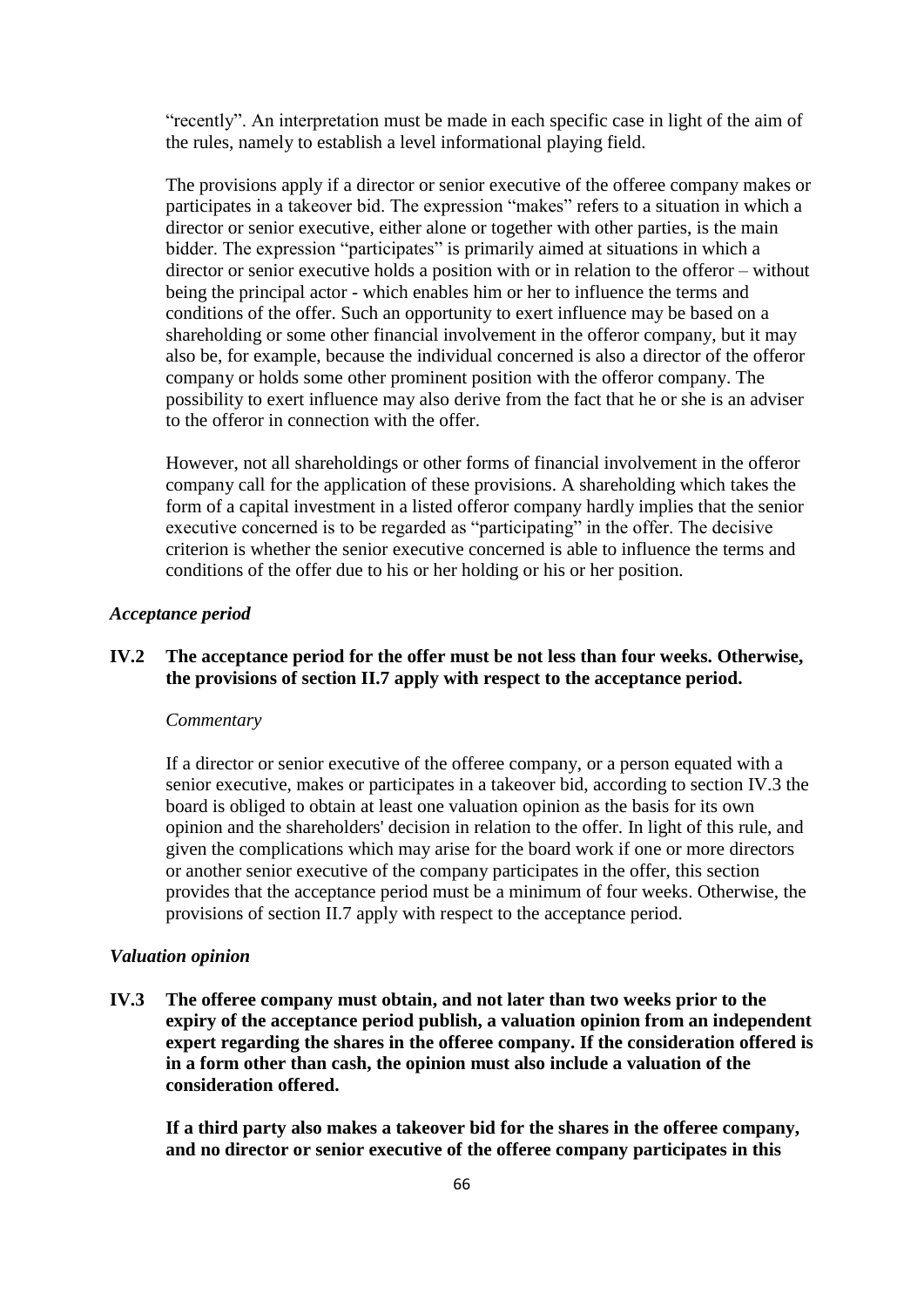"recently". An interpretation must be made in each specific case in light of the aim of the rules, namely to establish a level informational playing field.

The provisions apply if a director or senior executive of the offeree company makes or participates in a takeover bid. The expression "makes" refers to a situation in which a director or senior executive, either alone or together with other parties, is the main bidder. The expression "participates" is primarily aimed at situations in which a director or senior executive holds a position with or in relation to the offeror – without being the principal actor - which enables him or her to influence the terms and conditions of the offer. Such an opportunity to exert influence may be based on a shareholding or some other financial involvement in the offeror company, but it may also be, for example, because the individual concerned is also a director of the offeror company or holds some other prominent position with the offeror company. The possibility to exert influence may also derive from the fact that he or she is an adviser to the offeror in connection with the offer.

However, not all shareholdings or other forms of financial involvement in the offeror company call for the application of these provisions. A shareholding which takes the form of a capital investment in a listed offeror company hardly implies that the senior executive concerned is to be regarded as "participating" in the offer. The decisive criterion is whether the senior executive concerned is able to influence the terms and conditions of the offer due to his or her holding or his or her position.

#### *Acceptance period*

# **IV.2 The acceptance period for the offer must be not less than four weeks. Otherwise, the provisions of section II.7 apply with respect to the acceptance period.**

### *Commentary*

If a director or senior executive of the offeree company, or a person equated with a senior executive, makes or participates in a takeover bid, according to section IV.3 the board is obliged to obtain at least one valuation opinion as the basis for its own opinion and the shareholders' decision in relation to the offer. In light of this rule, and given the complications which may arise for the board work if one or more directors or another senior executive of the company participates in the offer, this section provides that the acceptance period must be a minimum of four weeks. Otherwise, the provisions of section II.7 apply with respect to the acceptance period.

### *Valuation opinion*

**IV.3 The offeree company must obtain, and not later than two weeks prior to the expiry of the acceptance period publish, a valuation opinion from an independent expert regarding the shares in the offeree company. If the consideration offered is in a form other than cash, the opinion must also include a valuation of the consideration offered.**

**If a third party also makes a takeover bid for the shares in the offeree company, and no director or senior executive of the offeree company participates in this**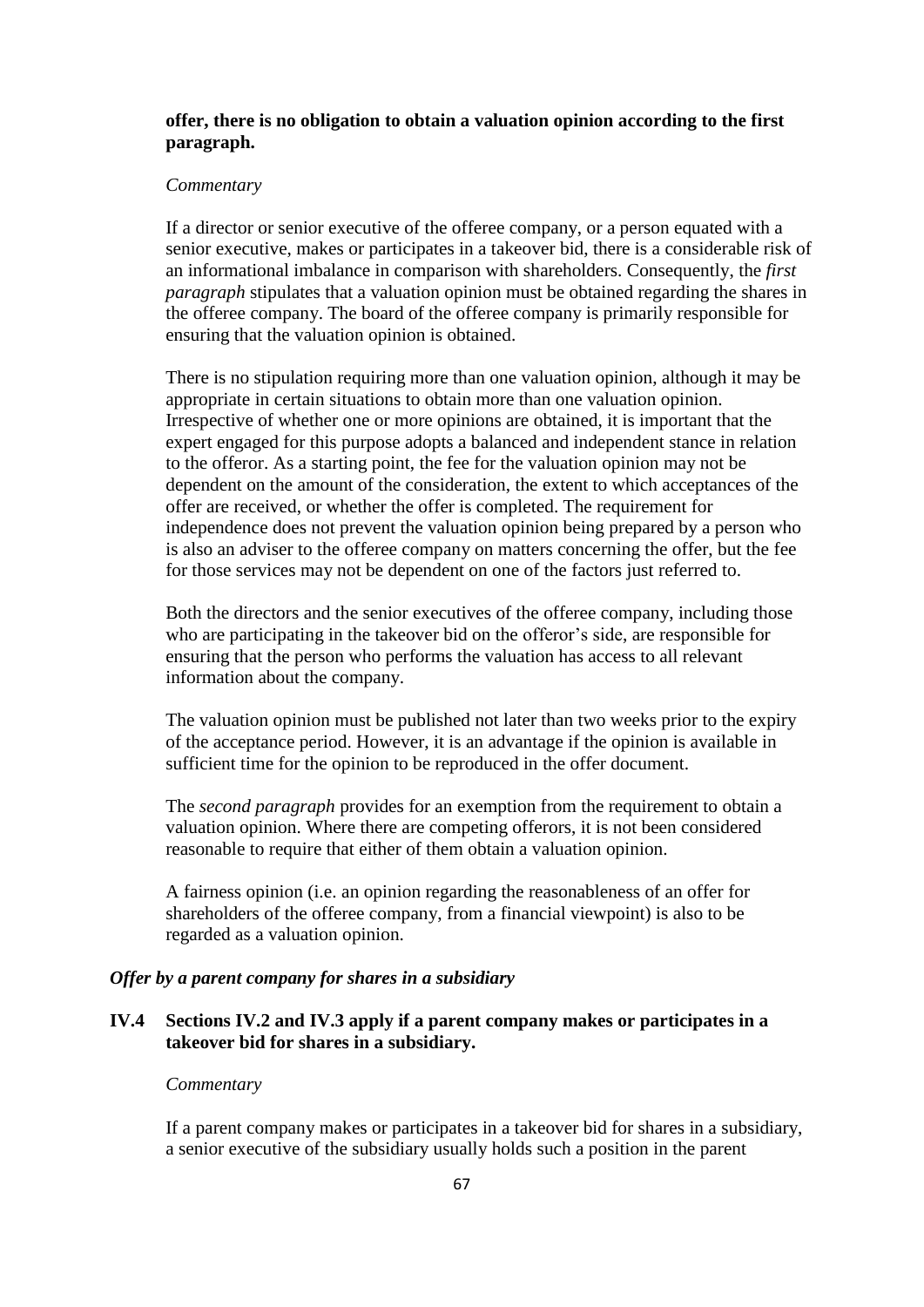# **offer, there is no obligation to obtain a valuation opinion according to the first paragraph.**

### *Commentary*

If a director or senior executive of the offeree company, or a person equated with a senior executive, makes or participates in a takeover bid, there is a considerable risk of an informational imbalance in comparison with shareholders. Consequently, the *first paragraph* stipulates that a valuation opinion must be obtained regarding the shares in the offeree company. The board of the offeree company is primarily responsible for ensuring that the valuation opinion is obtained.

There is no stipulation requiring more than one valuation opinion, although it may be appropriate in certain situations to obtain more than one valuation opinion. Irrespective of whether one or more opinions are obtained, it is important that the expert engaged for this purpose adopts a balanced and independent stance in relation to the offeror. As a starting point, the fee for the valuation opinion may not be dependent on the amount of the consideration, the extent to which acceptances of the offer are received, or whether the offer is completed. The requirement for independence does not prevent the valuation opinion being prepared by a person who is also an adviser to the offeree company on matters concerning the offer, but the fee for those services may not be dependent on one of the factors just referred to.

Both the directors and the senior executives of the offeree company, including those who are participating in the takeover bid on the offeror's side, are responsible for ensuring that the person who performs the valuation has access to all relevant information about the company.

The valuation opinion must be published not later than two weeks prior to the expiry of the acceptance period. However, it is an advantage if the opinion is available in sufficient time for the opinion to be reproduced in the offer document.

The *second paragraph* provides for an exemption from the requirement to obtain a valuation opinion. Where there are competing offerors, it is not been considered reasonable to require that either of them obtain a valuation opinion.

A fairness opinion (i.e. an opinion regarding the reasonableness of an offer for shareholders of the offeree company, from a financial viewpoint) is also to be regarded as a valuation opinion.

# *Offer by a parent company for shares in a subsidiary*

# **IV.4 Sections IV.2 and IV.3 apply if a parent company makes or participates in a takeover bid for shares in a subsidiary.**

### *Commentary*

If a parent company makes or participates in a takeover bid for shares in a subsidiary, a senior executive of the subsidiary usually holds such a position in the parent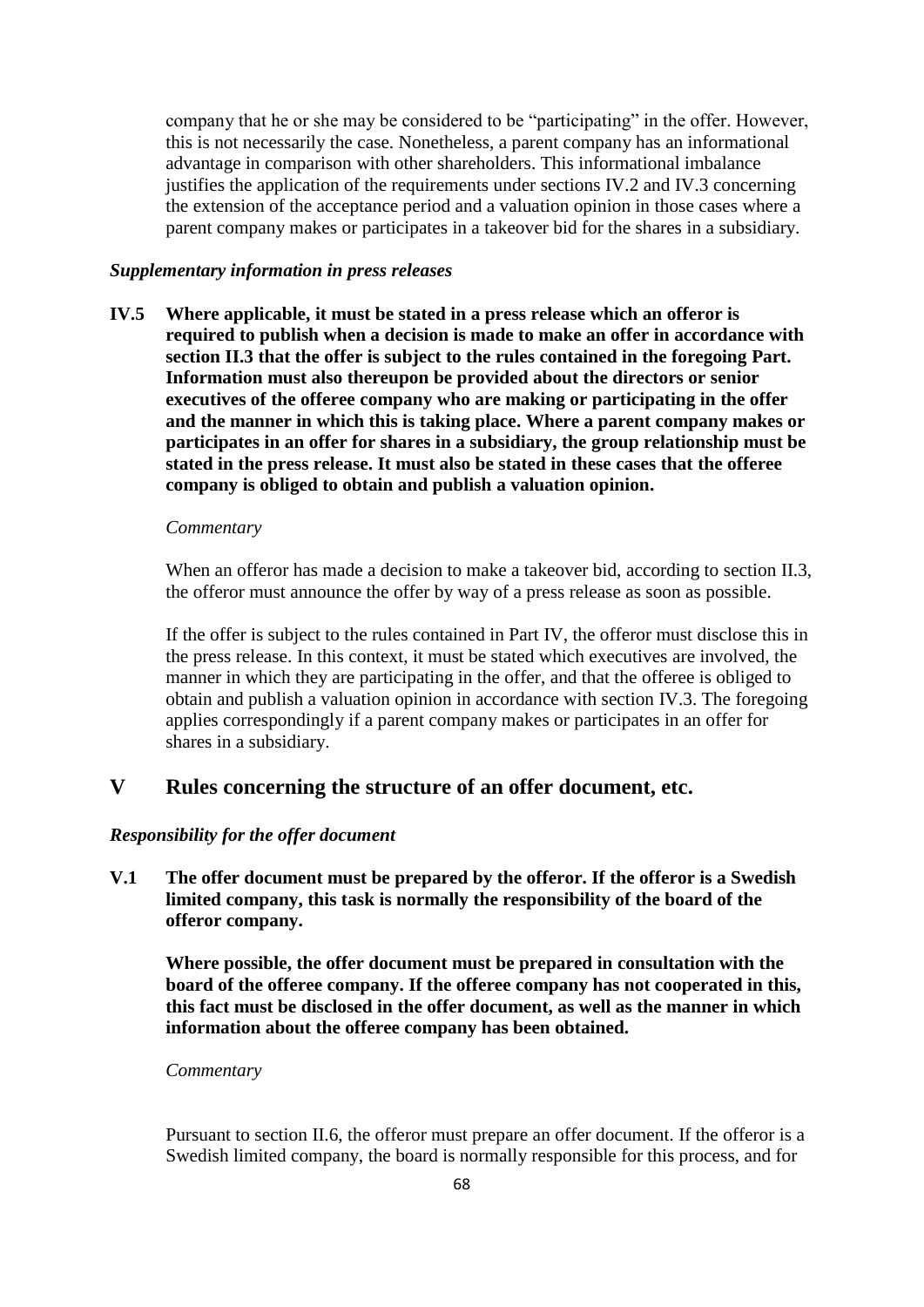company that he or she may be considered to be "participating" in the offer. However, this is not necessarily the case. Nonetheless, a parent company has an informational advantage in comparison with other shareholders. This informational imbalance justifies the application of the requirements under sections IV.2 and IV.3 concerning the extension of the acceptance period and a valuation opinion in those cases where a parent company makes or participates in a takeover bid for the shares in a subsidiary.

### *Supplementary information in press releases*

**IV.5 Where applicable, it must be stated in a press release which an offeror is required to publish when a decision is made to make an offer in accordance with section II.3 that the offer is subject to the rules contained in the foregoing Part. Information must also thereupon be provided about the directors or senior executives of the offeree company who are making or participating in the offer and the manner in which this is taking place. Where a parent company makes or participates in an offer for shares in a subsidiary, the group relationship must be stated in the press release. It must also be stated in these cases that the offeree company is obliged to obtain and publish a valuation opinion.**

### *Commentary*

When an offeror has made a decision to make a takeover bid, according to section II.3, the offeror must announce the offer by way of a press release as soon as possible.

If the offer is subject to the rules contained in Part IV, the offeror must disclose this in the press release. In this context, it must be stated which executives are involved, the manner in which they are participating in the offer, and that the offeree is obliged to obtain and publish a valuation opinion in accordance with section IV.3. The foregoing applies correspondingly if a parent company makes or participates in an offer for shares in a subsidiary.

# **V Rules concerning the structure of an offer document, etc.**

### *Responsibility for the offer document*

**V.1 The offer document must be prepared by the offeror. If the offeror is a Swedish limited company, this task is normally the responsibility of the board of the offeror company.**

**Where possible, the offer document must be prepared in consultation with the board of the offeree company. If the offeree company has not cooperated in this, this fact must be disclosed in the offer document, as well as the manner in which information about the offeree company has been obtained.**

### *Commentary*

Pursuant to section II.6, the offeror must prepare an offer document. If the offeror is a Swedish limited company, the board is normally responsible for this process, and for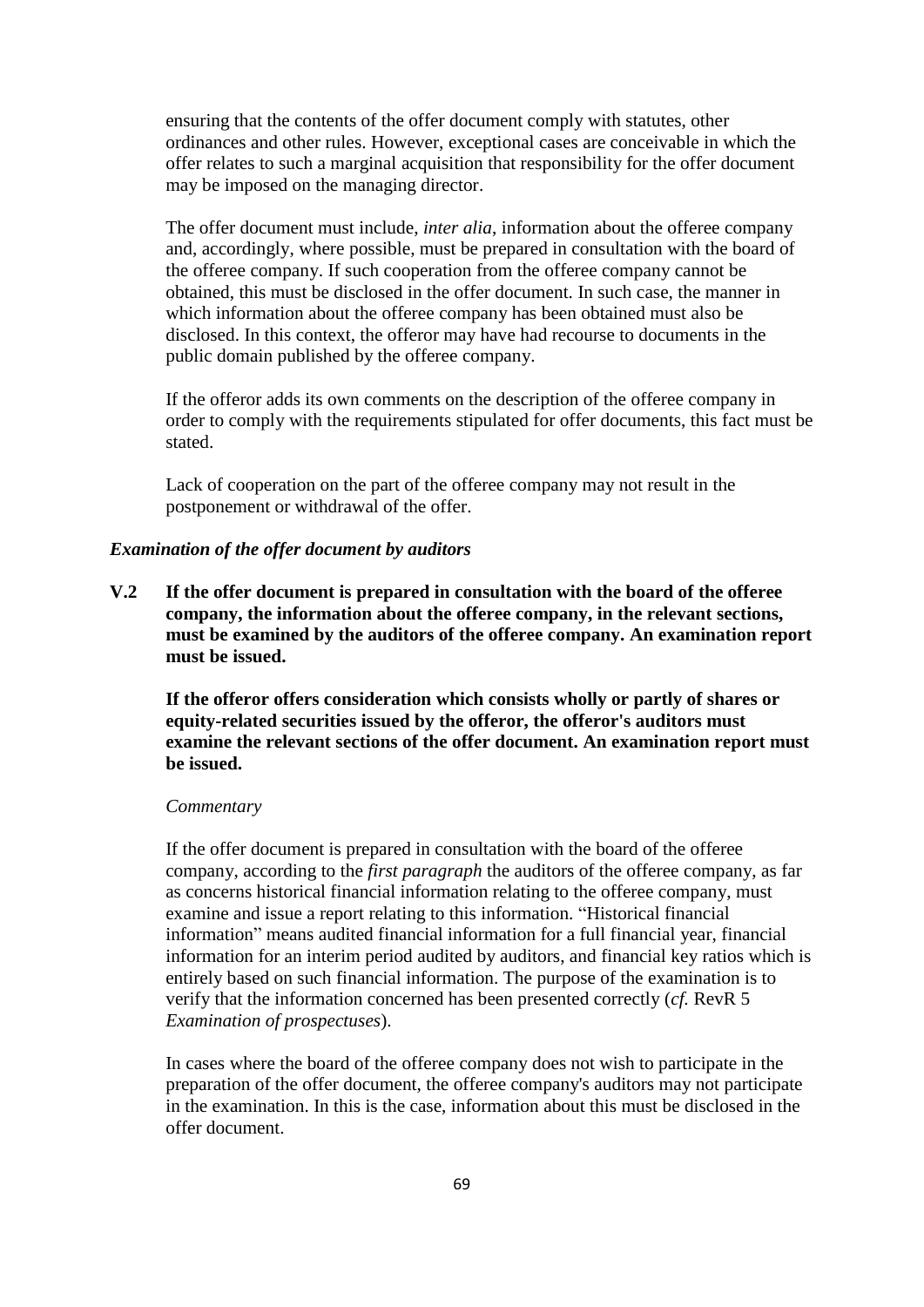ensuring that the contents of the offer document comply with statutes, other ordinances and other rules. However, exceptional cases are conceivable in which the offer relates to such a marginal acquisition that responsibility for the offer document may be imposed on the managing director.

The offer document must include, *inter alia*, information about the offeree company and, accordingly, where possible, must be prepared in consultation with the board of the offeree company. If such cooperation from the offeree company cannot be obtained, this must be disclosed in the offer document. In such case, the manner in which information about the offeree company has been obtained must also be disclosed. In this context, the offeror may have had recourse to documents in the public domain published by the offeree company.

If the offeror adds its own comments on the description of the offeree company in order to comply with the requirements stipulated for offer documents, this fact must be stated.

Lack of cooperation on the part of the offeree company may not result in the postponement or withdrawal of the offer.

### *Examination of the offer document by auditors*

**V.2 If the offer document is prepared in consultation with the board of the offeree company, the information about the offeree company, in the relevant sections, must be examined by the auditors of the offeree company. An examination report must be issued.**

**If the offeror offers consideration which consists wholly or partly of shares or equity-related securities issued by the offeror, the offeror's auditors must examine the relevant sections of the offer document. An examination report must be issued.**

## *Commentary*

If the offer document is prepared in consultation with the board of the offeree company, according to the *first paragraph* the auditors of the offeree company, as far as concerns historical financial information relating to the offeree company, must examine and issue a report relating to this information. "Historical financial information" means audited financial information for a full financial year, financial information for an interim period audited by auditors, and financial key ratios which is entirely based on such financial information. The purpose of the examination is to verify that the information concerned has been presented correctly (*cf.* RevR 5 *Examination of prospectuses*).

In cases where the board of the offeree company does not wish to participate in the preparation of the offer document, the offeree company's auditors may not participate in the examination. In this is the case, information about this must be disclosed in the offer document.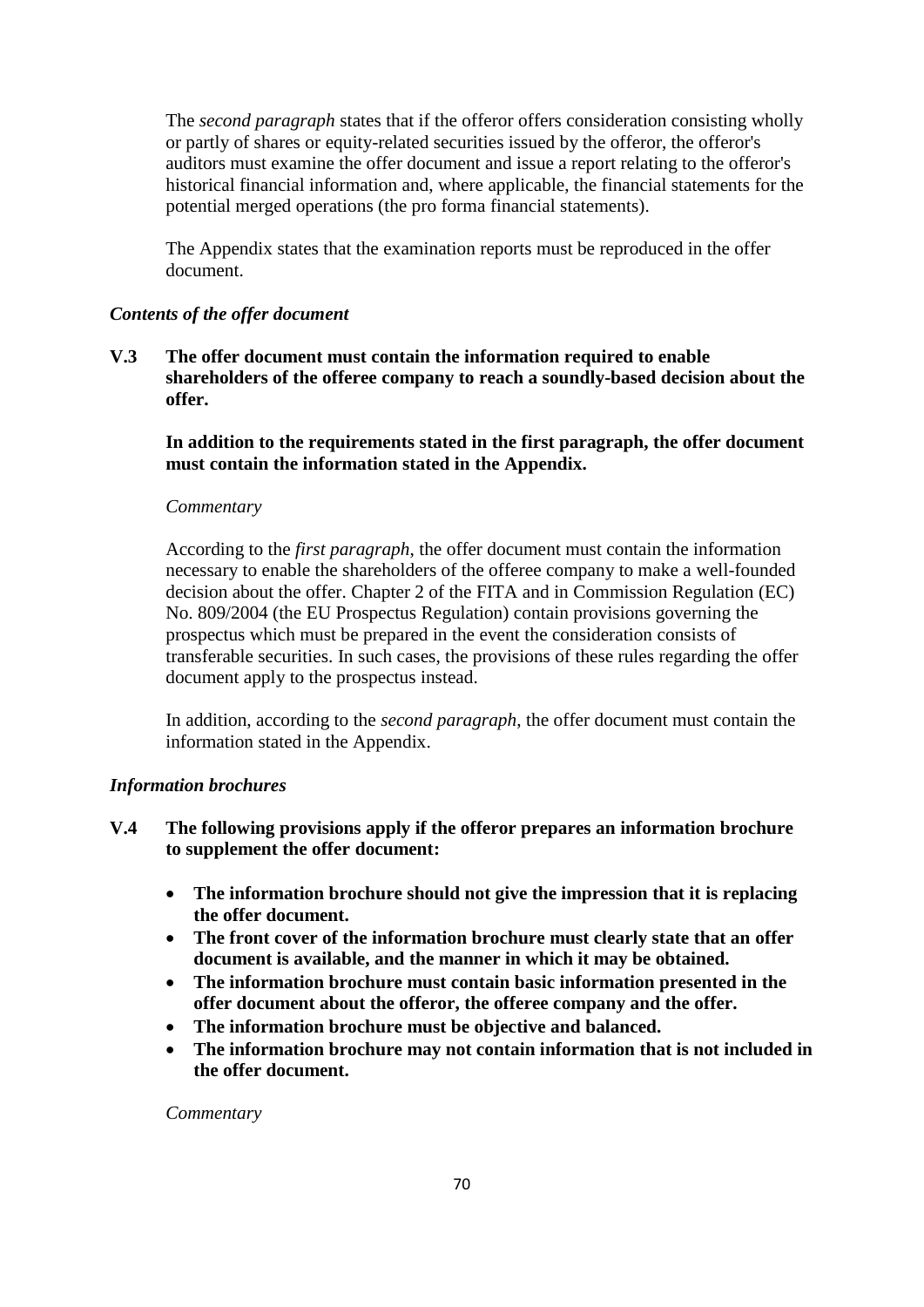The *second paragraph* states that if the offeror offers consideration consisting wholly or partly of shares or equity-related securities issued by the offeror, the offeror's auditors must examine the offer document and issue a report relating to the offeror's historical financial information and, where applicable, the financial statements for the potential merged operations (the pro forma financial statements).

The Appendix states that the examination reports must be reproduced in the offer document.

# *Contents of the offer document*

**V.3 The offer document must contain the information required to enable shareholders of the offeree company to reach a soundly-based decision about the offer.** 

**In addition to the requirements stated in the first paragraph, the offer document must contain the information stated in the Appendix.**

# *Commentary*

According to the *first paragraph*, the offer document must contain the information necessary to enable the shareholders of the offeree company to make a well-founded decision about the offer. Chapter 2 of the FITA and in Commission Regulation (EC) No. 809/2004 (the EU Prospectus Regulation) contain provisions governing the prospectus which must be prepared in the event the consideration consists of transferable securities. In such cases, the provisions of these rules regarding the offer document apply to the prospectus instead.

In addition, according to the *second paragraph*, the offer document must contain the information stated in the Appendix.

# *Information brochures*

- **V.4 The following provisions apply if the offeror prepares an information brochure to supplement the offer document:**
	- **The information brochure should not give the impression that it is replacing the offer document.**
	- **The front cover of the information brochure must clearly state that an offer document is available, and the manner in which it may be obtained.**
	- **The information brochure must contain basic information presented in the offer document about the offeror, the offeree company and the offer.**
	- **The information brochure must be objective and balanced.**
	- **The information brochure may not contain information that is not included in the offer document.**

*Commentary*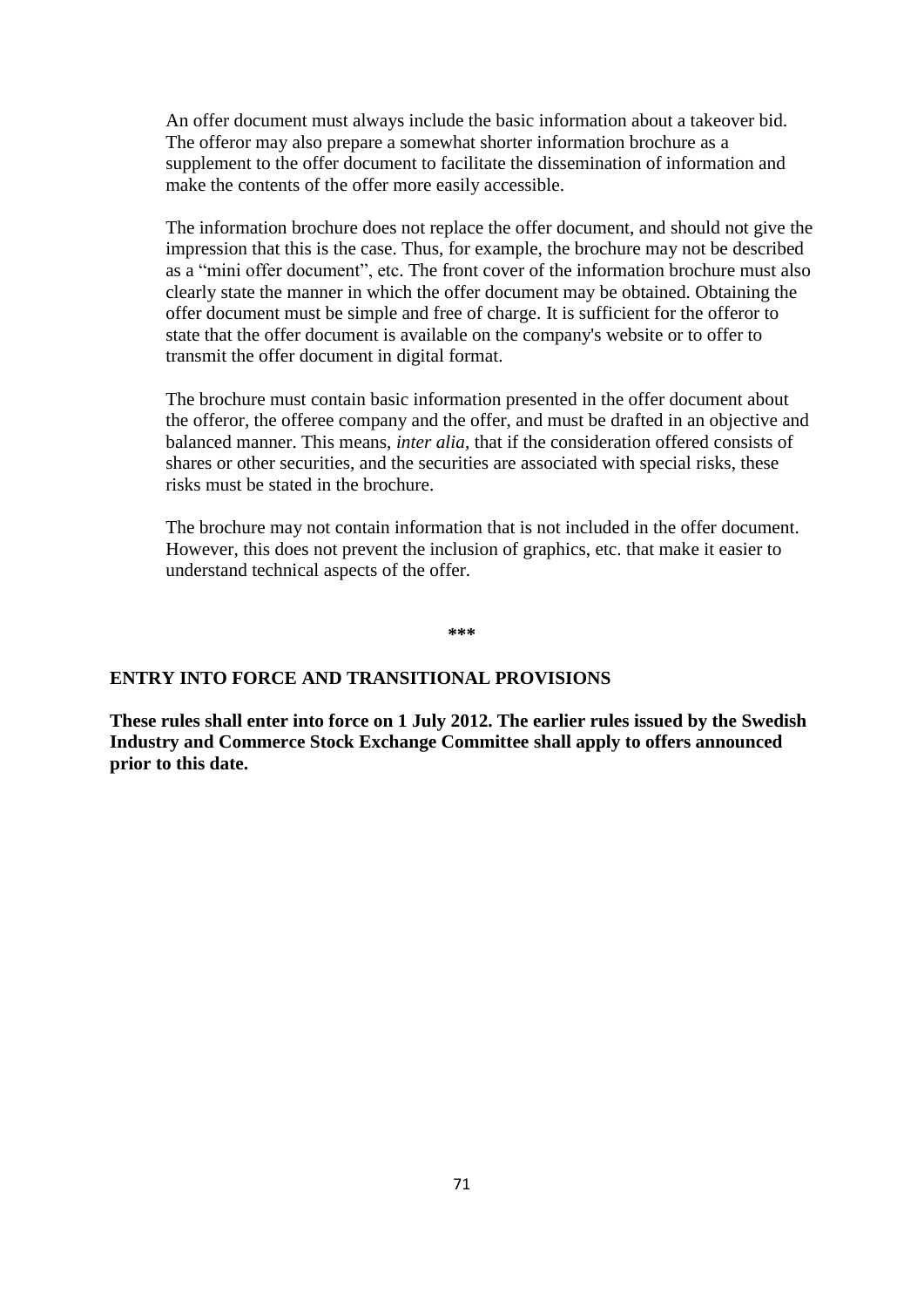An offer document must always include the basic information about a takeover bid. The offeror may also prepare a somewhat shorter information brochure as a supplement to the offer document to facilitate the dissemination of information and make the contents of the offer more easily accessible.

The information brochure does not replace the offer document, and should not give the impression that this is the case. Thus, for example, the brochure may not be described as a "mini offer document", etc. The front cover of the information brochure must also clearly state the manner in which the offer document may be obtained. Obtaining the offer document must be simple and free of charge. It is sufficient for the offeror to state that the offer document is available on the company's website or to offer to transmit the offer document in digital format.

The brochure must contain basic information presented in the offer document about the offeror, the offeree company and the offer, and must be drafted in an objective and balanced manner. This means, *inter alia*, that if the consideration offered consists of shares or other securities, and the securities are associated with special risks, these risks must be stated in the brochure.

The brochure may not contain information that is not included in the offer document. However, this does not prevent the inclusion of graphics, etc. that make it easier to understand technical aspects of the offer.

**\*\*\***

## **ENTRY INTO FORCE AND TRANSITIONAL PROVISIONS**

**These rules shall enter into force on 1 July 2012. The earlier rules issued by the Swedish Industry and Commerce Stock Exchange Committee shall apply to offers announced prior to this date.**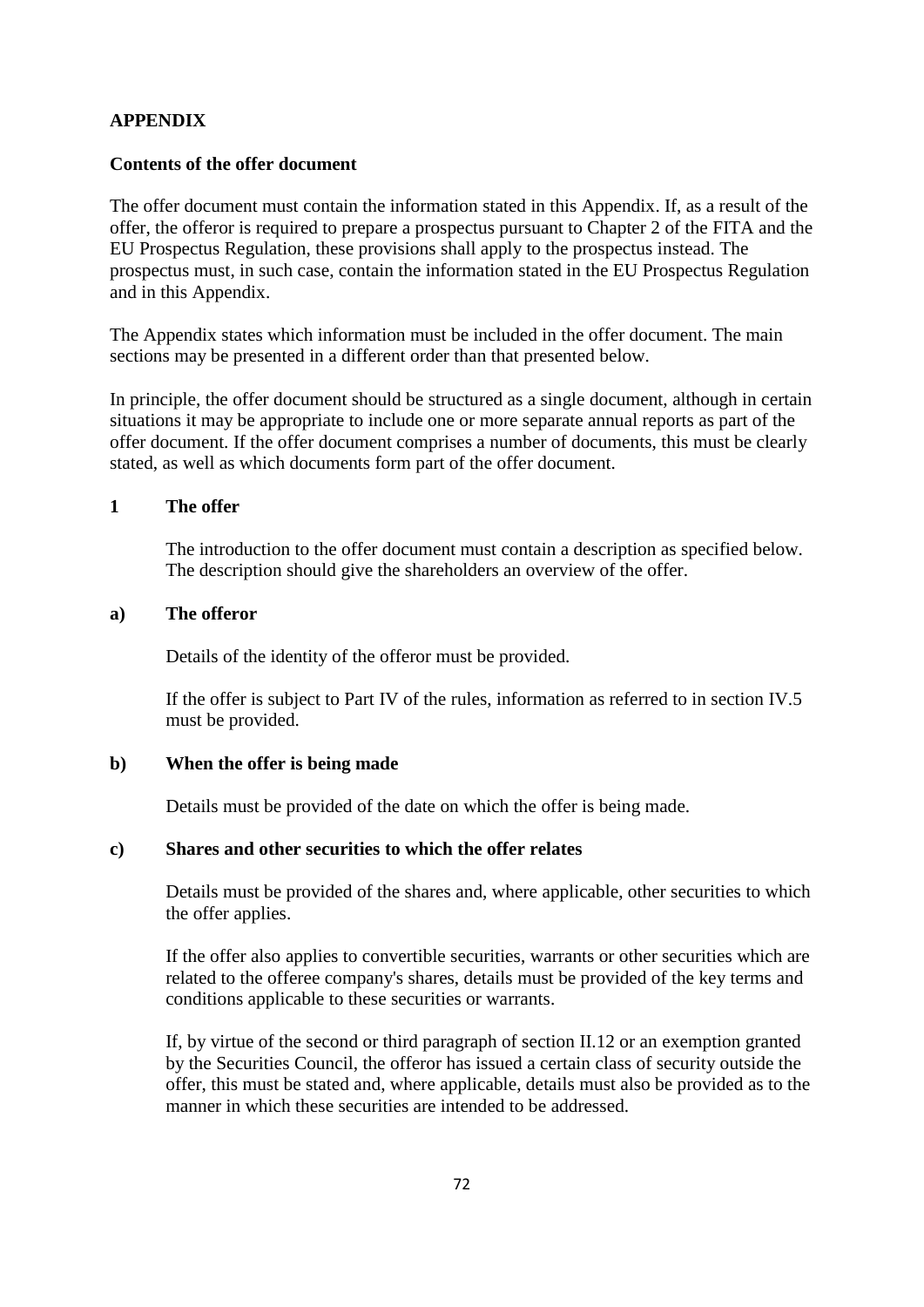# **APPENDIX**

## **Contents of the offer document**

The offer document must contain the information stated in this Appendix. If, as a result of the offer, the offeror is required to prepare a prospectus pursuant to Chapter 2 of the FITA and the EU Prospectus Regulation, these provisions shall apply to the prospectus instead. The prospectus must, in such case, contain the information stated in the EU Prospectus Regulation and in this Appendix.

The Appendix states which information must be included in the offer document. The main sections may be presented in a different order than that presented below.

In principle, the offer document should be structured as a single document, although in certain situations it may be appropriate to include one or more separate annual reports as part of the offer document. If the offer document comprises a number of documents, this must be clearly stated, as well as which documents form part of the offer document.

## **1 The offer**

The introduction to the offer document must contain a description as specified below. The description should give the shareholders an overview of the offer.

# **a) The offeror**

Details of the identity of the offeror must be provided.

If the offer is subject to Part IV of the rules, information as referred to in section IV.5 must be provided.

### **b) When the offer is being made**

Details must be provided of the date on which the offer is being made.

# **c) Shares and other securities to which the offer relates**

Details must be provided of the shares and, where applicable, other securities to which the offer applies.

If the offer also applies to convertible securities, warrants or other securities which are related to the offeree company's shares, details must be provided of the key terms and conditions applicable to these securities or warrants.

If, by virtue of the second or third paragraph of section II.12 or an exemption granted by the Securities Council, the offeror has issued a certain class of security outside the offer, this must be stated and, where applicable, details must also be provided as to the manner in which these securities are intended to be addressed.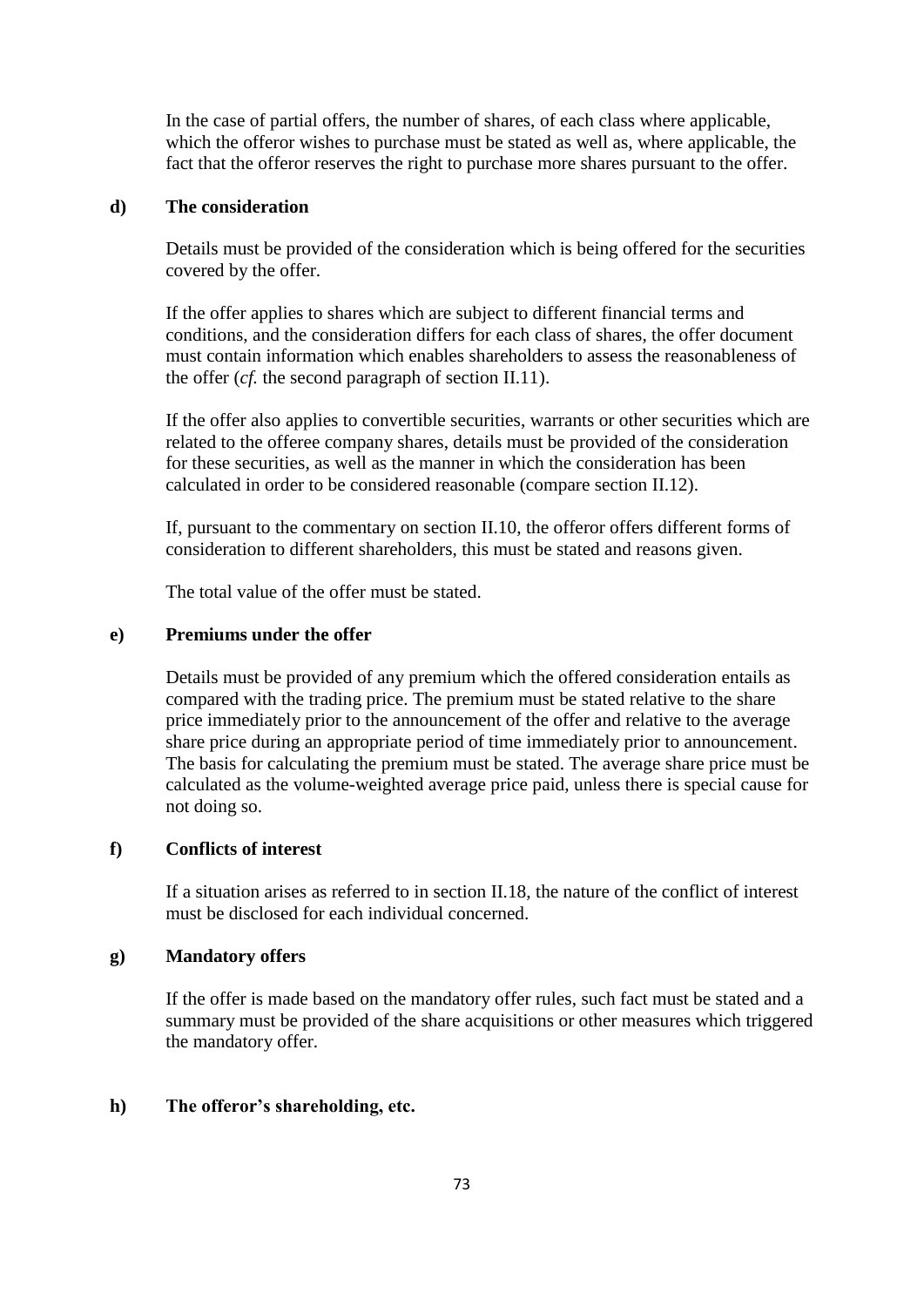In the case of partial offers, the number of shares, of each class where applicable, which the offeror wishes to purchase must be stated as well as, where applicable, the fact that the offeror reserves the right to purchase more shares pursuant to the offer.

# **d) The consideration**

Details must be provided of the consideration which is being offered for the securities covered by the offer.

If the offer applies to shares which are subject to different financial terms and conditions, and the consideration differs for each class of shares, the offer document must contain information which enables shareholders to assess the reasonableness of the offer (*cf.* the second paragraph of section II.11).

If the offer also applies to convertible securities, warrants or other securities which are related to the offeree company shares, details must be provided of the consideration for these securities, as well as the manner in which the consideration has been calculated in order to be considered reasonable (compare section II.12).

If, pursuant to the commentary on section II.10, the offeror offers different forms of consideration to different shareholders, this must be stated and reasons given.

The total value of the offer must be stated.

# **e) Premiums under the offer**

Details must be provided of any premium which the offered consideration entails as compared with the trading price. The premium must be stated relative to the share price immediately prior to the announcement of the offer and relative to the average share price during an appropriate period of time immediately prior to announcement. The basis for calculating the premium must be stated. The average share price must be calculated as the volume-weighted average price paid, unless there is special cause for not doing so.

# **f) Conflicts of interest**

If a situation arises as referred to in section II.18, the nature of the conflict of interest must be disclosed for each individual concerned.

#### **g) Mandatory offers**

If the offer is made based on the mandatory offer rules, such fact must be stated and a summary must be provided of the share acquisitions or other measures which triggered the mandatory offer.

# **h) The offeror's shareholding, etc.**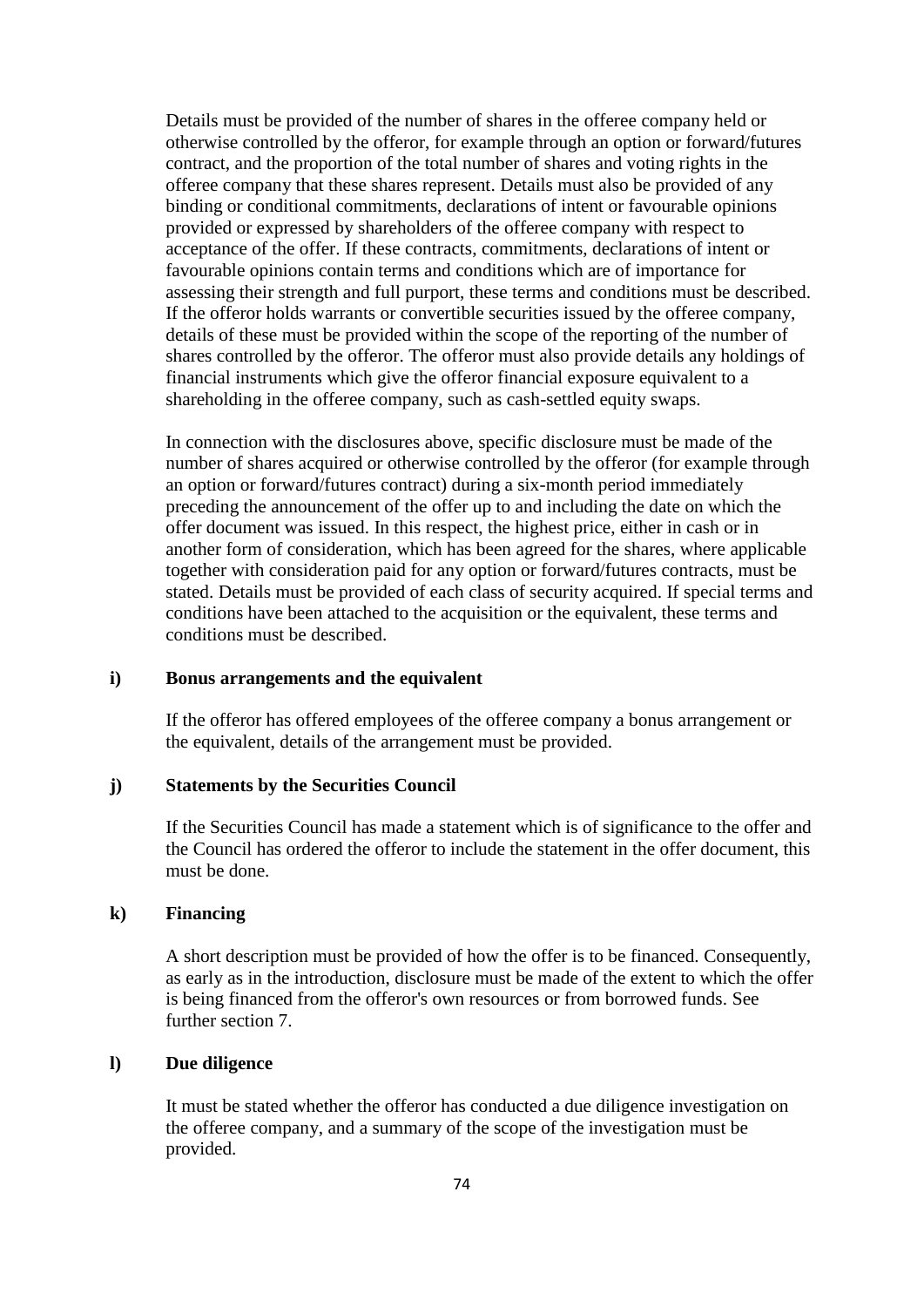Details must be provided of the number of shares in the offeree company held or otherwise controlled by the offeror, for example through an option or forward/futures contract, and the proportion of the total number of shares and voting rights in the offeree company that these shares represent. Details must also be provided of any binding or conditional commitments, declarations of intent or favourable opinions provided or expressed by shareholders of the offeree company with respect to acceptance of the offer. If these contracts, commitments, declarations of intent or favourable opinions contain terms and conditions which are of importance for assessing their strength and full purport, these terms and conditions must be described. If the offeror holds warrants or convertible securities issued by the offeree company, details of these must be provided within the scope of the reporting of the number of shares controlled by the offeror. The offeror must also provide details any holdings of financial instruments which give the offeror financial exposure equivalent to a shareholding in the offeree company, such as cash-settled equity swaps.

In connection with the disclosures above, specific disclosure must be made of the number of shares acquired or otherwise controlled by the offeror (for example through an option or forward/futures contract) during a six-month period immediately preceding the announcement of the offer up to and including the date on which the offer document was issued. In this respect, the highest price, either in cash or in another form of consideration, which has been agreed for the shares, where applicable together with consideration paid for any option or forward/futures contracts, must be stated. Details must be provided of each class of security acquired. If special terms and conditions have been attached to the acquisition or the equivalent, these terms and conditions must be described.

# **i) Bonus arrangements and the equivalent**

If the offeror has offered employees of the offeree company a bonus arrangement or the equivalent, details of the arrangement must be provided.

#### **j) Statements by the Securities Council**

If the Securities Council has made a statement which is of significance to the offer and the Council has ordered the offeror to include the statement in the offer document, this must be done.

# **k) Financing**

A short description must be provided of how the offer is to be financed. Consequently, as early as in the introduction, disclosure must be made of the extent to which the offer is being financed from the offeror's own resources or from borrowed funds. See further section 7.

# **l) Due diligence**

It must be stated whether the offeror has conducted a due diligence investigation on the offeree company, and a summary of the scope of the investigation must be provided.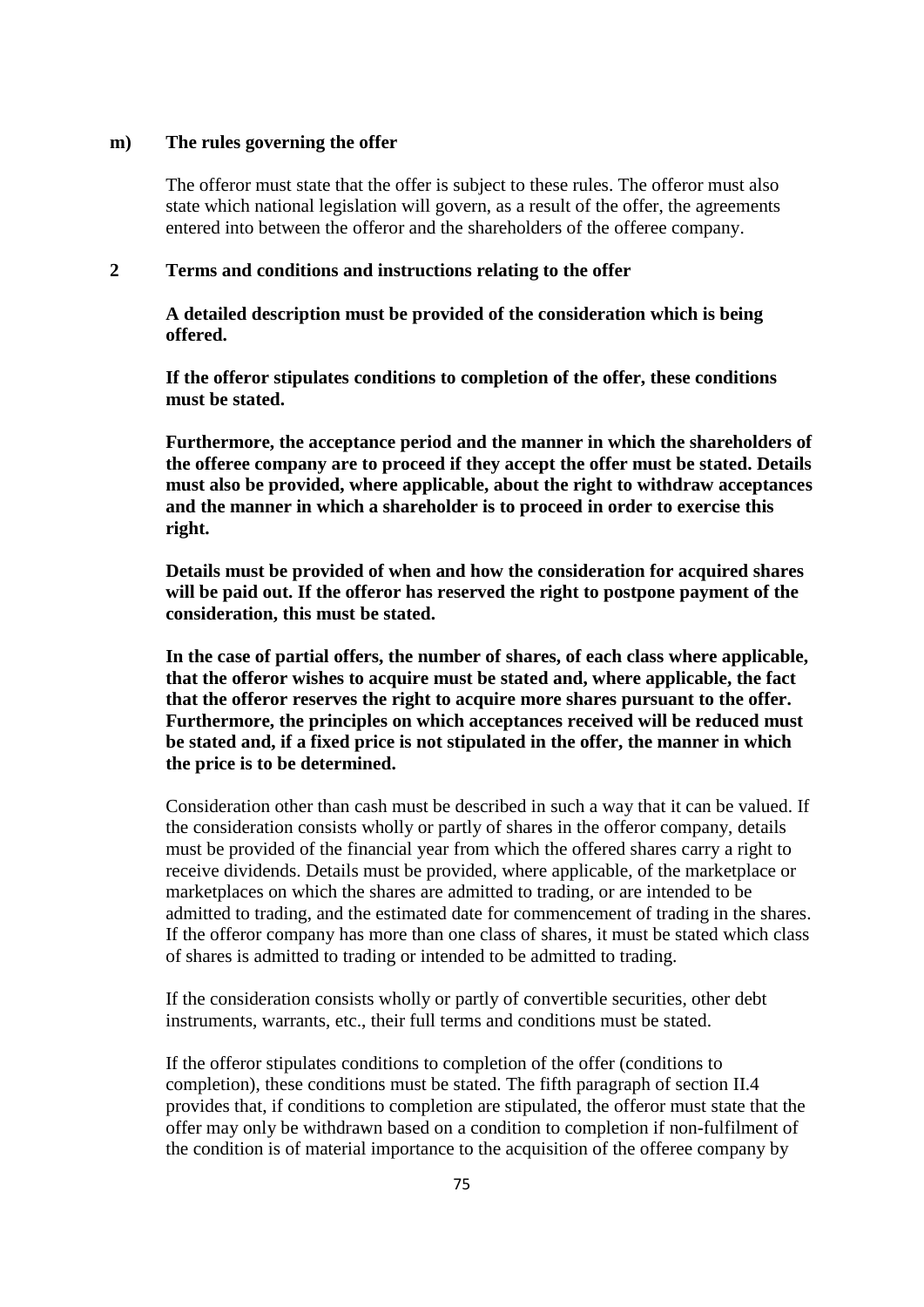#### **m) The rules governing the offer**

The offeror must state that the offer is subject to these rules. The offeror must also state which national legislation will govern, as a result of the offer, the agreements entered into between the offeror and the shareholders of the offeree company.

# **2 Terms and conditions and instructions relating to the offer**

**A detailed description must be provided of the consideration which is being offered.**

**If the offeror stipulates conditions to completion of the offer, these conditions must be stated.**

**Furthermore, the acceptance period and the manner in which the shareholders of the offeree company are to proceed if they accept the offer must be stated. Details must also be provided, where applicable, about the right to withdraw acceptances and the manner in which a shareholder is to proceed in order to exercise this right.**

**Details must be provided of when and how the consideration for acquired shares will be paid out. If the offeror has reserved the right to postpone payment of the consideration, this must be stated.**

**In the case of partial offers, the number of shares, of each class where applicable, that the offeror wishes to acquire must be stated and, where applicable, the fact that the offeror reserves the right to acquire more shares pursuant to the offer. Furthermore, the principles on which acceptances received will be reduced must be stated and, if a fixed price is not stipulated in the offer, the manner in which the price is to be determined.**

Consideration other than cash must be described in such a way that it can be valued. If the consideration consists wholly or partly of shares in the offeror company, details must be provided of the financial year from which the offered shares carry a right to receive dividends. Details must be provided, where applicable, of the marketplace or marketplaces on which the shares are admitted to trading, or are intended to be admitted to trading, and the estimated date for commencement of trading in the shares. If the offeror company has more than one class of shares, it must be stated which class of shares is admitted to trading or intended to be admitted to trading.

If the consideration consists wholly or partly of convertible securities, other debt instruments, warrants, etc., their full terms and conditions must be stated.

If the offeror stipulates conditions to completion of the offer (conditions to completion), these conditions must be stated. The fifth paragraph of section II.4 provides that, if conditions to completion are stipulated, the offeror must state that the offer may only be withdrawn based on a condition to completion if non-fulfilment of the condition is of material importance to the acquisition of the offeree company by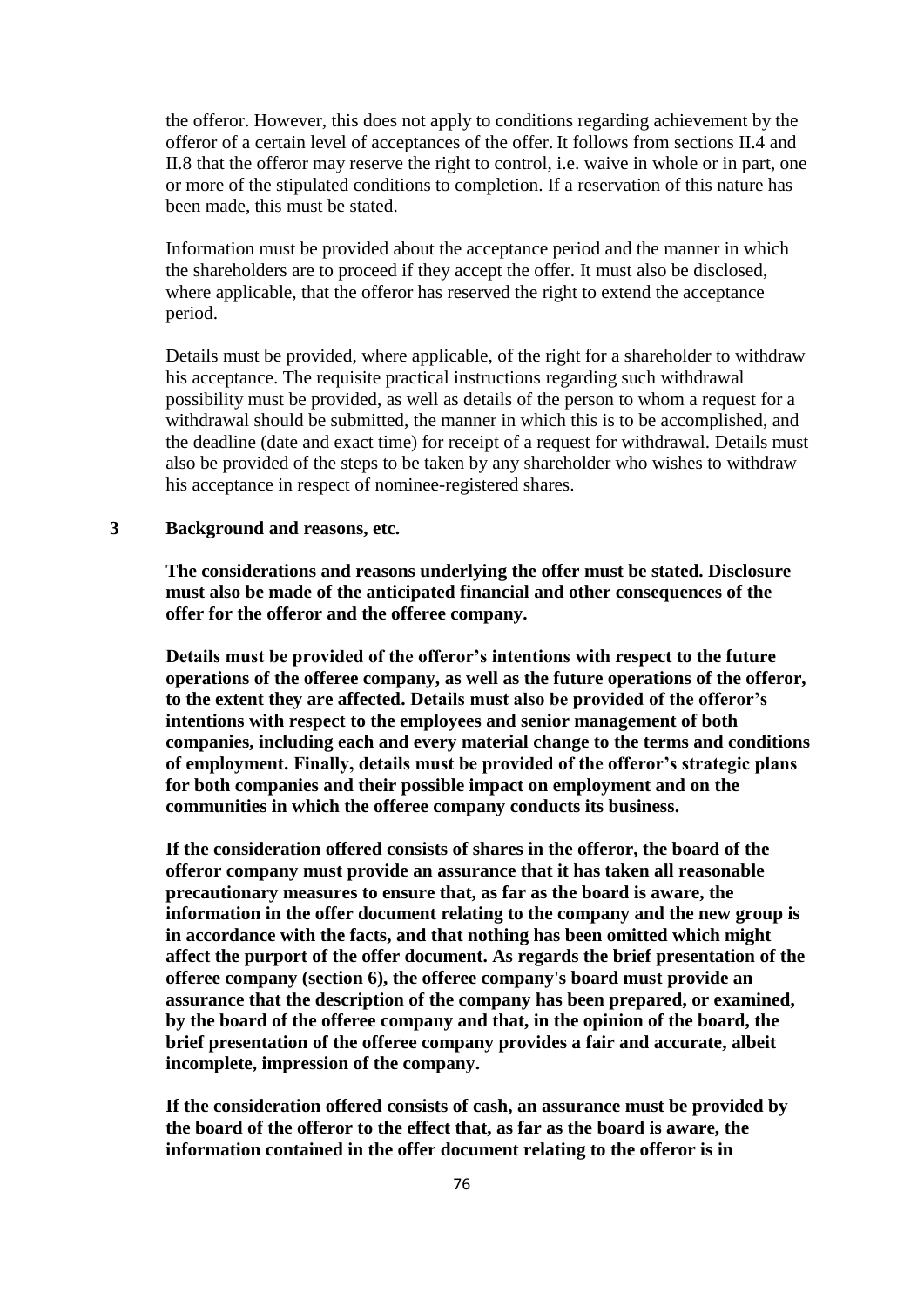the offeror. However, this does not apply to conditions regarding achievement by the offeror of a certain level of acceptances of the offer. It follows from sections II.4 and II.8 that the offeror may reserve the right to control, i.e. waive in whole or in part, one or more of the stipulated conditions to completion. If a reservation of this nature has been made, this must be stated.

Information must be provided about the acceptance period and the manner in which the shareholders are to proceed if they accept the offer. It must also be disclosed, where applicable, that the offeror has reserved the right to extend the acceptance period.

Details must be provided, where applicable, of the right for a shareholder to withdraw his acceptance. The requisite practical instructions regarding such withdrawal possibility must be provided, as well as details of the person to whom a request for a withdrawal should be submitted, the manner in which this is to be accomplished, and the deadline (date and exact time) for receipt of a request for withdrawal. Details must also be provided of the steps to be taken by any shareholder who wishes to withdraw his acceptance in respect of nominee-registered shares.

#### **3 Background and reasons, etc.**

**The considerations and reasons underlying the offer must be stated. Disclosure must also be made of the anticipated financial and other consequences of the offer for the offeror and the offeree company.** 

**Details must be provided of the offeror's intentions with respect to the future operations of the offeree company, as well as the future operations of the offeror, to the extent they are affected. Details must also be provided of the offeror's intentions with respect to the employees and senior management of both companies, including each and every material change to the terms and conditions of employment. Finally, details must be provided of the offeror's strategic plans for both companies and their possible impact on employment and on the communities in which the offeree company conducts its business.**

**If the consideration offered consists of shares in the offeror, the board of the offeror company must provide an assurance that it has taken all reasonable precautionary measures to ensure that, as far as the board is aware, the information in the offer document relating to the company and the new group is in accordance with the facts, and that nothing has been omitted which might affect the purport of the offer document. As regards the brief presentation of the offeree company (section 6), the offeree company's board must provide an assurance that the description of the company has been prepared, or examined, by the board of the offeree company and that, in the opinion of the board, the brief presentation of the offeree company provides a fair and accurate, albeit incomplete, impression of the company.**

**If the consideration offered consists of cash, an assurance must be provided by the board of the offeror to the effect that, as far as the board is aware, the information contained in the offer document relating to the offeror is in**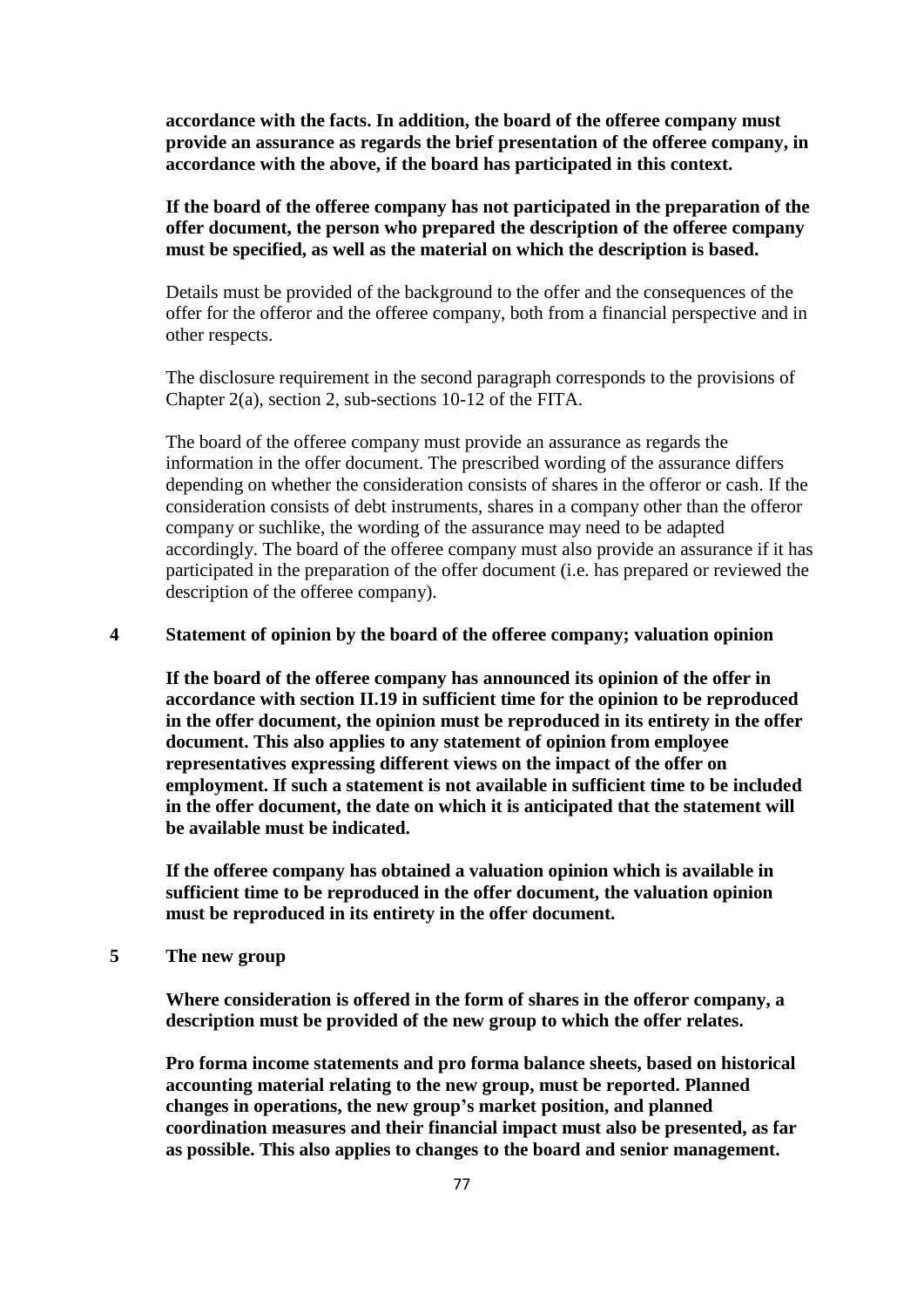**accordance with the facts. In addition, the board of the offeree company must provide an assurance as regards the brief presentation of the offeree company, in accordance with the above, if the board has participated in this context.**

**If the board of the offeree company has not participated in the preparation of the offer document, the person who prepared the description of the offeree company must be specified, as well as the material on which the description is based.**

Details must be provided of the background to the offer and the consequences of the offer for the offeror and the offeree company, both from a financial perspective and in other respects.

The disclosure requirement in the second paragraph corresponds to the provisions of Chapter 2(a), section 2, sub-sections 10-12 of the FITA.

The board of the offeree company must provide an assurance as regards the information in the offer document. The prescribed wording of the assurance differs depending on whether the consideration consists of shares in the offeror or cash. If the consideration consists of debt instruments, shares in a company other than the offeror company or suchlike, the wording of the assurance may need to be adapted accordingly. The board of the offeree company must also provide an assurance if it has participated in the preparation of the offer document (i.e. has prepared or reviewed the description of the offeree company).

#### **4 Statement of opinion by the board of the offeree company; valuation opinion**

**If the board of the offeree company has announced its opinion of the offer in accordance with section II.19 in sufficient time for the opinion to be reproduced in the offer document, the opinion must be reproduced in its entirety in the offer document. This also applies to any statement of opinion from employee representatives expressing different views on the impact of the offer on employment. If such a statement is not available in sufficient time to be included in the offer document, the date on which it is anticipated that the statement will be available must be indicated.**

**If the offeree company has obtained a valuation opinion which is available in sufficient time to be reproduced in the offer document, the valuation opinion must be reproduced in its entirety in the offer document.**

#### **5 The new group**

**Where consideration is offered in the form of shares in the offeror company, a description must be provided of the new group to which the offer relates.**

**Pro forma income statements and pro forma balance sheets, based on historical accounting material relating to the new group, must be reported. Planned changes in operations, the new group's market position, and planned coordination measures and their financial impact must also be presented, as far as possible. This also applies to changes to the board and senior management.**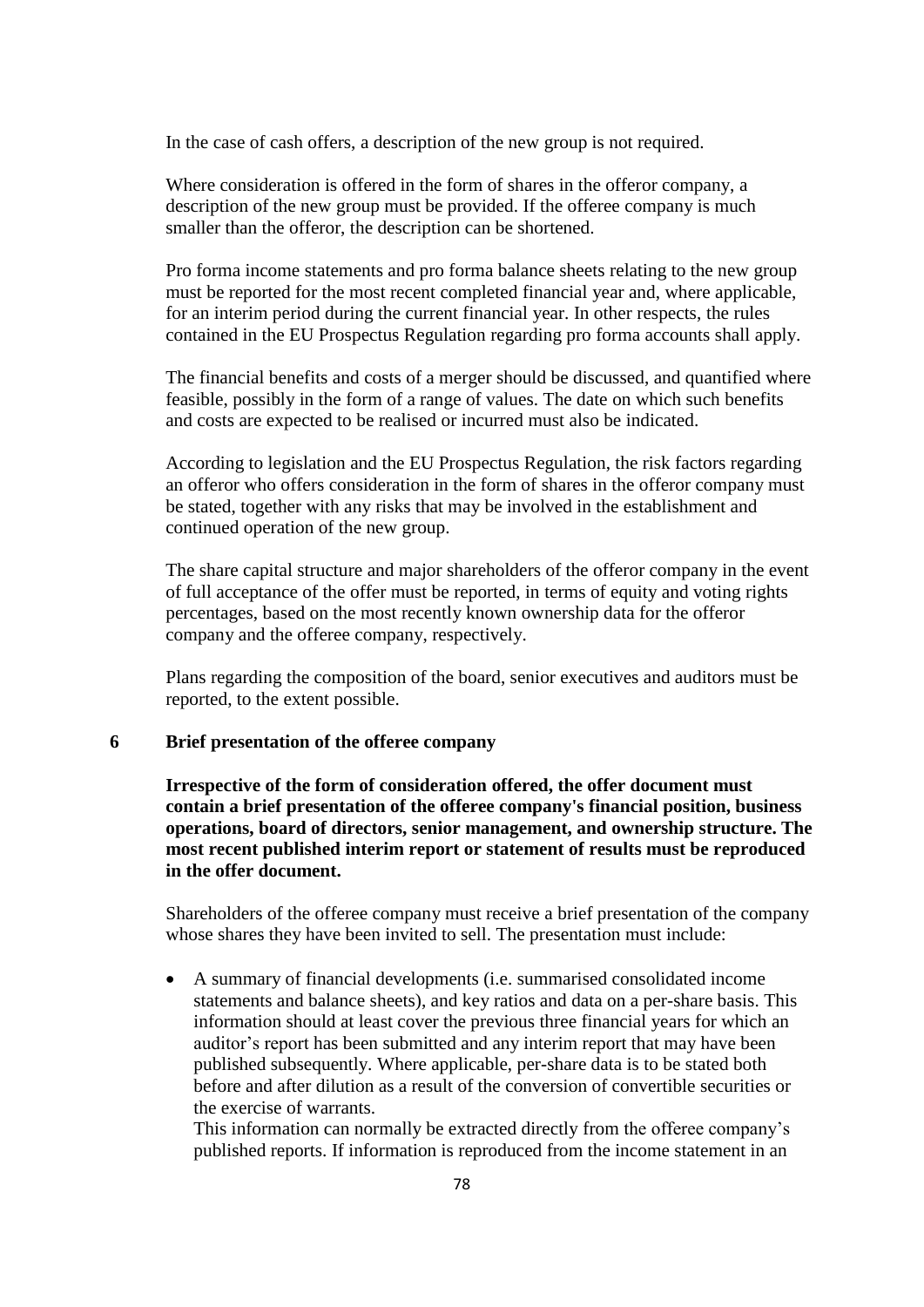In the case of cash offers, a description of the new group is not required.

Where consideration is offered in the form of shares in the offeror company, a description of the new group must be provided. If the offeree company is much smaller than the offeror, the description can be shortened.

Pro forma income statements and pro forma balance sheets relating to the new group must be reported for the most recent completed financial year and, where applicable, for an interim period during the current financial year. In other respects, the rules contained in the EU Prospectus Regulation regarding pro forma accounts shall apply.

The financial benefits and costs of a merger should be discussed, and quantified where feasible, possibly in the form of a range of values. The date on which such benefits and costs are expected to be realised or incurred must also be indicated.

According to legislation and the EU Prospectus Regulation, the risk factors regarding an offeror who offers consideration in the form of shares in the offeror company must be stated, together with any risks that may be involved in the establishment and continued operation of the new group.

The share capital structure and major shareholders of the offeror company in the event of full acceptance of the offer must be reported, in terms of equity and voting rights percentages, based on the most recently known ownership data for the offeror company and the offeree company, respectively.

Plans regarding the composition of the board, senior executives and auditors must be reported, to the extent possible.

# **6 Brief presentation of the offeree company**

**Irrespective of the form of consideration offered, the offer document must contain a brief presentation of the offeree company's financial position, business operations, board of directors, senior management, and ownership structure. The most recent published interim report or statement of results must be reproduced in the offer document.**

Shareholders of the offeree company must receive a brief presentation of the company whose shares they have been invited to sell. The presentation must include:

 A summary of financial developments (i.e. summarised consolidated income statements and balance sheets), and key ratios and data on a per-share basis. This information should at least cover the previous three financial years for which an auditor's report has been submitted and any interim report that may have been published subsequently. Where applicable, per-share data is to be stated both before and after dilution as a result of the conversion of convertible securities or the exercise of warrants.

This information can normally be extracted directly from the offeree company's published reports. If information is reproduced from the income statement in an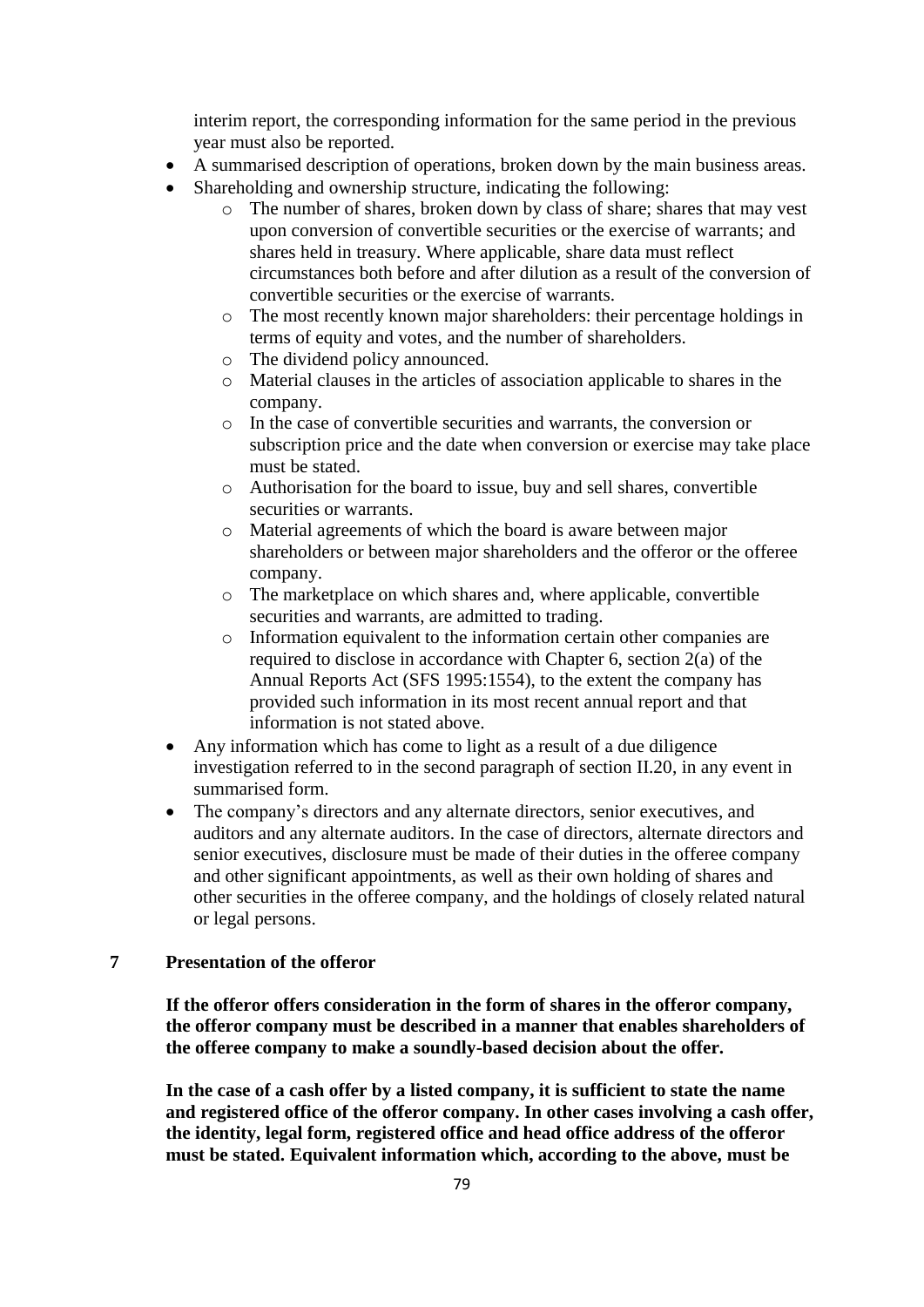interim report, the corresponding information for the same period in the previous year must also be reported.

- A summarised description of operations, broken down by the main business areas.
- Shareholding and ownership structure, indicating the following:
	- o The number of shares, broken down by class of share; shares that may vest upon conversion of convertible securities or the exercise of warrants; and shares held in treasury. Where applicable, share data must reflect circumstances both before and after dilution as a result of the conversion of convertible securities or the exercise of warrants.
	- o The most recently known major shareholders: their percentage holdings in terms of equity and votes, and the number of shareholders.
	- o The dividend policy announced.
	- o Material clauses in the articles of association applicable to shares in the company.
	- o In the case of convertible securities and warrants, the conversion or subscription price and the date when conversion or exercise may take place must be stated.
	- o Authorisation for the board to issue, buy and sell shares, convertible securities or warrants.
	- o Material agreements of which the board is aware between major shareholders or between major shareholders and the offeror or the offeree company.
	- o The marketplace on which shares and, where applicable, convertible securities and warrants, are admitted to trading.
	- o Information equivalent to the information certain other companies are required to disclose in accordance with Chapter 6, section 2(a) of the Annual Reports Act (SFS 1995:1554), to the extent the company has provided such information in its most recent annual report and that information is not stated above.
- Any information which has come to light as a result of a due diligence investigation referred to in the second paragraph of section II.20, in any event in summarised form.
- The company's directors and any alternate directors, senior executives, and auditors and any alternate auditors. In the case of directors, alternate directors and senior executives, disclosure must be made of their duties in the offeree company and other significant appointments, as well as their own holding of shares and other securities in the offeree company, and the holdings of closely related natural or legal persons.

# **7 Presentation of the offeror**

**If the offeror offers consideration in the form of shares in the offeror company, the offeror company must be described in a manner that enables shareholders of the offeree company to make a soundly-based decision about the offer.**

**In the case of a cash offer by a listed company, it is sufficient to state the name and registered office of the offeror company. In other cases involving a cash offer, the identity, legal form, registered office and head office address of the offeror must be stated. Equivalent information which, according to the above, must be**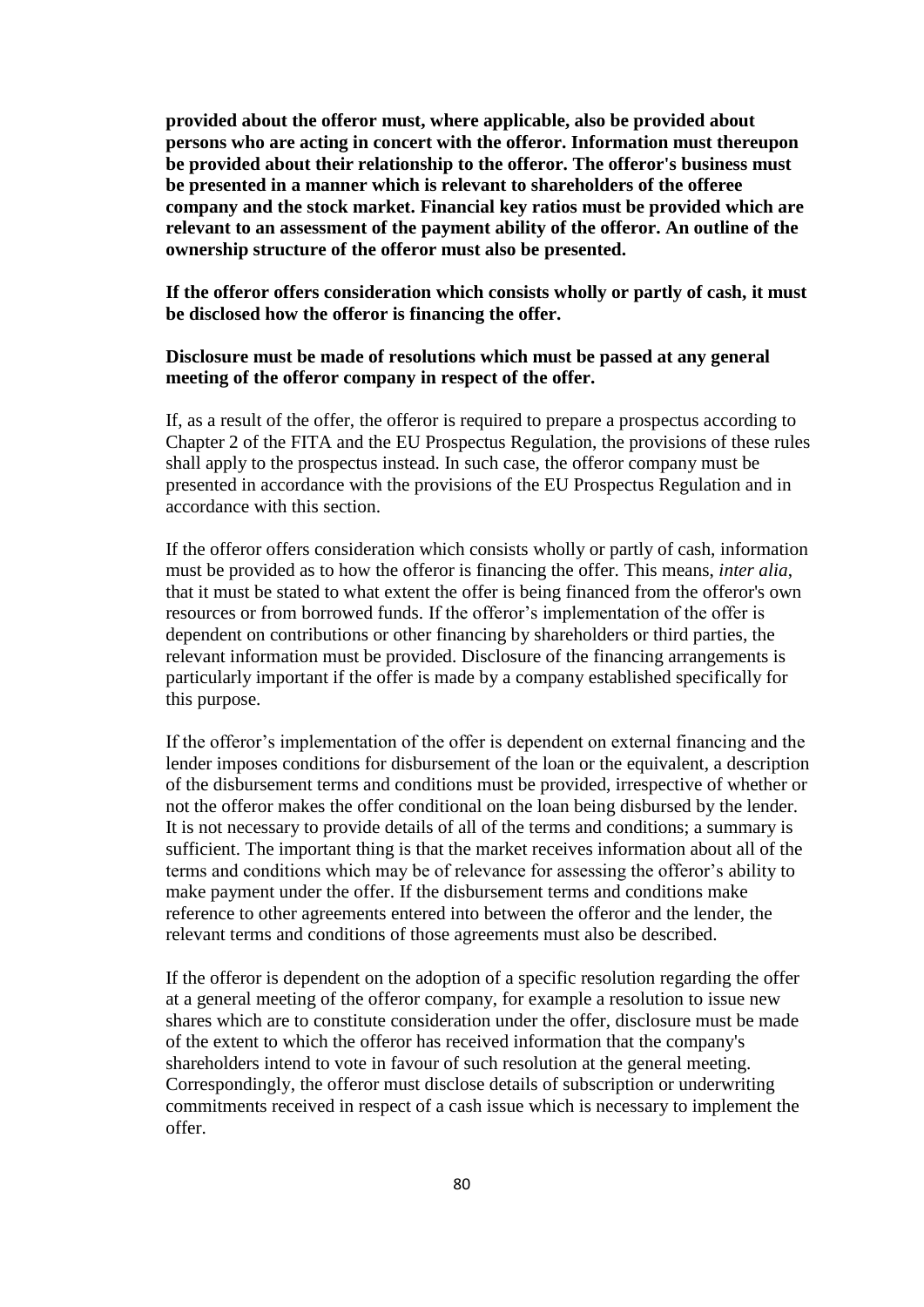**provided about the offeror must, where applicable, also be provided about persons who are acting in concert with the offeror. Information must thereupon be provided about their relationship to the offeror. The offeror's business must be presented in a manner which is relevant to shareholders of the offeree company and the stock market. Financial key ratios must be provided which are relevant to an assessment of the payment ability of the offeror. An outline of the ownership structure of the offeror must also be presented.**

**If the offeror offers consideration which consists wholly or partly of cash, it must be disclosed how the offeror is financing the offer.**

# **Disclosure must be made of resolutions which must be passed at any general meeting of the offeror company in respect of the offer.**

If, as a result of the offer, the offeror is required to prepare a prospectus according to Chapter 2 of the FITA and the EU Prospectus Regulation, the provisions of these rules shall apply to the prospectus instead. In such case, the offeror company must be presented in accordance with the provisions of the EU Prospectus Regulation and in accordance with this section.

If the offeror offers consideration which consists wholly or partly of cash, information must be provided as to how the offeror is financing the offer. This means, *inter alia*, that it must be stated to what extent the offer is being financed from the offeror's own resources or from borrowed funds. If the offeror's implementation of the offer is dependent on contributions or other financing by shareholders or third parties, the relevant information must be provided. Disclosure of the financing arrangements is particularly important if the offer is made by a company established specifically for this purpose.

If the offeror's implementation of the offer is dependent on external financing and the lender imposes conditions for disbursement of the loan or the equivalent, a description of the disbursement terms and conditions must be provided, irrespective of whether or not the offeror makes the offer conditional on the loan being disbursed by the lender. It is not necessary to provide details of all of the terms and conditions; a summary is sufficient. The important thing is that the market receives information about all of the terms and conditions which may be of relevance for assessing the offeror's ability to make payment under the offer. If the disbursement terms and conditions make reference to other agreements entered into between the offeror and the lender, the relevant terms and conditions of those agreements must also be described.

If the offeror is dependent on the adoption of a specific resolution regarding the offer at a general meeting of the offeror company, for example a resolution to issue new shares which are to constitute consideration under the offer, disclosure must be made of the extent to which the offeror has received information that the company's shareholders intend to vote in favour of such resolution at the general meeting. Correspondingly, the offeror must disclose details of subscription or underwriting commitments received in respect of a cash issue which is necessary to implement the offer.